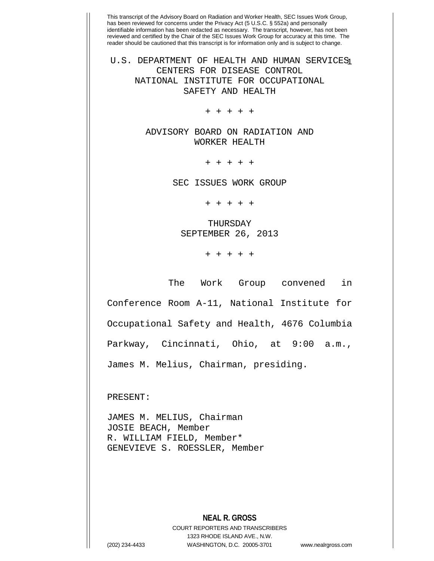This transcript of the Advisory Board on Radiation and Worker Health, SEC Issues Work Group, has been reviewed for concerns under the Privacy Act (5 U.S.C. § 552a) and personally identifiable information has been redacted as necessary. The transcript, however, has not been reviewed and certified by the Chair of the SEC Issues Work Group for accuracy at this time. The reader should be cautioned that this transcript is for information only and is subject to change. U.S. DEPARTMENT OF HEALTH AND HUMAN SERVICES CENTERS FOR DISEASE CONTROL NATIONAL INSTITUTE FOR OCCUPATIONAL SAFETY AND HEALTH + + + + + ADVISORY BOARD ON RADIATION AND WORKER HEALTH + + + + + SEC ISSUES WORK GROUP + + + + + THURSDAY SEPTEMBER 26, 2013 + + + + + The Work Group convened in Conference Room A-11, National Institute for Occupational Safety and Health, 4676 Columbia Parkway, Cincinnati, Ohio, at 9:00 a.m., James M. Melius, Chairman, presiding. PRESENT: JAMES M. MELIUS, Chairman JOSIE BEACH, Member

R. WILLIAM FIELD, Member\* GENEVIEVE S. ROESSLER, Member

> **NEAL R. GROSS** COURT REPORTERS AND TRANSCRIBERS 1323 RHODE ISLAND AVE., N.W.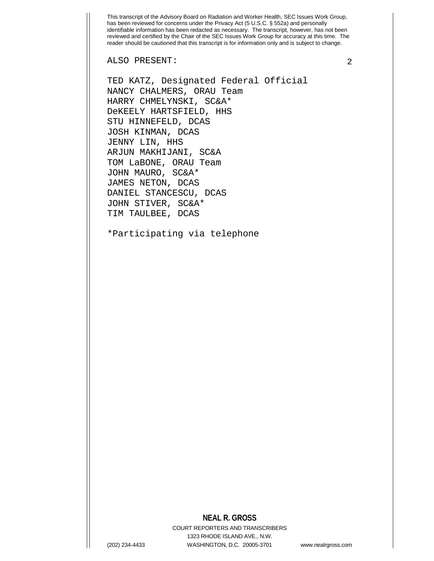ALSO PRESENT: 2

TED KATZ, Designated Federal Official NANCY CHALMERS, ORAU Team HARRY CHMELYNSKI, SC&A\* DeKEELY HARTSFIELD, HHS STU HINNEFELD, DCAS JOSH KINMAN, DCAS JENNY LIN, HHS ARJUN MAKHIJANI, SC&A TOM LaBONE, ORAU Team JOHN MAURO, SC&A\* JAMES NETON, DCAS DANIEL STANCESCU, DCAS JOHN STIVER, SC&A\* TIM TAULBEE, DCAS

\*Participating via telephone

## **NEAL R. GROSS**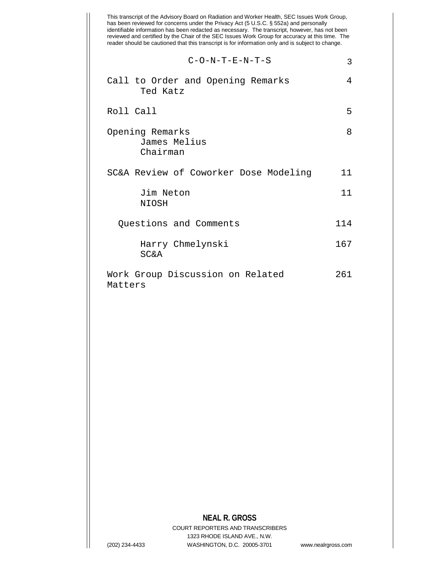|         | $C-O-N-T-E-N-T-S$                     |     |
|---------|---------------------------------------|-----|
|         | Call to Order and Opening Remarks     |     |
|         | Ted Katz                              |     |
|         | Roll Call                             |     |
|         | Opening Remarks<br>James Melius       |     |
|         | Chairman                              |     |
|         | SC&A Review of Coworker Dose Modeling | 11  |
|         | Jim Neton<br>NIOSH                    | 11  |
|         | Questions and Comments                | 114 |
|         | Harry Chmelynski<br><b>SC&amp;A</b>   | 167 |
| Matters | Work Group Discussion on Related      | 261 |
|         |                                       |     |
|         |                                       |     |
|         |                                       |     |
|         |                                       |     |
|         |                                       |     |
|         |                                       |     |
|         |                                       |     |

## **NEAL R. GROSS**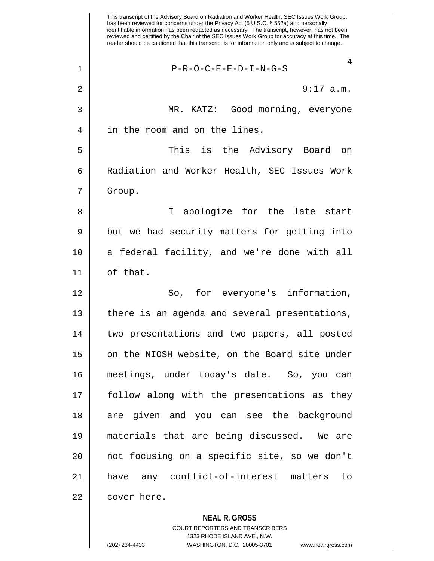**NEAL R. GROSS** This transcript of the Advisory Board on Radiation and Worker Health, SEC Issues Work Group, has been reviewed for concerns under the Privacy Act (5 U.S.C. § 552a) and personally identifiable information has been redacted as necessary. The transcript, however, has not been reviewed and certified by the Chair of the SEC Issues Work Group for accuracy at this time. The reader should be cautioned that this transcript is for information only and is subject to change. 4 1 P-R-O-C-E-E-D-I-N-G-S 2  $\parallel$  9:17 a.m. 3 MR. KATZ: Good morning, everyone 4 || in the room and on the lines. 5 This is the Advisory Board on 6 | Radiation and Worker Health, SEC Issues Work 7 Group. 8 || I apologize for the late start  $9 \parallel$  but we had security matters for getting into 10 a federal facility, and we're done with all 11 of that. 12 || So, for everyone's information, 13 || there is an agenda and several presentations, 14 two presentations and two papers, all posted 15 | on the NIOSH website, on the Board site under 16 meetings, under today's date. So, you can 17 follow along with the presentations as they 18 are given and you can see the background 19 materials that are being discussed. We are 20 || not focusing on a specific site, so we don't 21 have any conflict-of-interest matters to 22 | cover here.

> COURT REPORTERS AND TRANSCRIBERS 1323 RHODE ISLAND AVE., N.W.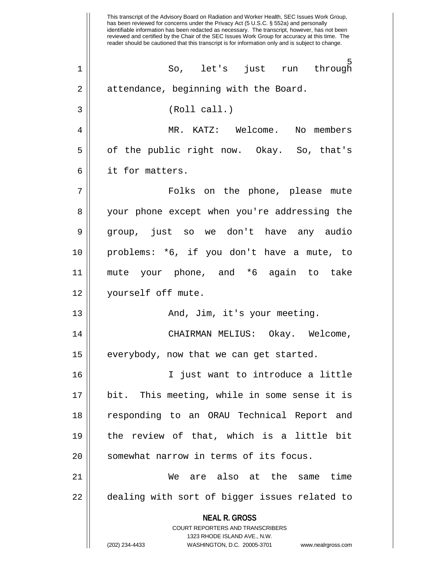**NEAL R. GROSS** COURT REPORTERS AND TRANSCRIBERS 1323 RHODE ISLAND AVE., N.W. (202) 234-4433 WASHINGTON, D.C. 20005-3701 www.nealrgross.com This transcript of the Advisory Board on Radiation and Worker Health, SEC Issues Work Group, has been reviewed for concerns under the Privacy Act (5 U.S.C. § 552a) and personally identifiable information has been redacted as necessary. The transcript, however, has not been reviewed and certified by the Chair of the SEC Issues Work Group for accuracy at this time. The reader should be cautioned that this transcript is for information only and is subject to change. <u>5</u><br>เ 1 So, let's just run through 2 | attendance, beginning with the Board. 3 (Roll call.) 4 || MR. KATZ: Welcome. No members  $5 \parallel$  of the public right now. Okay. So, that's 6 | it for matters. 7 Folks on the phone, please mute 8 || your phone except when you're addressing the 9 group, just so we don't have any audio 10 problems: \*6, if you don't have a mute, to 11 mute your phone, and \*6 again to take 12 yourself off mute. 13 And, Jim, it's your meeting. 14 CHAIRMAN MELIUS: Okay. Welcome,  $15$  | everybody, now that we can get started. 16 I just want to introduce a little 17 bit. This meeting, while in some sense it is 18 responding to an ORAU Technical Report and 19 the review of that, which is a little bit 20 || somewhat narrow in terms of its focus. 21 We are also at the same time 22 || dealing with sort of bigger issues related to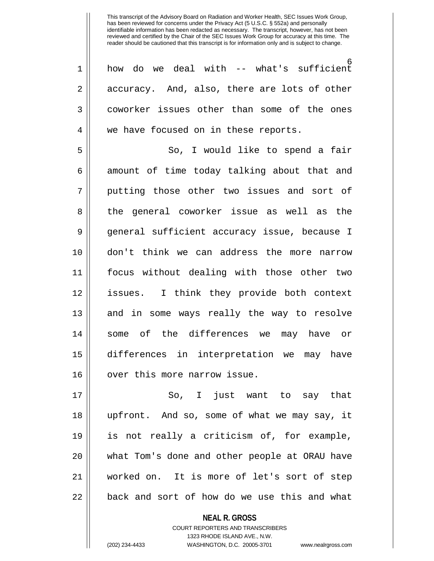<u>б</u> 1 how do we deal with -- what's sufficient  $2 \parallel$  accuracy. And, also, there are lots of other 3 coworker issues other than some of the ones 4 || we have focused on in these reports. 5 So, I would like to spend a fair  $6 \parallel$  amount of time today talking about that and 7 || putting those other two issues and sort of 8 || the general coworker issue as well as the 9 || general sufficient accuracy issue, because I 10 don't think we can address the more narrow 11 focus without dealing with those other two 12 issues. I think they provide both context 13 || and in some ways really the way to resolve 14 some of the differences we may have or 15 differences in interpretation we may have 16 || over this more narrow issue.

17 So, I just want to say that 18 upfront. And so, some of what we may say, it 19 is not really a criticism of, for example, 20 what Tom's done and other people at ORAU have 21 worked on. It is more of let's sort of step  $22$   $\vert$  back and sort of how do we use this and what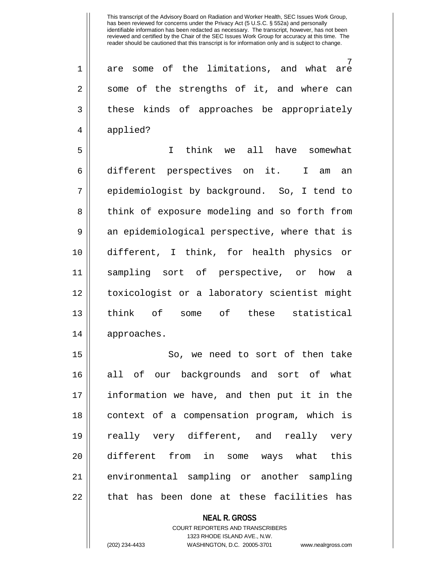7 1 are some of the limitations, and what are  $2 \parallel$  some of the strengths of it, and where can 3 || these kinds of approaches be appropriately 4 | applied?

5 I think we all have somewhat 6 different perspectives on it. I am an 7 epidemiologist by background. So, I tend to 8 || think of exposure modeling and so forth from 9 an epidemiological perspective, where that is 10 different, I think, for health physics or 11 sampling sort of perspective, or how a 12 toxicologist or a laboratory scientist might 13 think of some of these statistical 14 | approaches.

15 || So, we need to sort of then take 16 all of our backgrounds and sort of what 17 information we have, and then put it in the 18 || context of a compensation program, which is 19 really very different, and really very 20 different from in some ways what this 21 environmental sampling or another sampling 22 || that has been done at these facilities has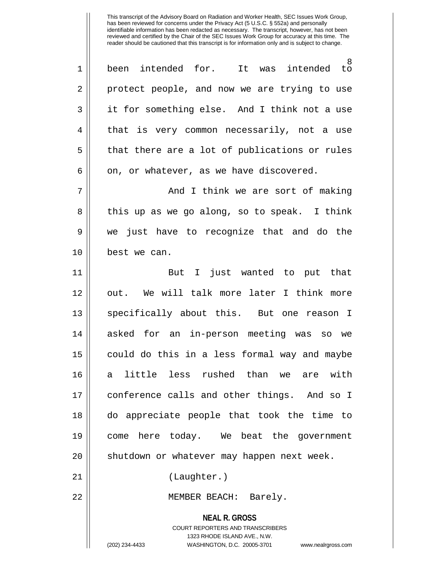**NEAL R. GROSS** COURT REPORTERS AND TRANSCRIBERS 1323 RHODE ISLAND AVE., N.W. 8<br>to 1 || been intended for. It was intended 2 protect people, and now we are trying to use 3 it for something else. And I think not a use 4 || that is very common necessarily, not a use  $5 \parallel$  that there are a lot of publications or rules  $6 \parallel$  on, or whatever, as we have discovered. 7 || And I think we are sort of making 8 || this up as we go along, so to speak. I think 9 we just have to recognize that and do the 10 best we can. 11 But I just wanted to put that 12 || out. We will talk more later I think more 13 || specifically about this. But one reason I 14 asked for an in-person meeting was so we 15 | could do this in a less formal way and maybe 16 a little less rushed than we are with 17 conference calls and other things. And so I 18 do appreciate people that took the time to 19 come here today. We beat the government 20 || shutdown or whatever may happen next week. 21 || (Laughter.) 22 MEMBER BEACH: Barely.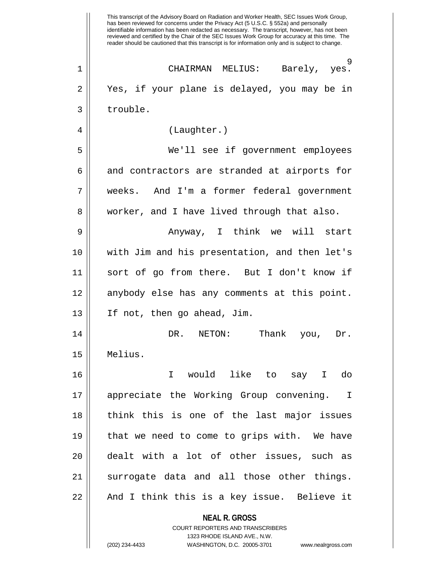**NEAL R. GROSS** COURT REPORTERS AND TRANSCRIBERS 1323 RHODE ISLAND AVE., N.W. This transcript of the Advisory Board on Radiation and Worker Health, SEC Issues Work Group, has been reviewed for concerns under the Privacy Act (5 U.S.C. § 552a) and personally identifiable information has been redacted as necessary. The transcript, however, has not been reviewed and certified by the Chair of the SEC Issues Work Group for accuracy at this time. The reader should be cautioned that this transcript is for information only and is subject to change. 9<br>.yes 1 CHAIRMAN MELIUS: Barely, yes. 2 Yes, if your plane is delayed, you may be in 3 | trouble. 4 (Laughter.) 5 We'll see if government employees 6 and contractors are stranded at airports for 7 weeks. And I'm a former federal government 8 || worker, and I have lived through that also. 9 Anyway, I think we will start 10 with Jim and his presentation, and then let's 11 sort of go from there. But I don't know if 12 anybody else has any comments at this point. 13 If not, then go ahead, Jim. 14 DR. NETON: Thank you, Dr. 15 Melius. 16 I would like to say I do 17 appreciate the Working Group convening. I 18 think this is one of the last major issues 19 that we need to come to grips with. We have 20 dealt with a lot of other issues, such as 21 || surrogate data and all those other things. 22 || And I think this is a key issue. Believe it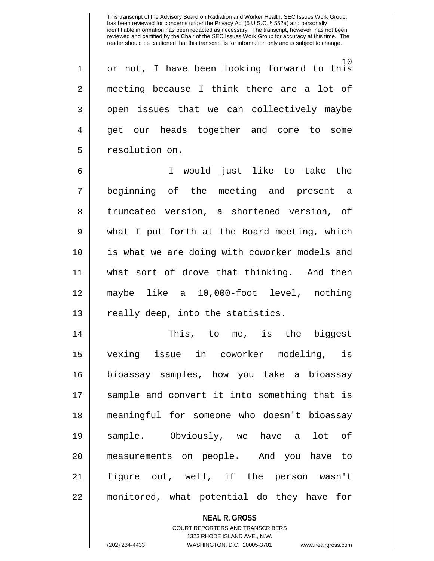10 1 || or not, I have been looking forward to this 2 || meeting because I think there are a lot of 3 || open issues that we can collectively maybe 4 || get our heads together and come to some 5 | resolution on.

6 I would just like to take the 7 beginning of the meeting and present a 8 || truncated version, a shortened version, of 9 what I put forth at the Board meeting, which 10 is what we are doing with coworker models and 11 what sort of drove that thinking. And then 12 maybe like a 10,000-foot level, nothing  $13$  || really deep, into the statistics.

14 This, to me, is the biggest 15 vexing issue in coworker modeling, is 16 bioassay samples, how you take a bioassay 17 || sample and convert it into something that is 18 meaningful for someone who doesn't bioassay 19 sample. Obviously, we have a lot of 20 measurements on people. And you have to 21 figure out, well, if the person wasn't 22 monitored, what potential do they have for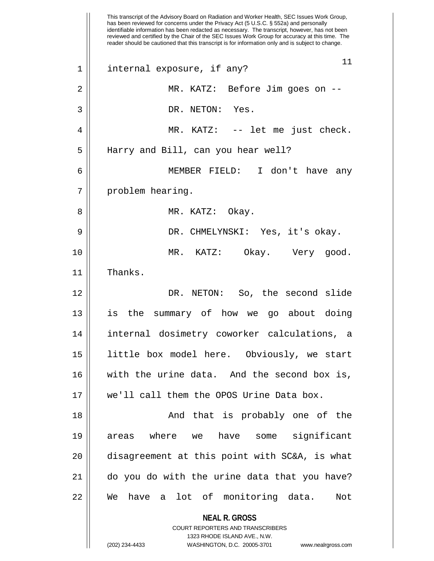**NEAL R. GROSS** COURT REPORTERS AND TRANSCRIBERS 1323 RHODE ISLAND AVE., N.W. (202) 234-4433 WASHINGTON, D.C. 20005-3701 www.nealrgross.com This transcript of the Advisory Board on Radiation and Worker Health, SEC Issues Work Group, has been reviewed for concerns under the Privacy Act (5 U.S.C. § 552a) and personally identifiable information has been redacted as necessary. The transcript, however, has not been reviewed and certified by the Chair of the SEC Issues Work Group for accuracy at this time. The reader should be cautioned that this transcript is for information only and is subject to change. 11 1 internal exposure, if any? 2 MR. KATZ: Before Jim goes on -- 3 DR. NETON: Yes. 4 MR. KATZ: -- let me just check. 5 || Harry and Bill, can you hear well? 6 MEMBER FIELD: I don't have any 7 | problem hearing. 8 MR. KATZ: Okay. 9 DR. CHMELYNSKI: Yes, it's okay. 10 MR. KATZ: Okay. Very good. 11 Thanks. 12 DR. NETON: So, the second slide 13 is the summary of how we go about doing 14 internal dosimetry coworker calculations, a 15 little box model here. Obviously, we start 16 with the urine data. And the second box is, 17 we'll call them the OPOS Urine Data box. 18 And that is probably one of the 19 areas where we have some significant 20 || disagreement at this point with SC&A, is what 21 do you do with the urine data that you have? 22 We have a lot of monitoring data. Not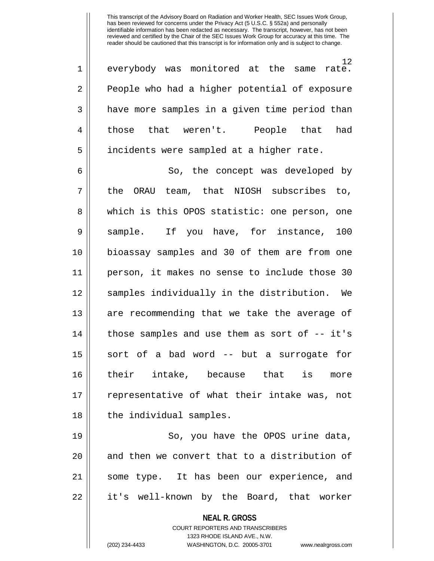12 1 everybody was monitored at the same rate. 2 People who had a higher potential of exposure 3 || have more samples in a given time period than 4 those that weren't. People that had 5 | incidents were sampled at a higher rate.

6 So, the concept was developed by 7 || the ORAU team, that NIOSH subscribes to, 8 || which is this OPOS statistic: one person, one 9 Sample. If you have, for instance, 100 10 bioassay samples and 30 of them are from one 11 person, it makes no sense to include those 30 12 samples individually in the distribution. We 13 || are recommending that we take the average of 14 || those samples and use them as sort of -- it's 15 || sort of a bad word -- but a surrogate for 16 their intake, because that is more 17 || representative of what their intake was, not 18 || the individual samples.

19 || So, you have the OPOS urine data,  $20$  || and then we convert that to a distribution of 21 some type. It has been our experience, and 22 it's well-known by the Board, that worker

> **NEAL R. GROSS** COURT REPORTERS AND TRANSCRIBERS

> > 1323 RHODE ISLAND AVE., N.W.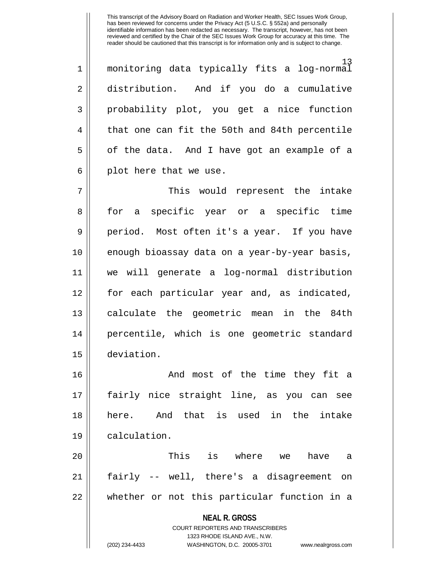13 1 monitoring data typically fits a log-normal 2 distribution. And if you do a cumulative 3 probability plot, you get a nice function 4 || that one can fit the 50th and 84th percentile  $5 \parallel$  of the data. And I have got an example of a  $6 \parallel$  plot here that we use.

7 This would represent the intake 8 || for a specific year or a specific time 9 || period. Most often it's a year. If you have 10 || enough bioassay data on a year-by-year basis, 11 we will generate a log-normal distribution 12 for each particular year and, as indicated, 13 || calculate the geometric mean in the 84th 14 percentile, which is one geometric standard 15 deviation.

16 And most of the time they fit a 17 fairly nice straight line, as you can see 18 here. And that is used in the intake 19 calculation.

20 This is where we have a 21 fairly -- well, there's a disagreement on 22 whether or not this particular function in a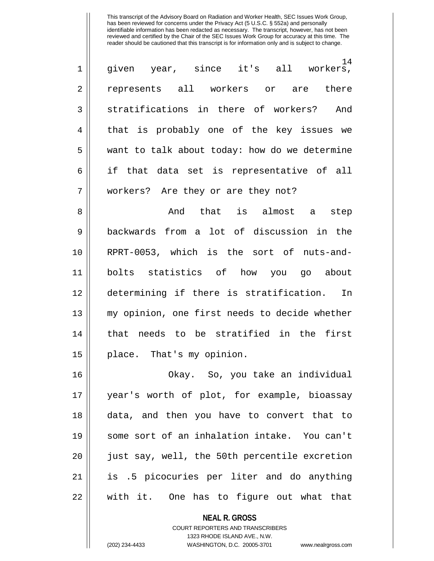| $\mathbf 1$    | 14<br>given year, since it's all workers,     |
|----------------|-----------------------------------------------|
| $\overline{2}$ | represents all workers or are<br>there        |
| 3              | stratifications in there of workers? And      |
| 4              | that is probably one of the key issues we     |
| 5              | want to talk about today: how do we determine |
| 6              | if that data set is representative of all     |
| 7              | workers? Are they or are they not?            |

8 And that is almost a step 9 backwards from a lot of discussion in the 10 RPRT-0053, which is the sort of nuts-and-11 bolts statistics of how you go about 12 determining if there is stratification. In 13 my opinion, one first needs to decide whether 14 that needs to be stratified in the first 15 || place. That's my opinion.

16 Okay. So, you take an individual 17 year's worth of plot, for example, bioassay 18 data, and then you have to convert that to 19 some sort of an inhalation intake. You can't 20 || just say, well, the 50th percentile excretion 21 is .5 picocuries per liter and do anything 22 with it. One has to figure out what that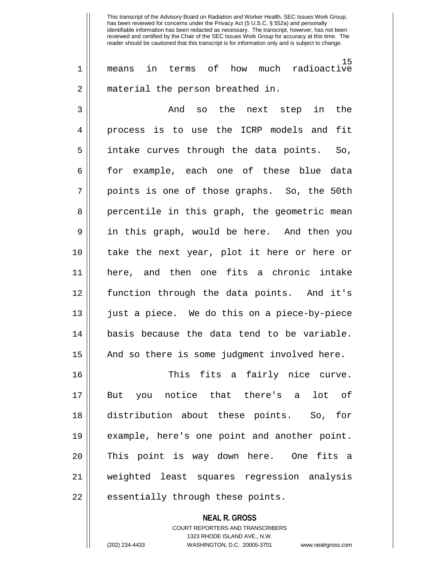15 1 means in terms of how much radioactive 2 || material the person breathed in.

3 And so the next step in the 4 process is to use the ICRP models and fit 5 || intake curves through the data points. So,  $6 \parallel$  for example, each one of these blue data 7 || points is one of those graphs. So, the 50th 8 || percentile in this graph, the geometric mean 9 in this graph, would be here. And then you 10 take the next year, plot it here or here or 11 here, and then one fits a chronic intake 12 function through the data points. And it's 13 just a piece. We do this on a piece-by-piece 14 basis because the data tend to be variable.  $15$  | And so there is some judgment involved here.

16 This fits a fairly nice curve. 17 But you notice that there's a lot of 18 distribution about these points. So, for 19 example, here's one point and another point. 20 || This point is way down here. One fits a 21 weighted least squares regression analysis  $22$  || essentially through these points.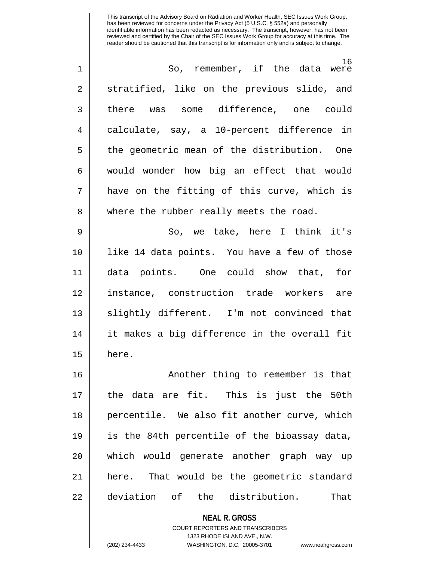| 1  | 16<br>So, remember, if the data were         |
|----|----------------------------------------------|
| 2  | stratified, like on the previous slide, and  |
| 3  | there was some difference, one could         |
| 4  | calculate, say, a 10-percent difference in   |
| 5  | the geometric mean of the distribution. One  |
| 6  | would wonder how big an effect that would    |
| 7  | have on the fitting of this curve, which is  |
| 8  | where the rubber really meets the road.      |
| 9  | So, we take, here I think it's               |
| 10 | like 14 data points. You have a few of those |
| 11 | data points. One could show that, for        |
| 12 | instance, construction trade workers are     |
| 13 | slightly different. I'm not convinced that   |
| 14 | it makes a big difference in the overall fit |
| 15 | here.                                        |
| 16 | Another thing to remember is that            |
| 17 | the data are fit. This is just the 50th      |
| 18 | percentile. We also fit another curve, which |
| 19 | is the 84th percentile of the bioassay data, |
| 20 | which would generate another graph way up    |
| 21 | here. That would be the geometric standard   |
|    |                                              |
| 22 | deviation of the distribution.<br>That       |

**NEAL R. GROSS** COURT REPORTERS AND TRANSCRIBERS 1323 RHODE ISLAND AVE., N.W.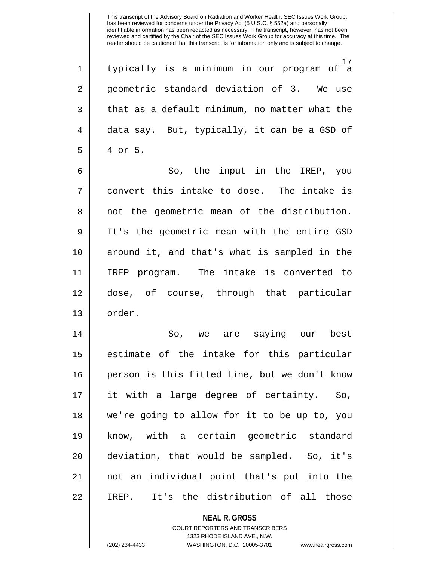17 1 typically is a minimum in our program of a 2 || geometric standard deviation of 3. We use  $3 \parallel$  that as a default minimum, no matter what the  $4 \parallel$  data say. But, typically, it can be a GSD of 5 4 or 5.

6 So, the input in the IREP, you  $7 \parallel$  convert this intake to dose. The intake is 8 || not the geometric mean of the distribution. 9 It's the geometric mean with the entire GSD 10 around it, and that's what is sampled in the 11 IREP program. The intake is converted to 12 dose, of course, through that particular 13 || order.

14 So, we are saying our best 15 || estimate of the intake for this particular 16 person is this fitted line, but we don't know 17 it with a large degree of certainty. So, 18 we're going to allow for it to be up to, you 19 know, with a certain geometric standard 20 deviation, that would be sampled. So, it's 21 not an individual point that's put into the 22 IREP. It's the distribution of all those

## **NEAL R. GROSS** COURT REPORTERS AND TRANSCRIBERS 1323 RHODE ISLAND AVE., N.W.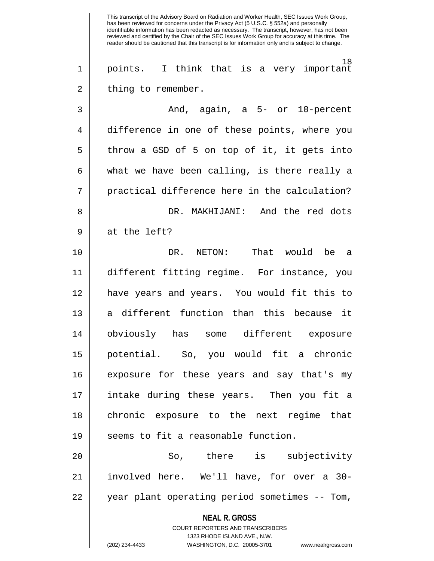**NEAL R. GROSS** COURT REPORTERS AND TRANSCRIBERS 1323 RHODE ISLAND AVE., N.W. (202) 234-4433 WASHINGTON, D.C. 20005-3701 www.nealrgross.com has been reviewed for concerns under the Privacy Act (5 U.S.C. § 552a) and personally identifiable information has been redacted as necessary. The transcript, however, has not been reviewed and certified by the Chair of the SEC Issues Work Group for accuracy at this time. The reader should be cautioned that this transcript is for information only and is subject to change. 18 1 points. I think that is a very important 2 | thing to remember. 3 And, again, a 5- or 10-percent 4 difference in one of these points, where you  $5 \parallel$  throw a GSD of 5 on top of it, it gets into  $6 \parallel$  what we have been calling, is there really a  $7 \parallel$  practical difference here in the calculation? 8 DR. MAKHIJANI: And the red dots 9 || at the left? 10 DR. NETON: That would be a 11 different fitting regime. For instance, you 12 have years and years. You would fit this to 13 a different function than this because it 14 obviously has some different exposure 15 potential. So, you would fit a chronic 16 exposure for these years and say that's my 17 intake during these years. Then you fit a 18 chronic exposure to the next regime that 19 || seems to fit a reasonable function. 20 || So, there is subjectivity 21 involved here. We'll have, for over a 30- 22 || year plant operating period sometimes -- Tom,

This transcript of the Advisory Board on Radiation and Worker Health, SEC Issues Work Group,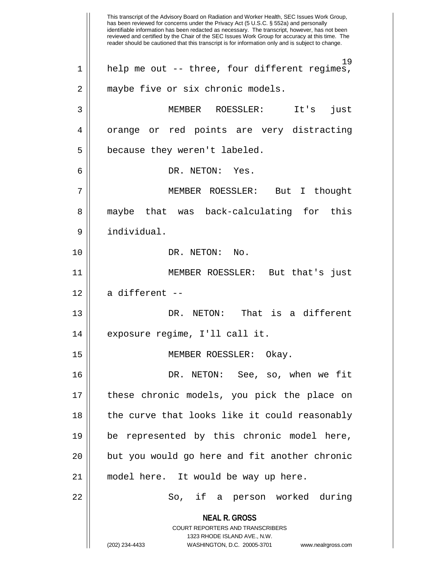**NEAL R. GROSS** COURT REPORTERS AND TRANSCRIBERS 1323 RHODE ISLAND AVE., N.W. (202) 234-4433 WASHINGTON, D.C. 20005-3701 www.nealrgross.com This transcript of the Advisory Board on Radiation and Worker Health, SEC Issues Work Group, has been reviewed for concerns under the Privacy Act (5 U.S.C. § 552a) and personally identifiable information has been redacted as necessary. The transcript, however, has not been reviewed and certified by the Chair of the SEC Issues Work Group for accuracy at this time. The reader should be cautioned that this transcript is for information only and is subject to change. 19 1 help me out -- three, four different regimes, 2 | maybe five or six chronic models. 3 MEMBER ROESSLER: It's just 4 || orange or red points are very distracting  $5$  || because they weren't labeled. 6 DR. NETON: Yes. 7 MEMBER ROESSLER: But I thought 8 || maybe that was back-calculating for this 9 individual. 10 DR. NETON: No. 11 MEMBER ROESSLER: But that's just  $12 \parallel$  a different --13 DR. NETON: That is a different 14 || exposure regime, I'll call it. 15 || MEMBER ROESSLER: Okay. 16 DR. NETON: See, so, when we fit 17 these chronic models, you pick the place on 18 || the curve that looks like it could reasonably 19 be represented by this chronic model here,  $20$  || but you would go here and fit another chronic 21 model here. It would be way up here. 22 So, if a person worked during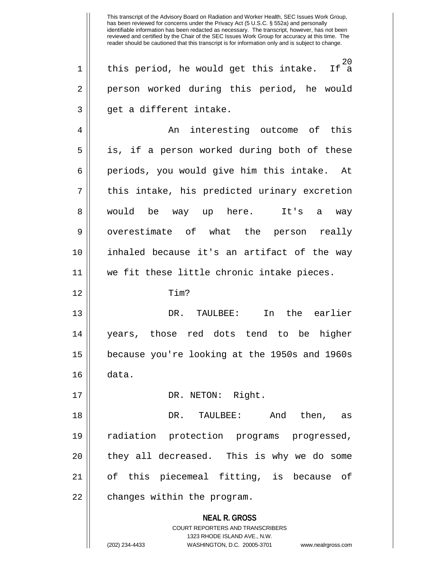If  $^{20}$  $1 \parallel$  this period, he would get this intake. 2 || person worked during this period, he would  $3 \parallel$  qet a different intake.

4 An interesting outcome of this 5 || is, if a person worked during both of these 6 || periods, you would give him this intake. At  $7 \parallel$  this intake, his predicted urinary excretion 8 would be way up here. It's a way 9 || overestimate of what the person really 10 inhaled because it's an artifact of the way 11 we fit these little chronic intake pieces.

12 Tim?

13 DR. TAULBEE: In the earlier 14 years, those red dots tend to be higher 15 because you're looking at the 1950s and 1960s 16 data.

17 || DR. NETON: Right.

18 DR. TAULBEE: And then, as 19 radiation protection programs progressed,  $20$  || they all decreased. This is why we do some 21 of this piecemeal fitting, is because of 22 || changes within the program.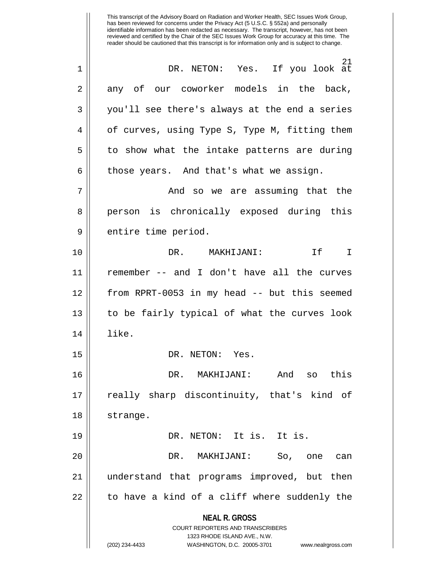**NEAL R. GROSS** COURT REPORTERS AND TRANSCRIBERS 1323 RHODE ISLAND AVE., N.W. has been reviewed for concerns under the Privacy Act (5 U.S.C. § 552a) and personally identifiable information has been redacted as necessary. The transcript, however, has not been reviewed and certified by the Chair of the SEC Issues Work Group for accuracy at this time. The reader should be cautioned that this transcript is for information only and is subject to change. 21 1 DR. NETON: Yes. If you look at  $2 \parallel$  any of our coworker models in the back, 3 you'll see there's always at the end a series 4 | of curves, using Type S, Type M, fitting them  $5 \parallel$  to show what the intake patterns are during  $6 \parallel$  those years. And that's what we assign. 7 And so we are assuming that the 8 || person is chronically exposed during this 9 | entire time period. 10 DR. MAKHIJANI: If I 11 remember -- and I don't have all the curves 12 from RPRT-0053 in my head -- but this seemed 13 || to be fairly typical of what the curves look 14 like. 15 || DR. NETON: Yes. 16 DR. MAKHIJANI: And so this 17 || really sharp discontinuity, that's kind of 18 | strange. 19 DR. NETON: It is. It is. 20 || The DR. MAKHIJANI: So, one can 21 understand that programs improved, but then  $22$  | to have a kind of a cliff where suddenly the

This transcript of the Advisory Board on Radiation and Worker Health, SEC Issues Work Group,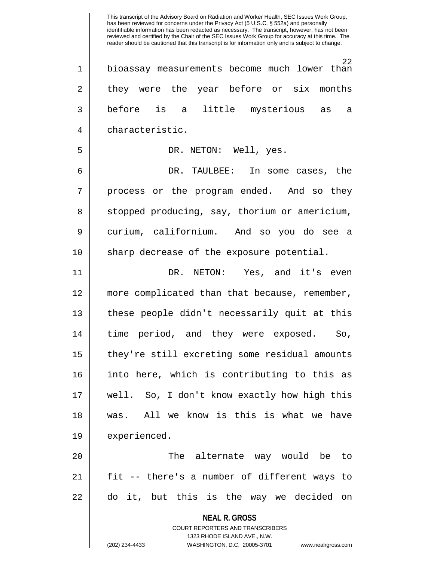**NEAL R. GROSS** COURT REPORTERS AND TRANSCRIBERS 22 1 || bioassay measurements become much lower than 2 they were the year before or six months 3 before is a little mysterious as a 4 characteristic. 5 DR. NETON: Well, yes. 6 DR. TAULBEE: In some cases, the  $7 \parallel$  process or the program ended. And so they 8 | stopped producing, say, thorium or americium, 9 curium, californium. And so you do see a  $10$  || sharp decrease of the exposure potential. 11 DR. NETON: Yes, and it's even 12 more complicated than that because, remember, 13 these people didn't necessarily quit at this 14 || time period, and they were exposed. So, 15 | they're still excreting some residual amounts 16 into here, which is contributing to this as 17 well. So, I don't know exactly how high this 18 was. All we know is this is what we have 19 | experienced. 20 The alternate way would be to 21 fit -- there's a number of different ways to 22 do it, but this is the way we decided on

1323 RHODE ISLAND AVE., N.W.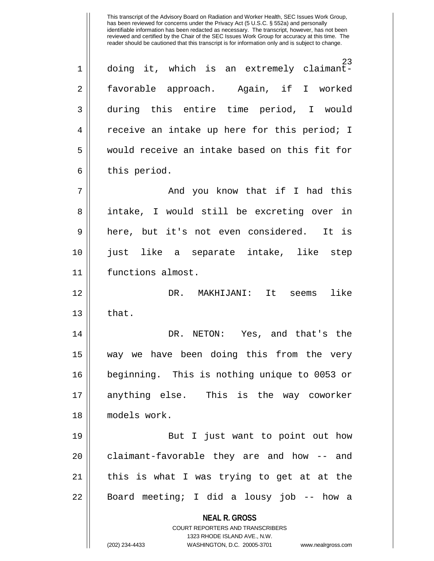23 1 doing it, which is an extremely claimant-2 || favorable approach. Again, if I worked 3 during this entire time period, I would 4 || receive an intake up here for this period; I 5 would receive an intake based on this fit for  $6 \parallel$  this period. 7 And you know that if I had this 8 || intake, I would still be excreting over in 9 here, but it's not even considered. It is 10 just like a separate intake, like step

11 functions almost.

12 DR. MAKHIJANI: It seems like  $13 \parallel$  that.

14 DR. NETON: Yes, and that's the 15 way we have been doing this from the very 16 beginning. This is nothing unique to 0053 or 17 anything else. This is the way coworker 18 models work.

19 || But I just want to point out how  $20$  || claimant-favorable they are and how -- and 21 || this is what I was trying to get at at the 22 || Board meeting; I did a lousy job -- how a

**NEAL R. GROSS**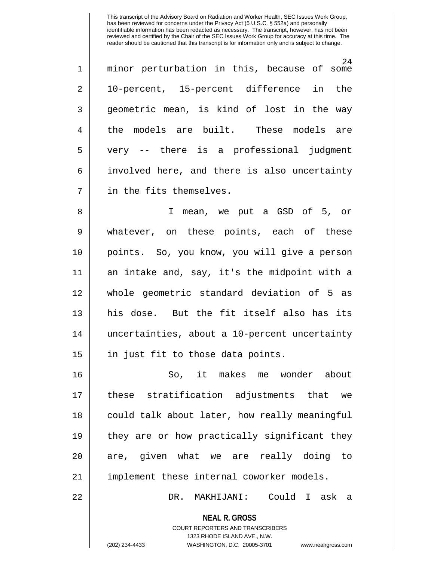| $\mathbf 1$ | 24<br>minor perturbation in this, because of some |
|-------------|---------------------------------------------------|
| 2           | 10-percent, 15-percent difference in the          |
| 3           | geometric mean, is kind of lost in the way        |
| 4           | the models are built. These models are            |
| 5           | very -- there is a professional judgment          |
| 6           | involved here, and there is also uncertainty      |
| 7           | in the fits themselves.                           |

8 I mean, we put a GSD of 5, or 9 || whatever, on these points, each of these 10 points. So, you know, you will give a person 11 an intake and, say, it's the midpoint with a 12 whole geometric standard deviation of 5 as 13 his dose. But the fit itself also has its 14 uncertainties, about a 10-percent uncertainty  $15$  || in just fit to those data points.

16 So, it makes me wonder about 17 these stratification adjustments that we 18 || could talk about later, how really meaningful 19 || they are or how practically significant they 20 || are, given what we are really doing to 21 || implement these internal coworker models.

22 DR. MAKHIJANI: Could I ask a

**NEAL R. GROSS** COURT REPORTERS AND TRANSCRIBERS

1323 RHODE ISLAND AVE., N.W.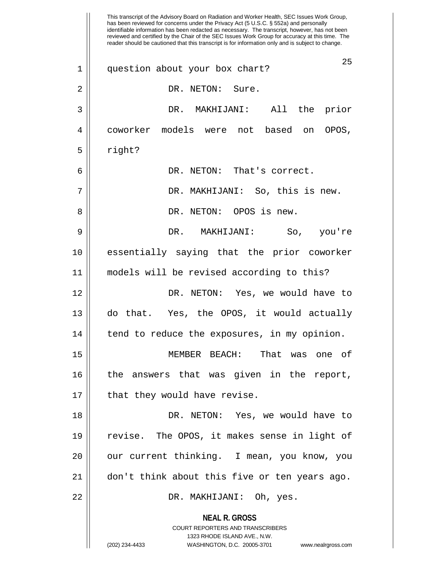**NEAL R. GROSS** COURT REPORTERS AND TRANSCRIBERS 1323 RHODE ISLAND AVE., N.W. (202) 234-4433 WASHINGTON, D.C. 20005-3701 www.nealrgross.com This transcript of the Advisory Board on Radiation and Worker Health, SEC Issues Work Group, has been reviewed for concerns under the Privacy Act (5 U.S.C. § 552a) and personally identifiable information has been redacted as necessary. The transcript, however, has not been reviewed and certified by the Chair of the SEC Issues Work Group for accuracy at this time. The reader should be cautioned that this transcript is for information only and is subject to change. 25 1 question about your box chart? 2 || DR. NETON: Sure. 3 DR. MAKHIJANI: All the prior 4 coworker models were not based on OPOS,  $5 \parallel$  right? 6 DR. NETON: That's correct. 7 DR. MAKHIJANI: So, this is new. 8 DR. NETON: OPOS is new. 9 DR. MAKHIJANI: So, you're 10 essentially saying that the prior coworker 11 models will be revised according to this? 12 DR. NETON: Yes, we would have to 13 do that. Yes, the OPOS, it would actually 14 | tend to reduce the exposures, in my opinion. 15 MEMBER BEACH: That was one of 16 the answers that was given in the report,  $17 \parallel$  that they would have revise. 18 DR. NETON: Yes, we would have to 19 revise. The OPOS, it makes sense in light of 20 || our current thinking. I mean, you know, you 21 don't think about this five or ten years ago. 22 DR. MAKHIJANI: Oh, yes.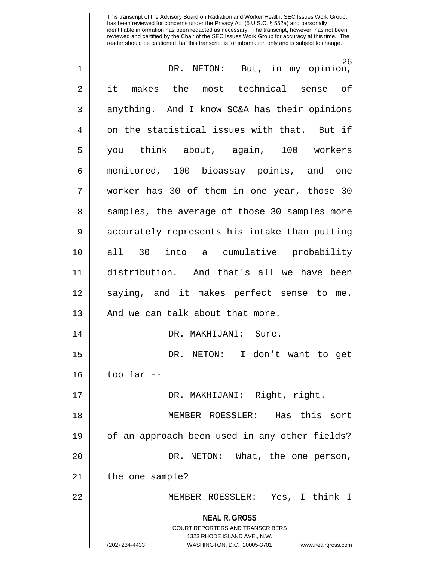| $\mathbf 1$    | 26<br>DR. NETON: But, in my opinion,                                                                                                                                   |
|----------------|------------------------------------------------------------------------------------------------------------------------------------------------------------------------|
| $\overline{2}$ | it makes the most technical sense of                                                                                                                                   |
| 3              | anything. And I know SC&A has their opinions                                                                                                                           |
| $\overline{4}$ | on the statistical issues with that. But if                                                                                                                            |
| 5              | you think about, again, 100 workers                                                                                                                                    |
| 6              | monitored, 100 bioassay points, and one                                                                                                                                |
| 7              | worker has 30 of them in one year, those 30                                                                                                                            |
| 8              | samples, the average of those 30 samples more                                                                                                                          |
| $\mathsf 9$    | accurately represents his intake than putting                                                                                                                          |
| 10             | all 30 into a cumulative probability                                                                                                                                   |
| 11             | distribution. And that's all we have been                                                                                                                              |
| 12             | saying, and it makes perfect sense to me.                                                                                                                              |
| 13             | And we can talk about that more.                                                                                                                                       |
| 14             | DR. MAKHIJANI: Sure.                                                                                                                                                   |
| 15             | DR. NETON: I don't want to get                                                                                                                                         |
| 16             | too far --                                                                                                                                                             |
| 17             | DR. MAKHIJANI: Right, right.                                                                                                                                           |
| 18             | MEMBER ROESSLER: Has this sort                                                                                                                                         |
| 19             | of an approach been used in any other fields?                                                                                                                          |
| 20             | DR. NETON: What, the one person,                                                                                                                                       |
| 21             | the one sample?                                                                                                                                                        |
| 22             | MEMBER ROESSLER: Yes, I think I                                                                                                                                        |
|                | <b>NEAL R. GROSS</b><br><b>COURT REPORTERS AND TRANSCRIBERS</b><br>1323 RHODE ISLAND AVE., N.W.<br>WASHINGTON, D.C. 20005-3701<br>(202) 234-4433<br>www.nealrgross.com |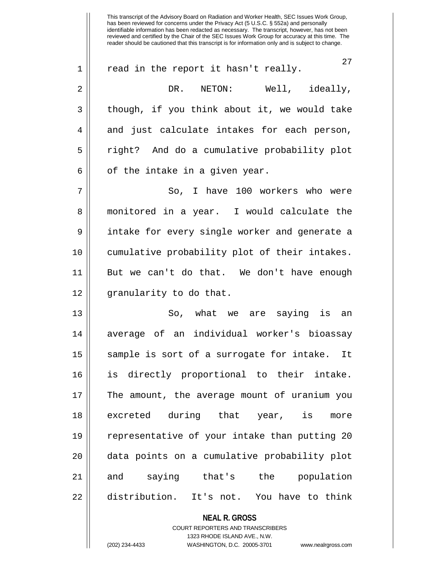**NEAL R. GROSS** has been reviewed for concerns under the Privacy Act (5 U.S.C. § 552a) and personally identifiable information has been redacted as necessary. The transcript, however, has not been reviewed and certified by the Chair of the SEC Issues Work Group for accuracy at this time. The reader should be cautioned that this transcript is for information only and is subject to change. 27 1 || read in the report it hasn't really. 2 DR. NETON: Well, ideally,  $3 \parallel$  though, if you think about it, we would take 4 and just calculate intakes for each person, 5 || right? And do a cumulative probability plot  $6 \parallel$  of the intake in a given year. 7 So, I have 100 workers who were 8 || monitored in a year. I would calculate the 9 || intake for every single worker and generate a 10 cumulative probability plot of their intakes. 11 But we can't do that. We don't have enough 12 || granularity to do that. 13 So, what we are saying is an 14 average of an individual worker's bioassay 15 || sample is sort of a surrogate for intake. It 16 is directly proportional to their intake. 17 The amount, the average mount of uranium you 18 excreted during that year, is more 19 representative of your intake than putting 20 20 || data points on a cumulative probability plot 21 and saying that's the population 22 | distribution. It's not. You have to think

This transcript of the Advisory Board on Radiation and Worker Health, SEC Issues Work Group,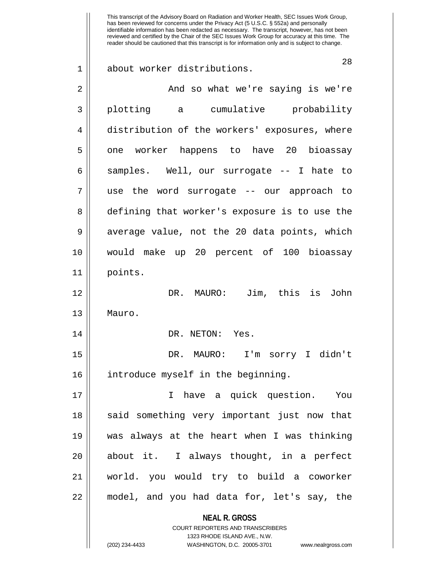**NEAL R. GROSS** COURT REPORTERS AND TRANSCRIBERS 1323 RHODE ISLAND AVE., N.W. 28 1 about worker distributions. 2 And so what we're saying is we're 3 plotting a cumulative probability 4 distribution of the workers' exposures, where 5 | one worker happens to have 20 bioassay 6 || samples. Well, our surrogate -- I hate to 7 use the word surrogate -- our approach to 8 defining that worker's exposure is to use the 9 || average value, not the 20 data points, which 10 would make up 20 percent of 100 bioassay 11 points. 12 DR. MAURO: Jim, this is John 13 Mauro. 14 || DR. NETON: Yes. 15 DR. MAURO: I'm sorry I didn't 16 || introduce myself in the beginning. 17 I have a quick question. You 18 || said something very important just now that 19 was always at the heart when I was thinking  $20$  || about it. I always thought, in a perfect 21 world. you would try to build a coworker 22 model, and you had data for, let's say, the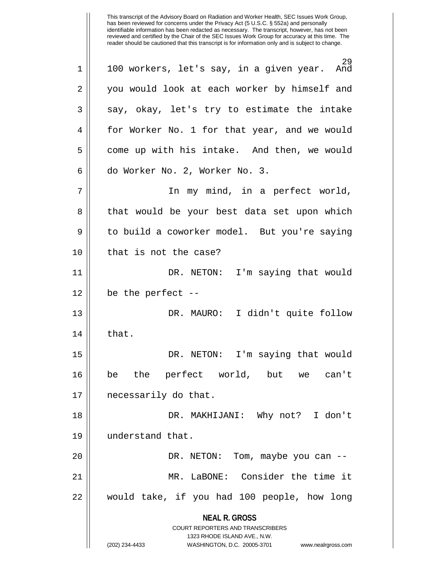**NEAL R. GROSS** COURT REPORTERS AND TRANSCRIBERS 1323 RHODE ISLAND AVE., N.W. (202) 234-4433 WASHINGTON, D.C. 20005-3701 www.nealrgross.com 29<br>And  $1 \parallel 100$  workers, let's say, in a given year. 2 || you would look at each worker by himself and  $3 \parallel$  say, okay, let's try to estimate the intake 4 for Worker No. 1 for that year, and we would  $5 \parallel$  come up with his intake. And then, we would 6 | do Worker No. 2, Worker No. 3. 7 || The my mind, in a perfect world, 8 || that would be your best data set upon which 9 | to build a coworker model. But you're saying 10 || that is not the case? 11 DR. NETON: I'm saying that would  $12 \parallel$  be the perfect --13 DR. MAURO: I didn't quite follow  $14$  | that. 15 DR. NETON: I'm saying that would 16 be the perfect world, but we can't 17 || necessarily do that. 18 DR. MAKHIJANI: Why not? I don't 19 understand that. 20 || DR. NETON: Tom, maybe you can --21 MR. LaBONE: Consider the time it 22 would take, if you had 100 people, how long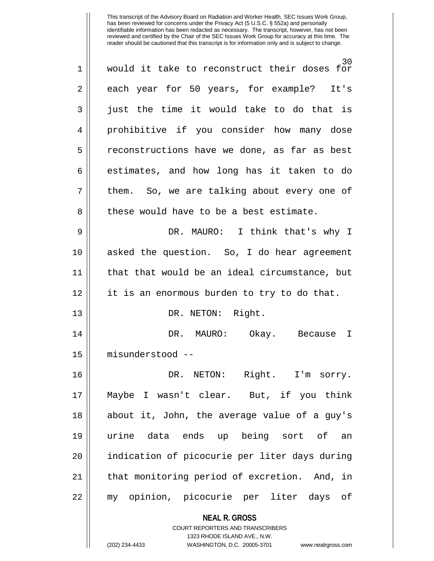| $\mathbf 1$    | 30<br>would it take to reconstruct their doses<br>for               |
|----------------|---------------------------------------------------------------------|
| $\overline{2}$ | each year for 50 years, for example? It's                           |
| 3              | just the time it would take to do that is                           |
| 4              | prohibitive if you consider how many dose                           |
| 5              | reconstructions have we done, as far as best                        |
| 6              | estimates, and how long has it taken to do                          |
| 7              | them. So, we are talking about every one of                         |
| 8              | these would have to be a best estimate.                             |
| 9              | DR. MAURO: I think that's why I                                     |
| 10             | asked the question. So, I do hear agreement                         |
| 11             | that that would be an ideal circumstance, but                       |
| 12             | it is an enormous burden to try to do that.                         |
| 13             | DR. NETON: Right.                                                   |
| 14             | DR. MAURO:<br>Okay. Because<br>I                                    |
| 15             | misunderstood --                                                    |
| 16             | DR. NETON: Right. I'm sorry.                                        |
| 17             | Maybe I wasn't clear. But, if you think                             |
| 18             | about it, John, the average value of a guy's                        |
| 19             | urine data ends up being sort of an                                 |
| 20             | indication of picocurie per liter days during                       |
| 21             | that monitoring period of excretion. And, in                        |
| 22             | my opinion, picocurie per liter days of                             |
|                | <b>NEAL R. GROSS</b>                                                |
|                | <b>COURT REPORTERS AND TRANSCRIBERS</b>                             |
|                | 1323 RHODE ISLAND AVE., N.W.                                        |
|                | (202) 234-4433<br>WASHINGTON, D.C. 20005-3701<br>www.nealrgross.com |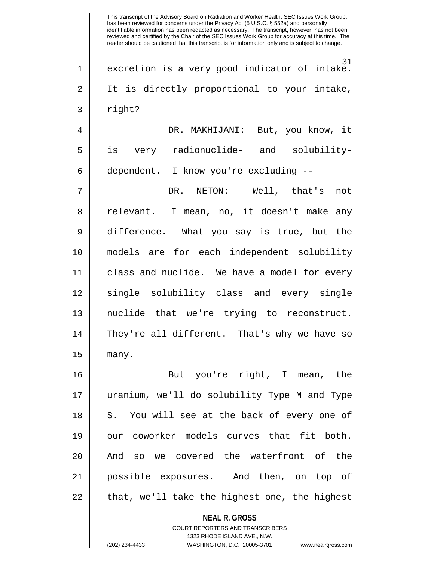This transcript of the Advisory Board on Radiation and Worker Health, SEC Issues Work Group, has been reviewed for concerns under the Privacy Act (5 U.S.C. § 552a) and personally identifiable information has been redacted as necessary. The transcript, however, has not been reviewed and certified by the Chair of the SEC Issues Work Group for accuracy at this time. The reader should be cautioned that this transcript is for information only and is subject to change. 31 1 excretion is a very good indicator of intake. 2 || It is directly proportional to your intake, 3 right? 4 DR. MAKHIJANI: But, you know, it 5 is very radionuclide- and solubility-6 | dependent. I know you're excluding --7 DR. NETON: Well, that's not 8 || relevant. I mean, no, it doesn't make any 9 difference. What you say is true, but the 10 models are for each independent solubility 11 class and nuclide. We have a model for every 12 || single solubility class and every single 13 nuclide that we're trying to reconstruct. 14 They're all different. That's why we have so  $15$  | many. 16 But you're right, I mean, the 17 uranium, we'll do solubility Type M and Type 18 || S. You will see at the back of every one of 19 || our coworker models curves that fit both. 20 || And so we covered the waterfront of the 21 possible exposures. And then, on top of  $22$  || that, we'll take the highest one, the highest

> **NEAL R. GROSS** COURT REPORTERS AND TRANSCRIBERS

> > 1323 RHODE ISLAND AVE., N.W.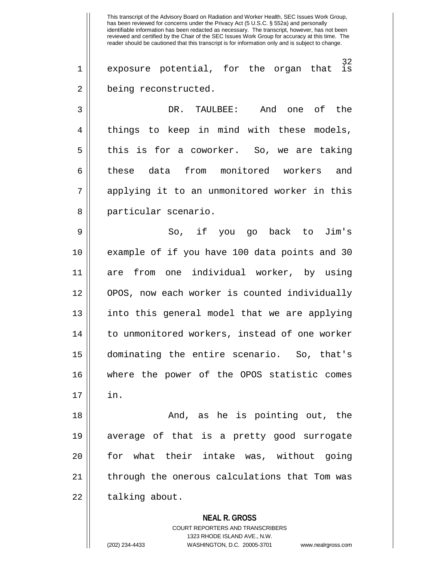**NEAL R. GROSS** This transcript of the Advisory Board on Radiation and Worker Health, SEC Issues Work Group, has been reviewed for concerns under the Privacy Act (5 U.S.C. § 552a) and personally identifiable information has been redacted as necessary. The transcript, however, has not been reviewed and certified by the Chair of the SEC Issues Work Group for accuracy at this time. The reader should be cautioned that this transcript is for information only and is subject to change.  $\frac{32}{15}$  $1 ||$  exposure potential, for the organ that 2 | being reconstructed. 3 DR. TAULBEE: And one of the 4 || things to keep in mind with these models,  $5 \parallel$  this is for a coworker. So, we are taking 6 || these data from monitored workers and 7 applying it to an unmonitored worker in this 8 || particular scenario. 9 So, if you go back to Jim's 10 example of if you have 100 data points and 30 11 are from one individual worker, by using 12 || OPOS, now each worker is counted individually 13 || into this general model that we are applying 14 || to unmonitored workers, instead of one worker 15 dominating the entire scenario. So, that's 16 where the power of the OPOS statistic comes  $17 \parallel \quad$  in. 18 And, as he is pointing out, the 19 average of that is a pretty good surrogate 20 || for what their intake was, without going 21 || through the onerous calculations that Tom was  $22$  | talking about.

> 1323 RHODE ISLAND AVE., N.W. (202) 234-4433 WASHINGTON, D.C. 20005-3701 www.nealrgross.com

COURT REPORTERS AND TRANSCRIBERS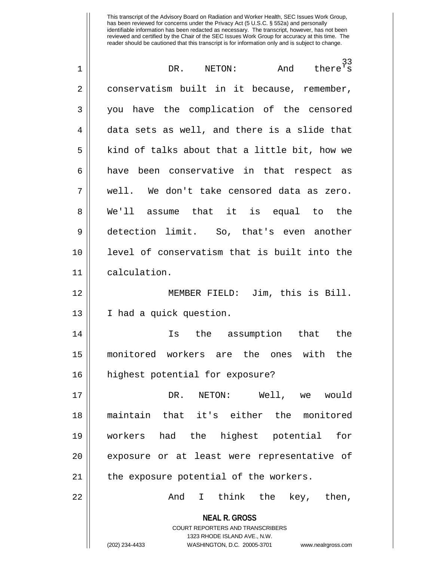| $\mathbf 1$ | 33<br>DR. NETON:<br>And<br>there's                                                                  |
|-------------|-----------------------------------------------------------------------------------------------------|
| 2           | conservatism built in it because, remember,                                                         |
| 3           | you have the complication of the censored                                                           |
| 4           | data sets as well, and there is a slide that                                                        |
| 5           | kind of talks about that a little bit, how we                                                       |
| 6           | been conservative in that respect as<br>have                                                        |
| 7           | well. We don't take censored data as zero.                                                          |
| 8           | We'll assume that it is equal to the                                                                |
| 9           | detection limit. So, that's even another                                                            |
| 10          | level of conservatism that is built into the                                                        |
| 11          | calculation.                                                                                        |
| 12          | MEMBER FIELD: Jim, this is Bill.                                                                    |
| 13          | I had a quick question.                                                                             |
| 14          | the assumption that<br>the<br>Is                                                                    |
| 15          | monitored workers are the ones<br>with<br>the                                                       |
| 16          | highest potential for exposure?                                                                     |
| 17          | DR. NETON: Well, we would                                                                           |
| 18          | maintain that it's either the monitored                                                             |
| 19          | workers had the highest potential<br>for                                                            |
| 20          | exposure or at least were representative of                                                         |
| 21          | the exposure potential of the workers.                                                              |
| 22          | And I think the key, then,                                                                          |
|             | <b>NEAL R. GROSS</b>                                                                                |
|             | COURT REPORTERS AND TRANSCRIBERS                                                                    |
|             | 1323 RHODE ISLAND AVE., N.W.<br>(202) 234-4433<br>WASHINGTON, D.C. 20005-3701<br>www.nealrgross.com |
|             |                                                                                                     |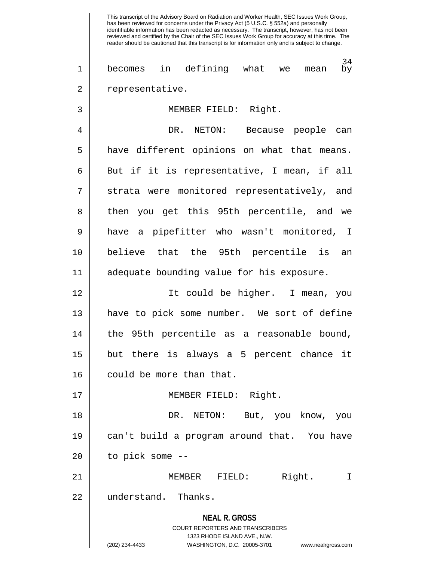**NEAL R. GROSS** COURT REPORTERS AND TRANSCRIBERS 1323 RHODE ISLAND AVE., N.W. This transcript of the Advisory Board on Radiation and Worker Health, SEC Issues Work Group, has been reviewed for concerns under the Privacy Act (5 U.S.C. § 552a) and personally identifiable information has been redacted as necessary. The transcript, however, has not been reviewed and certified by the Chair of the SEC Issues Work Group for accuracy at this time. The reader should be cautioned that this transcript is for information only and is subject to change.  $\frac{34}{\text{by}}$ 1 || becomes in defining what we mean 2 | representative. 3 MEMBER FIELD: Right. 4 DR. NETON: Because people can 5 | have different opinions on what that means.  $6 \parallel$  But if it is representative, I mean, if all 7 || strata were monitored representatively, and 8 || then you get this 95th percentile, and we 9 have a pipefitter who wasn't monitored, I 10 believe that the 95th percentile is an 11 adequate bounding value for his exposure. 12 It could be higher. I mean, you 13 have to pick some number. We sort of define 14 || the 95th percentile as a reasonable bound, 15 but there is always a 5 percent chance it 16 | could be more than that. 17 || **MEMBER FIELD:** Right. 18 DR. NETON: But, you know, you 19 can't build a program around that. You have  $20$  || to pick some  $-$ 21 MEMBER FIELD: Right. I 22 ll understand. Thanks.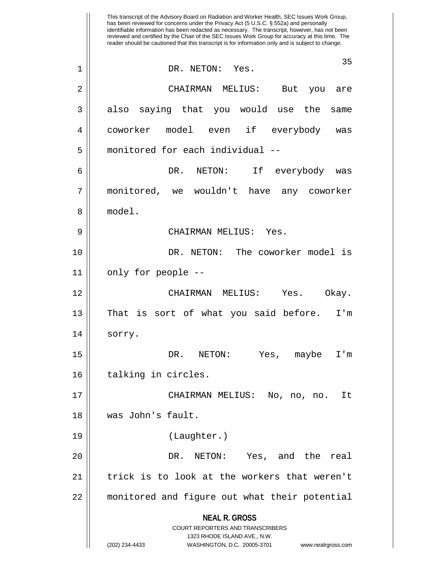**NEAL R. GROSS** COURT REPORTERS AND TRANSCRIBERS 1323 RHODE ISLAND AVE., N.W. (202) 234-4433 WASHINGTON, D.C. 20005-3701 www.nealrgross.com This transcript of the Advisory Board on Radiation and Worker Health, SEC Issues Work Group, has been reviewed for concerns under the Privacy Act (5 U.S.C. § 552a) and personally identifiable information has been redacted as necessary. The transcript, however, has not been reviewed and certified by the Chair of the SEC Issues Work Group for accuracy at this time. The reader should be cautioned that this transcript is for information only and is subject to change. 35 1 || DR. NETON: Yes. 2 CHAIRMAN MELIUS: But you are 3 || also saying that you would use the same 4 coworker model even if everybody was 5 monitored for each individual -- 6 DR. NETON: If everybody was 7 monitored, we wouldn't have any coworker 8 model. 9 CHAIRMAN MELIUS: Yes. 10 DR. NETON: The coworker model is 11 || only for people --12 CHAIRMAN MELIUS: Yes. Okay.  $13 \parallel$  That is sort of what you said before. I'm 14 || sorry. 15 DR. NETON: Yes, maybe I'm 16 || talking in circles. 17 CHAIRMAN MELIUS: No, no, no. It 18 was John's fault. 19 (Laughter.) 20 DR. NETON: Yes, and the real 21 || trick is to look at the workers that weren't 22 monitored and figure out what their potential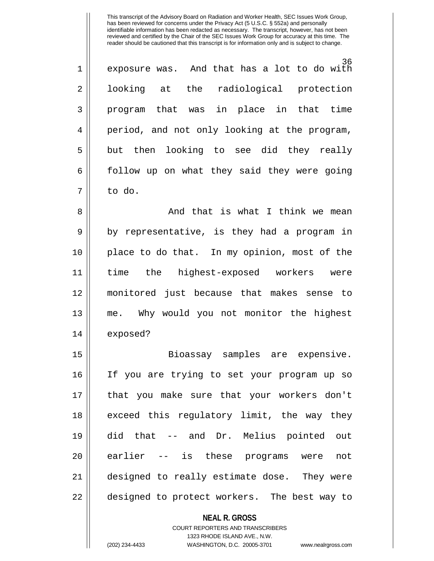| $\mathbf 1$    | 36<br>exposure was. And that has a lot to do with |
|----------------|---------------------------------------------------|
| $\overline{2}$ | looking at the radiological protection            |
| 3              | program that was in place in that time            |
| 4              | period, and not only looking at the program,      |
| 5              | but then looking to see did they really           |
| 6              | follow up on what they said they were going       |
| 7              | to do.                                            |

8 And that is what I think we mean  $9 \parallel$  by representative, is they had a program in 10 place to do that. In my opinion, most of the 11 time the highest-exposed workers were 12 monitored just because that makes sense to 13 me. Why would you not monitor the highest 14 exposed?

15 Bioassay samples are expensive. 16 If you are trying to set your program up so 17 that you make sure that your workers don't 18 || exceed this regulatory limit, the way they 19 did that -- and Dr. Melius pointed out 20 || earlier -- is these programs were not 21 designed to really estimate dose. They were 22 || designed to protect workers. The best way to

**NEAL R. GROSS**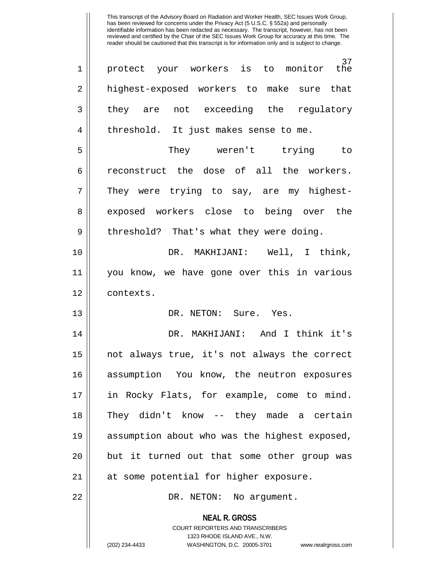| $\mathbf{1}$   | 37<br>protect your workers is to monitor the                                                    |
|----------------|-------------------------------------------------------------------------------------------------|
| $\overline{2}$ | highest-exposed workers to make sure that                                                       |
| 3              | they are not exceeding the regulatory                                                           |
| $\overline{4}$ | threshold. It just makes sense to me.                                                           |
| 5              | They weren't trying to                                                                          |
| 6              | reconstruct the dose of all the workers.                                                        |
| 7              | They were trying to say, are my highest-                                                        |
| 8              | exposed workers close to being over the                                                         |
| 9              | threshold? That's what they were doing.                                                         |
| 10             | DR. MAKHIJANI: Well, I think,                                                                   |
| 11             | you know, we have gone over this in various                                                     |
| 12             | contexts.                                                                                       |
| 13             | DR. NETON: Sure. Yes.                                                                           |
| 14             | DR. MAKHIJANI: And I think it's                                                                 |
| 15             | not always true, it's not always the correct                                                    |
| 16             | assumption You know, the neutron exposures                                                      |
| 17             | in Rocky Flats, for example, come to mind.                                                      |
| 18             | They didn't know -- they made a certain                                                         |
| 19             | assumption about who was the highest exposed,                                                   |
| 20             | but it turned out that some other group was                                                     |
| 21             | at some potential for higher exposure.                                                          |
| 22             | DR. NETON: No argument.                                                                         |
|                | <b>NEAL R. GROSS</b><br><b>COURT REPORTERS AND TRANSCRIBERS</b><br>1323 RHODE ISLAND AVE., N.W. |
|                | (202) 234-4433<br>WASHINGTON, D.C. 20005-3701<br>www.nealrgross.com                             |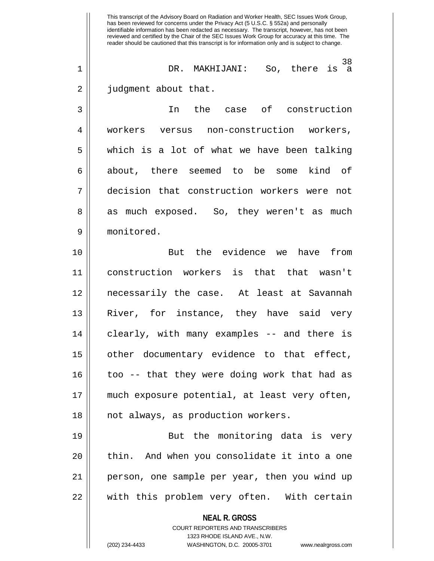**NEAL R. GROSS** COURT REPORTERS AND TRANSCRIBERS 1323 RHODE ISLAND AVE., N.W. (202) 234-4433 WASHINGTON, D.C. 20005-3701 www.nealrgross.com This transcript of the Advisory Board on Radiation and Worker Health, SEC Issues Work Group, has been reviewed for concerns under the Privacy Act (5 U.S.C. § 552a) and personally identifiable information has been redacted as necessary. The transcript, however, has not been reviewed and certified by the Chair of the SEC Issues Work Group for accuracy at this time. The reader should be cautioned that this transcript is for information only and is subject to change. 38 1 DR. MAKHIJANI: So, there is a 2 | judgment about that. 3 In the case of construction 4 || workers versus non-construction workers,  $5 \parallel$  which is a lot of what we have been talking 6 || about, there seemed to be some kind of 7 decision that construction workers were not 8 || as much exposed. So, they weren't as much 9 monitored. 10 But the evidence we have from 11 construction workers is that that wasn't 12 necessarily the case. At least at Savannah 13 River, for instance, they have said very 14 || clearly, with many examples -- and there is 15 || other documentary evidence to that effect, 16 || too -- that they were doing work that had as 17 much exposure potential, at least very often, 18 || not always, as production workers. 19 || But the monitoring data is very 20 || thin. And when you consolidate it into a one 21 person, one sample per year, then you wind up 22 || with this problem very often. With certain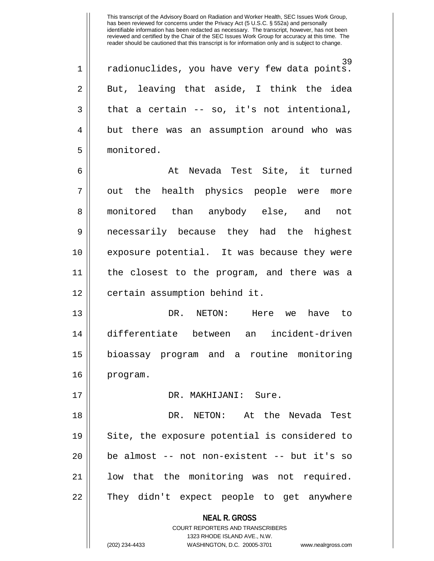39 1 || radionuclides, you have very few data points.  $2 \parallel$  But, leaving that aside, I think the idea  $3 \parallel$  that a certain -- so, it's not intentional, 4 but there was an assumption around who was 5 monitored.

6 At Nevada Test Site, it turned 7 || out the health physics people were more 8 || monitored than anybody else, and not 9 necessarily because they had the highest 10 || exposure potential. It was because they were 11 the closest to the program, and there was a 12 | certain assumption behind it.

13 DR. NETON: Here we have to 14 differentiate between an incident-driven 15 bioassay program and a routine monitoring 16 program.

17 DR. MAKHIJANI: Sure. 18 DR. NETON: At the Nevada Test 19 || Site, the exposure potential is considered to  $20$  || be almost -- not non-existent -- but it's so 21 || low that the monitoring was not required. 22 || They didn't expect people to get anywhere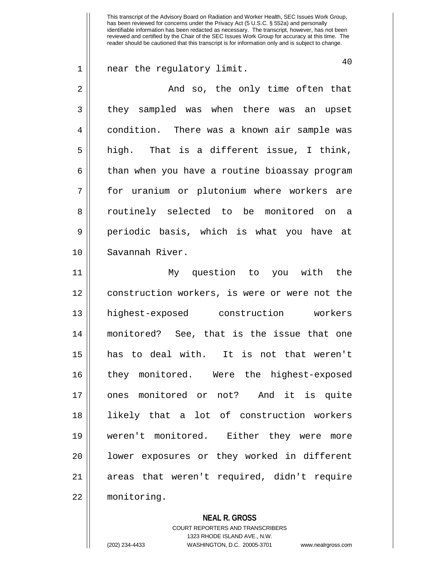1 near the regulatory limit.

40

2 And so, the only time often that 3 || they sampled was when there was an upset 4 condition. There was a known air sample was  $5 \parallel$  high. That is a different issue, I think, 6 | than when you have a routine bioassay program 7 for uranium or plutonium where workers are 8 || routinely selected to be monitored on a 9 periodic basis, which is what you have at 10 Savannah River. 11 My question to you with the 12 construction workers, is were or were not the 13 highest-exposed construction workers 14 monitored? See, that is the issue that one 15 has to deal with. It is not that weren't 16 they monitored. Were the highest-exposed

17 ones monitored or not? And it is quite 18 likely that a lot of construction workers 19 weren't monitored. Either they were more 20 || lower exposures or they worked in different 21 areas that weren't required, didn't require 22 monitoring.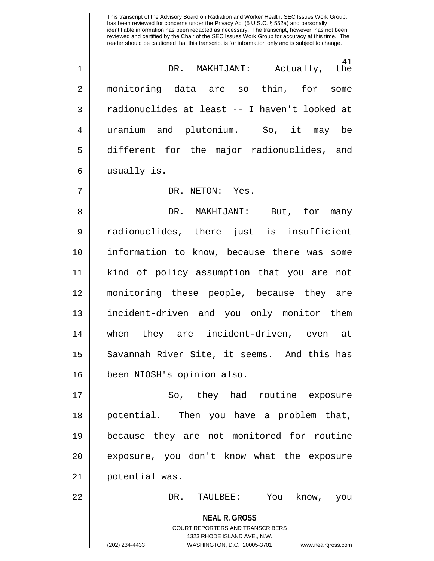41<br>the 1 DR. MAKHIJANI: Actually, the 2 monitoring data are so thin, for some 3 || radionuclides at least -- I haven't looked at 4 uranium and plutonium. So, it may be 5 different for the major radionuclides, and 6 | usually is.

## 7 DR. NETON: Yes.

8 DR. MAKHIJANI: But, for many 9 radionuclides, there just is insufficient 10 information to know, because there was some 11 kind of policy assumption that you are not 12 monitoring these people, because they are 13 incident-driven and you only monitor them 14 when they are incident-driven, even at 15 || Savannah River Site, it seems. And this has 16 been NIOSH's opinion also.

17 || So, they had routine exposure 18 potential. Then you have a problem that, 19 because they are not monitored for routine 20 || exposure, you don't know what the exposure 21 potential was.

22 DR. TAULBEE: You know, you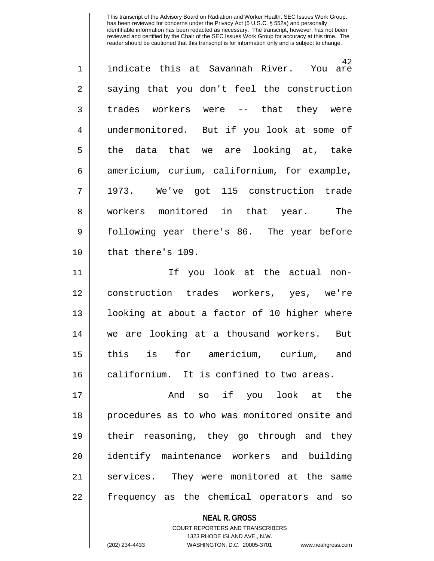42<br>You are  $1 \parallel$  indicate this at Savannah River.  $2 \parallel$  saying that you don't feel the construction 3 || trades workers were -- that they were 4 | undermonitored. But if you look at some of  $5 \parallel$  the data that we are looking at, take 6 | americium, curium, californium, for example, 7 1973. We've got 115 construction trade 8 || workers monitored in that year. The 9 Sollowing year there's 86. The year before 10 ll that there's 109. 11 If you look at the actual non-

12 construction trades workers, yes, we're 13 || looking at about a factor of 10 higher where 14 we are looking at a thousand workers. But 15 this is for americium, curium, and 16 || californium. It is confined to two areas.

17 And so if you look at the 18 || procedures as to who was monitored onsite and 19 their reasoning, they go through and they 20 identify maintenance workers and building 21 || services. They were monitored at the same 22 || frequency as the chemical operators and so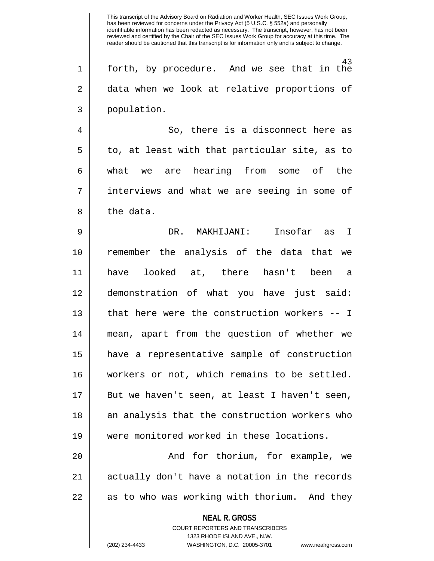43 1 forth, by procedure. And we see that in the 2 data when we look at relative proportions of 3 population.

4 So, there is a disconnect here as  $5 \parallel$  to, at least with that particular site, as to 6 what we are hearing from some of the 7 interviews and what we are seeing in some of  $8 \parallel$  the data.

9 DR. MAKHIJANI: Insofar as I 10 remember the analysis of the data that we 11 have looked at, there hasn't been a 12 demonstration of what you have just said: 13 || that here were the construction workers -- I 14 mean, apart from the question of whether we 15 have a representative sample of construction 16 workers or not, which remains to be settled. 17 But we haven't seen, at least I haven't seen, 18 || an analysis that the construction workers who 19 were monitored worked in these locations.

20 || The South Controller Controllering to the example, we 21 actually don't have a notation in the records 22 || as to who was working with thorium. And they

## **NEAL R. GROSS**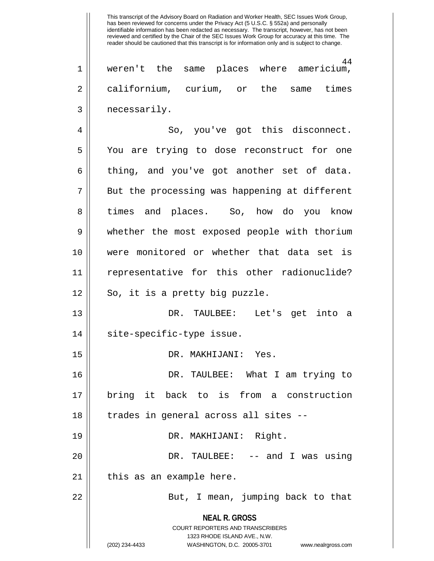**NEAL R. GROSS** COURT REPORTERS AND TRANSCRIBERS 1323 RHODE ISLAND AVE., N.W. 44 1 weren't the same places where americium, 2 californium, curium, or the same times 3 || necessarily. 4 || So, you've got this disconnect. 5 You are trying to dose reconstruct for one  $6 \parallel$  thing, and you've got another set of data.  $7 \parallel$  But the processing was happening at different 8 || times and places. So, how do you know 9 whether the most exposed people with thorium 10 were monitored or whether that data set is 11 representative for this other radionuclide?  $12 \parallel$  So, it is a pretty big puzzle. 13 DR. TAULBEE: Let's get into a 14 || site-specific-type issue. 15 DR. MAKHIJANI: Yes. 16 DR. TAULBEE: What I am trying to 17 bring it back to is from a construction 18 || trades in general across all sites --19 DR. MAKHIJANI: Right. 20 DR. TAULBEE: -- and I was using  $21$  || this as an example here. 22 || But, I mean, jumping back to that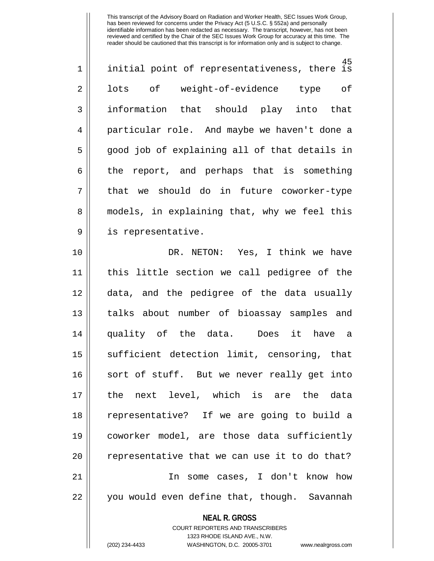| $\mathbf 1$    | 45<br>initial point of representativeness, there is |
|----------------|-----------------------------------------------------|
| $\overline{2}$ | lots of weight-of-evidence type<br>оf               |
| 3              | information that should play into that              |
| 4              | particular role. And maybe we haven't done a        |
| 5              | good job of explaining all of that details in       |
| 6              | the report, and perhaps that is something           |
| 7              | that we should do in future coworker-type           |
| 8              | models, in explaining that, why we feel this        |
| $\mathsf 9$    | is representative.                                  |
| 10             | DR. NETON: Yes, I think we have                     |
| 11             | this little section we call pedigree of the         |
| 12             | data, and the pedigree of the data usually          |
| 13             | talks about number of bioassay samples and          |
| 14             | quality of the data. Does<br>it have a              |
| 15             | sufficient detection limit, censoring, that         |
| 16             | sort of stuff. But we never really get into         |
| 17             | the next level, which is are the data               |
| 18             | representative? If we are going to build a          |
| 19             | coworker model, are those data sufficiently         |
| 20             | representative that we can use it to do that?       |
| 21             | In some cases, I don't know how                     |
| 22             | you would even define that, though. Savannah        |
|                | <b>NEAL R. GROSS</b>                                |

COURT REPORTERS AND TRANSCRIBERS 1323 RHODE ISLAND AVE., N.W.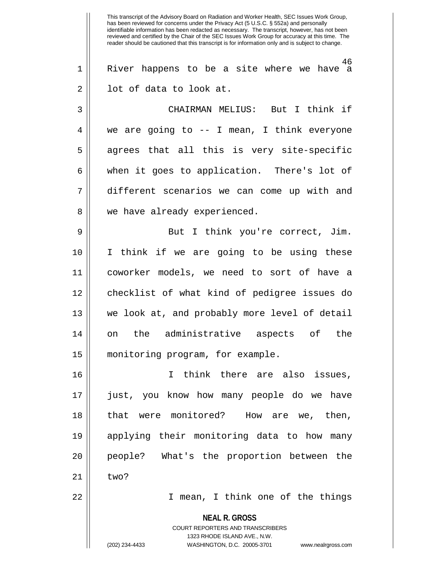**NEAL R. GROSS** COURT REPORTERS AND TRANSCRIBERS 1323 RHODE ISLAND AVE., N.W. (202) 234-4433 WASHINGTON, D.C. 20005-3701 www.nealrgross.com This transcript of the Advisory Board on Radiation and Worker Health, SEC Issues Work Group, has been reviewed for concerns under the Privacy Act (5 U.S.C. § 552a) and personally identifiable information has been redacted as necessary. The transcript, however, has not been reviewed and certified by the Chair of the SEC Issues Work Group for accuracy at this time. The reader should be cautioned that this transcript is for information only and is subject to change. 46 1 River happens to be a site where we have a 2 || lot of data to look at. 3 CHAIRMAN MELIUS: But I think if 4 we are going to -- I mean, I think everyone  $5 \parallel$  agrees that all this is very site-specific 6 || when it goes to application. There's lot of 7 different scenarios we can come up with and 8 || we have already experienced. 9 || But I think you're correct, Jim. 10 I think if we are going to be using these 11 coworker models, we need to sort of have a 12 checklist of what kind of pedigree issues do 13 we look at, and probably more level of detail 14 on the administrative aspects of the 15 monitoring program, for example. 16 I think there are also issues, 17 just, you know how many people do we have 18 || that were monitored? How are we, then, 19 applying their monitoring data to how many 20 || people? What's the proportion between the  $21 \parallel$  two? 22 I mean, I think one of the things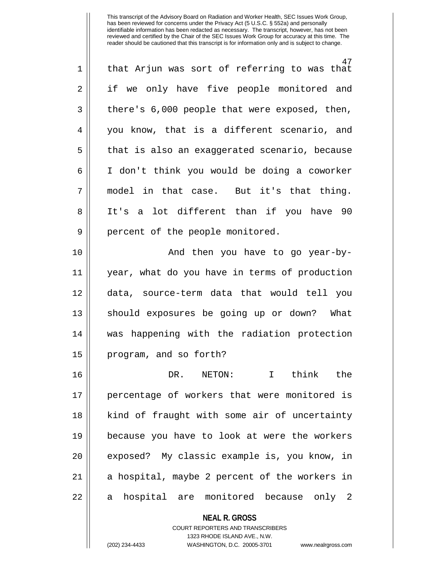| $\mathbf 1$ | 47<br>that Arjun was sort of referring to was that                  |
|-------------|---------------------------------------------------------------------|
| 2           | if we only have five people monitored and                           |
| 3           | there's 6,000 people that were exposed, then,                       |
| 4           | you know, that is a different scenario, and                         |
| 5           | that is also an exaggerated scenario, because                       |
| 6           | I don't think you would be doing a coworker                         |
| 7           | model in that case. But it's that thing.                            |
| 8           | It's a lot different than if you have 90                            |
| $\mathsf 9$ | percent of the people monitored.                                    |
| 10          | And then you have to go year-by-                                    |
| 11          | year, what do you have in terms of production                       |
| 12          | data, source-term data that would tell you                          |
| 13          | should exposures be going up or down? What                          |
| 14          | was happening with the radiation protection                         |
| 15          | program, and so forth?                                              |
| 16          | I think the<br>DR. NETON:                                           |
| 17          | percentage of workers that were monitored is                        |
| 18          | kind of fraught with some air of uncertainty                        |
| 19          | because you have to look at were the workers                        |
| 20          | exposed? My classic example is, you know, in                        |
| 21          | a hospital, maybe 2 percent of the workers in                       |
| 22          | hospital are monitored because only 2<br>a                          |
|             | <b>NEAL R. GROSS</b><br><b>COURT REPORTERS AND TRANSCRIBERS</b>     |
|             | 1323 RHODE ISLAND AVE., N.W.                                        |
|             | (202) 234-4433<br>WASHINGTON, D.C. 20005-3701<br>www.nealrgross.com |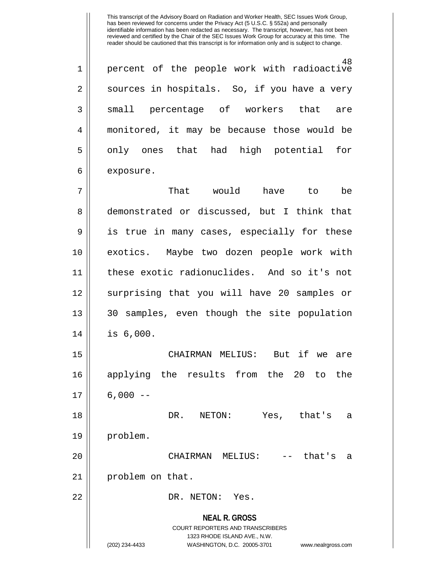48 1 percent of the people work with radioactive  $2 \parallel$  sources in hospitals. So, if you have a very 3 small percentage of workers that are 4 monitored, it may be because those would be  $5 \parallel$  only ones that had high potential for  $6 \parallel$  exposure.

7 That would have to be 8 || demonstrated or discussed, but I think that 9 || is true in many cases, especially for these 10 exotics. Maybe two dozen people work with 11 these exotic radionuclides. And so it's not 12 || surprising that you will have 20 samples or 13 || 30 samples, even though the site population 14 is 6,000.

15 CHAIRMAN MELIUS: But if we are 16 applying the results from the 20 to the  $17 \parallel 6,000 --$ 

18 DR. NETON: Yes, that's a 19 problem.

20 CHAIRMAN MELIUS: -- that's a 21 || problem on that.

22 || DR. NETON: Yes.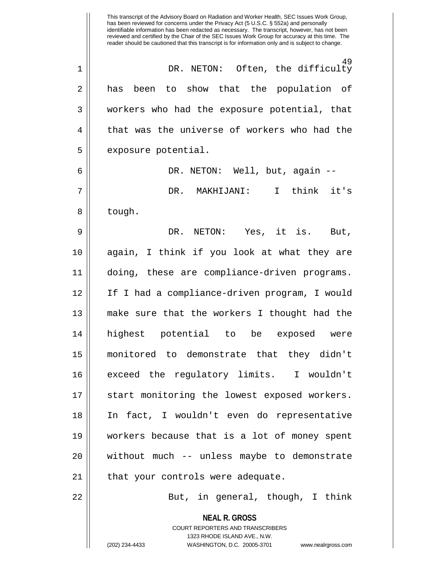**NEAL R. GROSS** COURT REPORTERS AND TRANSCRIBERS 1323 RHODE ISLAND AVE., N.W. (202) 234-4433 WASHINGTON, D.C. 20005-3701 www.nealrgross.com This transcript of the Advisory Board on Radiation and Worker Health, SEC Issues Work Group, has been reviewed for concerns under the Privacy Act (5 U.S.C. § 552a) and personally identifiable information has been redacted as necessary. The transcript, however, has not been reviewed and certified by the Chair of the SEC Issues Work Group for accuracy at this time. The reader should be cautioned that this transcript is for information only and is subject to change. 49 1 DR. NETON: Often, the difficulty 2 || has been to show that the population of 3 workers who had the exposure potential, that  $4 \parallel$  that was the universe of workers who had the  $5$  | exposure potential. 6 DR. NETON: Well, but, again -- 7 DR. MAKHIJANI: I think it's 8 | tough. 9 DR. NETON: Yes, it is. But, 10 again, I think if you look at what they are 11 doing, these are compliance-driven programs. 12 If I had a compliance-driven program, I would 13 make sure that the workers I thought had the 14 highest potential to be exposed were 15 monitored to demonstrate that they didn't 16 exceed the regulatory limits. I wouldn't 17 || start monitoring the lowest exposed workers. 18 In fact, I wouldn't even do representative 19 workers because that is a lot of money spent  $20$  || without much -- unless maybe to demonstrate  $21$  | that your controls were adequate. 22 || But, in general, though, I think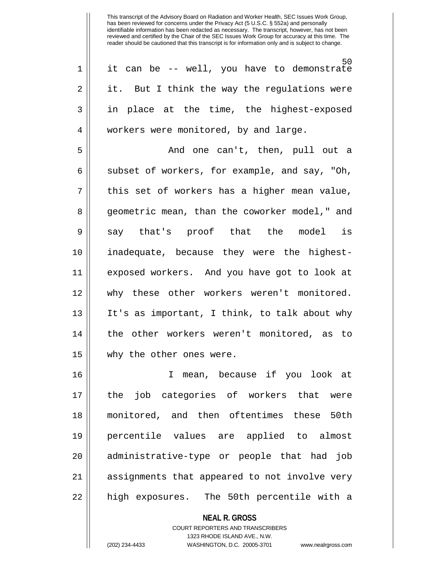50 1 it can be -- well, you have to demonstrate  $2 \parallel$  it. But I think the way the regulations were 3 in place at the time, the highest-exposed 4 || workers were monitored, by and large.

5 And one can't, then, pull out a  $6 \parallel$  subset of workers, for example, and say, "Oh,  $7 \parallel$  this set of workers has a higher mean value, 8 || geometric mean, than the coworker model," and 9|| say that's proof that the model is 10 inadequate, because they were the highest-11 exposed workers. And you have got to look at 12 why these other workers weren't monitored. 13 It's as important, I think, to talk about why 14 || the other workers weren't monitored, as to 15 why the other ones were.

16 I mean, because if you look at 17 || the job categories of workers that were 18 monitored, and then oftentimes these 50th 19 percentile values are applied to almost 20 || administrative-type or people that had job 21 assignments that appeared to not involve very 22 || high exposures. The 50th percentile with a

**NEAL R. GROSS**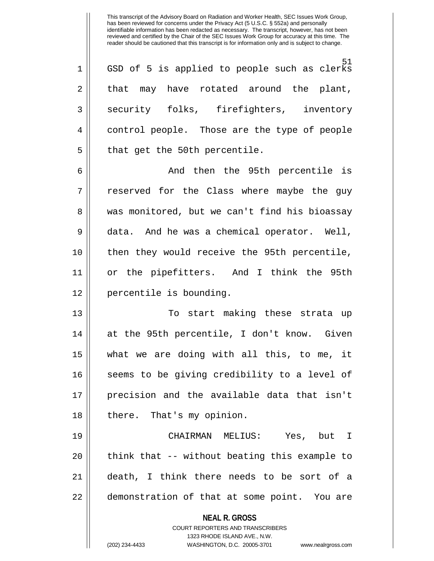51 1 || GSD of 5 is applied to people such as clerks  $2 \parallel$  that may have rotated around the plant, 3 Security folks, firefighters, inventory 4 || control people. Those are the type of people  $5$  || that get the 50th percentile.

6 And then the 95th percentile is  $7 \parallel$  reserved for the Class where maybe the guy 8 || was monitored, but we can't find his bioassay 9 data. And he was a chemical operator. Well, 10 then they would receive the 95th percentile, 11 or the pipefitters. And I think the 95th 12 || percentile is bounding.

13 To start making these strata up 14 at the 95th percentile, I don't know. Given 15 what we are doing with all this, to me, it 16 || seems to be giving credibility to a level of 17 precision and the available data that isn't 18 || there. That's my opinion.

19 CHAIRMAN MELIUS: Yes, but I  $20$  || think that -- without beating this example to 21 death, I think there needs to be sort of a 22 || demonstration of that at some point. You are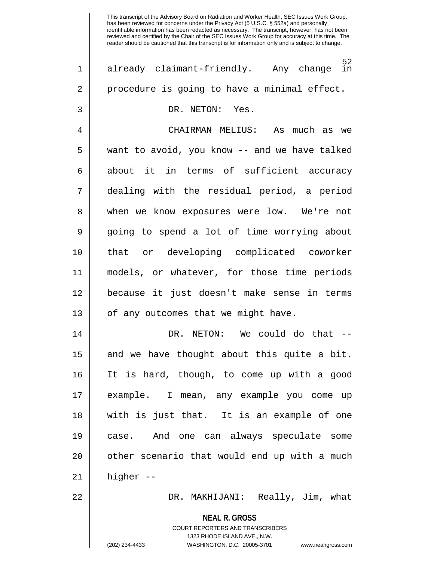**NEAL R. GROSS** COURT REPORTERS AND TRANSCRIBERS 1323 RHODE ISLAND AVE., N.W. (202) 234-4433 WASHINGTON, D.C. 20005-3701 www.nealrgross.com  $\frac{52}{1}$ 1 || already claimant-friendly. Any change  $2 \parallel$  procedure is going to have a minimal effect. 3 DR. NETON: Yes. 4 CHAIRMAN MELIUS: As much as we 5 | want to avoid, you know -- and we have talked 6 about it in terms of sufficient accuracy 7 dealing with the residual period, a period 8 when we know exposures were low. We're not 9 going to spend a lot of time worrying about 10 that or developing complicated coworker 11 models, or whatever, for those time periods 12 because it just doesn't make sense in terms 13 || of any outcomes that we might have. 14 DR. NETON: We could do that --  $15$  and we have thought about this quite a bit. 16 It is hard, though, to come up with a good 17 example. I mean, any example you come up 18 with is just that. It is an example of one 19 case. And one can always speculate some  $20$  | other scenario that would end up with a much  $21 \parallel$  higher --22 DR. MAKHIJANI: Really, Jim, what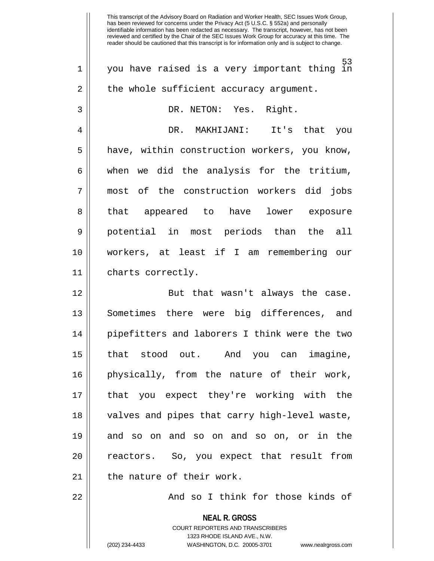**NEAL R. GROSS** COURT REPORTERS AND TRANSCRIBERS 53 1 you have raised is a very important thing in  $2 \parallel$  the whole sufficient accuracy argument. 3 DR. NETON: Yes. Right. 4 DR. MAKHIJANI: It's that you 5 | have, within construction workers, you know,  $6 \parallel$  when we did the analysis for the tritium, 7 most of the construction workers did jobs 8 || that appeared to have lower exposure 9 potential in most periods than the all 10 workers, at least if I am remembering our 11 charts correctly. 12 || But that wasn't always the case. 13 Sometimes there were big differences, and 14 pipefitters and laborers I think were the two 15 that stood out. And you can imagine, 16 physically, from the nature of their work, 17 that you expect they're working with the 18 || valves and pipes that carry high-level waste, 19 and so on and so on and so on, or in the 20 || reactors. So, you expect that result from 21 || the nature of their work. 22 And so I think for those kinds of

1323 RHODE ISLAND AVE., N.W.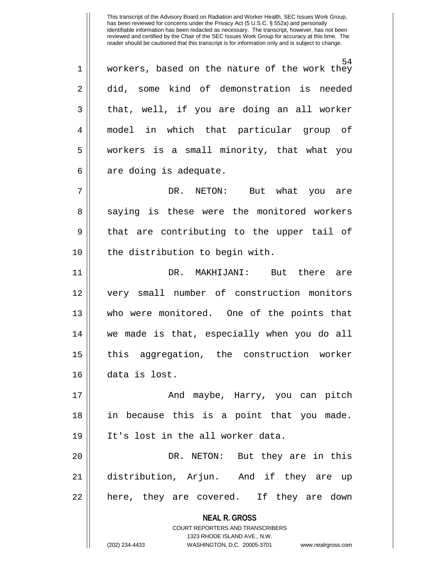54 1 workers, based on the nature of the work they 2 did, some kind of demonstration is needed  $3 \parallel$  that, well, if you are doing an all worker 4 model in which that particular group of 5 workers is a small minority, that what you  $6 \parallel$  are doing is adequate.

7 DR. NETON: But what you are 8 || saying is these were the monitored workers  $9 \parallel$  that are contributing to the upper tail of 10 || the distribution to begin with.

11 DR. MAKHIJANI: But there are 12 very small number of construction monitors 13 who were monitored. One of the points that 14 we made is that, especially when you do all 15 this aggregation, the construction worker 16 data is lost.

17 And maybe, Harry, you can pitch 18 in because this is a point that you made. 19 || It's lost in the all worker data.

20 || DR. NETON: But they are in this 21 distribution, Arjun. And if they are up 22 || here, they are covered. If they are down

**NEAL R. GROSS**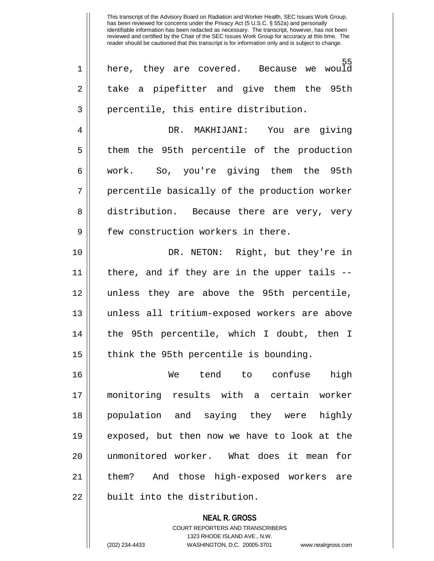55<br>would  $1 \parallel$  here, they are covered. Because we 2 || take a pipefitter and give them the 95th 3 || percentile, this entire distribution. 4 DR. MAKHIJANI: You are giving 5 || them the 95th percentile of the production 6 work. So, you're giving them the 95th 7 || percentile basically of the production worker 8 distribution. Because there are very, very 9 H few construction workers in there. 10 DR. NETON: Right, but they're in 11 there, and if they are in the upper tails -- 12 unless they are above the 95th percentile, 13 unless all tritium-exposed workers are above 14 the 95th percentile, which I doubt, then I  $15$  || think the 95th percentile is bounding. 16 We tend to confuse high 17 monitoring results with a certain worker 18 population and saying they were highly 19 exposed, but then now we have to look at the 20 unmonitored worker. What does it mean for 21 them? And those high-exposed workers are 22 | built into the distribution.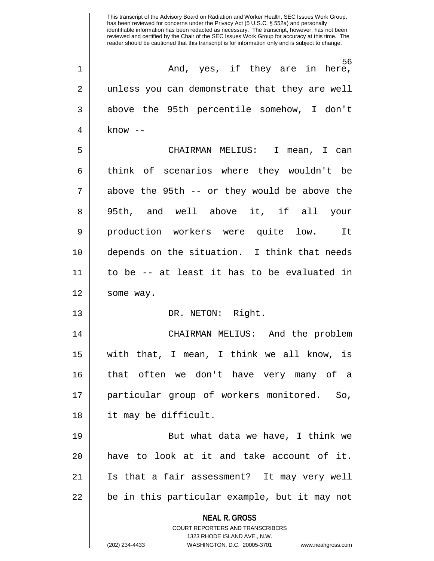**NEAL R. GROSS** COURT REPORTERS AND TRANSCRIBERS This transcript of the Advisory Board on Radiation and Worker Health, SEC Issues Work Group, has been reviewed for concerns under the Privacy Act (5 U.S.C. § 552a) and personally identifiable information has been redacted as necessary. The transcript, however, has not been reviewed and certified by the Chair of the SEC Issues Work Group for accuracy at this time. The reader should be cautioned that this transcript is for information only and is subject to change. 56 1 And, yes, if they are in here, 2 || unless you can demonstrate that they are well 3 above the 95th percentile somehow, I don't 4  $\parallel$  know --5 CHAIRMAN MELIUS: I mean, I can 6 || think of scenarios where they wouldn't be  $7 \parallel$  above the 95th -- or they would be above the 8 95th, and well above it, if all your 9 || production workers were quite low. It 10 depends on the situation. I think that needs 11 to be -- at least it has to be evaluated in 12 | some way. 13 DR. NETON: Right. 14 CHAIRMAN MELIUS: And the problem 15 with that, I mean, I think we all know, is 16 that often we don't have very many of a 17 particular group of workers monitored. So, 18 it may be difficult. 19 || But what data we have, I think we 20 have to look at it and take account of it. 21 Is that a fair assessment? It may very well 22 || be in this particular example, but it may not

1323 RHODE ISLAND AVE., N.W.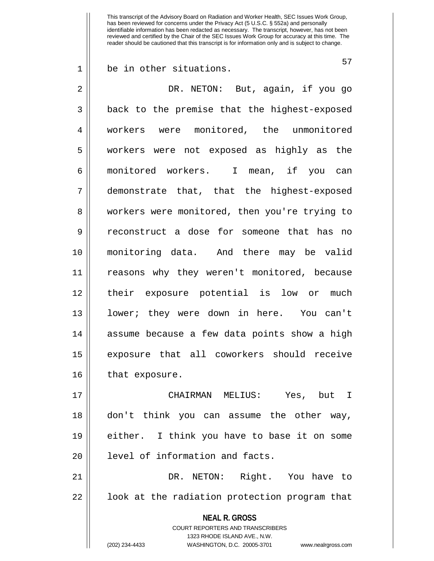1 be in other situations.

57

**NEAL R. GROSS** COURT REPORTERS AND TRANSCRIBERS 1323 RHODE ISLAND AVE., N.W. (202) 234-4433 WASHINGTON, D.C. 20005-3701 www.nealrgross.com 2 DR. NETON: But, again, if you go 3 || back to the premise that the highest-exposed 4 workers were monitored, the unmonitored 5 workers were not exposed as highly as the 6 monitored workers. I mean, if you can 7 demonstrate that, that the highest-exposed 8 || workers were monitored, then you're trying to 9 reconstruct a dose for someone that has no 10 monitoring data. And there may be valid 11 reasons why they weren't monitored, because 12 their exposure potential is low or much 13 lower; they were down in here. You can't 14 || assume because a few data points show a high 15 exposure that all coworkers should receive 16 || that exposure. 17 CHAIRMAN MELIUS: Yes, but I 18 don't think you can assume the other way, 19 either. I think you have to base it on some 20 || level of information and facts. 21 DR. NETON: Right. You have to  $22$  |  $\phantom{1}$  look at the radiation protection program that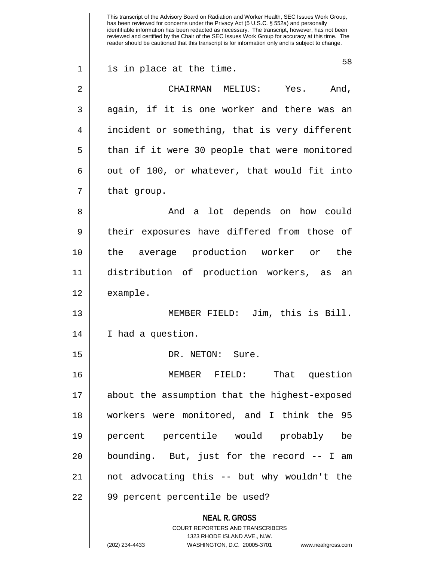**NEAL R. GROSS** COURT REPORTERS AND TRANSCRIBERS 1323 RHODE ISLAND AVE., N.W. (202) 234-4433 WASHINGTON, D.C. 20005-3701 www.nealrgross.com This transcript of the Advisory Board on Radiation and Worker Health, SEC Issues Work Group, has been reviewed for concerns under the Privacy Act (5 U.S.C. § 552a) and personally identifiable information has been redacted as necessary. The transcript, however, has not been reviewed and certified by the Chair of the SEC Issues Work Group for accuracy at this time. The reader should be cautioned that this transcript is for information only and is subject to change. 58 1 || is in place at the time. 2 CHAIRMAN MELIUS: Yes. And, 3 || again, if it is one worker and there was an 4 || incident or something, that is very different 5 || than if it were 30 people that were monitored  $6 \parallel$  out of 100, or whatever, that would fit into  $7 \parallel$  that group. 8 And a lot depends on how could 9 || their exposures have differed from those of 10 the average production worker or the 11 distribution of production workers, as an 12 | example. 13 MEMBER FIELD: Jim, this is Bill. 14 I had a question. 15 || DR. NETON: Sure. 16 MEMBER FIELD: That question 17 about the assumption that the highest-exposed 18 workers were monitored, and I think the 95 19 percent percentile would probably be  $20$  || bounding. But, just for the record  $-$ - I am 21 not advocating this -- but why wouldn't the 22 || 99 percent percentile be used?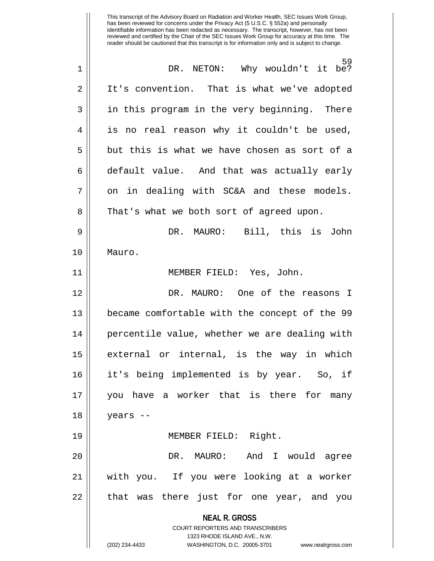**NEAL R. GROSS** COURT REPORTERS AND TRANSCRIBERS 1323 RHODE ISLAND AVE., N.W. (202) 234-4433 WASHINGTON, D.C. 20005-3701 www.nealrgross.com 59 1 DR. NETON: Why wouldn't it be? 2 | It's convention. That is what we've adopted 3 || in this program in the very beginning. There 4 || is no real reason why it couldn't be used,  $5 \parallel$  but this is what we have chosen as sort of a  $6 \parallel$  default value. And that was actually early  $7 \parallel$  on in dealing with SC&A and these models. 8 || That's what we both sort of agreed upon. 9 DR. MAURO: Bill, this is John 10 Mauro. 11 MEMBER FIELD: Yes, John. 12 DR. MAURO: One of the reasons I 13 became comfortable with the concept of the 99 14 || percentile value, whether we are dealing with 15 external or internal, is the way in which 16 it's being implemented is by year. So, if 17 you have a worker that is there for many 18 years -- 19 MEMBER FIELD: Right. 20 DR. MAURO: And I would agree 21 with you. If you were looking at a worker 22 || that was there just for one year, and you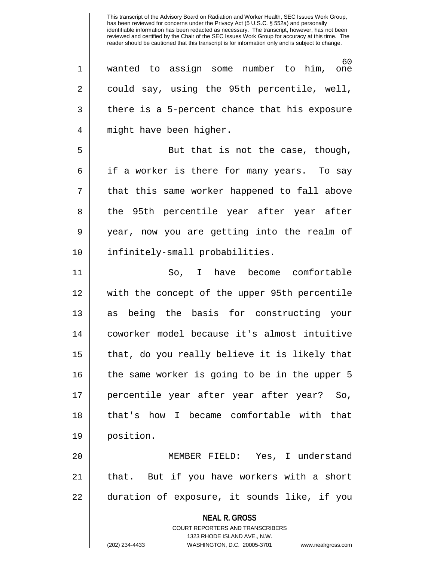60<br>one  $1 \parallel$  wanted to assign some number to him, 2 || could say, using the 95th percentile, well,  $3 \parallel$  there is a 5-percent chance that his exposure 4 || might have been higher. 5 || But that is not the case, though,  $6 \parallel$  if a worker is there for many years. To say 7 || that this same worker happened to fall above 8 || the 95th percentile year after year after 9 year, now you are getting into the realm of 10 || infinitely-small probabilities. 11 So, I have become comfortable 12 with the concept of the upper 95th percentile 13 || as being the basis for constructing your 14 coworker model because it's almost intuitive 15 || that, do you really believe it is likely that 16 || the same worker is going to be in the upper 5 17 percentile year after year after year? So, 18 that's how I became comfortable with that 19 position. 20 MEMBER FIELD: Yes, I understand 21 || that. But if you have workers with a short

22 duration of exposure, it sounds like, if you

**NEAL R. GROSS** COURT REPORTERS AND TRANSCRIBERS

1323 RHODE ISLAND AVE., N.W.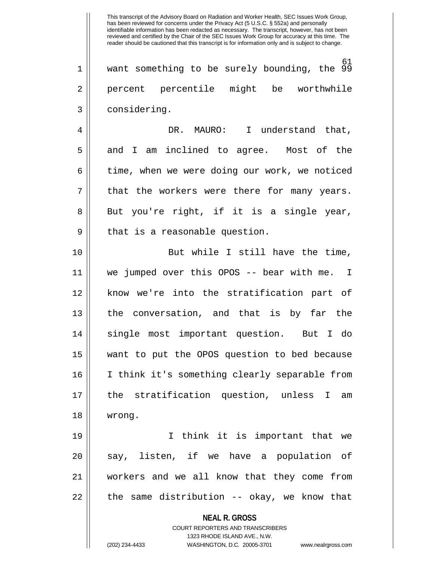61 1 want something to be surely bounding, the 99 2 || percent percentile might be worthwhile 3 || considering.

4 DR. MAURO: I understand that, 5 and I am inclined to agree. Most of the 6 | time, when we were doing our work, we noticed  $7 \parallel$  that the workers were there for many years. 8 || But you're right, if it is a single year,  $9 \parallel$  that is a reasonable question.

10 || But while I still have the time, 11 we jumped over this OPOS -- bear with me. I 12 || know we're into the stratification part of 13 the conversation, and that is by far the 14 single most important question. But I do 15 want to put the OPOS question to bed because 16 I think it's something clearly separable from 17 the stratification question, unless I am 18 wrong.

19 I think it is important that we  $20$  || say, listen, if we have a population of 21 workers and we all know that they come from  $22$  || the same distribution -- okay, we know that

**NEAL R. GROSS**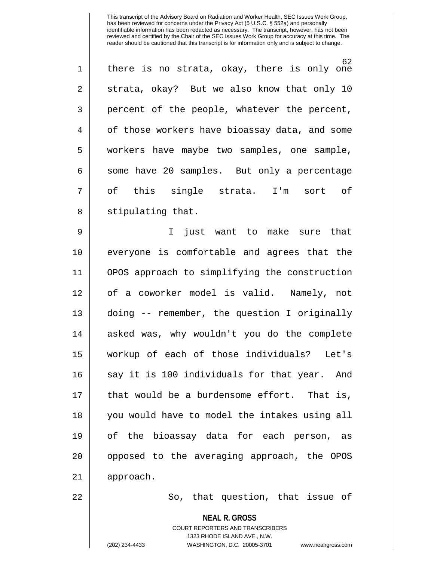62 1 || there is no strata, okay, there is only one  $2 \parallel$  strata, okay? But we also know that only 10 3 percent of the people, whatever the percent, 4 | of those workers have bioassay data, and some 5 workers have maybe two samples, one sample, 6 || some have 20 samples. But only a percentage 7|| of this single strata. I'm sort of 8 || stipulating that.

9 I just want to make sure that 10 everyone is comfortable and agrees that the 11 OPOS approach to simplifying the construction 12 of a coworker model is valid. Namely, not 13 doing -- remember, the question I originally 14 asked was, why wouldn't you do the complete 15 workup of each of those individuals? Let's 16 || say it is 100 individuals for that year. And 17 || that would be a burdensome effort. That is, 18 you would have to model the intakes using all 19 of the bioassay data for each person, as 20 || opposed to the averaging approach, the OPOS 21 | approach.

22 || So, that question, that issue of

**NEAL R. GROSS**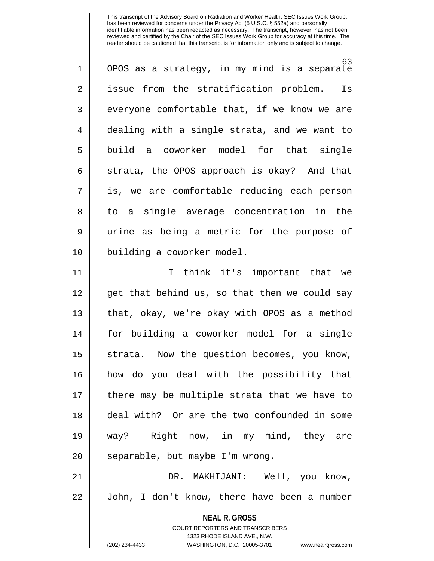63 1 || OPOS as a strategy, in my mind is a separate 2 || issue from the stratification problem. Is  $3 \parallel$  everyone comfortable that, if we know we are 4 dealing with a single strata, and we want to 5 build a coworker model for that single  $6 \parallel$  strata, the OPOS approach is okay? And that 7 is, we are comfortable reducing each person 8 || to a single average concentration in the 9 || urine as being a metric for the purpose of 10 || building a coworker model. 11 I think it's important that we 12 || get that behind us, so that then we could say

13 that, okay, we're okay with OPOS as a method 14 for building a coworker model for a single 15 || strata. Now the question becomes, you know, 16 how do you deal with the possibility that 17 there may be multiple strata that we have to 18 deal with? Or are the two confounded in some 19 way? Right now, in my mind, they are  $20$  || separable, but maybe I'm wrong.

21 DR. MAKHIJANI: Well, you know, 22 John, I don't know, there have been a number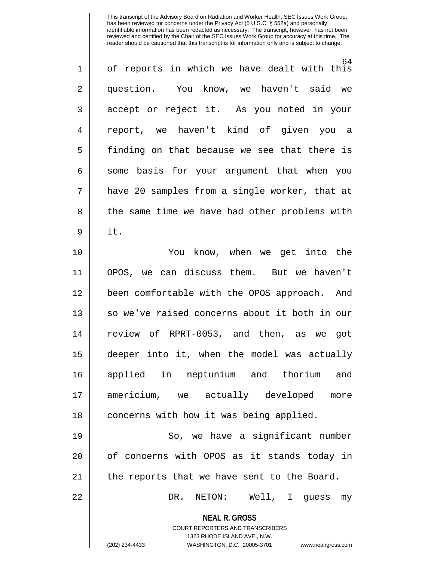| $\mathbf 1$    | 64<br>of reports in which we have dealt with this                                                                                                                      |
|----------------|------------------------------------------------------------------------------------------------------------------------------------------------------------------------|
| $\overline{2}$ | question. You know, we haven't said we                                                                                                                                 |
| 3              | accept or reject it. As you noted in your                                                                                                                              |
| 4              | report, we haven't kind of given you a                                                                                                                                 |
| 5              | finding on that because we see that there is                                                                                                                           |
| 6              | some basis for your argument that when you                                                                                                                             |
| 7              | have 20 samples from a single worker, that at                                                                                                                          |
| 8              | the same time we have had other problems with                                                                                                                          |
| 9              | it.                                                                                                                                                                    |
| 10             | You know, when we get into the                                                                                                                                         |
| 11             | OPOS, we can discuss them. But we haven't                                                                                                                              |
| 12             | been comfortable with the OPOS approach. And                                                                                                                           |
| 13             | so we've raised concerns about it both in our                                                                                                                          |
| 14             | review of RPRT-0053, and then, as we got                                                                                                                               |
| 15             | deeper into it, when the model was actually                                                                                                                            |
| 16             | applied in neptunium and thorium and                                                                                                                                   |
| 17             | americium, we actually developed<br>more                                                                                                                               |
| 18             | concerns with how it was being applied.                                                                                                                                |
| 19             | So, we have a significant number                                                                                                                                       |
| 20             | of concerns with OPOS as it stands today in                                                                                                                            |
| 21             | the reports that we have sent to the Board.                                                                                                                            |
| 22             | Well, I guess<br>DR.<br>NETON:<br>my                                                                                                                                   |
|                | <b>NEAL R. GROSS</b><br><b>COURT REPORTERS AND TRANSCRIBERS</b><br>1323 RHODE ISLAND AVE., N.W.<br>(202) 234-4433<br>WASHINGTON, D.C. 20005-3701<br>www.nealrgross.com |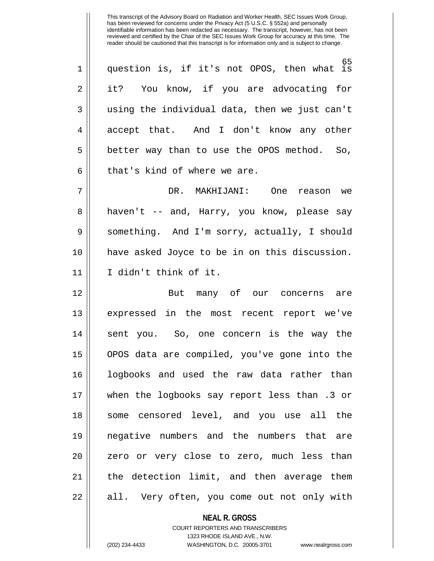65 1 question is, if it's not OPOS, then what is 2 || it? You know, if you are advocating for  $3 \parallel$  using the individual data, then we just can't 4 accept that. And I don't know any other 5 | better way than to use the OPOS method. So,  $6 \parallel$  that's kind of where we are.

7 DR. MAKHIJANI: One reason we 8 || haven't -- and, Harry, you know, please say 9 Something. And I'm sorry, actually, I should 10 have asked Joyce to be in on this discussion. 11 I didn't think of it.

12 || But many of our concerns are 13 expressed in the most recent report we've 14 || sent you. So, one concern is the way the 15 OPOS data are compiled, you've gone into the 16 logbooks and used the raw data rather than 17 when the logbooks say report less than .3 or 18 || some censored level, and you use all the 19 negative numbers and the numbers that are 20 || zero or very close to zero, much less than 21 the detection limit, and then average them 22 || all. Very often, you come out not only with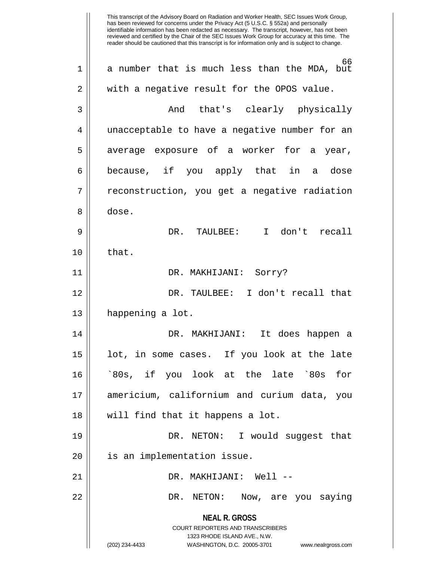**NEAL R. GROSS** COURT REPORTERS AND TRANSCRIBERS 1323 RHODE ISLAND AVE., N.W. (202) 234-4433 WASHINGTON, D.C. 20005-3701 www.nealrgross.com This transcript of the Advisory Board on Radiation and Worker Health, SEC Issues Work Group, has been reviewed for concerns under the Privacy Act (5 U.S.C. § 552a) and personally identifiable information has been redacted as necessary. The transcript, however, has not been reviewed and certified by the Chair of the SEC Issues Work Group for accuracy at this time. The reader should be cautioned that this transcript is for information only and is subject to change. 66 1 a number that is much less than the MDA, but  $2 \parallel$  with a negative result for the OPOS value. 3 And that's clearly physically 4 || unacceptable to have a negative number for an  $5 \parallel$  average exposure of a worker for a year, 6 because, if you apply that in a dose 7 | reconstruction, you get a negative radiation 8 dose. 9 DR. TAULBEE: I don't recall  $10 \parallel$  that. 11 DR. MAKHIJANI: Sorry? 12 DR. TAULBEE: I don't recall that 13 || happening a lot. 14 DR. MAKHIJANI: It does happen a 15 lot, in some cases. If you look at the late 16 `80s, if you look at the late `80s for 17 americium, californium and curium data, you 18 will find that it happens a lot. 19 DR. NETON: I would suggest that 20 || is an implementation issue. 21 DR. MAKHIJANI: Well -- 22 DR. NETON: Now, are you saying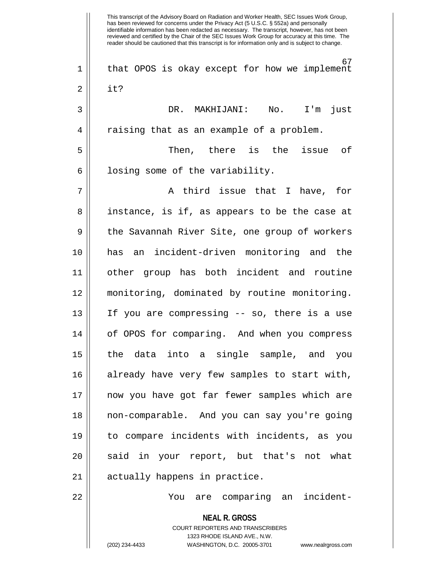**NEAL R. GROSS** COURT REPORTERS AND TRANSCRIBERS 1323 RHODE ISLAND AVE., N.W. This transcript of the Advisory Board on Radiation and Worker Health, SEC Issues Work Group, has been reviewed for concerns under the Privacy Act (5 U.S.C. § 552a) and personally identifiable information has been redacted as necessary. The transcript, however, has not been reviewed and certified by the Chair of the SEC Issues Work Group for accuracy at this time. The reader should be cautioned that this transcript is for information only and is subject to change. 67 1 || that OPOS is okay except for how we implement  $2 \parallel$  it? 3 DR. MAKHIJANI: No. I'm just 4 | raising that as an example of a problem. 5 Then, there is the issue of  $6 \parallel$  losing some of the variability.  $7 \parallel$  a third issue that I have, for 8 || instance, is if, as appears to be the case at 9 || the Savannah River Site, one group of workers 10 has an incident-driven monitoring and the 11 other group has both incident and routine 12 monitoring, dominated by routine monitoring. 13 If you are compressing -- so, there is a use 14 || of OPOS for comparing. And when you compress 15 the data into a single sample, and you 16 || already have very few samples to start with, 17 now you have got far fewer samples which are 18 non-comparable. And you can say you're going 19 to compare incidents with incidents, as you 20 || said in your report, but that's not what 21 || actually happens in practice. 22 You are comparing an incident-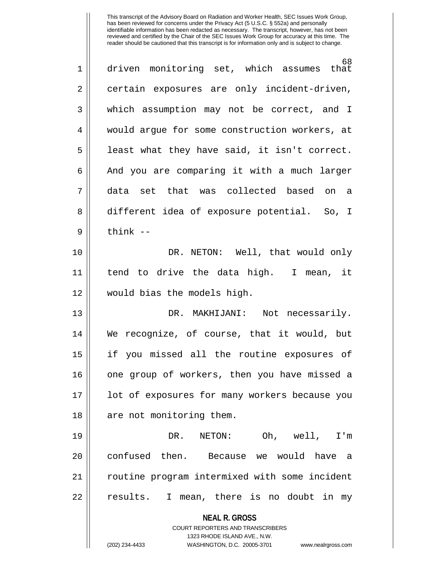| 1              | 68<br>driven monitoring set, which assumes that                                                     |
|----------------|-----------------------------------------------------------------------------------------------------|
| $\overline{2}$ | certain exposures are only incident-driven,                                                         |
| 3              | which assumption may not be correct, and I                                                          |
| 4              | would argue for some construction workers, at                                                       |
| 5              | least what they have said, it isn't correct.                                                        |
| 6              | And you are comparing it with a much larger                                                         |
| 7              | data set that was collected based on a                                                              |
| 8              | different idea of exposure potential. So, I                                                         |
| 9              | $think$ --                                                                                          |
| 10             | DR. NETON: Well, that would only                                                                    |
| 11             | tend to drive the data high. I mean, it                                                             |
| 12             | would bias the models high.                                                                         |
| 13             | DR. MAKHIJANI: Not necessarily.                                                                     |
| 14             | We recognize, of course, that it would, but                                                         |
| 15             | if you missed all the routine exposures of                                                          |
| 16             | one group of workers, then you have missed a                                                        |
| 17             | lot of exposures for many workers because you                                                       |
| 18             | are not monitoring them.                                                                            |
| 19             | NETON:<br>Oh, well,<br>DR.<br>I'm                                                                   |
| 20             | confused then. Because we would have a                                                              |
| 21             | routine program intermixed with some incident                                                       |
| 22             | results. I mean, there is no doubt in my                                                            |
|                | <b>NEAL R. GROSS</b>                                                                                |
|                | <b>COURT REPORTERS AND TRANSCRIBERS</b>                                                             |
|                | 1323 RHODE ISLAND AVE., N.W.<br>(202) 234-4433<br>WASHINGTON, D.C. 20005-3701<br>www.nealrgross.com |
|                |                                                                                                     |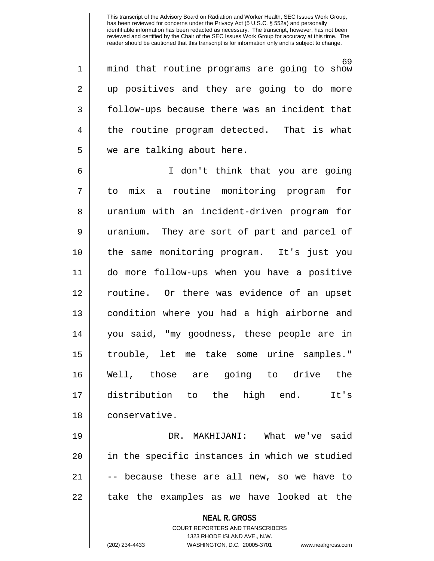69 1 mind that routine programs are going to show 2 || up positives and they are going to do more 3 follow-ups because there was an incident that 4 the routine program detected. That is what 5 | we are talking about here.

6 I don't think that you are going 7 to mix a routine monitoring program for 8 || uranium with an incident-driven program for 9 || uranium. They are sort of part and parcel of 10 the same monitoring program. It's just you 11 do more follow-ups when you have a positive 12 routine. Or there was evidence of an upset 13 || condition where you had a high airborne and 14 you said, "my goodness, these people are in 15 trouble, let me take some urine samples." 16 Well, those are going to drive the 17 distribution to the high end. It's 18 | conservative.

19 DR. MAKHIJANI: What we've said  $20$  || in the specific instances in which we studied  $21$   $\vert$  -- because these are all new, so we have to 22 || take the examples as we have looked at the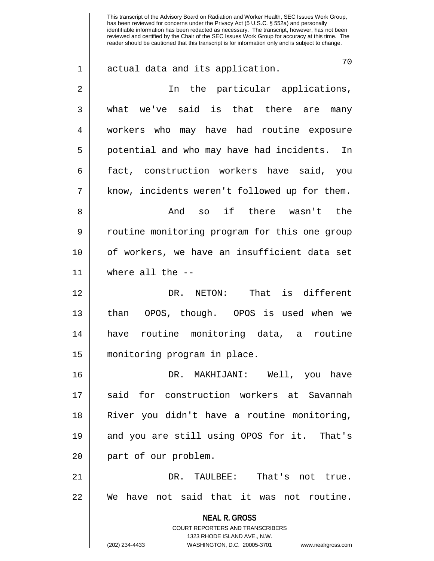**NEAL R. GROSS** COURT REPORTERS AND TRANSCRIBERS This transcript of the Advisory Board on Radiation and Worker Health, SEC Issues Work Group, has been reviewed for concerns under the Privacy Act (5 U.S.C. § 552a) and personally identifiable information has been redacted as necessary. The transcript, however, has not been reviewed and certified by the Chair of the SEC Issues Work Group for accuracy at this time. The reader should be cautioned that this transcript is for information only and is subject to change. 70 1 actual data and its application. 2 || In the particular applications, 3 what we've said is that there are many 4 Workers who may have had routine exposure 5 || potential and who may have had incidents. In 6 || fact, construction workers have said, you  $7 \parallel$  know, incidents weren't followed up for them. 8 And so if there wasn't the 9 || coutine monitoring program for this one group 10 of workers, we have an insufficient data set 11 where all the -- 12 DR. NETON: That is different 13 than OPOS, though. OPOS is used when we 14 have routine monitoring data, a routine 15 monitoring program in place. 16 DR. MAKHIJANI: Well, you have 17 Said for construction workers at Savannah 18 River you didn't have a routine monitoring, 19 and you are still using OPOS for it. That's 20 || part of our problem. 21 DR. TAULBEE: That's not true. 22 We have not said that it was not routine.

1323 RHODE ISLAND AVE., N.W.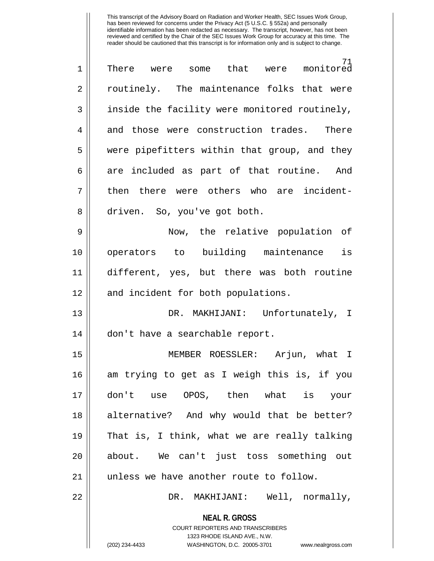| $\mathbf 1$ | 71<br>There were some that were monitored                                                                                                                              |
|-------------|------------------------------------------------------------------------------------------------------------------------------------------------------------------------|
| 2           | routinely. The maintenance folks that were                                                                                                                             |
| 3           | inside the facility were monitored routinely,                                                                                                                          |
| 4           | and those were construction trades. There                                                                                                                              |
| 5           | were pipefitters within that group, and they                                                                                                                           |
| 6           | are included as part of that routine. And                                                                                                                              |
| 7           | then there were others who are incident-                                                                                                                               |
| 8           | driven. So, you've got both.                                                                                                                                           |
| 9           | Now, the relative population of                                                                                                                                        |
| 10          | operators to building maintenance is                                                                                                                                   |
| 11          | different, yes, but there was both routine                                                                                                                             |
| 12          | and incident for both populations.                                                                                                                                     |
| 13          | DR. MAKHIJANI: Unfortunately, I                                                                                                                                        |
| 14          | don't have a searchable report.                                                                                                                                        |
| 15          | MEMBER ROESSLER: Arjun, what I                                                                                                                                         |
| 16          | am trying to get as I weigh this is, if you                                                                                                                            |
| 17          | OPOS, then what is<br>don't use<br>your                                                                                                                                |
| 18          | alternative? And why would that be better?                                                                                                                             |
| 19          | That is, I think, what we are really talking                                                                                                                           |
| 20          | about. We can't just toss something out                                                                                                                                |
| 21          | unless we have another route to follow.                                                                                                                                |
| 22          | MAKHIJANI: Well, normally,<br>DR.                                                                                                                                      |
|             | <b>NEAL R. GROSS</b><br><b>COURT REPORTERS AND TRANSCRIBERS</b><br>1323 RHODE ISLAND AVE., N.W.<br>(202) 234-4433<br>WASHINGTON, D.C. 20005-3701<br>www.nealrgross.com |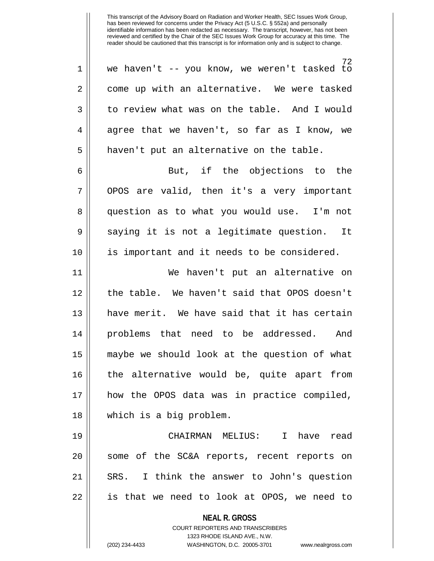72 1 we haven't -- you know, we weren't tasked to 2 | come up with an alternative. We were tasked 3 domast or review what was on the table. And I would  $4 \parallel$  agree that we haven't, so far as I know, we  $5$  | haven't put an alternative on the table.

6 || But, if the objections to the 7 || OPOS are valid, then it's a very important 8 || question as to what you would use. I'm not 9 || saying it is not a legitimate question. It 10 is important and it needs to be considered.

11 We haven't put an alternative on 12 the table. We haven't said that OPOS doesn't 13 have merit. We have said that it has certain 14 problems that need to be addressed. And 15 maybe we should look at the question of what 16 the alternative would be, quite apart from 17 how the OPOS data was in practice compiled, 18 which is a big problem.

19 CHAIRMAN MELIUS: I have read 20 || some of the SC&A reports, recent reports on 21 SRS. I think the answer to John's question 22 is that we need to look at OPOS, we need to

**NEAL R. GROSS**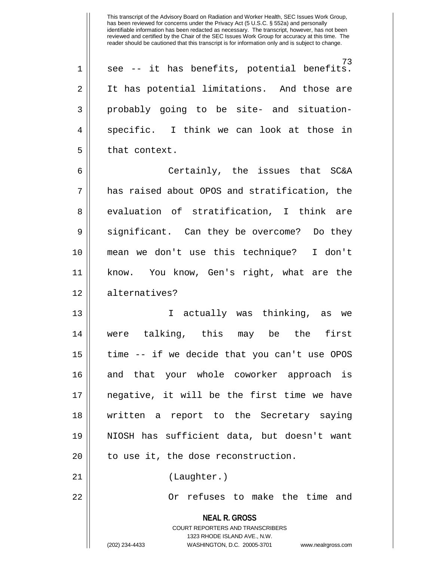73 1 || see -- it has benefits, potential benefits. 2 || It has potential limitations. And those are 3 probably going to be site- and situation-4 || specific. I think we can look at those in  $5$  | that context.

6 Certainly, the issues that SC&A 7 has raised about OPOS and stratification, the 8 evaluation of stratification, I think are 9 Significant. Can they be overcome? Do they 10 mean we don't use this technique? I don't 11 know. You know, Gen's right, what are the 12 alternatives?

13 I actually was thinking, as we 14 were talking, this may be the first  $15$  | time  $-$  if we decide that you can't use OPOS 16 || and that your whole coworker approach is 17 negative, it will be the first time we have 18 written a report to the Secretary saying 19 NIOSH has sufficient data, but doesn't want  $20$  || to use it, the dose reconstruction. 21 || (Laughter.)

22 Or refuses to make the time and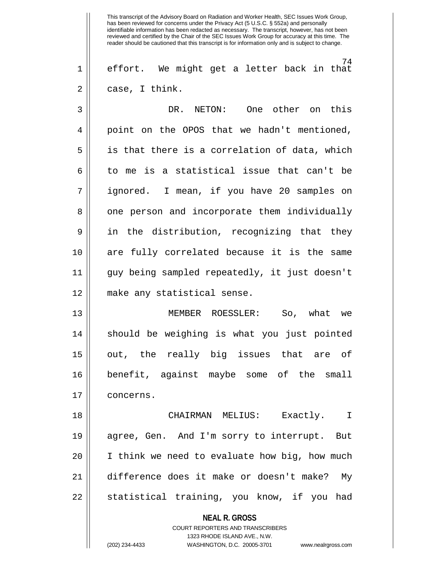74 1 effort. We might get a letter back in that  $2 \parallel$  case, I think.

3 DR. NETON: One other on this 4 || point on the OPOS that we hadn't mentioned,  $5 \parallel$  is that there is a correlation of data, which  $6 \parallel$  to me is a statistical issue that can't be 7 ignored. I mean, if you have 20 samples on 8 | one person and incorporate them individually 9 || in the distribution, recognizing that they 10 are fully correlated because it is the same 11 guy being sampled repeatedly, it just doesn't 12 make any statistical sense. 13 MEMBER ROESSLER: So, what we

14 || should be weighing is what you just pointed 15 out, the really big issues that are of 16 benefit, against maybe some of the small 17 | concerns.

18 CHAIRMAN MELIUS: Exactly. I 19 agree, Gen. And I'm sorry to interrupt. But  $20$  || I think we need to evaluate how big, how much 21 difference does it make or doesn't make? My 22 || statistical training, you know, if you had

> **NEAL R. GROSS** COURT REPORTERS AND TRANSCRIBERS 1323 RHODE ISLAND AVE., N.W.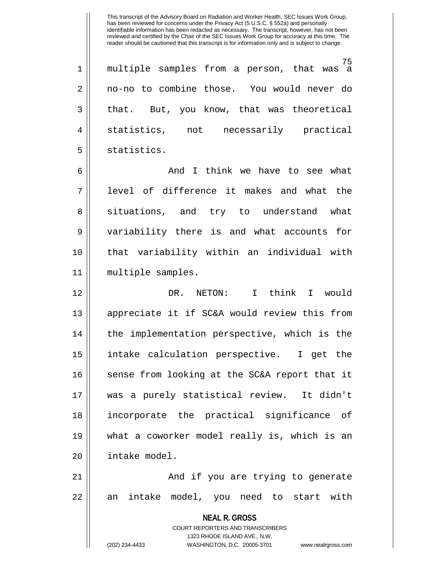75 1 || multiple samples from a person, that was a 2 no-no to combine those. You would never do 3 || that. But, you know, that was theoretical 4 statistics, not necessarily practical 5 | statistics.

6 And I think we have to see what 7 level of difference it makes and what the 8 || situations, and try to understand what 9 variability there is and what accounts for 10 that variability within an individual with 11 multiple samples.

12 DR. NETON: I think I would 13 appreciate it if SC&A would review this from 14 || the implementation perspective, which is the 15 intake calculation perspective. I get the 16 || sense from looking at the SC&A report that it 17 was a purely statistical review. It didn't 18 incorporate the practical significance of 19 what a coworker model really is, which is an 20 intake model.

21 || And if you are trying to generate 22 || an intake model, you need to start with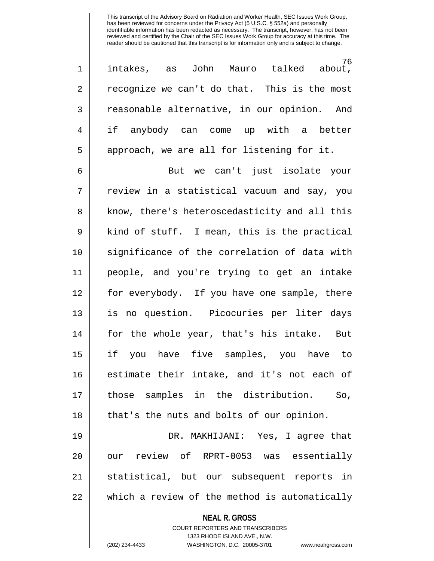76<br>, about 1 || intakes, as John Mauro talked  $2 \parallel$  recognize we can't do that. This is the most 3 || reasonable alternative, in our opinion. And 4 if anybody can come up with a better  $5 \parallel$  approach, we are all for listening for it.

6 But we can't just isolate your  $7 \parallel$  review in a statistical vacuum and say, you 8 || know, there's heteroscedasticity and all this  $9 \parallel$  kind of stuff. I mean, this is the practical 10 || significance of the correlation of data with 11 people, and you're trying to get an intake 12 || for everybody. If you have one sample, there 13 is no question. Picocuries per liter days 14 for the whole year, that's his intake. But 15 if you have five samples, you have to 16 estimate their intake, and it's not each of 17 those samples in the distribution. So, 18 || that's the nuts and bolts of our opinion.

19 DR. MAKHIJANI: Yes, I agree that 20 || our review of RPRT-0053 was essentially 21 statistical, but our subsequent reports in 22 which a review of the method is automatically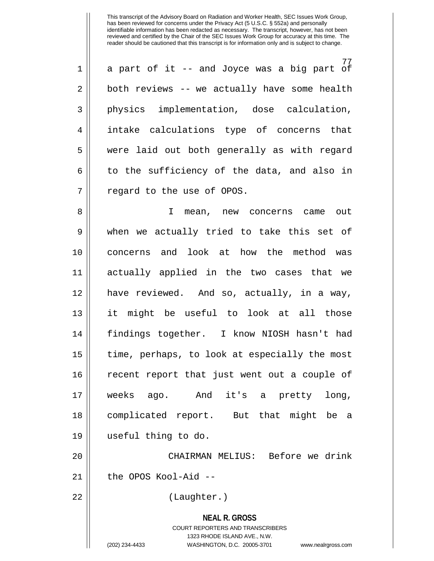77 1 a part of it -- and Joyce was a big part of  $2 \parallel$  both reviews -- we actually have some health 3 physics implementation, dose calculation, 4 intake calculations type of concerns that 5 || were laid out both generally as with regard  $6 \parallel$  to the sufficiency of the data, and also in  $7$  | regard to the use of OPOS.

8 || I mean, new concerns came out 9 when we actually tried to take this set of 10 concerns and look at how the method was 11 actually applied in the two cases that we 12 have reviewed. And so, actually, in a way, 13 it might be useful to look at all those 14 findings together. I know NIOSH hasn't had 15 time, perhaps, to look at especially the most 16 recent report that just went out a couple of 17 weeks ago. And it's a pretty long, 18 complicated report. But that might be a 19 useful thing to do.

20 CHAIRMAN MELIUS: Before we drink 21 || the OPOS Kool-Aid --

22 || (Laughter.)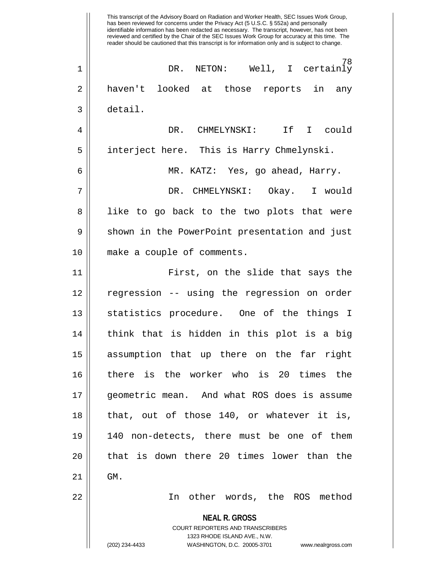**NEAL R. GROSS** COURT REPORTERS AND TRANSCRIBERS 1323 RHODE ISLAND AVE., N.W. (202) 234-4433 WASHINGTON, D.C. 20005-3701 www.nealrgross.com This transcript of the Advisory Board on Radiation and Worker Health, SEC Issues Work Group, has been reviewed for concerns under the Privacy Act (5 U.S.C. § 552a) and personally identifiable information has been redacted as necessary. The transcript, however, has not been reviewed and certified by the Chair of the SEC Issues Work Group for accuracy at this time. The reader should be cautioned that this transcript is for information only and is subject to change. 78 1 DR. NETON: Well, I certainly 2 || haven't looked at those reports in any 3 detail. 4 DR. CHMELYNSKI: If I could 5 | interject here. This is Harry Chmelynski. 6 MR. KATZ: Yes, go ahead, Harry. 7 DR. CHMELYNSKI: Okay. I would 8 || like to go back to the two plots that were 9 Shown in the PowerPoint presentation and just 10 make a couple of comments. 11 First, on the slide that says the 12 regression -- using the regression on order 13 || statistics procedure. One of the things I 14 || think that is hidden in this plot is a big 15 assumption that up there on the far right 16 there is the worker who is 20 times the 17 geometric mean. And what ROS does is assume 18 || that, out of those 140, or whatever it is, 19 140 non-detects, there must be one of them 20 || that is down there 20 times lower than the  $21$  | GM. 22 In other words, the ROS method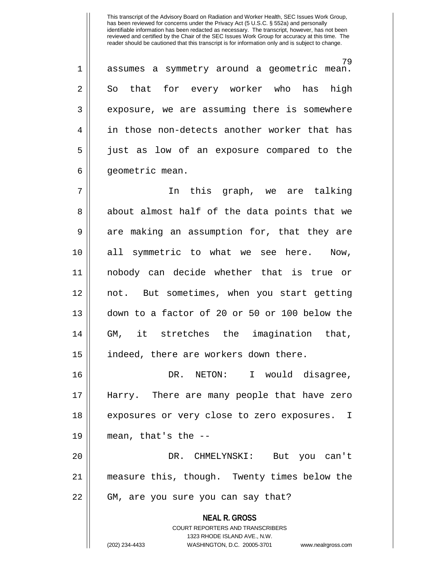79 1 assumes a symmetry around a geometric mean. 2 || So that for every worker who has high  $3 \parallel$  exposure, we are assuming there is somewhere 4 in those non-detects another worker that has 5 just as low of an exposure compared to the 6 | geometric mean.

7 || In this graph, we are talking 8 || about almost half of the data points that we 9 are making an assumption for, that they are 10 all symmetric to what we see here. Now, 11 nobody can decide whether that is true or 12 not. But sometimes, when you start getting 13 down to a factor of 20 or 50 or 100 below the 14 GM, it stretches the imagination that, 15 || indeed, there are workers down there.

16 DR. NETON: I would disagree, 17 Harry. There are many people that have zero 18 || exposures or very close to zero exposures. I  $19$  || mean, that's the  $-$ 

20 DR. CHMELYNSKI: But you can't 21 measure this, though. Twenty times below the 22 || GM, are you sure you can say that?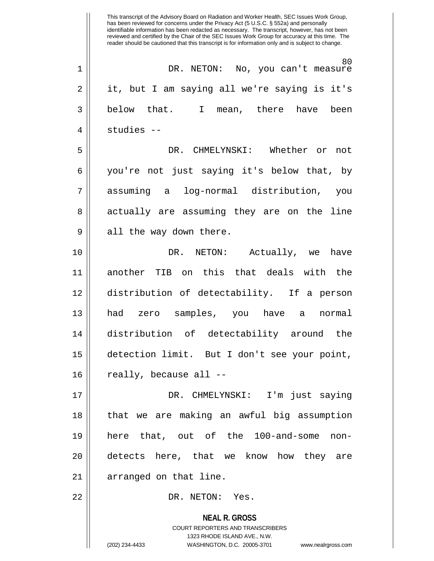**NEAL R. GROSS** COURT REPORTERS AND TRANSCRIBERS 1323 RHODE ISLAND AVE., N.W. This transcript of the Advisory Board on Radiation and Worker Health, SEC Issues Work Group, has been reviewed for concerns under the Privacy Act (5 U.S.C. § 552a) and personally identifiable information has been redacted as necessary. The transcript, however, has not been reviewed and certified by the Chair of the SEC Issues Work Group for accuracy at this time. The reader should be cautioned that this transcript is for information only and is subject to change. 80 1 DR. NETON: No, you can't measure 2 || it, but I am saying all we're saying is it's 3 below that. I mean, there have been 4 studies -- 5 DR. CHMELYNSKI: Whether or not 6 you're not just saying it's below that, by 7 assuming a log-normal distribution, you 8 actually are assuming they are on the line 9 || all the way down there. 10 DR. NETON: Actually, we have 11 another TIB on this that deals with the 12 distribution of detectability. If a person 13 had zero samples, you have a normal 14 distribution of detectability around the 15 detection limit. But I don't see your point,  $16$  || really, because all  $-$ 17 DR. CHMELYNSKI: I'm just saying 18 that we are making an awful big assumption 19 here that, out of the 100-and-some non-20 detects here, that we know how they are 21 || arranged on that line. 22 || DR. NETON: Yes.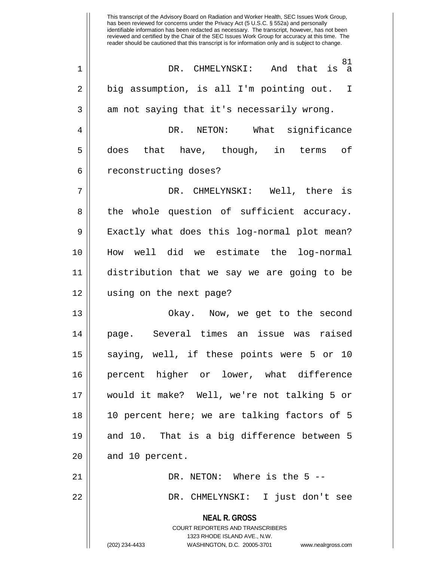**NEAL R. GROSS** COURT REPORTERS AND TRANSCRIBERS 1323 RHODE ISLAND AVE., N.W. (202) 234-4433 WASHINGTON, D.C. 20005-3701 www.nealrgross.com This transcript of the Advisory Board on Radiation and Worker Health, SEC Issues Work Group, has been reviewed for concerns under the Privacy Act (5 U.S.C. § 552a) and personally identifiable information has been redacted as necessary. The transcript, however, has not been reviewed and certified by the Chair of the SEC Issues Work Group for accuracy at this time. The reader should be cautioned that this transcript is for information only and is subject to change. 81 1 DR. CHMELYNSKI: And that is a 2 | big assumption, is all I'm pointing out. I  $3 \parallel$  am not saying that it's necessarily wrong. 4 DR. NETON: What significance  $5 \parallel$  does that have, though, in terms of 6 || reconstructing doses? 7 DR. CHMELYNSKI: Well, there is 8 || the whole question of sufficient accuracy. 9 || Exactly what does this log-normal plot mean? 10 How well did we estimate the log-normal 11 distribution that we say we are going to be 12 using on the next page? 13 Okay. Now, we get to the second 14 page. Several times an issue was raised 15 || saying, well, if these points were 5 or 10 16 percent higher or lower, what difference 17 would it make? Well, we're not talking 5 or 18 10 percent here; we are talking factors of 5 19  $\parallel$  and 10. That is a big difference between 5  $20$  || and 10 percent. 21 DR. NETON: Where is the 5 -- 22 DR. CHMELYNSKI: I just don't see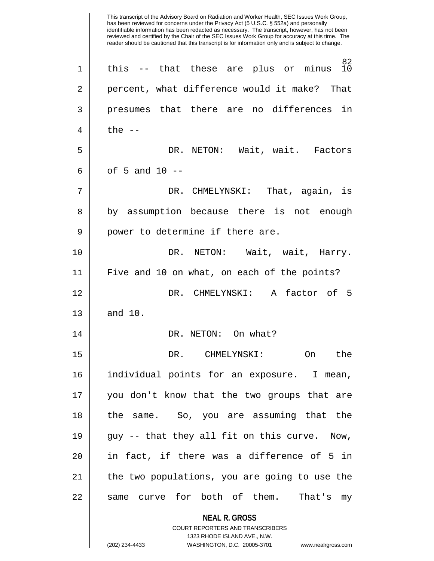**NEAL R. GROSS** COURT REPORTERS AND TRANSCRIBERS 1323 RHODE ISLAND AVE., N.W.  $^{82}_{10}$  $1 \parallel$  this -- that these are plus or minus 2 percent, what difference would it make? That 3 || presumes that there are no differences in 4  $\parallel$  the  $-$ 5 DR. NETON: Wait, wait. Factors 6 |  $\circ$  f 5 and 10 --7 DR. CHMELYNSKI: That, again, is 8 || by assumption because there is not enough 9 || power to determine if there are. 10 DR. NETON: Wait, wait, Harry. 11 Five and 10 on what, on each of the points? 12 DR. CHMELYNSKI: A factor of 5  $13 \parallel$  and  $10$ . 14 || DR. NETON: On what? 15 DR. CHMELYNSKI: On the 16 individual points for an exposure. I mean, 17 you don't know that the two groups that are 18 the same. So, you are assuming that the 19 guy -- that they all fit on this curve. Now, 20 in fact, if there was a difference of 5 in 21 the two populations, you are going to use the 22 || same curve for both of them. That's my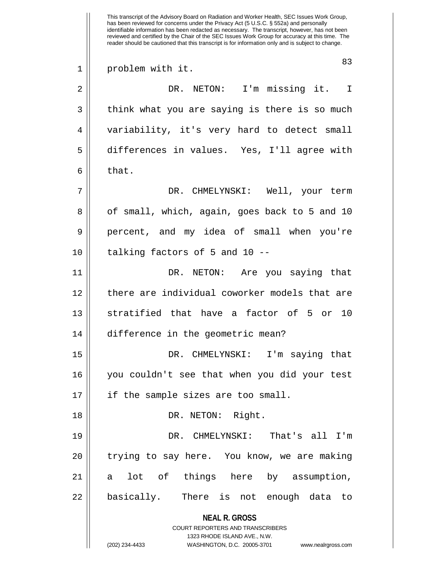**NEAL R. GROSS** COURT REPORTERS AND TRANSCRIBERS 1323 RHODE ISLAND AVE., N.W. (202) 234-4433 WASHINGTON, D.C. 20005-3701 www.nealrgross.com This transcript of the Advisory Board on Radiation and Worker Health, SEC Issues Work Group, has been reviewed for concerns under the Privacy Act (5 U.S.C. § 552a) and personally identifiable information has been redacted as necessary. The transcript, however, has not been reviewed and certified by the Chair of the SEC Issues Work Group for accuracy at this time. The reader should be cautioned that this transcript is for information only and is subject to change. 83 1 || problem with it. 2 || DR. NETON: I'm missing it. I  $3 \parallel$  think what you are saying is there is so much 4 variability, it's very hard to detect small 5 differences in values. Yes, I'll agree with  $6 \parallel$  that. 7 DR. CHMELYNSKI: Well, your term 8 || of small, which, again, goes back to 5 and 10 9 || percent, and my idea of small when you're  $10$  || talking factors of 5 and 10 --11 DR. NETON: Are you saying that 12 decries there are individual coworker models that are 13 Stratified that have a factor of 5 or 10 14 difference in the geometric mean? 15 DR. CHMELYNSKI: I'm saying that 16 you couldn't see that when you did your test 17 || if the sample sizes are too small. 18 || DR. NETON: Right. 19 DR. CHMELYNSKI: That's all I'm 20 || trying to say here. You know, we are making 21 a lot of things here by assumption, 22 || basically. There is not enough data to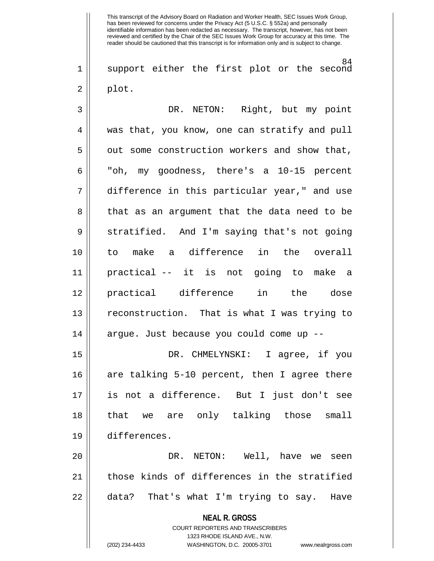84  $1$  support either the first plot or the second  $2 \parallel$  plot.

| 3  | DR. NETON: Right, but my point                |
|----|-----------------------------------------------|
| 4  | was that, you know, one can stratify and pull |
| 5  | out some construction workers and show that,  |
| 6  | "oh, my goodness, there's a 10-15 percent     |
| 7  | difference in this particular year," and use  |
| 8  | that as an argument that the data need to be  |
| 9  | stratified. And I'm saying that's not going   |
| 10 | to make a difference in the overall           |
| 11 | practical -- it is not going to make a        |
| 12 | practical difference in the dose              |
| 13 | reconstruction. That is what I was trying to  |
| 14 | argue. Just because you could come up --      |
| 15 | DR. CHMELYNSKI: I agree, if you               |
| 16 | are talking 5-10 percent, then I agree there  |
| 17 | is not a difference. But I just don't see     |
| 18 | that we are only talking those small          |
| 19 | differences.                                  |
| 20 | DR.<br>NETON: Well, have we<br>seen           |
| 21 | those kinds of differences in the stratified  |
| 22 | data? That's what I'm trying to say.<br>Have  |
|    | <b>NEAL R. GROSS</b>                          |

COURT REPORTERS AND TRANSCRIBERS 1323 RHODE ISLAND AVE., N.W.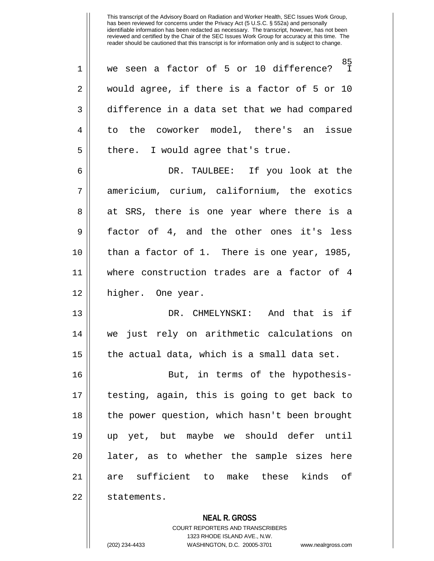85<br>I 1 || we seen a factor of 5 or 10 difference? 2 would agree, if there is a factor of 5 or 10 3 difference in a data set that we had compared 4 to the coworker model, there's an issue  $5$  || there. I would agree that's true.

6 DR. TAULBEE: If you look at the 7 americium, curium, californium, the exotics 8 || at SRS, there is one year where there is a 9 factor of 4, and the other ones it's less 10 than a factor of 1. There is one year, 1985, 11 where construction trades are a factor of 4 12 higher. One year.

13 DR. CHMELYNSKI: And that is if 14 we just rely on arithmetic calculations on 15  $\parallel$  the actual data, which is a small data set.

16 || But, in terms of the hypothesis-17 testing, again, this is going to get back to 18 || the power question, which hasn't been brought 19 up yet, but maybe we should defer until 20 || later, as to whether the sample sizes here 21 || are sufficient to make these kinds of 22 || statements.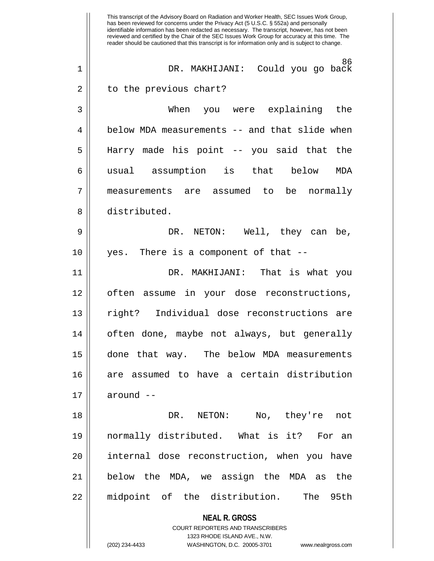|             | This transcript of the Advisory Board on Radiation and Worker Health, SEC Issues Work Group,<br>has been reviewed for concerns under the Privacy Act (5 U.S.C. § 552a) and personally<br>identifiable information has been redacted as necessary. The transcript, however, has not been<br>reviewed and certified by the Chair of the SEC Issues Work Group for accuracy at this time. The<br>reader should be cautioned that this transcript is for information only and is subject to change. |
|-------------|-------------------------------------------------------------------------------------------------------------------------------------------------------------------------------------------------------------------------------------------------------------------------------------------------------------------------------------------------------------------------------------------------------------------------------------------------------------------------------------------------|
| $\mathbf 1$ | 86<br>DR. MAKHIJANI: Could you go back                                                                                                                                                                                                                                                                                                                                                                                                                                                          |
| 2           | to the previous chart?                                                                                                                                                                                                                                                                                                                                                                                                                                                                          |
| 3           | When<br>you were explaining<br>the                                                                                                                                                                                                                                                                                                                                                                                                                                                              |
| 4           | below MDA measurements -- and that slide when                                                                                                                                                                                                                                                                                                                                                                                                                                                   |
| 5           | Harry made his point -- you said that the                                                                                                                                                                                                                                                                                                                                                                                                                                                       |
| 6           | that<br>usual assumption<br>is<br>below<br>MDA                                                                                                                                                                                                                                                                                                                                                                                                                                                  |
| 7           | are assumed<br>be<br>normally<br>measurements<br>to                                                                                                                                                                                                                                                                                                                                                                                                                                             |
| 8           | distributed.                                                                                                                                                                                                                                                                                                                                                                                                                                                                                    |
| 9           | Well, they can<br>DR.<br>NETON:<br>be,                                                                                                                                                                                                                                                                                                                                                                                                                                                          |
| 10          | There is a component of that --<br>yes.                                                                                                                                                                                                                                                                                                                                                                                                                                                         |
| 11          | That is what you<br>DR. MAKHIJANI:                                                                                                                                                                                                                                                                                                                                                                                                                                                              |
| 12          | your dose reconstructions,<br>often<br>in<br>assume                                                                                                                                                                                                                                                                                                                                                                                                                                             |
| 13          | Individual dose reconstructions<br>right?<br>are                                                                                                                                                                                                                                                                                                                                                                                                                                                |
| 14          | often done, maybe not always, but generally                                                                                                                                                                                                                                                                                                                                                                                                                                                     |
| 15          | done that way. The below MDA measurements                                                                                                                                                                                                                                                                                                                                                                                                                                                       |
| 16          | are assumed to have a certain distribution                                                                                                                                                                                                                                                                                                                                                                                                                                                      |
| 17          | around --                                                                                                                                                                                                                                                                                                                                                                                                                                                                                       |
| 18          | DR. NETON:<br>No, they're<br>not                                                                                                                                                                                                                                                                                                                                                                                                                                                                |
| 19          | normally distributed. What is it? For an                                                                                                                                                                                                                                                                                                                                                                                                                                                        |
| 20          | internal dose reconstruction, when you have                                                                                                                                                                                                                                                                                                                                                                                                                                                     |
| 21          | below the MDA, we assign the MDA as the                                                                                                                                                                                                                                                                                                                                                                                                                                                         |
| 22          | midpoint of the distribution. The 95th                                                                                                                                                                                                                                                                                                                                                                                                                                                          |
|             | <b>NEAL R. GROSS</b>                                                                                                                                                                                                                                                                                                                                                                                                                                                                            |
|             | <b>COURT REPORTERS AND TRANSCRIBERS</b>                                                                                                                                                                                                                                                                                                                                                                                                                                                         |
|             | 1323 RHODE ISLAND AVE., N.W.                                                                                                                                                                                                                                                                                                                                                                                                                                                                    |
|             | (202) 234-4433<br>WASHINGTON, D.C. 20005-3701<br>www.nealrgross.com                                                                                                                                                                                                                                                                                                                                                                                                                             |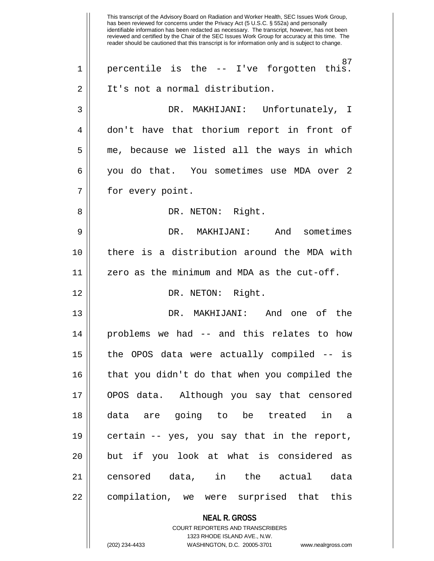**NEAL R. GROSS** COURT REPORTERS AND TRANSCRIBERS This transcript of the Advisory Board on Radiation and Worker Health, SEC Issues Work Group, has been reviewed for concerns under the Privacy Act (5 U.S.C. § 552a) and personally identifiable information has been redacted as necessary. The transcript, however, has not been reviewed and certified by the Chair of the SEC Issues Work Group for accuracy at this time. The reader should be cautioned that this transcript is for information only and is subject to change. 87 1 || percentile is the -- I've forgotten this. 2 | It's not a normal distribution. 3 DR. MAKHIJANI: Unfortunately, I 4 don't have that thorium report in front of  $5 \parallel$  me, because we listed all the ways in which 6 you do that. You sometimes use MDA over 2 7 | for every point. 8 DR. NETON: Right. 9 DR. MAKHIJANI: And sometimes 10 there is a distribution around the MDA with 11  $\parallel$  zero as the minimum and MDA as the cut-off. 12 || DR. NETON: Right. 13 DR. MAKHIJANI: And one of the 14 problems we had -- and this relates to how 15 the OPOS data were actually compiled -- is 16 that you didn't do that when you compiled the 17 OPOS data. Although you say that censored 18 data are going to be treated in a 19 certain -- yes, you say that in the report, 20 || but if you look at what is considered as 21 censored data, in the actual data 22 compilation, we were surprised that this

1323 RHODE ISLAND AVE., N.W.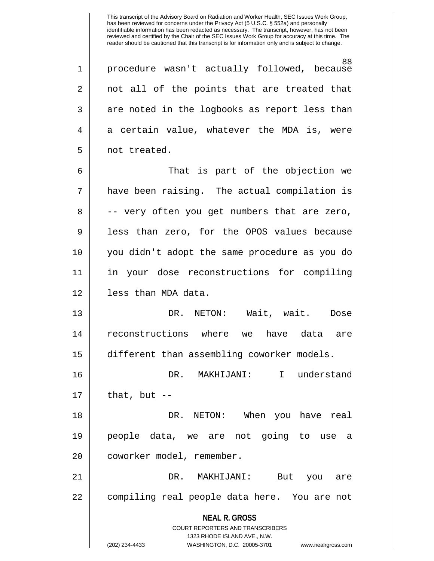88 1 procedure wasn't actually followed, because 2 || not all of the points that are treated that  $3 \parallel$  are noted in the logbooks as report less than 4 || a certain value, whatever the MDA is, were 5 | not treated.

6 That is part of the objection we 7 have been raising. The actual compilation is 8 || -- very often you get numbers that are zero, 9 || less than zero, for the OPOS values because 10 you didn't adopt the same procedure as you do 11 in your dose reconstructions for compiling 12 less than MDA data.

13 DR. NETON: Wait, wait. Dose 14 reconstructions where we have data are 15 different than assembling coworker models.

16 DR. MAKHIJANI: I understand  $17$  | that, but  $-$ 

18 DR. NETON: When you have real 19 people data, we are not going to use a 20 || coworker model, remember.

21 DR. MAKHIJANI: But you are 22 || compiling real people data here. You are not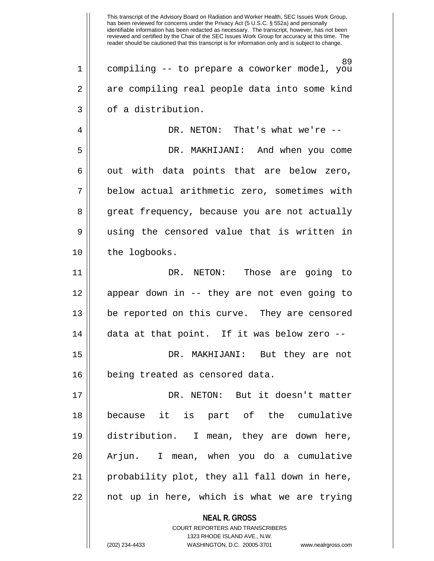**NEAL R. GROSS** COURT REPORTERS AND TRANSCRIBERS 89 1 compiling -- to prepare a coworker model, you 2 || are compiling real people data into some kind  $3 \parallel$  of a distribution. 4 DR. NETON: That's what we're -- 5 DR. MAKHIJANI: And when you come  $6 \parallel$  out with data points that are below zero, 7 below actual arithmetic zero, sometimes with 8 || great frequency, because you are not actually 9 || using the censored value that is written in 10 | the logbooks. 11 DR. NETON: Those are going to 12 appear down in -- they are not even going to 13 be reported on this curve. They are censored 14 data at that point. If it was below zero -- 15 DR. MAKHIJANI: But they are not 16 || being treated as censored data. 17 DR. NETON: But it doesn't matter 18 because it is part of the cumulative 19 distribution. I mean, they are down here, 20 || Arjun. I mean, when you do a cumulative 21 probability plot, they all fall down in here, 22 || not up in here, which is what we are trying

1323 RHODE ISLAND AVE., N.W.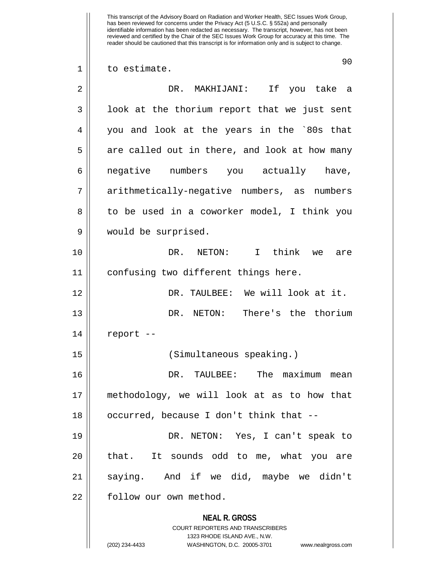This transcript of the Advisory Board on Radiation and Worker Health, SEC Issues Work Group, has been reviewed for concerns under the Privacy Act (5 U.S.C. § 552a) and personally identifiable information has been redacted as necessary. The transcript, however, has not been reviewed and certified by the Chair of the SEC Issues Work Group for accuracy at this time. The reader should be cautioned that this transcript is for information only and is subject to change. 90 1 | to estimate. 2 DR. MAKHIJANI: If you take a  $3 \parallel$  look at the thorium report that we just sent 4 you and look at the years in the `80s that  $5 \parallel$  are called out in there, and look at how many 6 || negative numbers you actually have, 7 | arithmetically-negative numbers, as numbers 8 || to be used in a coworker model, I think you 9 would be surprised. 10 DR. NETON: I think we are 11 confusing two different things here. 12 DR. TAULBEE: We will look at it. 13 DR. NETON: There's the thorium 14 || report --15 (Simultaneous speaking.) 16 DR. TAULBEE: The maximum mean 17 methodology, we will look at as to how that

18 || occurred, because I don't think that --19 DR. NETON: Yes, I can't speak to 20 || that. It sounds odd to me, what you are

21 saying. And if we did, maybe we didn't 22 | follow our own method.

> **NEAL R. GROSS** COURT REPORTERS AND TRANSCRIBERS

> > 1323 RHODE ISLAND AVE., N.W.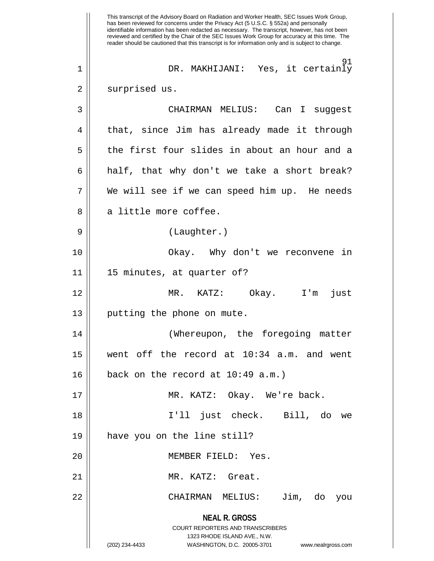**NEAL R. GROSS** COURT REPORTERS AND TRANSCRIBERS 1323 RHODE ISLAND AVE., N.W. (202) 234-4433 WASHINGTON, D.C. 20005-3701 www.nealrgross.com This transcript of the Advisory Board on Radiation and Worker Health, SEC Issues Work Group, has been reviewed for concerns under the Privacy Act (5 U.S.C. § 552a) and personally identifiable information has been redacted as necessary. The transcript, however, has not been reviewed and certified by the Chair of the SEC Issues Work Group for accuracy at this time. The reader should be cautioned that this transcript is for information only and is subject to change. 91 1 DR. MAKHIJANI: Yes, it certainly 2 || surprised us. 3 CHAIRMAN MELIUS: Can I suggest 4 || that, since Jim has already made it through  $5 \parallel$  the first four slides in about an hour and a  $6 \parallel$  half, that why don't we take a short break?  $7 \parallel$  We will see if we can speed him up. He needs  $8 \parallel$  a little more coffee. 9 || (Laughter.) 10 Okay. Why don't we reconvene in 11 15 minutes, at quarter of? 12 MR. KATZ: Okay. I'm just 13 || putting the phone on mute. 14 (Whereupon, the foregoing matter 15 went off the record at 10:34 a.m. and went  $16$  | back on the record at 10:49 a.m.) 17 MR. KATZ: Okay. We're back. 18 I'll just check. Bill, do we 19 have you on the line still? 20 MEMBER FIELD: Yes. 21 || MR. KATZ: Great. 22 CHAIRMAN MELIUS: Jim, do you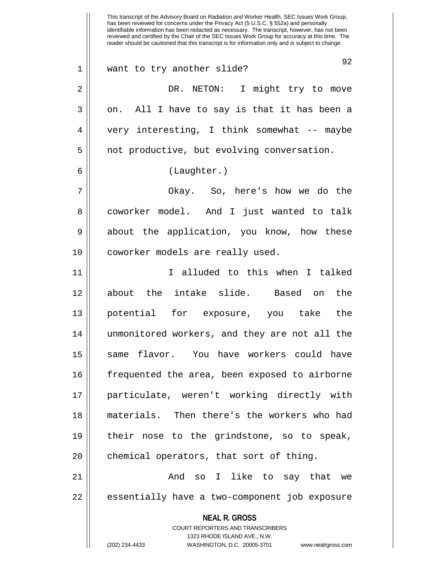**NEAL R. GROSS** COURT REPORTERS AND TRANSCRIBERS 1323 RHODE ISLAND AVE., N.W. (202) 234-4433 WASHINGTON, D.C. 20005-3701 www.nealrgross.com has been reviewed for concerns under the Privacy Act (5 U.S.C. § 552a) and personally identifiable information has been redacted as necessary. The transcript, however, has not been reviewed and certified by the Chair of the SEC Issues Work Group for accuracy at this time. The reader should be cautioned that this transcript is for information only and is subject to change. 92 1 want to try another slide? 2 DR. NETON: I might try to move  $3 \parallel$  on. All I have to say is that it has been a 4 very interesting, I think somewhat -- maybe  $5 \parallel$  not productive, but evolving conversation. 6 (Laughter.) 7 Okay. So, here's how we do the 8 || coworker model. And I just wanted to talk 9 about the application, you know, how these 10 | coworker models are really used. 11 I alluded to this when I talked 12 about the intake slide. Based on the 13 potential for exposure, you take the 14 unmonitored workers, and they are not all the 15 || same flavor. You have workers could have 16 || frequented the area, been exposed to airborne 17 particulate, weren't working directly with 18 materials. Then there's the workers who had 19 their nose to the grindstone, so to speak,  $20$  || chemical operators, that sort of thing. 21 And so I like to say that we 22 || essentially have a two-component job exposure

This transcript of the Advisory Board on Radiation and Worker Health, SEC Issues Work Group,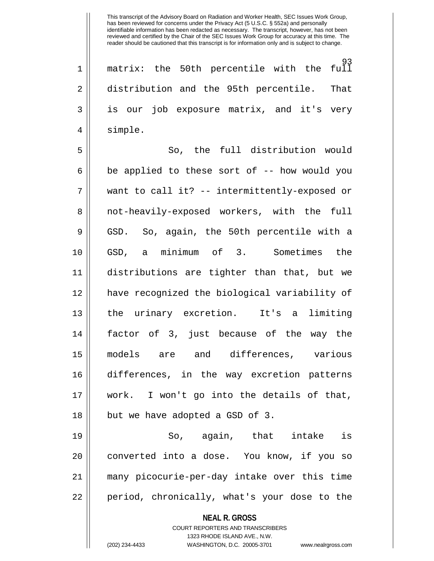93 1 matrix: the 50th percentile with the full 2 distribution and the 95th percentile. That 3 is our job exposure matrix, and it's very 4 || simple.

5 So, the full distribution would  $6 \parallel$  be applied to these sort of  $-$  how would you 7 want to call it? -- intermittently-exposed or 8 || not-heavily-exposed workers, with the full 9 GSD. So, again, the 50th percentile with a 10 GSD, a minimum of 3. Sometimes the 11 distributions are tighter than that, but we 12 have recognized the biological variability of 13 || the urinary excretion. It's a limiting 14 factor of 3, just because of the way the 15 models are and differences, various 16 differences, in the way excretion patterns 17 work. I won't go into the details of that, 18 || but we have adopted a GSD of 3.

19 So, again, that intake is 20 || converted into a dose. You know, if you so 21 many picocurie-per-day intake over this time 22 || period, chronically, what's your dose to the

> **NEAL R. GROSS** COURT REPORTERS AND TRANSCRIBERS

> > 1323 RHODE ISLAND AVE., N.W.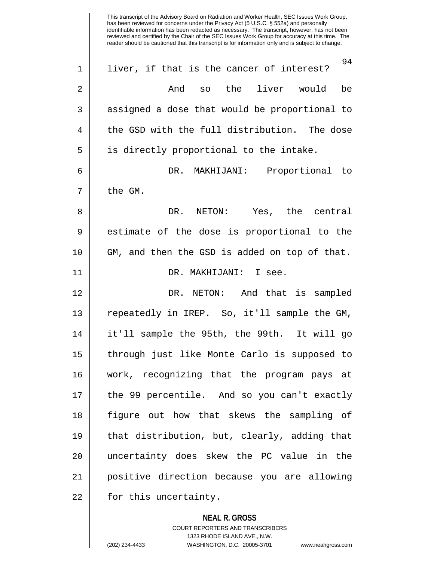**NEAL R. GROSS** This transcript of the Advisory Board on Radiation and Worker Health, SEC Issues Work Group, has been reviewed for concerns under the Privacy Act (5 U.S.C. § 552a) and personally identifiable information has been redacted as necessary. The transcript, however, has not been reviewed and certified by the Chair of the SEC Issues Work Group for accuracy at this time. The reader should be cautioned that this transcript is for information only and is subject to change. 94 1 || liver, if that is the cancer of interest? 2 And so the liver would be 3 || assigned a dose that would be proportional to  $4 \parallel$  the GSD with the full distribution. The dose  $5 \parallel$  is directly proportional to the intake. 6 DR. MAKHIJANI: Proportional to  $7 \parallel$  the GM. 8 DR. NETON: Yes, the central 9 || estimate of the dose is proportional to the 10 GM, and then the GSD is added on top of that. 11 DR. MAKHIJANI: I see. 12 DR. NETON: And that is sampled 13 || repeatedly in IREP. So, it'll sample the GM, 14 it'll sample the 95th, the 99th. It will go 15 through just like Monte Carlo is supposed to 16 work, recognizing that the program pays at 17 the 99 percentile. And so you can't exactly 18 figure out how that skews the sampling of 19 that distribution, but, clearly, adding that 20 uncertainty does skew the PC value in the 21 positive direction because you are allowing  $22$  | for this uncertainty.

> COURT REPORTERS AND TRANSCRIBERS 1323 RHODE ISLAND AVE., N.W.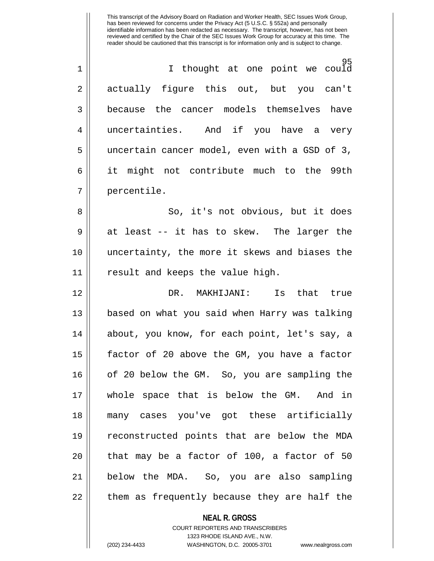| $\overline{1}$ | I thought at one point we could               |
|----------------|-----------------------------------------------|
| 2              | actually figure this out, but you can't       |
| 3              | because the cancer models themselves have     |
| 4              | uncertainties. And if you have a very         |
| 5              | uncertain cancer model, even with a GSD of 3, |
| 6              | it might not contribute much to the 99th      |
| 7              | percentile.                                   |

8 || So, it's not obvious, but it does  $9 \parallel$  at least -- it has to skew. The larger the 10 uncertainty, the more it skews and biases the 11 || result and keeps the value high.

12 DR. MAKHIJANI: Is that true 13 || based on what you said when Harry was talking 14 || about, you know, for each point, let's say, a 15  $\parallel$  factor of 20 above the GM, you have a factor 16 || of 20 below the GM. So, you are sampling the 17 whole space that is below the GM. And in 18 many cases you've got these artificially 19 reconstructed points that are below the MDA  $20$  || that may be a factor of 100, a factor of 50 21 below the MDA. So, you are also sampling  $22$  || them as frequently because they are half the

## **NEAL R. GROSS**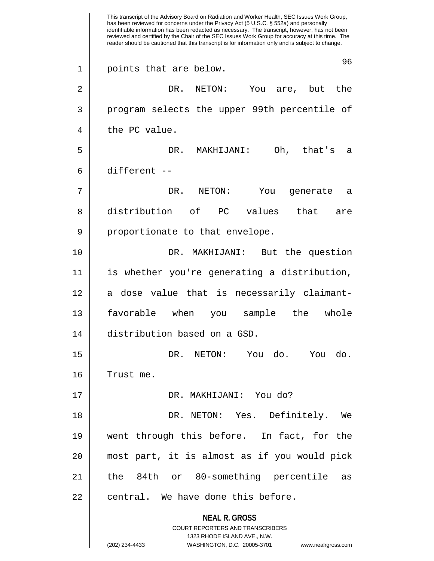**NEAL R. GROSS** COURT REPORTERS AND TRANSCRIBERS 1323 RHODE ISLAND AVE., N.W. This transcript of the Advisory Board on Radiation and Worker Health, SEC Issues Work Group, has been reviewed for concerns under the Privacy Act (5 U.S.C. § 552a) and personally identifiable information has been redacted as necessary. The transcript, however, has not been reviewed and certified by the Chair of the SEC Issues Work Group for accuracy at this time. The reader should be cautioned that this transcript is for information only and is subject to change. 96 1 || points that are below. 2 DR. NETON: You are, but the 3 program selects the upper 99th percentile of  $4 \parallel$  the PC value. 5 DR. MAKHIJANI: Oh, that's a 6 different -- 7 DR. NETON: You generate a 8 distribution of PC values that are  $9 \parallel$  proportionate to that envelope. 10 DR. MAKHIJANI: But the question 11 is whether you're generating a distribution, 12 a dose value that is necessarily claimant-13 || favorable when you sample the whole 14 distribution based on a GSD. 15 DR. NETON: You do. You do. 16 Trust me. 17 DR. MAKHIJANI: You do? 18 DR. NETON: Yes. Definitely. We 19 went through this before. In fact, for the 20 most part, it is almost as if you would pick 21 the 84th or 80-something percentile as  $22$  || central. We have done this before.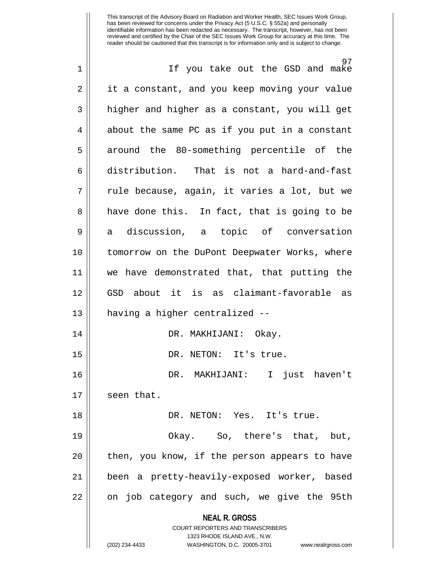**NEAL R. GROSS** COURT REPORTERS AND TRANSCRIBERS 1323 RHODE ISLAND AVE., N.W. (202) 234-4433 WASHINGTON, D.C. 20005-3701 www.nealrgross.com 97 1 || If you take out the GSD and make 2 | it a constant, and you keep moving your value  $3 \parallel$  higher and higher as a constant, you will get  $4 \parallel$  about the same PC as if you put in a constant 5 around the 80-something percentile of the 6 distribution. That is not a hard-and-fast  $7 \parallel$  rule because, again, it varies a lot, but we 8 || have done this. In fact, that is going to be 9 a discussion, a topic of conversation 10 tomorrow on the DuPont Deepwater Works, where 11 we have demonstrated that, that putting the 12 GSD about it is as claimant-favorable as 13 having a higher centralized -- 14 DR. MAKHIJANI: Okay. 15 || DR. NETON: It's true. 16 DR. MAKHIJANI: I just haven't 17 seen that. 18 DR. NETON: Yes. It's true. 19 Okay. So, there's that, but,  $20$  || then, you know, if the person appears to have 21 been a pretty-heavily-exposed worker, based 22 || on job category and such, we give the 95th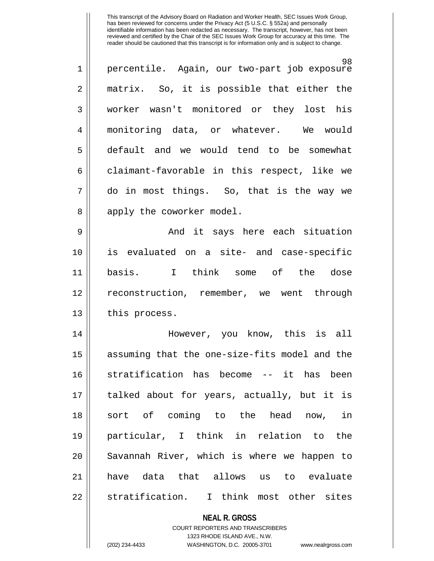| $\mathbf{1}$   | 98.<br>percentile. Again, our two-part job exposure |
|----------------|-----------------------------------------------------|
| 2              | matrix. So, it is possible that either the          |
| $\mathbf{3}$   | worker wasn't monitored or they lost his            |
| $\overline{4}$ | monitoring data, or whatever. We would              |
| 5              | default and we would tend to be somewhat            |
| 6              | claimant-favorable in this respect, like we         |
| 7              | do in most things. So, that is the way we           |
| 8              | apply the coworker model.                           |
| a              | And it savs here each situation                     |

9 And it says here each situation 10 is evaluated on a site- and case-specific 11 basis. I think some of the dose 12 reconstruction, remember, we went through  $13 \parallel$  this process.

14 However, you know, this is all 15 || assuming that the one-size-fits model and the 16 stratification has become -- it has been 17 talked about for years, actually, but it is 18 sort of coming to the head now, in 19 particular, I think in relation to the 20 || Savannah River, which is where we happen to 21 have data that allows us to evaluate 22 || stratification. I think most other sites

## **NEAL R. GROSS**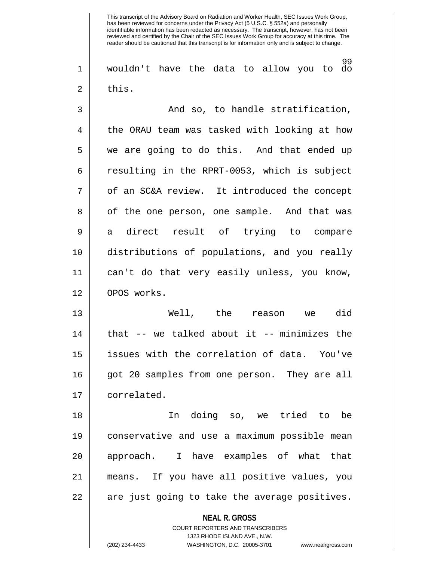99 1 wouldn't have the data to allow you to do  $2 \parallel$  this.

3 And so, to handle stratification, 4 || the ORAU team was tasked with looking at how 5 || we are going to do this. And that ended up  $6 \parallel$  resulting in the RPRT-0053, which is subject 7 | of an SC&A review. It introduced the concept 8 || of the one person, one sample. And that was 9 a direct result of trying to compare 10 distributions of populations, and you really 11 can't do that very easily unless, you know, 12 OPOS works.

13 Well, the reason we did 14 || that -- we talked about it -- minimizes the 15 issues with the correlation of data. You've 16 got 20 samples from one person. They are all 17 | correlated.

18 In doing so, we tried to be 19 conservative and use a maximum possible mean 20 || approach. I have examples of what that 21 means. If you have all positive values, you 22 || are just going to take the average positives.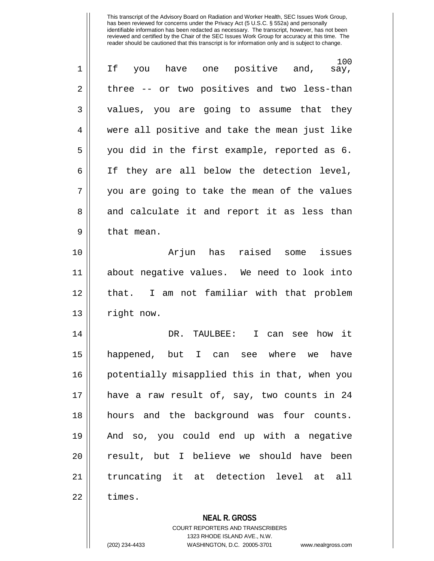| $\mathbf 1$    | 100<br>have one positive and,<br>If you<br>say, |
|----------------|-------------------------------------------------|
| $\overline{2}$ | three -- or two positives and two less-than     |
| 3              | values, you are going to assume that they       |
| 4              | were all positive and take the mean just like   |
| 5              | you did in the first example, reported as 6.    |
| 6              | If they are all below the detection level,      |
| 7              | you are going to take the mean of the values    |
| 8              | and calculate it and report it as less than     |
| 9              | that mean.                                      |
| 10             | Arjun has raised<br>issues<br>some              |
| 11             | about negative values. We need to look into     |
| 12             | that. I am not familiar with that problem       |
| 13             | right now.                                      |
| 14             | DR.<br>TAULBEE:<br>I can see how it             |
| 15             | happened, but I can see where we<br>have        |
| 16             | potentially misapplied this in that, when you   |
| 17             | have a raw result of, say, two counts in 24     |
| 18             | hours and the background was four counts.       |
| 19             | And so, you could end up with a negative        |
| 20             | result, but I believe we should have been       |
| 21             | truncating it at detection level at all         |
| 22             | times.                                          |
|                |                                                 |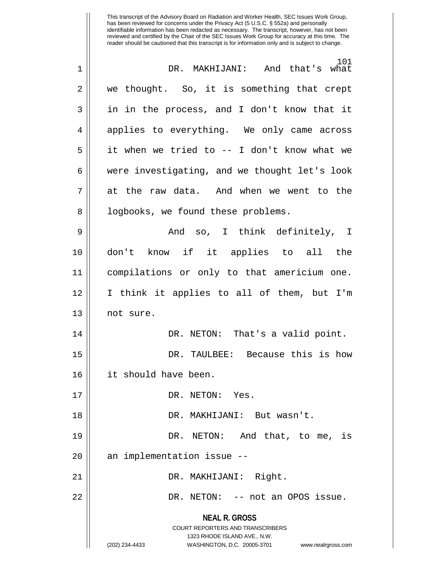| 1  | 101<br>DR. MAKHIJANI: And that's what                               |
|----|---------------------------------------------------------------------|
| 2  | we thought. So, it is something that crept                          |
| 3  | in in the process, and I don't know that it                         |
| 4  | applies to everything. We only came across                          |
| 5  | it when we tried to -- I don't know what we                         |
| 6  | were investigating, and we thought let's look                       |
| 7  | at the raw data. And when we went to the                            |
| 8  | logbooks, we found these problems.                                  |
| 9  | And so, I think definitely, I                                       |
| 10 | don't know if it applies to all the                                 |
| 11 | compilations or only to that americium one.                         |
| 12 | I think it applies to all of them, but I'm                          |
| 13 | not sure.                                                           |
| 14 | DR. NETON: That's a valid point.                                    |
| 15 | DR. TAULBEE: Because this is how                                    |
| 16 | it should have been.                                                |
| 17 | DR. NETON: Yes.                                                     |
| 18 | DR. MAKHIJANI: But wasn't.                                          |
| 19 | DR. NETON: And that, to me, is                                      |
| 20 | an implementation issue --                                          |
| 21 | DR. MAKHIJANI: Right.                                               |
| 22 | DR. NETON: -- not an OPOS issue.                                    |
|    | <b>NEAL R. GROSS</b>                                                |
|    | <b>COURT REPORTERS AND TRANSCRIBERS</b>                             |
|    | 1323 RHODE ISLAND AVE., N.W.                                        |
|    | (202) 234-4433<br>WASHINGTON, D.C. 20005-3701<br>www.nealrgross.com |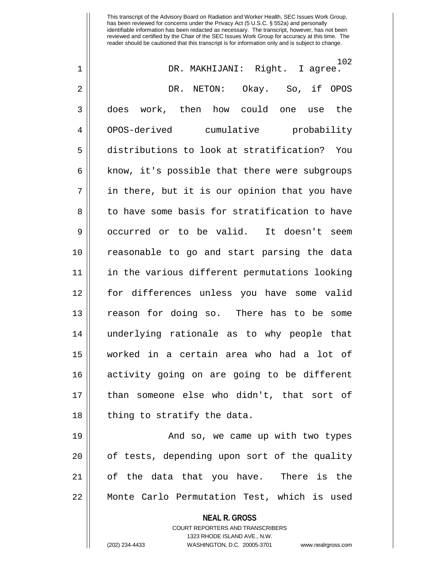This transcript of the Advisory Board on Radiation and Worker Health, SEC Issues Work Group, has been reviewed for concerns under the Privacy Act (5 U.S.C. § 552a) and personally identifiable information has been redacted as necessary. The transcript, however, has not been reviewed and certified by the Chair of the SEC Issues Work Group for accuracy at this time. The reader should be cautioned that this transcript is for information only and is subject to change. 102<br>I agree. 1 DR. MAKHIJANI: Right. I agree. 2 DR. NETON: Okay. So, if OPOS 3 || does work, then how could one use the 4 OPOS-derived cumulative probability 5 distributions to look at stratification? You  $6$  || know, it's possible that there were subgroups  $7 \parallel$  in there, but it is our opinion that you have 8 to have some basis for stratification to have 9 || occurred or to be valid. It doesn't seem 10 reasonable to go and start parsing the data 11 in the various different permutations looking

12 for differences unless you have some valid 13 reason for doing so. There has to be some 14 underlying rationale as to why people that 15 worked in a certain area who had a lot of 16 activity going on are going to be different 17 than someone else who didn't, that sort of  $18$  || thing to stratify the data.

19 And so, we came up with two types  $20$  || of tests, depending upon sort of the quality 21 || of the data that you have. There is the 22 || Monte Carlo Permutation Test, which is used

**NEAL R. GROSS**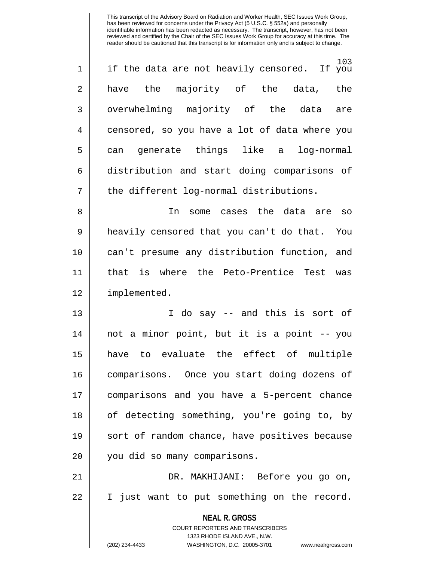| $\mathbf 1$    | 103<br>if the data are not heavily censored. If you |
|----------------|-----------------------------------------------------|
| $\overline{2}$ | have the majority of the data, the                  |
| 3              | overwhelming majority of the data are               |
| 4              | censored, so you have a lot of data where you       |
| 5              | can generate things like a log-normal               |
| 6              | distribution and start doing comparisons of         |
| 7              | the different log-normal distributions.             |
|                |                                                     |

8 In some cases the data are so 9 heavily censored that you can't do that. You 10 can't presume any distribution function, and 11 that is where the Peto-Prentice Test was 12 implemented.

13 || T do say -- and this is sort of 14 not a minor point, but it is a point -- you 15 have to evaluate the effect of multiple 16 comparisons. Once you start doing dozens of 17 comparisons and you have a 5-percent chance 18 || of detecting something, you're going to, by 19 || sort of random chance, have positives because 20 || you did so many comparisons.

21 DR. MAKHIJANI: Before you go on, 22 I just want to put something on the record.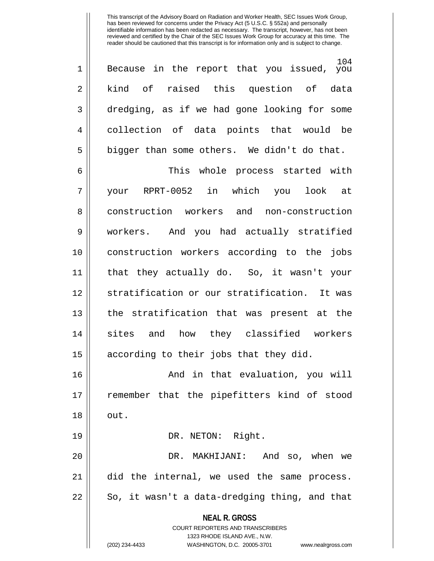104 1 Because in the report that you issued, you 2 || kind of raised this question of data 3 dredging, as if we had gone looking for some 4 collection of data points that would be  $5 \parallel$  bigger than some others. We didn't do that.

6 This whole process started with 7 your RPRT-0052 in which you look at 8 || construction workers and non-construction 9 workers. And you had actually stratified 10 construction workers according to the jobs 11 that they actually do. So, it wasn't your 12 Stratification or our stratification. It was 13 the stratification that was present at the 14 sites and how they classified workers  $15$  according to their jobs that they did.

16 And in that evaluation, you will 17 remember that the pipefitters kind of stood  $18 \parallel \quad \text{out.}$ 

19 || DR. NETON: Right.

20 DR. MAKHIJANI: And so, when we 21 did the internal, we used the same process.  $22 \parallel$  So, it wasn't a data-dredging thing, and that

> **NEAL R. GROSS** COURT REPORTERS AND TRANSCRIBERS

> > 1323 RHODE ISLAND AVE., N.W.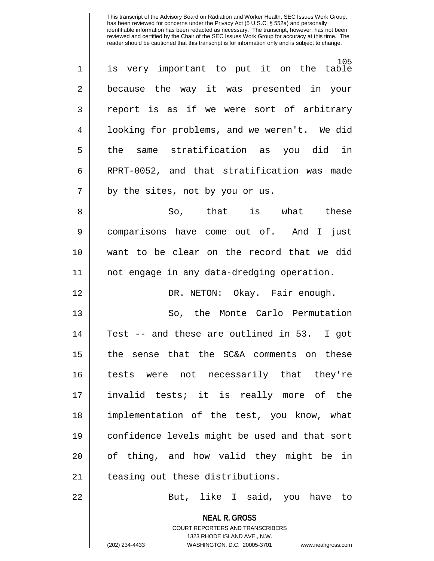| $\overline{2}$<br>3<br>4<br>5<br>6<br>7<br>by the sites, not by you or us. | $\mathbf 1$ | 105<br>is very important to put it on the table |
|----------------------------------------------------------------------------|-------------|-------------------------------------------------|
|                                                                            |             | because the way it was presented in your        |
|                                                                            |             | report is as if we were sort of arbitrary       |
|                                                                            |             | looking for problems, and we weren't. We did    |
|                                                                            |             | the same stratification as you did in           |
|                                                                            |             | RPRT-0052, and that stratification was made     |
|                                                                            |             |                                                 |

8 So, that is what these 9 comparisons have come out of. And I just 10 want to be clear on the record that we did 11 not engage in any data-dredging operation.

12 DR. NETON: Okay. Fair enough.

13 So, the Monte Carlo Permutation 14 || Test -- and these are outlined in 53. I got 15 || the sense that the SC&A comments on these 16 tests were not necessarily that they're 17 invalid tests; it is really more of the 18 implementation of the test, you know, what 19 confidence levels might be used and that sort 20 || of thing, and how valid they might be in 21 || teasing out these distributions.

22 || But, like I said, you have to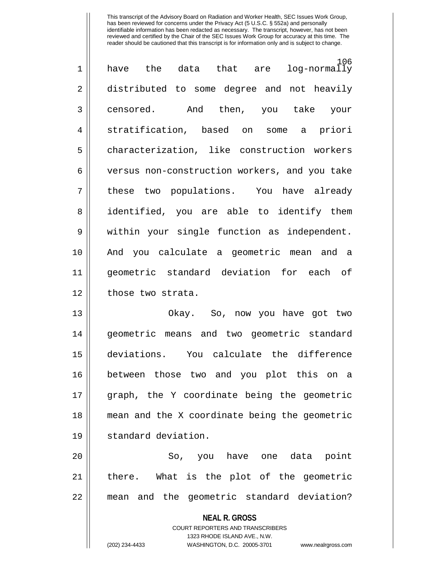| $\mathbf 1$    | 106<br>have the data that are log-normally    |
|----------------|-----------------------------------------------|
| $\overline{2}$ | distributed to some degree and not heavily    |
| 3              | censored. And then, you take your             |
| 4              | stratification, based on some a priori        |
| 5              | characterization, like construction workers   |
| 6              | versus non-construction workers, and you take |
| 7              | these two populations. You have already       |
| 8              | identified, you are able to identify them     |
| 9              | within your single function as independent.   |
| 10             | And you calculate a geometric mean and a      |
| 11             | geometric standard deviation for each of      |
| 12             | those two strata.                             |
| 13             | Okay. So, now you have got two                |
| 14             | geometric means and two geometric standard    |
|                |                                               |

17 graph, the Y coordinate being the geometric 18 mean and the X coordinate being the geometric 19 standard deviation. 20 So, you have one data point

15 deviations. You calculate the difference

16 between those two and you plot this on a

21 || there. What is the plot of the geometric 22 || mean and the geometric standard deviation?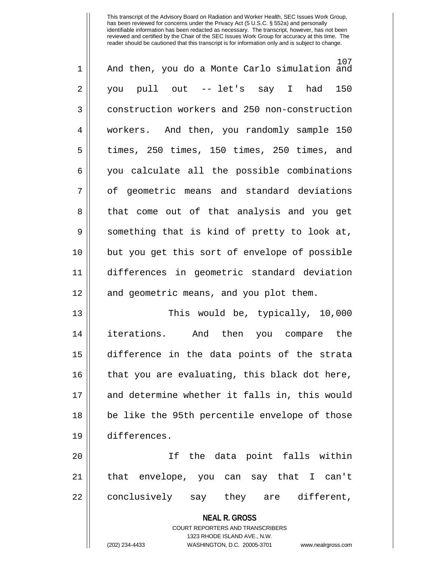| $\mathbf 1$ | 107<br>And then, you do a Monte Carlo simulation and     |
|-------------|----------------------------------------------------------|
| 2           | you pull out --- let's say I had<br>150                  |
| 3           | construction workers and 250 non-construction            |
| 4           | workers. And then, you randomly sample 150               |
| 5           | times, 250 times, 150 times, 250 times, and              |
| 6           | you calculate all the possible combinations              |
| 7           | of geometric means and standard deviations               |
| 8           | that come out of that analysis and you get               |
| 9           | something that is kind of pretty to look at,             |
| 10          | but you get this sort of envelope of possible            |
| 11          | differences in geometric standard deviation              |
| 12          | and geometric means, and you plot them.                  |
| 13          | This would be, typically, 10,000                         |
| 14          | iterations. And then you compare the                     |
| 15          | difference in the data points of the strata              |
| 16          | that you are evaluating, this black dot here,            |
| 17          | and determine whether it falls in, this would            |
| 18          | be like the 95th percentile envelope of those            |
| 19          | differences.                                             |
| 20          | If the data point falls within                           |
| 21          | that envelope, you can say that I can't                  |
| 22          | conclusively say they are different,                     |
|             | <b>NEAL R. GROSS</b><br>COURT REPORTERS AND TRANSCRIBERS |

1323 RHODE ISLAND AVE., N.W.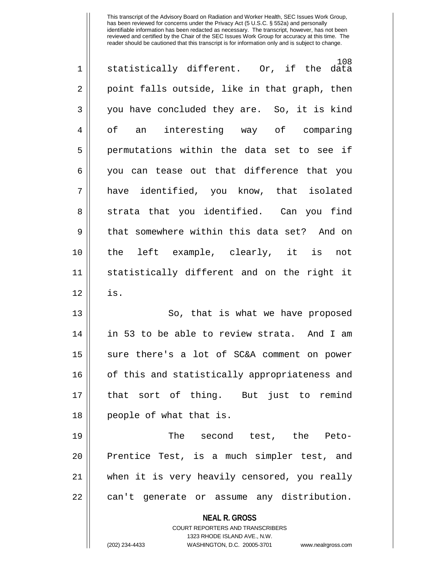| $\overline{2}$<br>3<br>4<br>of an<br>5<br>6<br>7<br>8<br>9<br>10<br>11<br>12<br>is.<br>13<br>14<br>15<br>16<br>17<br>people of what that is.<br>18<br>19<br>20<br>21<br>22<br><b>NEAL R. GROSS</b><br><b>COURT REPORTERS AND TRANSCRIBERS</b> | $\mathbf 1$ | 108<br>statistically different. Or, if the data |
|-----------------------------------------------------------------------------------------------------------------------------------------------------------------------------------------------------------------------------------------------|-------------|-------------------------------------------------|
|                                                                                                                                                                                                                                               |             | point falls outside, like in that graph, then   |
|                                                                                                                                                                                                                                               |             | you have concluded they are. So, it is kind     |
|                                                                                                                                                                                                                                               |             | interesting way of comparing                    |
|                                                                                                                                                                                                                                               |             | permutations within the data set to see if      |
|                                                                                                                                                                                                                                               |             | you can tease out that difference that you      |
|                                                                                                                                                                                                                                               |             | have identified, you know, that isolated        |
|                                                                                                                                                                                                                                               |             | strata that you identified. Can you find        |
|                                                                                                                                                                                                                                               |             | that somewhere within this data set? And on     |
|                                                                                                                                                                                                                                               |             | the left example, clearly, it is not            |
|                                                                                                                                                                                                                                               |             | statistically different and on the right it     |
|                                                                                                                                                                                                                                               |             |                                                 |
|                                                                                                                                                                                                                                               |             | So, that is what we have proposed               |
|                                                                                                                                                                                                                                               |             | in 53 to be able to review strata. And I am     |
|                                                                                                                                                                                                                                               |             | sure there's a lot of SC&A comment on power     |
|                                                                                                                                                                                                                                               |             | of this and statistically appropriateness and   |
|                                                                                                                                                                                                                                               |             | that sort of thing. But just to remind          |
|                                                                                                                                                                                                                                               |             |                                                 |
|                                                                                                                                                                                                                                               |             | The second test, the Peto-                      |
|                                                                                                                                                                                                                                               |             | Prentice Test, is a much simpler test, and      |
|                                                                                                                                                                                                                                               |             | when it is very heavily censored, you really    |
|                                                                                                                                                                                                                                               |             | can't generate or assume any distribution.      |
|                                                                                                                                                                                                                                               |             |                                                 |
|                                                                                                                                                                                                                                               |             |                                                 |
| 1323 RHODE ISLAND AVE., N.W.<br>(202) 234-4433<br>WASHINGTON, D.C. 20005-3701                                                                                                                                                                 |             | www.nealrgross.com                              |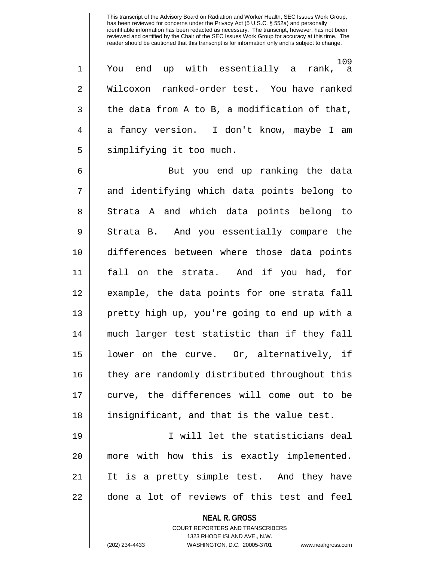109  $1 \parallel$  You end up with essentially a rank, 2 Wilcoxon ranked-order test. You have ranked  $3 \parallel$  the data from A to B, a modification of that, 4 a fancy version. I don't know, maybe I am 5 | simplifying it too much.

6 But you end up ranking the data 7 || and identifying which data points belong to 8 Strata A and which data points belong to 9 Strata B. And you essentially compare the 10 differences between where those data points 11 fall on the strata. And if you had, for 12 example, the data points for one strata fall 13 pretty high up, you're going to end up with a 14 much larger test statistic than if they fall 15 lower on the curve. Or, alternatively, if 16 they are randomly distributed throughout this 17 curve, the differences will come out to be 18 insignificant, and that is the value test.

19 I will let the statisticians deal 20 more with how this is exactly implemented. 21 It is a pretty simple test. And they have 22 | done a lot of reviews of this test and feel

> **NEAL R. GROSS** COURT REPORTERS AND TRANSCRIBERS 1323 RHODE ISLAND AVE., N.W. (202) 234-4433 WASHINGTON, D.C. 20005-3701 www.nealrgross.com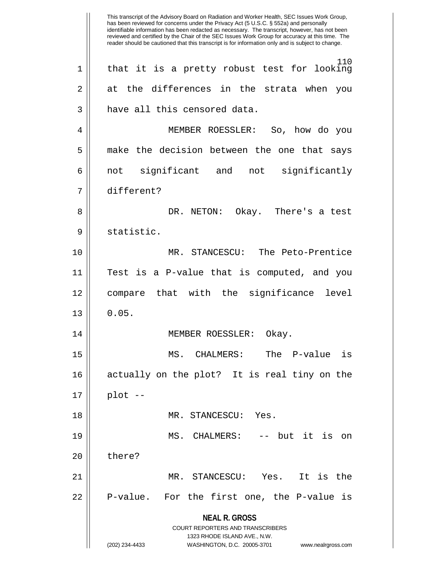**NEAL R. GROSS** COURT REPORTERS AND TRANSCRIBERS 1323 RHODE ISLAND AVE., N.W. (202) 234-4433 WASHINGTON, D.C. 20005-3701 www.nealrgross.com This transcript of the Advisory Board on Radiation and Worker Health, SEC Issues Work Group, has been reviewed for concerns under the Privacy Act (5 U.S.C. § 552a) and personally identifiable information has been redacted as necessary. The transcript, however, has not been reviewed and certified by the Chair of the SEC Issues Work Group for accuracy at this time. The reader should be cautioned that this transcript is for information only and is subject to change. 110 1 || that it is a pretty robust test for looking 2 at the differences in the strata when you 3 || have all this censored data. 4 MEMBER ROESSLER: So, how do you 5 || make the decision between the one that says 6 not significant and not significantly 7 different? 8 DR. NETON: Okay. There's a test 9 || statistic. 10 MR. STANCESCU: The Peto-Prentice 11 Test is a P-value that is computed, and you 12 compare that with the significance level  $13 \parallel 0.05$ . 14 || MEMBER ROESSLER: Okay. 15 MS. CHALMERS: The P-value is 16 actually on the plot? It is real tiny on the  $17 \parallel$  plot --18 MR. STANCESCU: Yes. 19 MS. CHALMERS: -- but it is on 20 | there? 21 MR. STANCESCU: Yes. It is the  $22$  | P-value. For the first one, the P-value is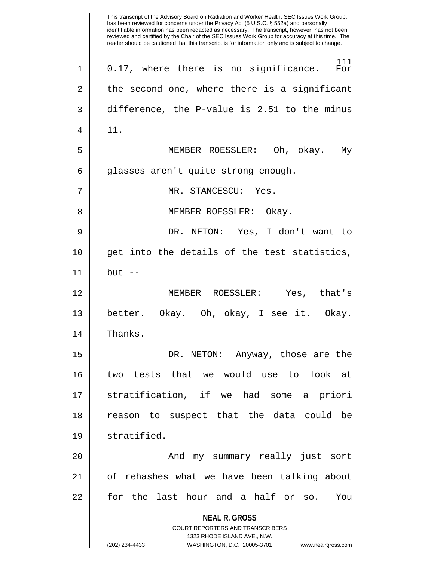**NEAL R. GROSS** COURT REPORTERS AND TRANSCRIBERS 1323 RHODE ISLAND AVE., N.W. (202) 234-4433 WASHINGTON, D.C. 20005-3701 www.nealrgross.com This transcript of the Advisory Board on Radiation and Worker Health, SEC Issues Work Group, has been reviewed for concerns under the Privacy Act (5 U.S.C. § 552a) and personally identifiable information has been redacted as necessary. The transcript, however, has not been reviewed and certified by the Chair of the SEC Issues Work Group for accuracy at this time. The reader should be cautioned that this transcript is for information only and is subject to change. 111<br>For  $1 \parallel$  0.17, where there is no significance.  $2 \parallel$  the second one, where there is a significant 3 difference, the P-value is 2.51 to the minus  $4 \parallel 11.$ 5 MEMBER ROESSLER: Oh, okay. My 6 || glasses aren't quite strong enough. 7 MR. STANCESCU: Yes. 8 || MEMBER ROESSLER: Okay. 9 DR. NETON: Yes, I don't want to 10 || qet into the details of the test statistics, 11 but -- 12 MEMBER ROESSLER: Yes, that's 13 better. Okay. Oh, okay, I see it. Okay. 14 | Thanks. 15 DR. NETON: Anyway, those are the 16 two tests that we would use to look at 17 stratification, if we had some a priori 18 reason to suspect that the data could be 19 stratified. 20 || The Mondaw Summary really just sort 21 of rehashes what we have been talking about 22 for the last hour and a half or so. You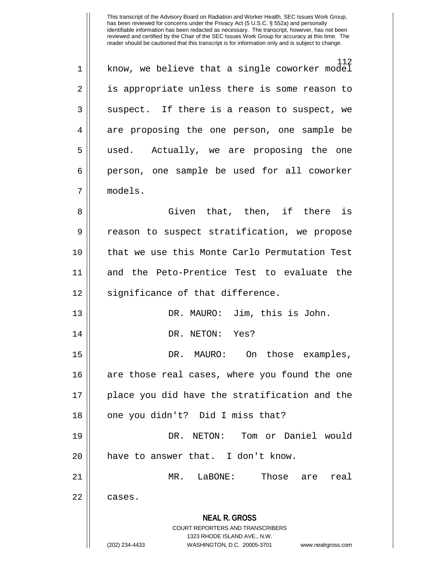112 1 || know, we believe that a single coworker model 2 || is appropriate unless there is some reason to  $3 \parallel$  suspect. If there is a reason to suspect, we 4 are proposing the one person, one sample be 5 used. Actually, we are proposing the one 6 || person, one sample be used for all coworker 7 models. 8 Given that, then, if there is 9 | reason to suspect stratification, we propose 10 that we use this Monte Carlo Permutation Test 11 and the Peto-Prentice Test to evaluate the

12 || significance of that difference.

13 DR. MAURO: Jim, this is John. 14 || DR. NETON: Yes? 15 DR. MAURO: On those examples,

16 || are those real cases, where you found the one 17 || place you did have the stratification and the 18 || one you didn't? Did I miss that?

19 DR. NETON: Tom or Daniel would 20 || have to answer that. I don't know.

21 MR. LaBONE: Those are real 22 ll cases.

## **NEAL R. GROSS** COURT REPORTERS AND TRANSCRIBERS

1323 RHODE ISLAND AVE., N.W.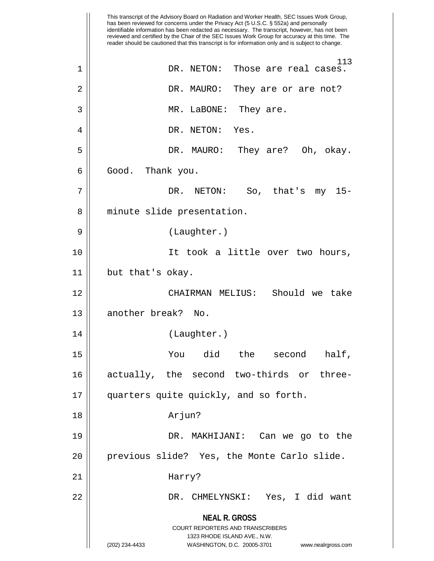|    | This transcript of the Advisory Board on Radiation and Worker Health, SEC Issues Work Group,<br>has been reviewed for concerns under the Privacy Act (5 U.S.C. § 552a) and personally<br>identifiable information has been redacted as necessary. The transcript, however, has not been<br>reviewed and certified by the Chair of the SEC Issues Work Group for accuracy at this time. The<br>reader should be cautioned that this transcript is for information only and is subject to change. |
|----|-------------------------------------------------------------------------------------------------------------------------------------------------------------------------------------------------------------------------------------------------------------------------------------------------------------------------------------------------------------------------------------------------------------------------------------------------------------------------------------------------|
| 1  | 113<br>Those are real cases.<br>DR. NETON:                                                                                                                                                                                                                                                                                                                                                                                                                                                      |
| 2  | DR. MAURO:<br>They are or are not?                                                                                                                                                                                                                                                                                                                                                                                                                                                              |
| 3  | MR. LaBONE:<br>They are.                                                                                                                                                                                                                                                                                                                                                                                                                                                                        |
| 4  | DR. NETON:<br>Yes.                                                                                                                                                                                                                                                                                                                                                                                                                                                                              |
| 5  | DR. MAURO:<br>They are? Oh, okay.                                                                                                                                                                                                                                                                                                                                                                                                                                                               |
| 6  | Good.<br>Thank you.                                                                                                                                                                                                                                                                                                                                                                                                                                                                             |
| 7  | DR.<br>NETON:<br>So, that's my<br>$15 -$                                                                                                                                                                                                                                                                                                                                                                                                                                                        |
| 8  | minute slide presentation.                                                                                                                                                                                                                                                                                                                                                                                                                                                                      |
| 9  | (Laughter.)                                                                                                                                                                                                                                                                                                                                                                                                                                                                                     |
| 10 | It took a little over two hours,                                                                                                                                                                                                                                                                                                                                                                                                                                                                |
| 11 | but that's okay.                                                                                                                                                                                                                                                                                                                                                                                                                                                                                |
| 12 | Should we take<br>CHAIRMAN MELIUS:                                                                                                                                                                                                                                                                                                                                                                                                                                                              |
| 13 | another break? No.                                                                                                                                                                                                                                                                                                                                                                                                                                                                              |
| 14 | (Laughter.)                                                                                                                                                                                                                                                                                                                                                                                                                                                                                     |
| 15 | You did the second<br>half,                                                                                                                                                                                                                                                                                                                                                                                                                                                                     |
| 16 | actually, the second two-thirds or three-                                                                                                                                                                                                                                                                                                                                                                                                                                                       |
| 17 | quarters quite quickly, and so forth.                                                                                                                                                                                                                                                                                                                                                                                                                                                           |
| 18 | Arjun?                                                                                                                                                                                                                                                                                                                                                                                                                                                                                          |
| 19 | DR. MAKHIJANI: Can we go to the                                                                                                                                                                                                                                                                                                                                                                                                                                                                 |
| 20 | previous slide? Yes, the Monte Carlo slide.                                                                                                                                                                                                                                                                                                                                                                                                                                                     |
| 21 | Harry?                                                                                                                                                                                                                                                                                                                                                                                                                                                                                          |
| 22 | DR. CHMELYNSKI: Yes, I did want                                                                                                                                                                                                                                                                                                                                                                                                                                                                 |
|    | <b>NEAL R. GROSS</b><br>COURT REPORTERS AND TRANSCRIBERS<br>1323 RHODE ISLAND AVE., N.W.<br>(202) 234-4433<br>WASHINGTON, D.C. 20005-3701<br>www.nealrgross.com                                                                                                                                                                                                                                                                                                                                 |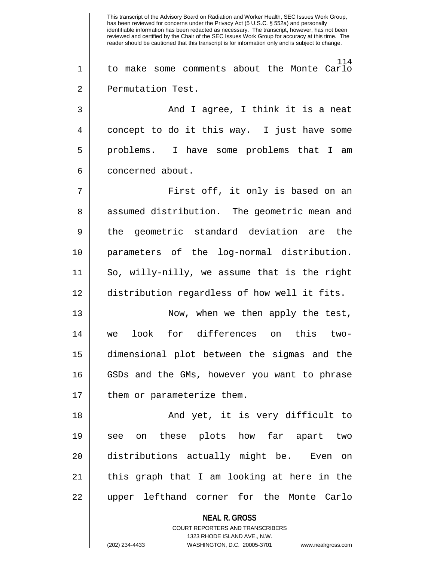**NEAL R. GROSS** COURT REPORTERS AND TRANSCRIBERS This transcript of the Advisory Board on Radiation and Worker Health, SEC Issues Work Group, has been reviewed for concerns under the Privacy Act (5 U.S.C. § 552a) and personally identifiable information has been redacted as necessary. The transcript, however, has not been reviewed and certified by the Chair of the SEC Issues Work Group for accuracy at this time. The reader should be cautioned that this transcript is for information only and is subject to change. 114 1 to make some comments about the Monte Carlo 2 | Permutation Test. 3 And I agree, I think it is a neat 4 concept to do it this way. I just have some 5 problems. I have some problems that I am 6 | concerned about. 7 First off, it only is based on an 8 || assumed distribution. The geometric mean and 9 the geometric standard deviation are the 10 parameters of the log-normal distribution. 11 So, willy-nilly, we assume that is the right 12 distribution regardless of how well it fits. 13 Now, when we then apply the test, 14 we look for differences on this two-15 dimensional plot between the sigmas and the 16 || GSDs and the GMs, however you want to phrase 17 || them or parameterize them. 18 And yet, it is very difficult to 19 see on these plots how far apart two 20 || distributions actually might be. Even on 21 || this graph that I am looking at here in the 22 upper lefthand corner for the Monte Carlo

1323 RHODE ISLAND AVE., N.W.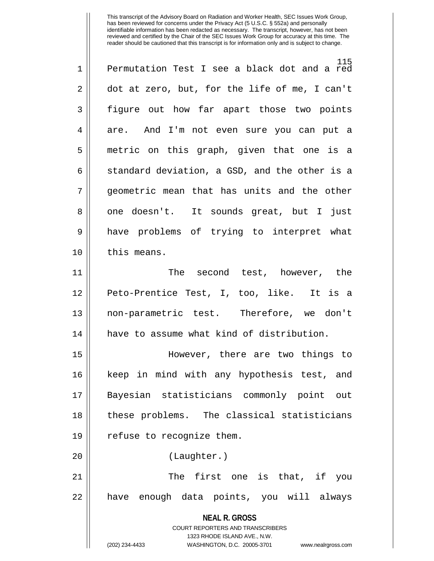| $\mathbf 1$    | 115<br>Permutation Test I see a black dot and a red                 |
|----------------|---------------------------------------------------------------------|
| $\overline{2}$ | dot at zero, but, for the life of me, I can't                       |
| 3              | figure out how far apart those two points                           |
| 4              | are. And I'm not even sure you can put a                            |
| 5              | metric on this graph, given that one is a                           |
| 6              | standard deviation, a GSD, and the other is a                       |
| 7              | geometric mean that has units and the other                         |
| 8              | one doesn't. It sounds great, but I just                            |
| $\mathsf 9$    | have problems of trying to interpret what                           |
| 10             | this means.                                                         |
| 11             | The second test, however, the                                       |
| 12             | Peto-Prentice Test, I, too, like. It is a                           |
| 13             | non-parametric test. Therefore, we don't                            |
| 14             | have to assume what kind of distribution.                           |
| 15             | However, there are two things to                                    |
| 16             | keep in mind with any hypothesis test, and                          |
| 17             | Bayesian statisticians commonly point out                           |
| 18             | these problems. The classical statisticians                         |
| 19             | refuse to recognize them.                                           |
| 20             | (Laughter.)                                                         |
| 21             | The first one is that, if you                                       |
| 22             | have enough data points, you will always                            |
|                | <b>NEAL R. GROSS</b>                                                |
|                | <b>COURT REPORTERS AND TRANSCRIBERS</b>                             |
|                | 1323 RHODE ISLAND AVE., N.W.                                        |
|                | (202) 234-4433<br>WASHINGTON, D.C. 20005-3701<br>www.nealrgross.com |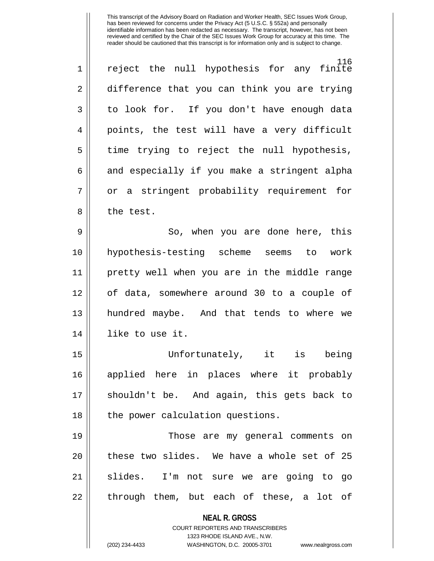| $\mathbf 1$    | 116<br>reject the null hypothesis for any finite                        |
|----------------|-------------------------------------------------------------------------|
|                |                                                                         |
| $\overline{2}$ | difference that you can think you are trying                            |
| 3              | to look for. If you don't have enough data                              |
| 4              | points, the test will have a very difficult                             |
| 5              | time trying to reject the null hypothesis,                              |
| 6              | and especially if you make a stringent alpha                            |
| 7              | or a stringent probability requirement for                              |
| 8              | the test.                                                               |
| 9              | So, when you are done here, this                                        |
| 10             | hypothesis-testing scheme seems to work                                 |
| 11             | pretty well when you are in the middle range                            |
| 12             | of data, somewhere around 30 to a couple of                             |
| 13             | hundred maybe. And that tends to where we                               |
| 14             | like to use it.                                                         |
| 15             | Unfortunately, it is<br>being                                           |
| 16             | applied here in places where it probably                                |
| 17             | shouldn't be. And again, this gets back to                              |
| 18             | the power calculation questions.                                        |
| 19             | Those are my general comments on                                        |
| 20             | these two slides. We have a whole set of 25                             |
| 21             | slides.<br>I'm not sure we are going to<br>go                           |
| 22             | through them, but each of these, a lot of                               |
|                |                                                                         |
|                | <b>NEAL R. GROSS</b>                                                    |
|                | <b>COURT REPORTERS AND TRANSCRIBERS</b><br>1323 RHODE ISLAND AVE., N.W. |
|                | (202) 234-4433<br>WASHINGTON, D.C. 20005-3701<br>www.nealrgross.com     |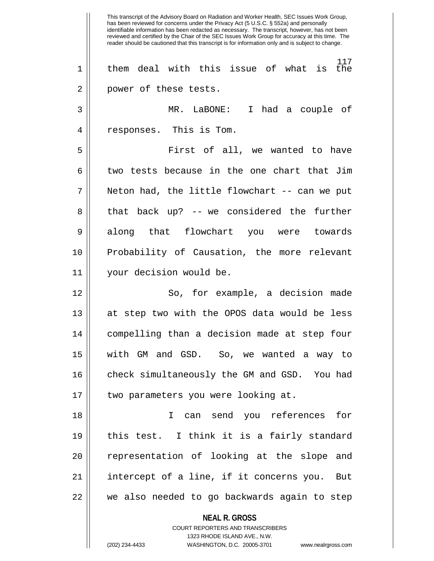**NEAL R. GROSS** COURT REPORTERS AND TRANSCRIBERS 1323 RHODE ISLAND AVE., N.W. This transcript of the Advisory Board on Radiation and Worker Health, SEC Issues Work Group, has been reviewed for concerns under the Privacy Act (5 U.S.C. § 552a) and personally identifiable information has been redacted as necessary. The transcript, however, has not been reviewed and certified by the Chair of the SEC Issues Work Group for accuracy at this time. The reader should be cautioned that this transcript is for information only and is subject to change. 117 1 them deal with this issue of what is the 2 || power of these tests. 3 MR. LaBONE: I had a couple of 4 || responses. This is Tom. 5 First of all, we wanted to have  $6 \parallel$  two tests because in the one chart that Jim  $7 \parallel$  Neton had, the little flowchart -- can we put  $8 \parallel$  that back up? -- we considered the further 9 along that flowchart you were towards 10 Probability of Causation, the more relevant 11 your decision would be. 12 So, for example, a decision made 13 at step two with the OPOS data would be less 14 compelling than a decision made at step four 15 with GM and GSD. So, we wanted a way to 16 || check simultaneously the GM and GSD. You had 17 || two parameters you were looking at. 18 I can send you references for 19 this test. I think it is a fairly standard 20 || representation of looking at the slope and 21 intercept of a line, if it concerns you. But 22 we also needed to go backwards again to step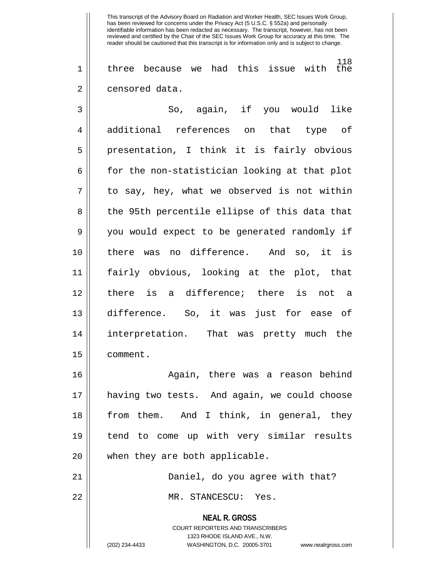118 1 three because we had this issue with the 2 | censored data.

3 So, again, if you would like 4 additional references on that type of 5 || presentation, I think it is fairly obvious  $6 \parallel$  for the non-statistician looking at that plot  $7 \parallel$  to say, hey, what we observed is not within 8 || the 95th percentile ellipse of this data that 9 you would expect to be generated randomly if 10 there was no difference. And so, it is 11 fairly obvious, looking at the plot, that 12 there is a difference; there is not a 13 difference. So, it was just for ease of 14 interpretation. That was pretty much the 15 comment.

16 Again, there was a reason behind 17 having two tests. And again, we could choose 18 from them. And I think, in general, they 19 tend to come up with very similar results 20 || when they are both applicable.

21 Daniel, do you agree with that? 22 || MR. STANCESCU: Yes.

> **NEAL R. GROSS** COURT REPORTERS AND TRANSCRIBERS 1323 RHODE ISLAND AVE., N.W.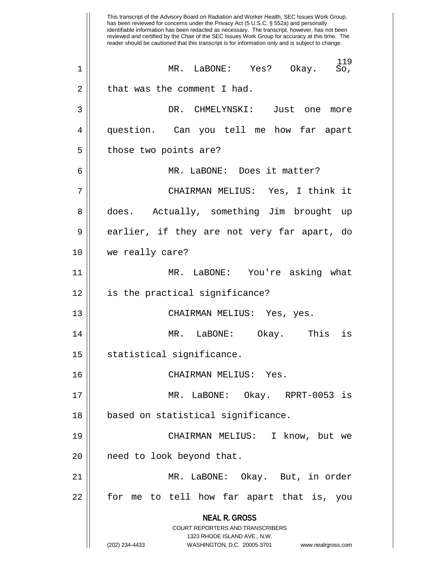**NEAL R. GROSS** COURT REPORTERS AND TRANSCRIBERS 1323 RHODE ISLAND AVE., N.W. (202) 234-4433 WASHINGTON, D.C. 20005-3701 www.nealrgross.com This transcript of the Advisory Board on Radiation and Worker Health, SEC Issues Work Group, has been reviewed for concerns under the Privacy Act (5 U.S.C. § 552a) and personally identifiable information has been redacted as necessary. The transcript, however, has not been reviewed and certified by the Chair of the SEC Issues Work Group for accuracy at this time. The reader should be cautioned that this transcript is for information only and is subject to change.  $^{119}_{\text{SO}}$ 1 MR. LaBONE: Yes? Okay. So,  $2 \parallel$  that was the comment I had. 3 DR. CHMELYNSKI: Just one more 4 question. Can you tell me how far apart  $5$  | those two points are? 6 MR. LaBONE: Does it matter? 7 CHAIRMAN MELIUS: Yes, I think it 8 || does. Actually, something Jim brought up 9 earlier, if they are not very far apart, do 10 we really care? 11 MR. LaBONE: You're asking what 12 is the practical significance? 13 CHAIRMAN MELIUS: Yes, yes. 14 MR. LaBONE: Okay. This is  $15$  statistical significance. 16 CHAIRMAN MELIUS: Yes. 17 MR. LaBONE: Okay. RPRT-0053 is 18 based on statistical significance. 19 CHAIRMAN MELIUS: I know, but we 20 || need to look beyond that. 21 MR. LaBONE: Okay. But, in order 22 for me to tell how far apart that is, you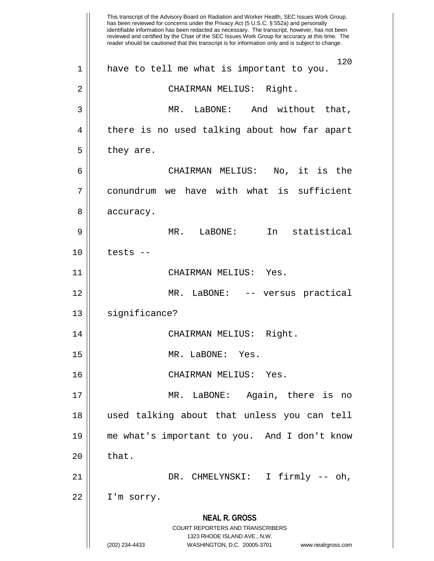**NEAL R. GROSS** COURT REPORTERS AND TRANSCRIBERS 1323 RHODE ISLAND AVE., N.W. (202) 234-4433 WASHINGTON, D.C. 20005-3701 www.nealrgross.com This transcript of the Advisory Board on Radiation and Worker Health, SEC Issues Work Group, has been reviewed for concerns under the Privacy Act (5 U.S.C. § 552a) and personally identifiable information has been redacted as necessary. The transcript, however, has not been reviewed and certified by the Chair of the SEC Issues Work Group for accuracy at this time. The reader should be cautioned that this transcript is for information only and is subject to change. 120 1 || have to tell me what is important to you. 2 || CHAIRMAN MELIUS: Right. 3 MR. LaBONE: And without that, 4 || there is no used talking about how far apart  $5 \parallel$  they are. 6 CHAIRMAN MELIUS: No, it is the 7 conundrum we have with what is sufficient 8 | accuracy. 9 MR. LaBONE: In statistical  $10 \parallel$  tests --11 CHAIRMAN MELIUS: Yes. 12 MR. LaBONE: -- versus practical 13 || significance? 14 CHAIRMAN MELIUS: Right. 15 MR. LaBONE: Yes. 16 CHAIRMAN MELIUS: Yes. 17 MR. LaBONE: Again, there is no 18 used talking about that unless you can tell 19 me what's important to you. And I don't know  $20$  | that. 21 DR. CHMELYNSKI: I firmly -- oh, 22 I'm sorry.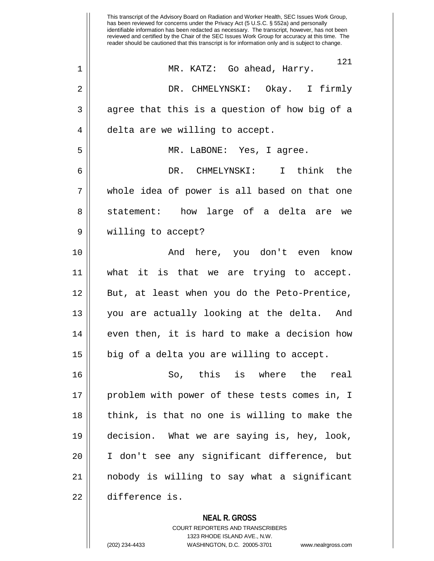**NEAL R. GROSS** This transcript of the Advisory Board on Radiation and Worker Health, SEC Issues Work Group, has been reviewed for concerns under the Privacy Act (5 U.S.C. § 552a) and personally identifiable information has been redacted as necessary. The transcript, however, has not been reviewed and certified by the Chair of the SEC Issues Work Group for accuracy at this time. The reader should be cautioned that this transcript is for information only and is subject to change. 121 1 MR. KATZ: Go ahead, Harry. 2 DR. CHMELYNSKI: Okay. I firmly  $3 \parallel$  agree that this is a question of how big of a 4 | delta are we willing to accept. 5 MR. LaBONE: Yes, I agree. 6 DR. CHMELYNSKI: I think the 7 whole idea of power is all based on that one 8 || statement: how large of a delta are we 9 willing to accept? 10 And here, you don't even know 11 what it is that we are trying to accept. 12 || But, at least when you do the Peto-Prentice, 13 || you are actually looking at the delta. And  $14$   $\parallel$  even then, it is hard to make a decision how  $15$  | big of a delta you are willing to accept. 16 So, this is where the real 17 || problem with power of these tests comes in, I 18 || think, is that no one is willing to make the 19 decision. What we are saying is, hey, look, 20 I don't see any significant difference, but 21 nobody is willing to say what a significant 22 difference is.

> COURT REPORTERS AND TRANSCRIBERS 1323 RHODE ISLAND AVE., N.W.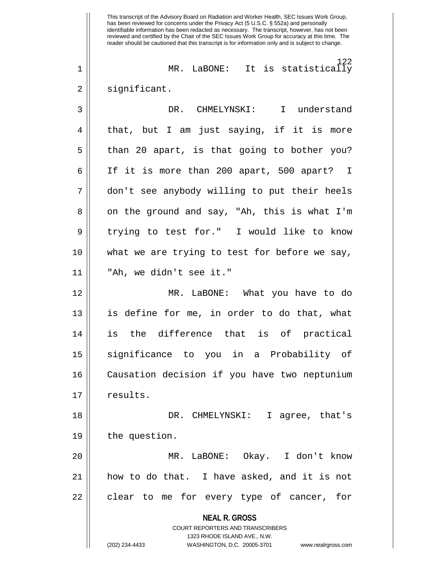**NEAL R. GROSS** COURT REPORTERS AND TRANSCRIBERS 1323 RHODE ISLAND AVE., N.W. (202) 234-4433 WASHINGTON, D.C. 20005-3701 www.nealrgross.com This transcript of the Advisory Board on Radiation and Worker Health, SEC Issues Work Group, has been reviewed for concerns under the Privacy Act (5 U.S.C. § 552a) and personally identifiable information has been redacted as necessary. The transcript, however, has not been reviewed and certified by the Chair of the SEC Issues Work Group for accuracy at this time. The reader should be cautioned that this transcript is for information only and is subject to change. 122 1 || MR. LaBONE: It is statistically 2 | significant. 3 DR. CHMELYNSKI: I understand 4 || that, but I am just saying, if it is more  $5 \parallel$  than 20 apart, is that going to bother you? 6 || If it is more than 200 apart, 500 apart? I 7 don't see anybody willing to put their heels 8 || on the ground and say, "Ah, this is what I'm 9 || trying to test for." I would like to know 10 || what we are trying to test for before we say, 11 "Ah, we didn't see it." 12 MR. LaBONE: What you have to do 13 is define for me, in order to do that, what 14 is the difference that is of practical 15 significance to you in a Probability of 16 Causation decision if you have two neptunium 17 || results. 18 DR. CHMELYNSKI: I agree, that's 19 | the question. 20 MR. LaBONE: Okay. I don't know 21 how to do that. I have asked, and it is not 22 || clear to me for every type of cancer, for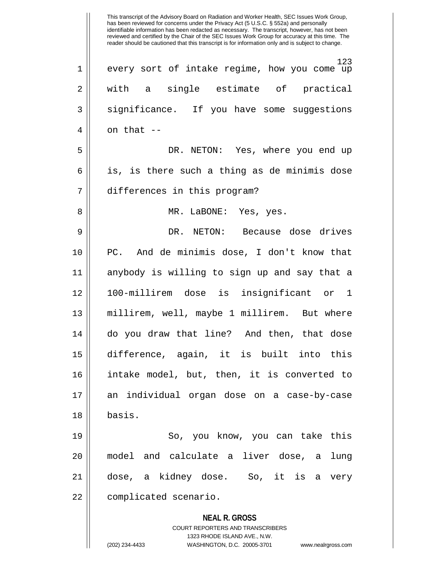**NEAL R. GROSS** COURT REPORTERS AND TRANSCRIBERS 1323 RHODE ISLAND AVE., N.W. (202) 234-4433 WASHINGTON, D.C. 20005-3701 www.nealrgross.com 123 1 || every sort of intake regime, how you come up 2 || with a single estimate of practical 3 || significance. If you have some suggestions  $4 \parallel$  on that  $-$ 5 DR. NETON: Yes, where you end up  $6 \parallel$  is, is there such a thing as de minimis dose 7 differences in this program? 8 MR. LaBONE: Yes, yes. 9 DR. NETON: Because dose drives 10 PC. And de minimis dose, I don't know that 11 anybody is willing to sign up and say that a 12 100-millirem dose is insignificant or 1 13 millirem, well, maybe 1 millirem. But where 14 do you draw that line? And then, that dose 15 difference, again, it is built into this 16 intake model, but, then, it is converted to 17 an individual organ dose on a case-by-case 18 basis. 19 So, you know, you can take this 20 model and calculate a liver dose, a lung 21 dose, a kidney dose. So, it is a very 22 | complicated scenario.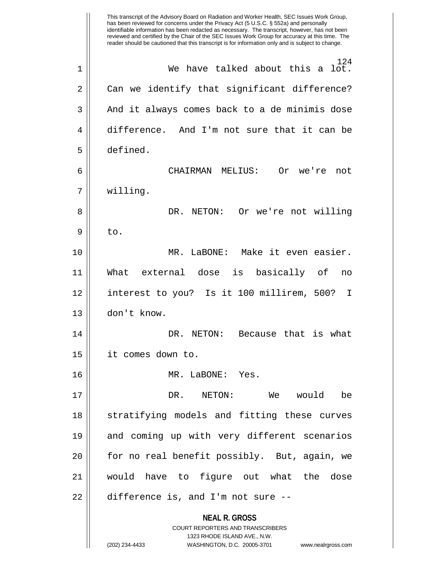**NEAL R. GROSS** COURT REPORTERS AND TRANSCRIBERS 1323 RHODE ISLAND AVE., N.W. (202) 234-4433 WASHINGTON, D.C. 20005-3701 www.nealrgross.com This transcript of the Advisory Board on Radiation and Worker Health, SEC Issues Work Group, has been reviewed for concerns under the Privacy Act (5 U.S.C. § 552a) and personally identifiable information has been redacted as necessary. The transcript, however, has not been reviewed and certified by the Chair of the SEC Issues Work Group for accuracy at this time. The reader should be cautioned that this transcript is for information only and is subject to change. 124 1 We have talked about this a lot. 2 | Can we identify that significant difference? 3 || And it always comes back to a de minimis dose 4 difference. And I'm not sure that it can be 5 defined. 6 CHAIRMAN MELIUS: Or we're not 7 willing. 8 DR. NETON: Or we're not willing  $9 \parallel$  to. 10 MR. LaBONE: Make it even easier. 11 What external dose is basically of no 12 interest to you? Is it 100 millirem, 500? I 13 don't know. 14 DR. NETON: Because that is what 15 it comes down to. 16 MR. LaBONE: Yes. 17 DR. NETON: We would be 18 || stratifying models and fitting these curves 19 || and coming up with very different scenarios  $20$  || for no real benefit possibly. But, again, we 21 would have to figure out what the dose  $22$  | difference is, and I'm not sure  $-$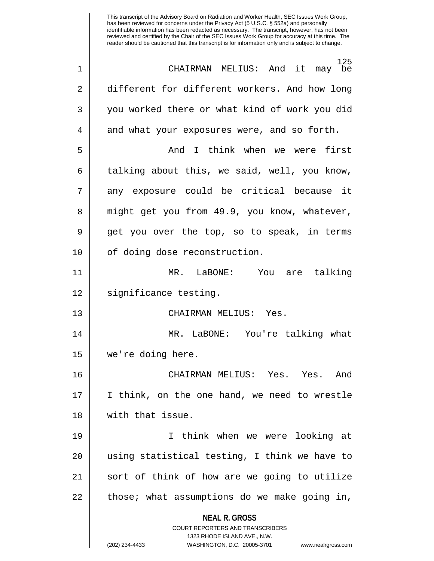**NEAL R. GROSS** COURT REPORTERS AND TRANSCRIBERS 1323 RHODE ISLAND AVE., N.W. has been reviewed for concerns under the Privacy Act (5 U.S.C. § 552a) and personally identifiable information has been redacted as necessary. The transcript, however, has not been reviewed and certified by the Chair of the SEC Issues Work Group for accuracy at this time. The reader should be cautioned that this transcript is for information only and is subject to change. 125 1 CHAIRMAN MELIUS: And it may be 2 different for different workers. And how long 3 || you worked there or what kind of work you did  $4 \parallel$  and what your exposures were, and so forth. 5 And I think when we were first  $6 \parallel$  talking about this, we said, well, you know, 7 any exposure could be critical because it 8 || might get you from 49.9, you know, whatever, 9 get you over the top, so to speak, in terms 10 || of doing dose reconstruction. 11 MR. LaBONE: You are talking 12 || significance testing. 13 CHAIRMAN MELIUS: Yes. 14 MR. LaBONE: You're talking what 15 we're doing here. 16 CHAIRMAN MELIUS: Yes. Yes. And 17 I think, on the one hand, we need to wrestle 18 with that issue. 19 I think when we were looking at 20 || using statistical testing, I think we have to 21 || sort of think of how are we going to utilize  $22$  | those; what assumptions do we make going in,

This transcript of the Advisory Board on Radiation and Worker Health, SEC Issues Work Group,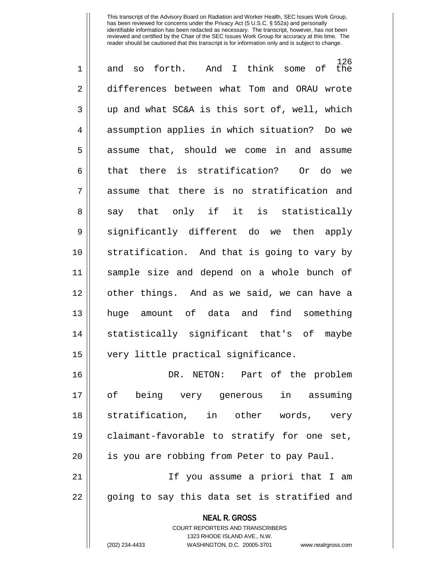| $\mathbf 1$ | 126<br>and so forth. And I think some of<br>the |
|-------------|-------------------------------------------------|
| 2           | differences between what Tom and ORAU wrote     |
| 3           | up and what SC&A is this sort of, well, which   |
| 4           | assumption applies in which situation? Do we    |
| 5           | assume that, should we come in and assume       |
| 6           | that there is stratification? Or do we          |
| 7           | assume that there is no stratification and      |
| 8           | say that only if it is statistically            |
| 9           | significantly different do we then apply        |
| 10          | stratification. And that is going to vary by    |
| 11          | sample size and depend on a whole bunch of      |
| 12          | other things. And as we said, we can have a     |
| 13          | huge amount of data and find something          |
| 14          | statistically significant that's of maybe       |
| 15          | very little practical significance.             |
| 16          | DR. NETON: Part of the problem                  |
| 17          | of being very generous in assuming              |
| 18          | stratification, in other words, very            |
| 19          | claimant-favorable to stratify for one set,     |
| 20          | is you are robbing from Peter to pay Paul.      |
| 21          | If you assume a priori that I am                |
| 22          | going to say this data set is stratified and    |
|             | <b>NEAL R. GROSS</b>                            |

COURT REPORTERS AND TRANSCRIBERS 1323 RHODE ISLAND AVE., N.W.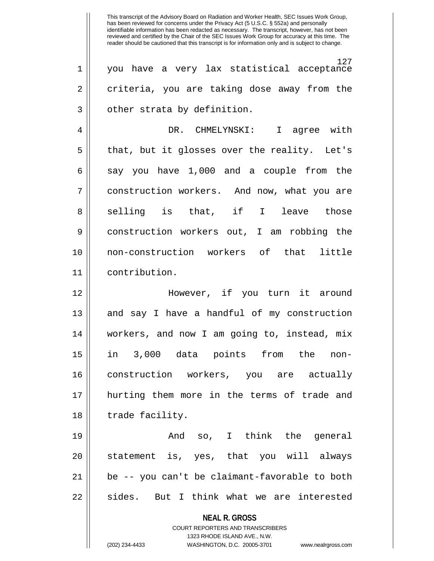**NEAL R. GROSS** COURT REPORTERS AND TRANSCRIBERS 127 1 you have a very lax statistical acceptance 2 criteria, you are taking dose away from the 3 || other strata by definition. 4 DR. CHMELYNSKI: I agree with  $5 \parallel$  that, but it glosses over the reality. Let's  $6 \parallel$  say you have 1,000 and a couple from the 7 construction workers. And now, what you are 8|| selling is that, if I leave those 9 || construction workers out, I am robbing the 10 non-construction workers of that little 11 contribution. 12 || However, if you turn it around 13 || and say I have a handful of my construction 14 workers, and now I am going to, instead, mix 15 in 3,000 data points from the non-16 construction workers, you are actually 17 hurting them more in the terms of trade and 18 || trade facility. 19 And so, I think the general 20 || statement is, yes, that you will always 21 be -- you can't be claimant-favorable to both 22 || sides. But I think what we are interested

1323 RHODE ISLAND AVE., N.W.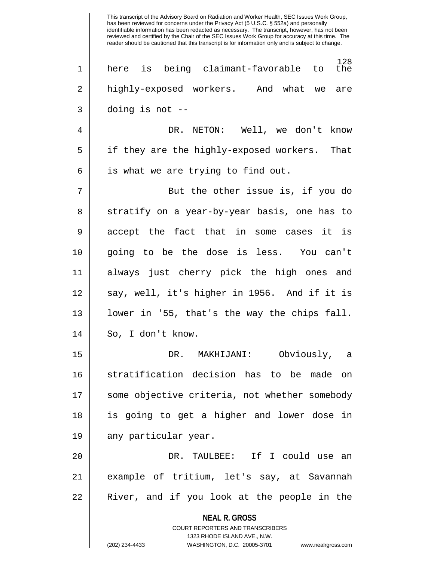**NEAL R. GROSS** COURT REPORTERS AND TRANSCRIBERS 1323 RHODE ISLAND AVE., N.W. 128<br>the 1 || here is being claimant-favorable to 2 || highly-exposed workers. And what we are  $3 \parallel$  doing is not --4 DR. NETON: Well, we don't know 5 || if they are the highly-exposed workers. That  $6 \parallel$  is what we are trying to find out. 7 But the other issue is, if you do 8 || stratify on a year-by-year basis, one has to 9 accept the fact that in some cases it is 10 going to be the dose is less. You can't 11 always just cherry pick the high ones and 12 || say, well, it's higher in 1956. And if it is 13 || lower in '55, that's the way the chips fall. 14 || So, I don't know. 15 DR. MAKHIJANI: Obviously, a 16 stratification decision has to be made on 17 some objective criteria, not whether somebody 18 is going to get a higher and lower dose in 19 || any particular year. 20 DR. TAULBEE: If I could use an 21 example of tritium, let's say, at Savannah 22 || River, and if you look at the people in the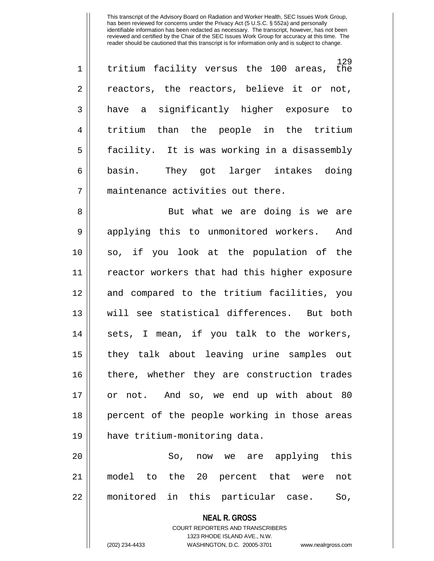129<br>the  $1 \parallel$  tritium facility versus the 100 areas, 2 || reactors, the reactors, believe it or not, 3 have a significantly higher exposure to 4 || tritium than the people in the tritium 5 facility. It is was working in a disassembly 6 || basin. They got larger intakes doing 7 | maintenance activities out there.

8 || But what we are doing is we are 9 || applying this to unmonitored workers. And 10 so, if you look at the population of the 11 reactor workers that had this higher exposure 12 and compared to the tritium facilities, you 13 will see statistical differences. But both 14 || sets, I mean, if you talk to the workers, 15 they talk about leaving urine samples out 16 there, whether they are construction trades 17 or not. And so, we end up with about 80 18 || percent of the people working in those areas 19 have tritium-monitoring data.

20 So, now we are applying this 21 model to the 20 percent that were not 22 monitored in this particular case. So,

> **NEAL R. GROSS** COURT REPORTERS AND TRANSCRIBERS 1323 RHODE ISLAND AVE., N.W. (202) 234-4433 WASHINGTON, D.C. 20005-3701 www.nealrgross.com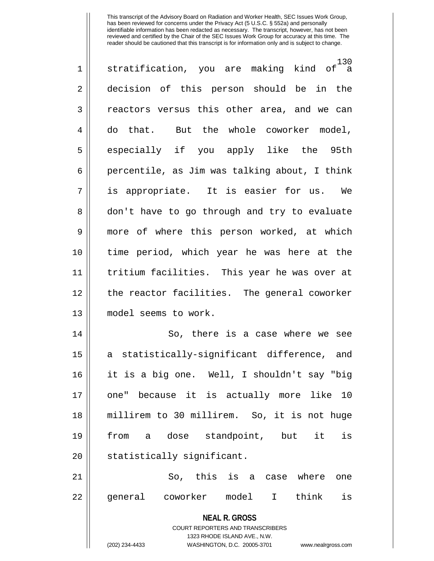| $\mathbf 1$    | 130<br>stratification, you are making kind of a                                                     |
|----------------|-----------------------------------------------------------------------------------------------------|
| $\overline{2}$ | decision of this person should be in the                                                            |
| 3              | reactors versus this other area, and we can                                                         |
| $\overline{4}$ | do that. But the whole coworker model,                                                              |
| 5              | especially if you apply like the 95th                                                               |
| 6              | percentile, as Jim was talking about, I think                                                       |
| 7              | is appropriate. It is easier for us. We                                                             |
| 8              | don't have to go through and try to evaluate                                                        |
| 9              | more of where this person worked, at which                                                          |
| 10             | time period, which year he was here at the                                                          |
| 11             | tritium facilities. This year he was over at                                                        |
| 12             | the reactor facilities. The general coworker                                                        |
| 13             | model seems to work.                                                                                |
| 14             | So, there is a case where we see                                                                    |
| 15             | a statistically-significant difference, and                                                         |
| 16             | it is a big one. Well, I shouldn't say "big                                                         |
| 17             | because it is actually more like 10<br>one"                                                         |
| 18             | millirem to 30 millirem. So, it is not huge                                                         |
| 19             | a dose standpoint, but<br>it<br>from<br>is                                                          |
| 20             | statistically significant.                                                                          |
| 21             | So, this is a case where<br>one                                                                     |
| 22             | general coworker model I think<br>is                                                                |
|                | <b>NEAL R. GROSS</b>                                                                                |
|                | <b>COURT REPORTERS AND TRANSCRIBERS</b>                                                             |
|                | 1323 RHODE ISLAND AVE., N.W.<br>(202) 234-4433<br>WASHINGTON, D.C. 20005-3701<br>www.nealrgross.com |
|                |                                                                                                     |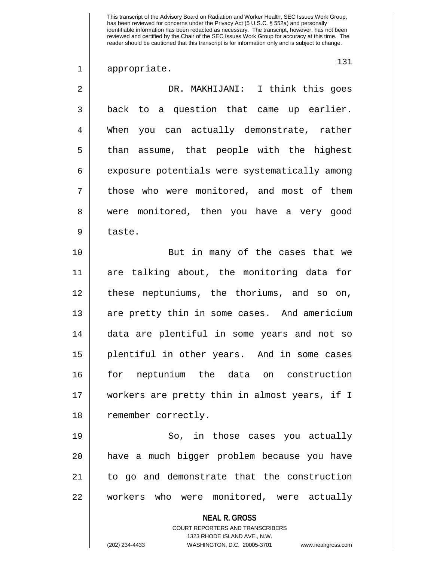1 appropriate.

131

| $\overline{2}$ | DR. MAKHIJANI: I think this goes                                                                                                                                       |
|----------------|------------------------------------------------------------------------------------------------------------------------------------------------------------------------|
| 3              | back to a question that came up earlier.                                                                                                                               |
| 4              | When you can actually demonstrate, rather                                                                                                                              |
| 5              | than assume, that people with the highest                                                                                                                              |
| 6              | exposure potentials were systematically among                                                                                                                          |
| 7              | those who were monitored, and most of them                                                                                                                             |
| 8              | were monitored, then you have a very good                                                                                                                              |
| 9              | taste.                                                                                                                                                                 |
| 10             | But in many of the cases that we                                                                                                                                       |
| 11             | are talking about, the monitoring data for                                                                                                                             |
| 12             | these neptuniums, the thoriums, and so on,                                                                                                                             |
| 13             | are pretty thin in some cases. And americium                                                                                                                           |
| 14             | data are plentiful in some years and not so                                                                                                                            |
| 15             | plentiful in other years. And in some cases                                                                                                                            |
| 16             | for neptunium the data on construction                                                                                                                                 |
| 17             | workers are pretty thin in almost years, if I                                                                                                                          |
| 18             | remember correctly.                                                                                                                                                    |
| 19             | So, in those cases you actually                                                                                                                                        |
| 20             | have a much bigger problem because you have                                                                                                                            |
| 21             | to go and demonstrate that the construction                                                                                                                            |
| 22             | workers who were monitored, were actually                                                                                                                              |
|                | <b>NEAL R. GROSS</b><br><b>COURT REPORTERS AND TRANSCRIBERS</b><br>1323 RHODE ISLAND AVE., N.W.<br>(202) 234-4433<br>WASHINGTON, D.C. 20005-3701<br>www.nealrgross.com |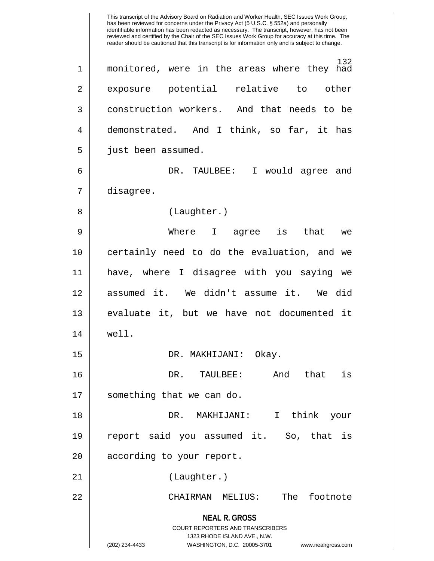**NEAL R. GROSS** COURT REPORTERS AND TRANSCRIBERS 1323 RHODE ISLAND AVE., N.W. (202) 234-4433 WASHINGTON, D.C. 20005-3701 www.nealrgross.com This transcript of the Advisory Board on Radiation and Worker Health, SEC Issues Work Group, has been reviewed for concerns under the Privacy Act (5 U.S.C. § 552a) and personally identifiable information has been redacted as necessary. The transcript, however, has not been reviewed and certified by the Chair of the SEC Issues Work Group for accuracy at this time. The reader should be cautioned that this transcript is for information only and is subject to change. 132 1 monitored, were in the areas where they had 2 exposure potential relative to other 3 construction workers. And that needs to be 4 demonstrated. And I think, so far, it has 5 | just been assumed. 6 DR. TAULBEE: I would agree and 7 disagree. 8 || (Laughter.) 9 Where I agree is that we 10 certainly need to do the evaluation, and we 11 have, where I disagree with you saying we 12 assumed it. We didn't assume it. We did 13 evaluate it, but we have not documented it 14 well. 15 DR. MAKHIJANI: Okay. 16 DR. TAULBEE: And that is 17 || something that we can do. 18 DR. MAKHIJANI: I think your 19 report said you assumed it. So, that is 20 || according to your report. 21 || (Laughter.) 22 CHAIRMAN MELIUS: The footnote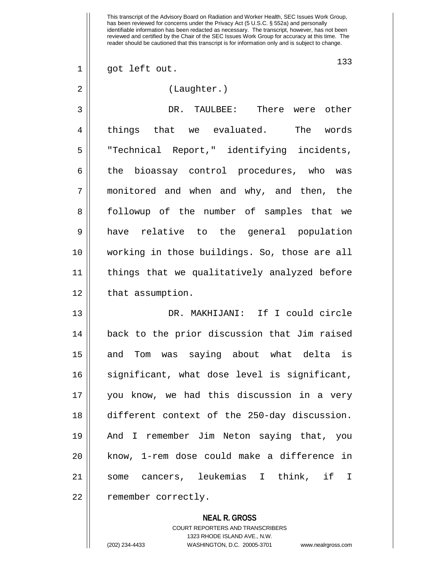1 || got left out.

## 2 || (Laughter.)

3 DR. TAULBEE: There were other 4 || things that we evaluated. The words 5 || "Technical Report," identifying incidents, 6 || the bioassay control procedures, who was 7 monitored and when and why, and then, the 8 || followup of the number of samples that we 9 have relative to the general population 10 working in those buildings. So, those are all 11 things that we qualitatively analyzed before 12 | that assumption.

13 DR. MAKHIJANI: If I could circle 14 back to the prior discussion that Jim raised 15 || and Tom was saying about what delta is 16 || significant, what dose level is significant, 17 you know, we had this discussion in a very 18 different context of the 250-day discussion. 19 And I remember Jim Neton saying that, you 20 || know, 1-rem dose could make a difference in 21 some cancers, leukemias I think, if I 22 | remember correctly.

> **NEAL R. GROSS** COURT REPORTERS AND TRANSCRIBERS 1323 RHODE ISLAND AVE., N.W. (202) 234-4433 WASHINGTON, D.C. 20005-3701 www.nealrgross.com

133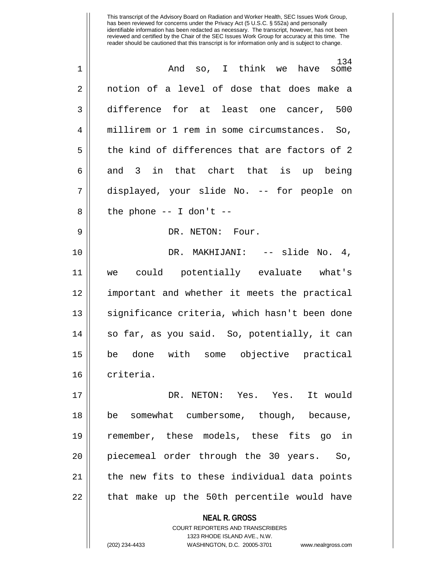| $\mathbf 1$    | 134<br>And so, I think we have<br>some                              |
|----------------|---------------------------------------------------------------------|
| $\overline{2}$ | notion of a level of dose that does make a                          |
| 3              | difference for at least one cancer, 500                             |
| 4              | millirem or 1 rem in some circumstances. So,                        |
| 5              | the kind of differences that are factors of 2                       |
| 6              | and 3 in that chart that is up being                                |
| 7              | displayed, your slide No. -- for people on                          |
| 8              | the phone $--$ I don't $--$                                         |
| 9              | DR. NETON: Four.                                                    |
| 10             | DR. MAKHIJANI: -- slide No. 4,                                      |
| 11             | we could potentially evaluate what's                                |
| 12             | important and whether it meets the practical                        |
| 13             | significance criteria, which hasn't been done                       |
| 14             | so far, as you said. So, potentially, it can                        |
| 15             | be done with some objective practical                               |
| 16             | criteria.                                                           |
| 17             | DR. NETON: Yes. Yes. It would                                       |
| 18             | be somewhat cumbersome, though, because,                            |
| 19             | remember, these models, these fits go in                            |
|                |                                                                     |
| 20             | piecemeal order through the 30 years. So,                           |
| 21             | the new fits to these individual data points                        |
| 22             | that make up the 50th percentile would have                         |
|                | <b>NEAL R. GROSS</b><br><b>COURT REPORTERS AND TRANSCRIBERS</b>     |
|                | 1323 RHODE ISLAND AVE., N.W.                                        |
|                | (202) 234-4433<br>WASHINGTON, D.C. 20005-3701<br>www.nealrgross.com |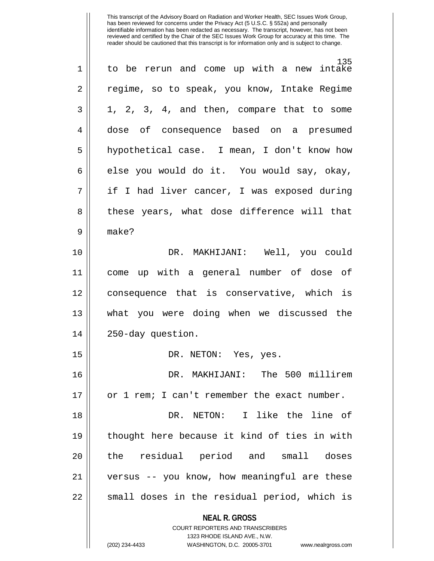| $\mathbf 1$ | 135<br>to be rerun and come up with a new intake                                                    |
|-------------|-----------------------------------------------------------------------------------------------------|
| 2           | regime, so to speak, you know, Intake Regime                                                        |
| 3           | 1, 2, 3, 4, and then, compare that to some                                                          |
| 4           | dose of consequence based on a presumed                                                             |
| 5           | hypothetical case. I mean, I don't know how                                                         |
| 6           | else you would do it. You would say, okay,                                                          |
| 7           | if I had liver cancer, I was exposed during                                                         |
| 8           | these years, what dose difference will that                                                         |
| 9           | make?                                                                                               |
| 10          | DR. MAKHIJANI: Well, you could                                                                      |
| 11          | come up with a general number of dose of                                                            |
| 12          | consequence that is conservative, which is                                                          |
| 13          | what you were doing when we discussed the                                                           |
| 14          | 250-day question.                                                                                   |
| 15          | DR. NETON: Yes, yes.                                                                                |
| 16          | DR. MAKHIJANI: The 500 millirem                                                                     |
| 17          | or 1 rem; I can't remember the exact number.                                                        |
| 18          | NETON: I like the line of<br>DR.                                                                    |
| 19          | thought here because it kind of ties in with                                                        |
| 20          | residual period and small<br>the<br>doses                                                           |
| 21          | versus -- you know, how meaningful are these                                                        |
| 22          | small doses in the residual period, which is                                                        |
|             | <b>NEAL R. GROSS</b>                                                                                |
|             | <b>COURT REPORTERS AND TRANSCRIBERS</b>                                                             |
|             | 1323 RHODE ISLAND AVE., N.W.<br>(202) 234-4433<br>WASHINGTON, D.C. 20005-3701<br>www.nealrgross.com |
|             |                                                                                                     |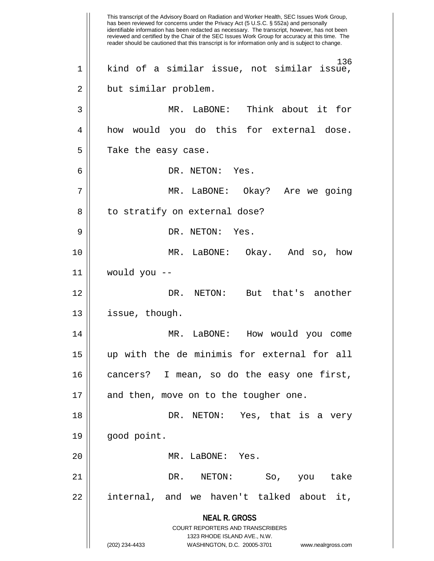**NEAL R. GROSS** COURT REPORTERS AND TRANSCRIBERS 1323 RHODE ISLAND AVE., N.W. (202) 234-4433 WASHINGTON, D.C. 20005-3701 www.nealrgross.com This transcript of the Advisory Board on Radiation and Worker Health, SEC Issues Work Group, has been reviewed for concerns under the Privacy Act (5 U.S.C. § 552a) and personally identifiable information has been redacted as necessary. The transcript, however, has not been reviewed and certified by the Chair of the SEC Issues Work Group for accuracy at this time. The reader should be cautioned that this transcript is for information only and is subject to change. 136 1 kind of a similar issue, not similar issue, 2 || but similar problem. 3 MR. LaBONE: Think about it for 4 how would you do this for external dose.  $5$  | Take the easy case. 6 DR. NETON: Yes. 7 || MR. LaBONE: Okay? Are we going 8 || to stratify on external dose? 9 || DR. NETON: Yes. 10 MR. LaBONE: Okay. And so, how 11 would you -- 12 DR. NETON: But that's another 13 | issue, though. 14 MR. LaBONE: How would you come 15 up with the de minimis for external for all 16 cancers? I mean, so do the easy one first, 17 || and then, move on to the tougher one. 18 DR. NETON: Yes, that is a very 19 good point. 20 MR. LaBONE: Yes. 21 DR. NETON: So, you take 22 || internal, and we haven't talked about it,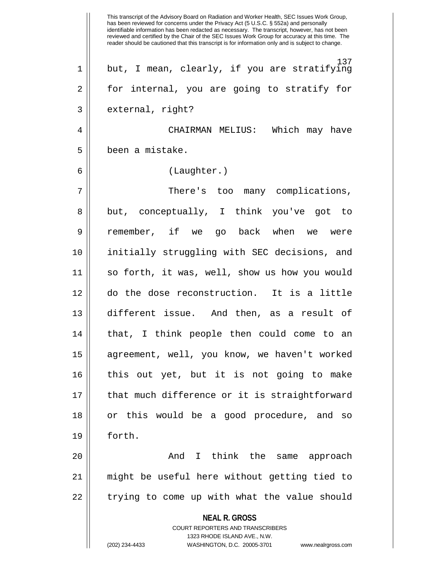**NEAL R. GROSS** COURT REPORTERS AND TRANSCRIBERS 1323 RHODE ISLAND AVE., N.W. (202) 234-4433 WASHINGTON, D.C. 20005-3701 www.nealrgross.com This transcript of the Advisory Board on Radiation and Worker Health, SEC Issues Work Group, has been reviewed for concerns under the Privacy Act (5 U.S.C. § 552a) and personally identifiable information has been redacted as necessary. The transcript, however, has not been reviewed and certified by the Chair of the SEC Issues Work Group for accuracy at this time. The reader should be cautioned that this transcript is for information only and is subject to change. 137 1 || but, I mean, clearly, if you are stratifying 2 || for internal, you are going to stratify for 3 || external, right? 4 CHAIRMAN MELIUS: Which may have 5 been a mistake. 6 (Laughter.) 7 || There's too many complications, 8 || but, conceptually, I think you've got to 9 remember, if we go back when we were 10 initially struggling with SEC decisions, and 11 so forth, it was, well, show us how you would 12 do the dose reconstruction. It is a little 13 different issue. And then, as a result of 14 that, I think people then could come to an 15 agreement, well, you know, we haven't worked 16 this out yet, but it is not going to make 17 || that much difference or it is straightforward 18 or this would be a good procedure, and so 19 forth. 20 || Think the same approach 21 might be useful here without getting tied to 22 || trying to come up with what the value should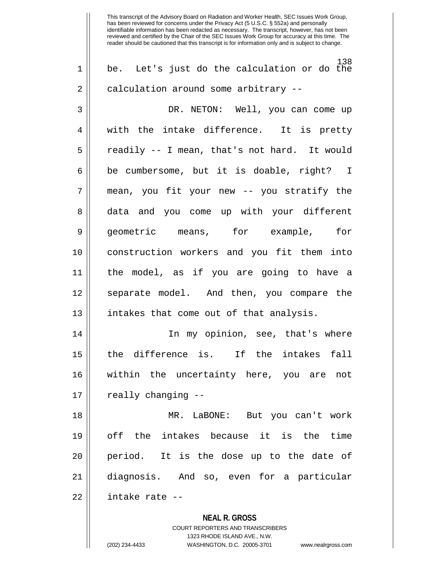138 1 be. Let's just do the calculation or do the 2 | calculation around some arbitrary --

3 DR. NETON: Well, you can come up 4 || with the intake difference. It is pretty  $5 \parallel$  readily -- I mean, that's not hard. It would  $6 \parallel$  be cumbersome, but it is doable, right? I 7 mean, you fit your new -- you stratify the 8 data and you come up with your different 9 geometric means, for example, for 10 construction workers and you fit them into 11 the model, as if you are going to have a 12 || separate model. And then, you compare the 13 || intakes that come out of that analysis.

14 || In my opinion, see, that's where 15 the difference is. If the intakes fall 16 within the uncertainty here, you are not 17 | really changing --

18 MR. LaBONE: But you can't work 19 off the intakes because it is the time 20 || period. It is the dose up to the date of 21 diagnosis. And so, even for a particular 22 intake rate --

> **NEAL R. GROSS** COURT REPORTERS AND TRANSCRIBERS 1323 RHODE ISLAND AVE., N.W. (202) 234-4433 WASHINGTON, D.C. 20005-3701 www.nealrgross.com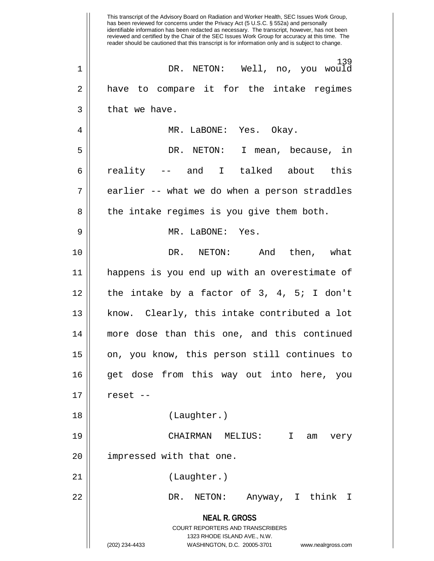**NEAL R. GROSS** COURT REPORTERS AND TRANSCRIBERS 1323 RHODE ISLAND AVE., N.W. (202) 234-4433 WASHINGTON, D.C. 20005-3701 www.nealrgross.com This transcript of the Advisory Board on Radiation and Worker Health, SEC Issues Work Group, has been reviewed for concerns under the Privacy Act (5 U.S.C. § 552a) and personally identifiable information has been redacted as necessary. The transcript, however, has not been reviewed and certified by the Chair of the SEC Issues Work Group for accuracy at this time. The reader should be cautioned that this transcript is for information only and is subject to change. 139 1 DR. NETON: Well, no, you would 2 || have to compare it for the intake regimes  $3 \parallel$  that we have. 4 MR. LaBONE: Yes. Okay. 5 DR. NETON: I mean, because, in 6 reality -- and I talked about this  $7 \parallel$  earlier -- what we do when a person straddles 8 || the intake regimes is you give them both. 9 MR. LaBONE: Yes. 10 DR. NETON: And then, what 11 happens is you end up with an overestimate of  $12$  | the intake by a factor of 3, 4, 5; I don't 13 || know. Clearly, this intake contributed a lot 14 more dose than this one, and this continued 15 || on, you know, this person still continues to 16 get dose from this way out into here, you  $17 \parallel$  reset --18 (Laughter.) 19 CHAIRMAN MELIUS: I am very 20 || impressed with that one. 21 || (Laughter.) 22 DR. NETON: Anyway, I think I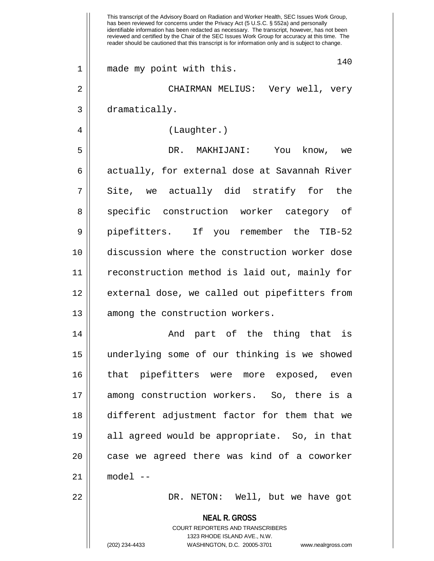|              | This transcript of the Advisory Board on Radiation and Worker Health, SEC Issues Work Group,<br>has been reviewed for concerns under the Privacy Act (5 U.S.C. § 552a) and personally<br>identifiable information has been redacted as necessary. The transcript, however, has not been<br>reviewed and certified by the Chair of the SEC Issues Work Group for accuracy at this time. The<br>reader should be cautioned that this transcript is for information only and is subject to change. |
|--------------|-------------------------------------------------------------------------------------------------------------------------------------------------------------------------------------------------------------------------------------------------------------------------------------------------------------------------------------------------------------------------------------------------------------------------------------------------------------------------------------------------|
| $\mathbf{1}$ | 140<br>made my point with this.                                                                                                                                                                                                                                                                                                                                                                                                                                                                 |
| 2            | CHAIRMAN MELIUS: Very well, very                                                                                                                                                                                                                                                                                                                                                                                                                                                                |
| 3            | dramatically.                                                                                                                                                                                                                                                                                                                                                                                                                                                                                   |
| 4            | (Laughter.)                                                                                                                                                                                                                                                                                                                                                                                                                                                                                     |
| 5            | DR. MAKHIJANI:<br>You<br>know,<br>we                                                                                                                                                                                                                                                                                                                                                                                                                                                            |
| 6            | actually, for external dose at Savannah River                                                                                                                                                                                                                                                                                                                                                                                                                                                   |
| 7            | Site, we actually did stratify for<br>the                                                                                                                                                                                                                                                                                                                                                                                                                                                       |
| 8            | specific construction worker category of                                                                                                                                                                                                                                                                                                                                                                                                                                                        |
| 9            | pipefitters. If you remember the TIB-52                                                                                                                                                                                                                                                                                                                                                                                                                                                         |
| 10           | discussion where the construction worker dose                                                                                                                                                                                                                                                                                                                                                                                                                                                   |
| 11           | reconstruction method is laid out, mainly for                                                                                                                                                                                                                                                                                                                                                                                                                                                   |
| 12           | external dose, we called out pipefitters from                                                                                                                                                                                                                                                                                                                                                                                                                                                   |
| 13           | among the construction workers.                                                                                                                                                                                                                                                                                                                                                                                                                                                                 |
| 14           | And part of the thing that is                                                                                                                                                                                                                                                                                                                                                                                                                                                                   |
| 15           | underlying some of our thinking is we showed                                                                                                                                                                                                                                                                                                                                                                                                                                                    |
| 16           | that pipefitters were more exposed, even                                                                                                                                                                                                                                                                                                                                                                                                                                                        |
| 17           | among construction workers. So, there is a                                                                                                                                                                                                                                                                                                                                                                                                                                                      |
| 18           | different adjustment factor for them that we                                                                                                                                                                                                                                                                                                                                                                                                                                                    |
| 19           | all agreed would be appropriate. So, in that                                                                                                                                                                                                                                                                                                                                                                                                                                                    |
| 20           | case we agreed there was kind of a coworker                                                                                                                                                                                                                                                                                                                                                                                                                                                     |
| 21           | $model$ --                                                                                                                                                                                                                                                                                                                                                                                                                                                                                      |
| 22           | DR. NETON: Well, but we have got                                                                                                                                                                                                                                                                                                                                                                                                                                                                |
|              | <b>NEAL R. GROSS</b><br>COURT REPORTERS AND TRANSCRIBERS<br>1323 RHODE ISLAND AVE., N.W.                                                                                                                                                                                                                                                                                                                                                                                                        |
|              | (202) 234-4433<br>WASHINGTON, D.C. 20005-3701<br>www.nealrgross.com                                                                                                                                                                                                                                                                                                                                                                                                                             |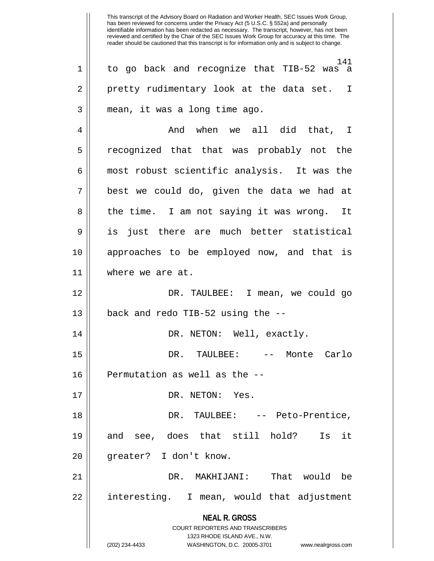**NEAL R. GROSS** COURT REPORTERS AND TRANSCRIBERS 1323 RHODE ISLAND AVE., N.W. (202) 234-4433 WASHINGTON, D.C. 20005-3701 www.nealrgross.com 141 1 to go back and recognize that TIB-52 was a 2 || pretty rudimentary look at the data set. I 3 mean, it was a long time ago. 4 And when we all did that, I 5 || recognized that that was probably not the 6 most robust scientific analysis. It was the  $7 \parallel$  best we could do, given the data we had at 8 || the time. I am not saying it was wrong. It 9 || is just there are much better statistical 10 approaches to be employed now, and that is 11 where we are at. 12 DR. TAULBEE: I mean, we could go  $13$  || back and redo TIB-52 using the  $-$ -14 DR. NETON: Well, exactly. 15 DR. TAULBEE: -- Monte Carlo 16 || Permutation as well as the --17 || DR. NETON: Yes. 18 DR. TAULBEE: -- Peto-Prentice, 19 and see, does that still hold? Is it 20 || qreater? I don't know. 21 DR. MAKHIJANI: That would be 22 || interesting. I mean, would that adjustment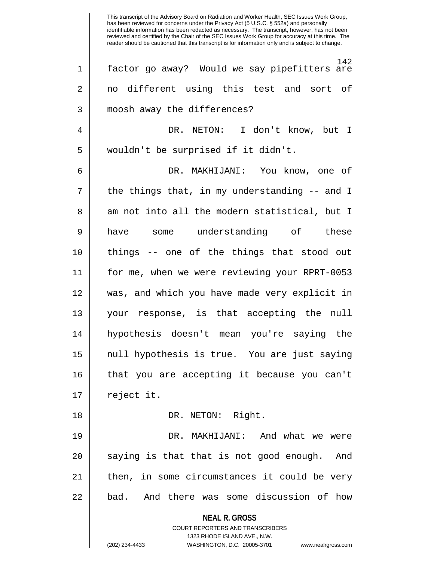**NEAL R. GROSS** COURT REPORTERS AND TRANSCRIBERS 1323 RHODE ISLAND AVE., N.W. (202) 234-4433 WASHINGTON, D.C. 20005-3701 www.nealrgross.com 142 1 factor go away? Would we say pipefitters are 2 || no different using this test and sort of 3 || moosh away the differences? 4 DR. NETON: I don't know, but I 5 wouldn't be surprised if it didn't. 6 DR. MAKHIJANI: You know, one of  $7 \parallel$  the things that, in my understanding -- and I 8 am not into all the modern statistical, but I 9 have some understanding of these 10 things -- one of the things that stood out 11 for me, when we were reviewing your RPRT-0053 12 was, and which you have made very explicit in 13 your response, is that accepting the null 14 hypothesis doesn't mean you're saying the 15 null hypothesis is true. You are just saying 16 that you are accepting it because you can't  $17 \parallel$  reject it. 18 || DR. NETON: Right. 19 DR. MAKHIJANI: And what we were  $20$  || saying is that that is not good enough. And 21 || then, in some circumstances it could be very 22 || bad. And there was some discussion of how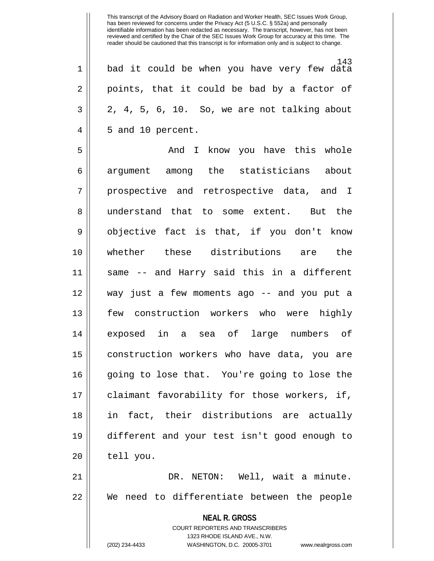143 1 bad it could be when you have very few data  $2 \parallel$  points, that it could be bad by a factor of  $3 \parallel 2, 4, 5, 6, 10$ . So, we are not talking about  $4 \parallel 5$  and 10 percent.

5 And I know you have this whole 6 argument among the statisticians about 7 || prospective and retrospective data, and I 8 || understand that to some extent. But the 9 || objective fact is that, if you don't know 10 whether these distributions are the 11 same -- and Harry said this in a different 12 way just a few moments ago -- and you put a 13 few construction workers who were highly 14 exposed in a sea of large numbers of 15 construction workers who have data, you are 16 going to lose that. You're going to lose the 17 || claimant favorability for those workers, if, 18 in fact, their distributions are actually 19 different and your test isn't good enough to  $20$  | tell you.

21 DR. NETON: Well, wait a minute. 22 We need to differentiate between the people

> **NEAL R. GROSS** COURT REPORTERS AND TRANSCRIBERS 1323 RHODE ISLAND AVE., N.W.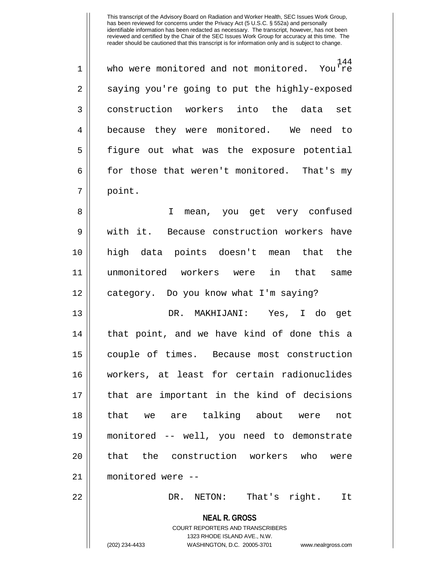144<br>You're 1 || who were monitored and not monitored.  $2 \parallel$  saying you're going to put the highly-exposed 3 construction workers into the data set 4 || because they were monitored. We need to 5 figure out what was the exposure potential  $6 \parallel$  for those that weren't monitored. That's my 7 point.

8 || I mean, you get very confused 9 Weith it. Because construction workers have 10 high data points doesn't mean that the 11 unmonitored workers were in that same 12 category. Do you know what I'm saying?

13 DR. MAKHIJANI: Yes, I do get 14 || that point, and we have kind of done this a 15 couple of times. Because most construction 16 workers, at least for certain radionuclides 17 that are important in the kind of decisions 18 that we are talking about were not 19 monitored -- well, you need to demonstrate 20 || that the construction workers who were 21 monitored were -- 22 DR. NETON: That's right. It

> **NEAL R. GROSS** COURT REPORTERS AND TRANSCRIBERS 1323 RHODE ISLAND AVE., N.W.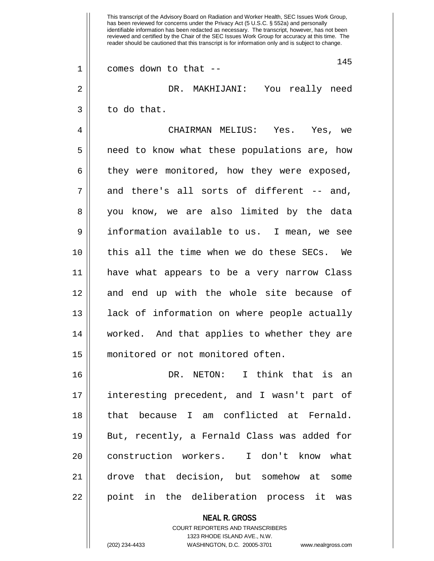**NEAL R. GROSS** COURT REPORTERS AND TRANSCRIBERS This transcript of the Advisory Board on Radiation and Worker Health, SEC Issues Work Group, has been reviewed for concerns under the Privacy Act (5 U.S.C. § 552a) and personally identifiable information has been redacted as necessary. The transcript, however, has not been reviewed and certified by the Chair of the SEC Issues Work Group for accuracy at this time. The reader should be cautioned that this transcript is for information only and is subject to change. 145  $1 \parallel$  comes down to that --2 DR. MAKHIJANI: You really need  $3 \parallel$  to do that. 4 CHAIRMAN MELIUS: Yes. Yes, we 5 | need to know what these populations are, how 6 | they were monitored, how they were exposed,  $7 \parallel$  and there's all sorts of different -- and, 8 || you know, we are also limited by the data 9 information available to us. I mean, we see 10 this all the time when we do these SECs. We 11 have what appears to be a very narrow Class 12 || and end up with the whole site because of 13 || lack of information on where people actually 14 worked. And that applies to whether they are 15 monitored or not monitored often. 16 DR. NETON: I think that is an 17 interesting precedent, and I wasn't part of 18 || that because I am conflicted at Fernald. 19 || But, recently, a Fernald Class was added for 20 || construction workers. I don't know what 21 drove that decision, but somehow at some 22 || point in the deliberation process it was

1323 RHODE ISLAND AVE., N.W.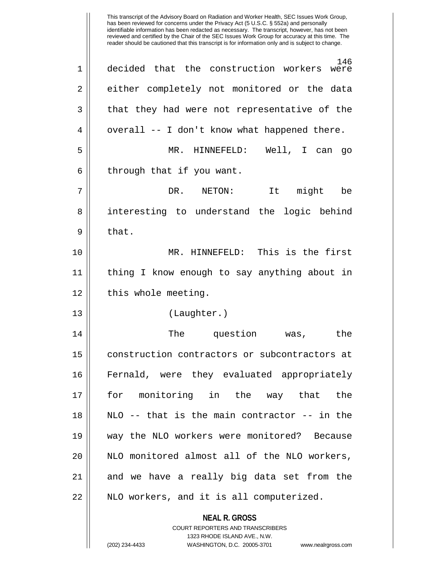**NEAL R. GROSS** COURT REPORTERS AND TRANSCRIBERS 1323 RHODE ISLAND AVE., N.W. 146 1 decided that the construction workers were 2 || either completely not monitored or the data  $3 \parallel$  that they had were not representative of the  $4 \parallel$  overall -- I don't know what happened there. 5 MR. HINNEFELD: Well, I can go  $6 \parallel$  through that if you want. 7 DR. NETON: It might be 8 || interesting to understand the logic behind  $9 \parallel$  that. 10 MR. HINNEFELD: This is the first 11 thing I know enough to say anything about in  $12$  | this whole meeting. 13 || (Laughter.) 14 The question was, the 15 construction contractors or subcontractors at 16 Fernald, were they evaluated appropriately 17 for monitoring in the way that the 18 NLO -- that is the main contractor -- in the 19 way the NLO workers were monitored? Because 20 || NLO monitored almost all of the NLO workers, 21 || and we have a really big data set from the 22 || NLO workers, and it is all computerized.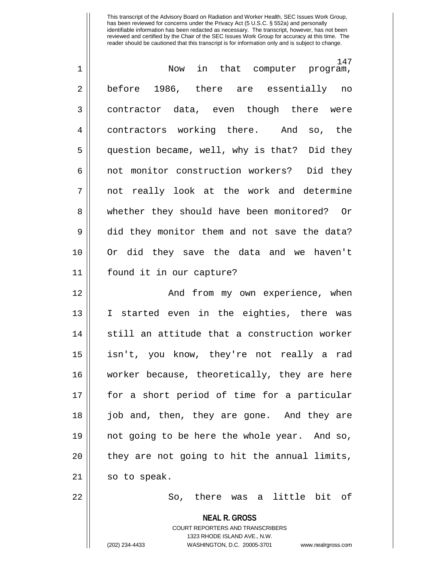| $\mathbf 1$    | 147<br>Now in that computer program,         |
|----------------|----------------------------------------------|
| 2              | before 1986, there are essentially no        |
| $\mathfrak{Z}$ | contractor data, even though there were      |
| 4              | contractors working there. And so, the       |
| 5              | question became, well, why is that? Did they |
| 6              | not monitor construction workers? Did they   |
| 7              | not really look at the work and determine    |
| 8              | whether they should have been monitored? Or  |
| $\mathsf 9$    | did they monitor them and not save the data? |
| 10             | Or did they save the data and we haven't     |
| 11             | found it in our capture?                     |
| 12             | And from my own experience, when             |
| 13             | I started even in the eighties, there was    |
| 14             | still an attitude that a construction worker |
| 15             | isn't, you know, they're not really a rad    |
| 16             | worker because, theoretically, they are here |
| 17             | for a short period of time for a particular  |
| 18             | job and, then, they are gone. And they are   |
| 19             | not going to be here the whole year. And so, |
| 20             | they are not going to hit the annual limits, |
| 21             | so to speak.                                 |

 $22$  || So, there was a little bit of

### **NEAL R. GROSS**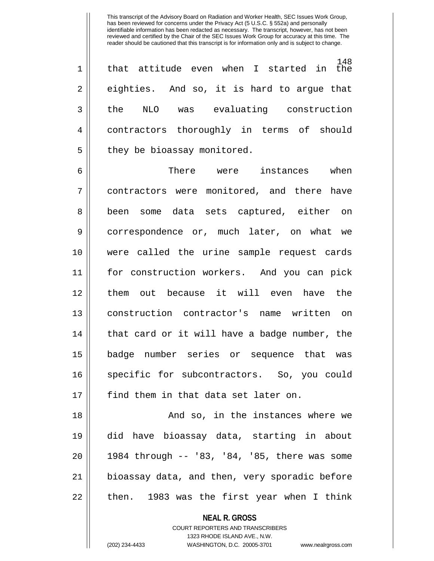148<br>started in the  $1 ||$  that attitude even when I  $2 \parallel$  eighties. And so, it is hard to argue that 3 the NLO was evaluating construction 4 contractors thoroughly in terms of should  $5$  | they be bioassay monitored.

6 There were instances when 7 contractors were monitored, and there have 8 || been some data sets captured, either on 9 correspondence or, much later, on what we 10 were called the urine sample request cards 11 for construction workers. And you can pick 12 them out because it will even have the 13 construction contractor's name written on 14 || that card or it will have a badge number, the 15 badge number series or sequence that was 16 || specific for subcontractors. So, you could 17 || find them in that data set later on.

18 And so, in the instances where we 19 did have bioassay data, starting in about 20 1984 through -- '83, '84, '85, there was some 21 bioassay data, and then, very sporadic before  $22$  || then. 1983 was the first year when I think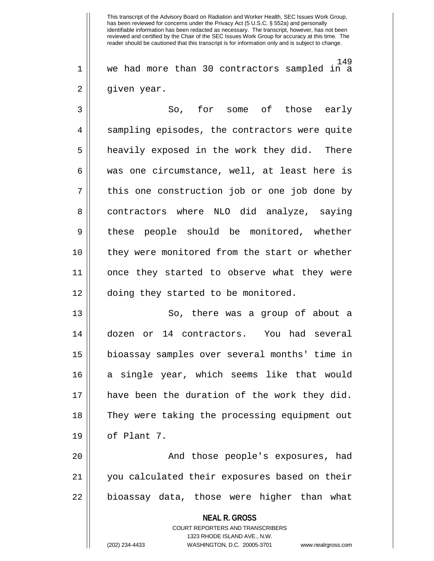149 1 we had more than 30 contractors sampled in a 2 || given year.

3 So, for some of those early 4 || sampling episodes, the contractors were quite 5 || heavily exposed in the work they did. There  $6 \parallel$  was one circumstance, well, at least here is  $7$  || this one construction job or one job done by 8 || contractors where NLO did analyze, saying 9 || these people should be monitored, whether 10 || they were monitored from the start or whether 11 once they started to observe what they were 12 || doing they started to be monitored.

13 So, there was a group of about a 14 dozen or 14 contractors. You had several 15 bioassay samples over several months' time in 16 a single year, which seems like that would 17 have been the duration of the work they did. 18 They were taking the processing equipment out  $19 \parallel$  of Plant 7.

20 || The Mand those people's exposures, had 21 you calculated their exposures based on their 22 || bioassay data, those were higher than what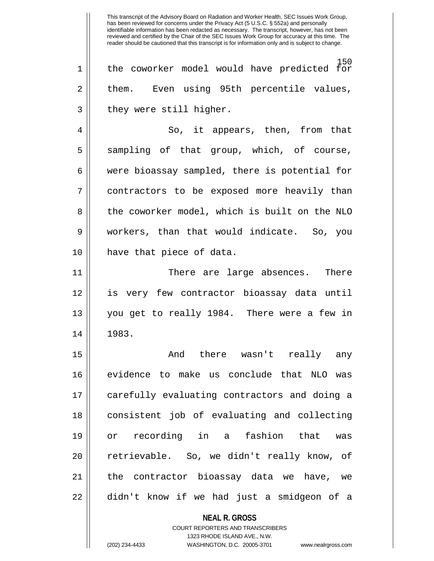150 1 || the coworker model would have predicted for 2 them. Even using 95th percentile values,  $3 \parallel$  they were still higher.

4 || So, it appears, then, from that  $5 \parallel$  sampling of that group, which, of course, 6 were bioassay sampled, there is potential for 7 contractors to be exposed more heavily than 8 | the coworker model, which is built on the NLO 9 workers, than that would indicate. So, you 10 have that piece of data.

11 There are large absences. There 12 is very few contractor bioassay data until 13 you get to really 1984. There were a few in 14 1983.

15 And there wasn't really any 16 evidence to make us conclude that NLO was 17 carefully evaluating contractors and doing a 18 consistent job of evaluating and collecting 19 or recording in a fashion that was 20 || retrievable. So, we didn't really know, of 21 || the contractor bioassay data we have, we 22 || didn't know if we had just a smidgeon of a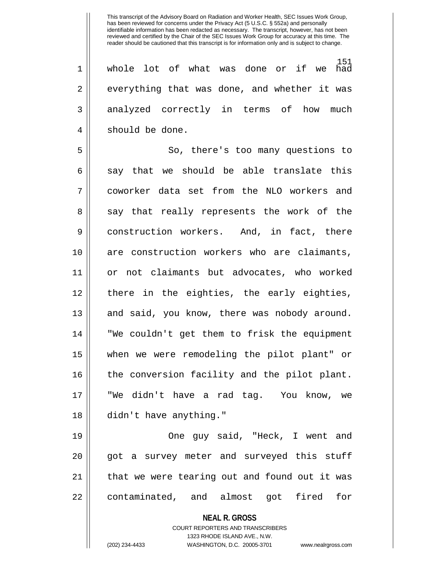151<br>had 1 || whole lot of what was done or if we  $2 \parallel$  everything that was done, and whether it was 3 || analyzed correctly in terms of how much 4 || should be done.

5 So, there's too many questions to  $6 \parallel$  say that we should be able translate this 7 coworker data set from the NLO workers and 8 || say that really represents the work of the 9 | construction workers. And, in fact, there 10 || are construction workers who are claimants, 11 or not claimants but advocates, who worked 12 || there in the eighties, the early eighties, 13 || and said, you know, there was nobody around. 14 "We couldn't get them to frisk the equipment 15 when we were remodeling the pilot plant" or 16 || the conversion facility and the pilot plant. 17 "We didn't have a rad tag. You know, we 18 didn't have anything."

19 || Cone guy said, "Heck, I went and 20 || got a survey meter and surveyed this stuff 21 || that we were tearing out and found out it was 22 || contaminated, and almost got fired for

**NEAL R. GROSS**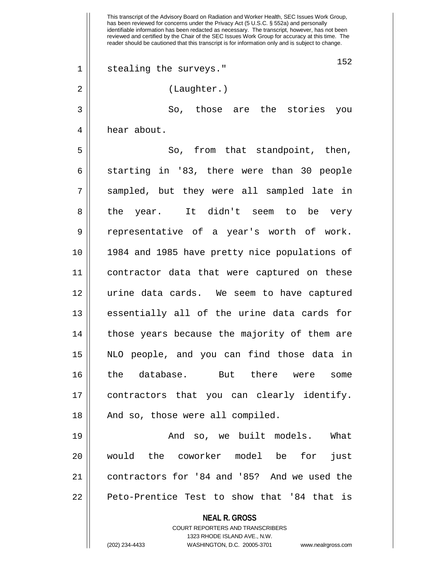**NEAL R. GROSS** COURT REPORTERS AND TRANSCRIBERS 1323 RHODE ISLAND AVE., N.W. This transcript of the Advisory Board on Radiation and Worker Health, SEC Issues Work Group, has been reviewed for concerns under the Privacy Act (5 U.S.C. § 552a) and personally identifiable information has been redacted as necessary. The transcript, however, has not been reviewed and certified by the Chair of the SEC Issues Work Group for accuracy at this time. The reader should be cautioned that this transcript is for information only and is subject to change. 152 1 || stealing the surveys." 2 || (Laughter.) 3 So, those are the stories you 4 | hear about. 5 || So, from that standpoint, then, 6 || starting in '83, there were than 30 people 7 sampled, but they were all sampled late in 8 || the year. It didn't seem to be very 9 || representative of a year's worth of work. 10 1984 and 1985 have pretty nice populations of 11 contractor data that were captured on these 12 urine data cards. We seem to have captured 13 essentially all of the urine data cards for 14 || those years because the majority of them are 15 NLO people, and you can find those data in 16 the database. But there were some 17 contractors that you can clearly identify. 18 || And so, those were all compiled. 19 || The Contract Contract And So, we built models. What 20 would the coworker model be for just 21 contractors for '84 and '85? And we used the 22 | Peto-Prentice Test to show that '84 that is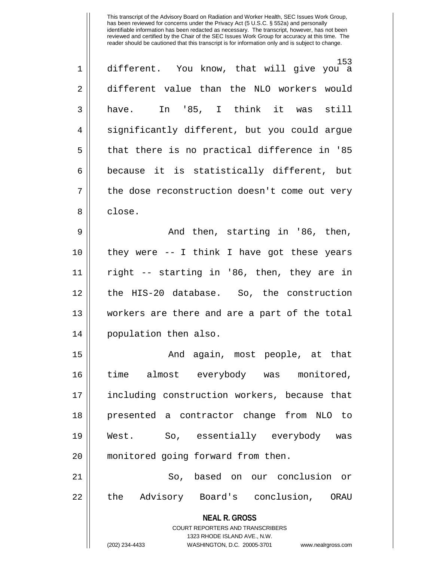| 1  | 153<br>different. You know, that will give you a                                         |
|----|------------------------------------------------------------------------------------------|
| 2  | different value than the NLO workers would                                               |
| 3  | have. In '85, I think it was still                                                       |
| 4  | significantly different, but you could argue                                             |
| 5  | that there is no practical difference in '85                                             |
| 6  | because it is statistically different, but                                               |
| 7  | the dose reconstruction doesn't come out very                                            |
| 8  | close.                                                                                   |
| 9  | And then, starting in '86, then,                                                         |
| 10 | they were -- I think I have got these years                                              |
| 11 | right -- starting in '86, then, they are in                                              |
| 12 | the HIS-20 database. So, the construction                                                |
| 13 | workers are there and are a part of the total                                            |
| 14 | population then also.                                                                    |
| 15 | And again, most people, at that                                                          |
| 16 | almost everybody was monitored,<br>time                                                  |
| 17 | including construction workers, because that                                             |
| 18 | presented a contractor change from NLO to                                                |
| 19 | West. So, essentially everybody was                                                      |
| 20 | monitored going forward from then.                                                       |
| 21 | based on our conclusion or<br>So,                                                        |
| 22 | Advisory Board's conclusion, ORAU<br>the                                                 |
|    | <b>NEAL R. GROSS</b><br>COURT REPORTERS AND TRANSCRIBERS<br>1323 RHODE ISLAND AVE., N.W. |

 $\prod$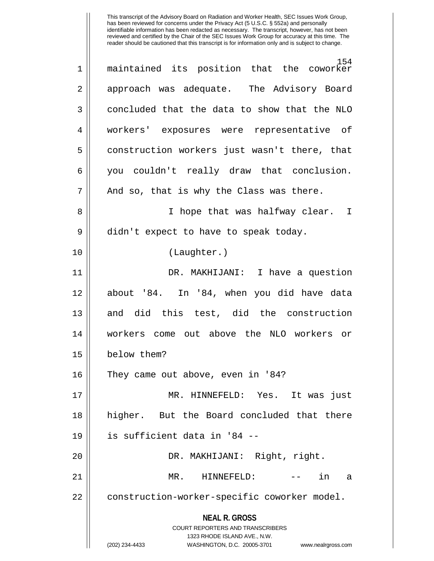**NEAL R. GROSS** COURT REPORTERS AND TRANSCRIBERS 1323 RHODE ISLAND AVE., N.W. (202) 234-4433 WASHINGTON, D.C. 20005-3701 www.nealrgross.com 154<br>the coworker 1 || maintained its position that 2 || approach was adequate. The Advisory Board  $3 \parallel$  concluded that the data to show that the NLO 4 workers' exposures were representative of 5 construction workers just wasn't there, that 6 you couldn't really draw that conclusion.  $7 \parallel$  And so, that is why the Class was there. 8 || I hope that was halfway clear. I  $9 \parallel$  didn't expect to have to speak today. 10 (Laughter.) 11 DR. MAKHIJANI: I have a question 12 about '84. In '84, when you did have data 13 and did this test, did the construction 14 workers come out above the NLO workers or 15 below them? 16 || They came out above, even in '84? 17 MR. HINNEFELD: Yes. It was just 18 higher. But the Board concluded that there 19 is sufficient data in '84 -- 20 || DR. MAKHIJANI: Right, right. 21 MR. HINNEFELD: -- in a 22 | construction-worker-specific coworker model.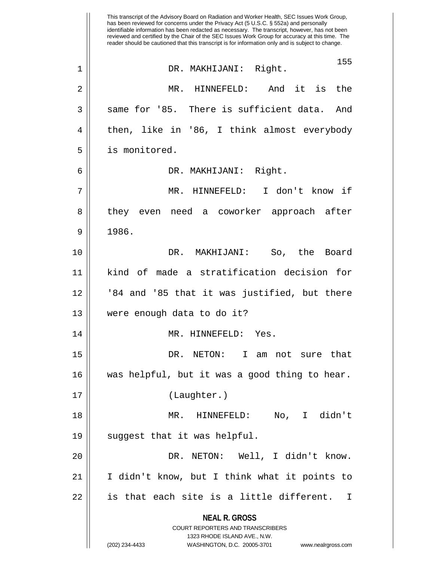**NEAL R. GROSS** COURT REPORTERS AND TRANSCRIBERS 1323 RHODE ISLAND AVE., N.W. (202) 234-4433 WASHINGTON, D.C. 20005-3701 www.nealrgross.com This transcript of the Advisory Board on Radiation and Worker Health, SEC Issues Work Group, has been reviewed for concerns under the Privacy Act (5 U.S.C. § 552a) and personally identifiable information has been redacted as necessary. The transcript, however, has not been reviewed and certified by the Chair of the SEC Issues Work Group for accuracy at this time. The reader should be cautioned that this transcript is for information only and is subject to change. 155 1 DR. MAKHIJANI: Right. 2 MR. HINNEFELD: And it is the  $3 \parallel$  same for '85. There is sufficient data. And 4 || then, like in '86, I think almost everybody 5 is monitored. 6 DR. MAKHIJANI: Right. 7 MR. HINNEFELD: I don't know if 8 || they even need a coworker approach after  $9 \parallel 1986.$ 10 DR. MAKHIJANI: So, the Board 11 kind of made a stratification decision for 12 '84 and '85 that it was justified, but there 13 were enough data to do it? 14 || MR. HINNEFELD: Yes. 15 DR. NETON: I am not sure that 16 was helpful, but it was a good thing to hear. 17 (Laughter.) 18 MR. HINNEFELD: No, I didn't  $19 \parallel$  suggest that it was helpful. 20 DR. NETON: Well, I didn't know. 21 I didn't know, but I think what it points to  $22$  || is that each site is a little different. I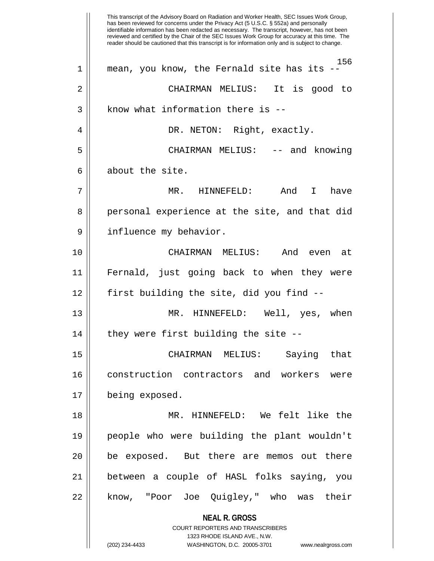**NEAL R. GROSS** COURT REPORTERS AND TRANSCRIBERS 1323 RHODE ISLAND AVE., N.W. (202) 234-4433 WASHINGTON, D.C. 20005-3701 www.nealrgross.com This transcript of the Advisory Board on Radiation and Worker Health, SEC Issues Work Group, has been reviewed for concerns under the Privacy Act (5 U.S.C. § 552a) and personally identifiable information has been redacted as necessary. The transcript, however, has not been reviewed and certified by the Chair of the SEC Issues Work Group for accuracy at this time. The reader should be cautioned that this transcript is for information only and is subject to change. 156 1 mean, you know, the Fernald site has its -- 2 CHAIRMAN MELIUS: It is good to  $3$  || know what information there is  $-$ 4 DR. NETON: Right, exactly. 5 CHAIRMAN MELIUS: -- and knowing  $6 \parallel$  about the site. 7 MR. HINNEFELD: And I have 8 || personal experience at the site, and that did 9 | influence my behavior. 10 CHAIRMAN MELIUS: And even at 11 Fernald, just going back to when they were 12 || first building the site, did you find --13 MR. HINNEFELD: Well, yes, when  $14$  || they were first building the site  $-$ -15 CHAIRMAN MELIUS: Saying that 16 construction contractors and workers were 17 | being exposed. 18 MR. HINNEFELD: We felt like the 19 people who were building the plant wouldn't 20 || be exposed. But there are memos out there 21 between a couple of HASL folks saying, you 22 || know, "Poor Joe Quigley," who was their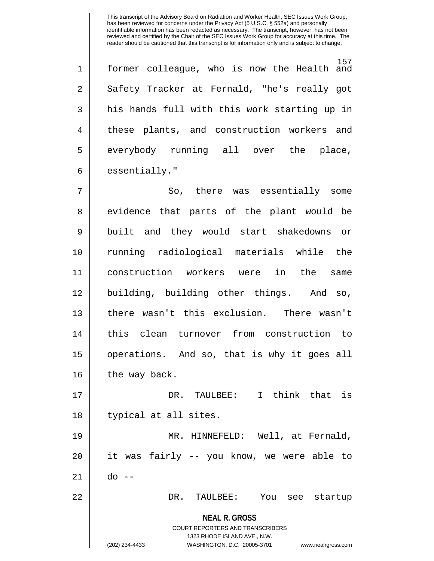157 1 former colleague, who is now the Health and 2 || Safety Tracker at Fernald, "he's really got 3 || his hands full with this work starting up in 4 || these plants, and construction workers and  $5 \parallel$  everybody running all over the place,  $6 \parallel$  essentially."

7 So, there was essentially some 8 || evidence that parts of the plant would be 9 || built and they would start shakedowns or 10 running radiological materials while the 11 construction workers were in the same 12 building, building other things. And so, 13 there wasn't this exclusion. There wasn't 14 this clean turnover from construction to 15 operations. And so, that is why it goes all  $16$  | the way back. 17 DR. TAULBEE: I think that is 18 || typical at all sites. 19 MR. HINNEFELD: Well, at Fernald, 20 it was fairly -- you know, we were able to

21 do --

22 DR. TAULBEE: You see startup

**NEAL R. GROSS** COURT REPORTERS AND TRANSCRIBERS

1323 RHODE ISLAND AVE., N.W.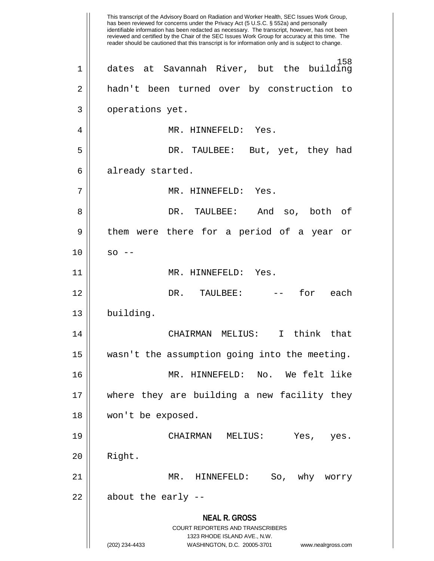**NEAL R. GROSS** COURT REPORTERS AND TRANSCRIBERS 1323 RHODE ISLAND AVE., N.W. (202) 234-4433 WASHINGTON, D.C. 20005-3701 www.nealrgross.com This transcript of the Advisory Board on Radiation and Worker Health, SEC Issues Work Group, has been reviewed for concerns under the Privacy Act (5 U.S.C. § 552a) and personally identifiable information has been redacted as necessary. The transcript, however, has not been reviewed and certified by the Chair of the SEC Issues Work Group for accuracy at this time. The reader should be cautioned that this transcript is for information only and is subject to change. 158 1 dates at Savannah River, but the building 2 hadn't been turned over by construction to 3 || operations yet. 4 || MR. HINNEFELD: Yes. 5 DR. TAULBEE: But, yet, they had 6 || already started. 7 || MR. HINNEFELD: Yes. 8 DR. TAULBEE: And so, both of 9 || them were there for a period of a year or  $10 \parallel$  so  $-$ 11 || MR. HINNEFELD: Yes. 12 DR. TAULBEE: -- for each 13 building. 14 CHAIRMAN MELIUS: I think that 15 wasn't the assumption going into the meeting. 16 MR. HINNEFELD: No. We felt like 17 where they are building a new facility they 18 won't be exposed. 19 CHAIRMAN MELIUS: Yes, yes. 20 Right. 21 MR. HINNEFELD: So, why worry  $22$  || about the early --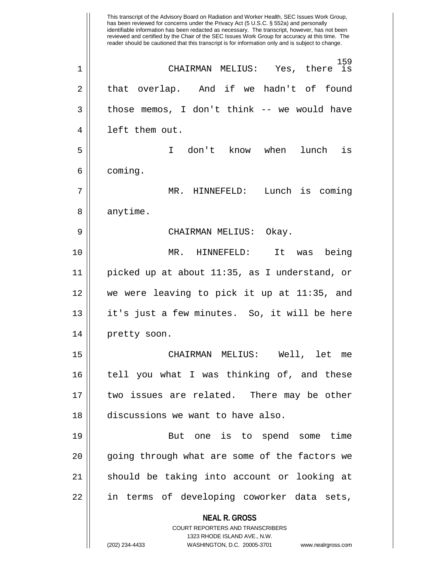**NEAL R. GROSS** COURT REPORTERS AND TRANSCRIBERS 1323 RHODE ISLAND AVE., N.W. (202) 234-4433 WASHINGTON, D.C. 20005-3701 www.nealrgross.com This transcript of the Advisory Board on Radiation and Worker Health, SEC Issues Work Group, has been reviewed for concerns under the Privacy Act (5 U.S.C. § 552a) and personally identifiable information has been redacted as necessary. The transcript, however, has not been reviewed and certified by the Chair of the SEC Issues Work Group for accuracy at this time. The reader should be cautioned that this transcript is for information only and is subject to change. <sup>159</sup><br>there is 1 CHAIRMAN MELIUS: Yes, there is  $2 \parallel$  that overlap. And if we hadn't of found  $3 \parallel$  those memos, I don't think -- we would have 4 || left them out. 5 I don't know when lunch is 6 coming. 7 MR. HINNEFELD: Lunch is coming 8 | anytime. 9 CHAIRMAN MELIUS: Okay. 10 MR. HINNEFELD: It was being 11 picked up at about 11:35, as I understand, or 12 we were leaving to pick it up at 11:35, and 13 it's just a few minutes. So, it will be here 14 | pretty soon. 15 CHAIRMAN MELIUS: Well, let me 16 tell you what I was thinking of, and these 17 two issues are related. There may be other 18 discussions we want to have also. 19 But one is to spend some time 20 || going through what are some of the factors we 21 should be taking into account or looking at 22 || in terms of developing coworker data sets,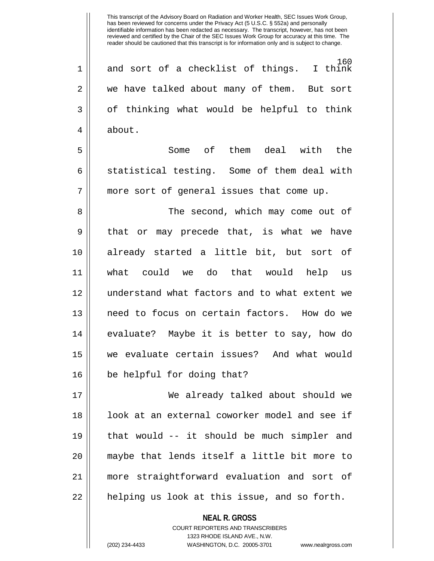160<br>I think  $1 ||$  and sort of a checklist of things. 2 we have talked about many of them. But sort 3 || of thinking what would be helpful to think 4 about.

5 Some of them deal with the 6 || statistical testing. Some of them deal with 7 more sort of general issues that come up.

8 The second, which may come out of  $9 \parallel$  that or may precede that, is what we have 10 already started a little bit, but sort of 11 what could we do that would help us 12 understand what factors and to what extent we 13 need to focus on certain factors. How do we 14 || evaluate? Maybe it is better to say, how do 15 we evaluate certain issues? And what would 16 || be helpful for doing that?

17 We already talked about should we 18 || look at an external coworker model and see if 19  $\parallel$  that would -- it should be much simpler and 20 maybe that lends itself a little bit more to 21 more straightforward evaluation and sort of 22 || helping us look at this issue, and so forth.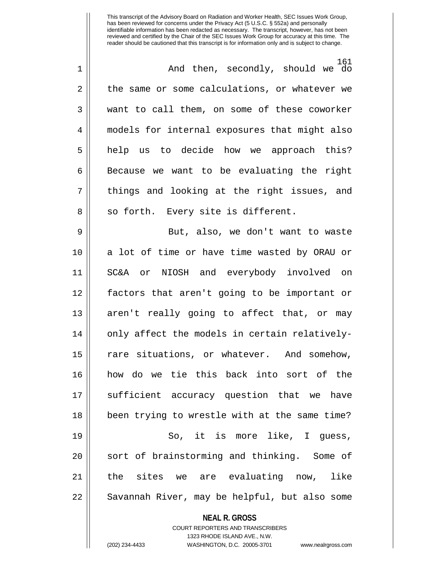**NEAL R. GROSS** 161 1 And then, secondly, should we do 2 || the same or some calculations, or whatever we 3 want to call them, on some of these coworker 4 models for internal exposures that might also 5 || help us to decide how we approach this?  $6 \parallel$  Because we want to be evaluating the right  $7 \parallel$  things and looking at the right issues, and 8 || so forth. Every site is different. 9 || But, also, we don't want to waste 10 || a lot of time or have time wasted by ORAU or 11 SC&A or NIOSH and everybody involved on 12 factors that aren't going to be important or 13 || aren't really going to affect that, or may  $14$  | only affect the models in certain relatively-15 || rare situations, or whatever. And somehow, 16 how do we tie this back into sort of the 17 || sufficient accuracy question that we have 18 been trying to wrestle with at the same time? 19 || So, it is more like, I guess, 20 || sort of brainstorming and thinking. Some of 21 the sites we are evaluating now, like 22 || Savannah River, may be helpful, but also some

> COURT REPORTERS AND TRANSCRIBERS 1323 RHODE ISLAND AVE., N.W.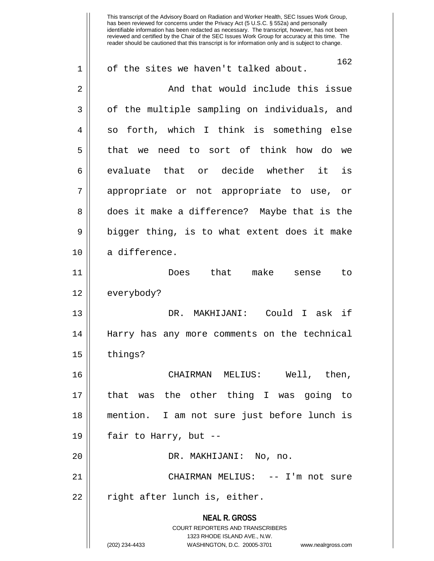**NEAL R. GROSS** COURT REPORTERS AND TRANSCRIBERS 1323 RHODE ISLAND AVE., N.W. (202) 234-4433 WASHINGTON, D.C. 20005-3701 www.nealrgross.com 162 1 || of the sites we haven't talked about. 2 | Chang and that would include this issue 3 || of the multiple sampling on individuals, and  $4 \parallel$  so forth, which I think is something else 5 || that we need to sort of think how do we  $6 \parallel$  evaluate that or decide whether it is 7 appropriate or not appropriate to use, or 8 does it make a difference? Maybe that is the  $9 \parallel$  bigger thing, is to what extent does it make 10 | a difference. 11 Does that make sense to 12 | everybody? 13 DR. MAKHIJANI: Could I ask if 14 Harry has any more comments on the technical  $15$  | things? 16 CHAIRMAN MELIUS: Well, then, 17 that was the other thing I was going to 18 mention. I am not sure just before lunch is 19  $\parallel$  fair to Harry, but --20 || PR. MAKHIJANI: No, no. 21 CHAIRMAN MELIUS: -- I'm not sure  $22 \parallel$  right after lunch is, either.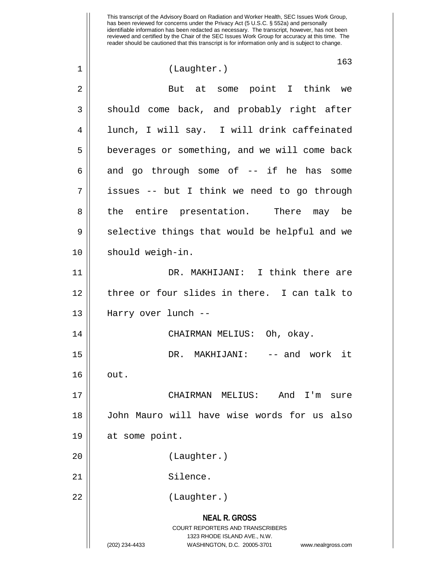This transcript of the Advisory Board on Radiation and Worker Health, SEC Issues Work Group, has been reviewed for concerns under the Privacy Act (5 U.S.C. § 552a) and personally identifiable information has been redacted as necessary. The transcript, however, has not been reviewed and certified by the Chair of the SEC Issues Work Group for accuracy at this time. The reader should be cautioned that this transcript is for information only and is subject to change. 163 1 || (Laughter.) 2 || But at some point I think we  $3 \parallel$  should come back, and probably right after 4 lunch, I will say. I will drink caffeinated 5 | beverages or something, and we will come back  $6 \parallel$  and go through some of  $-$  if he has some 7 | issues -- but I think we need to go through 8 || the entire presentation. There may be  $9 \parallel$  selective things that would be helpful and we 10 || should weigh-in. 11 DR. MAKHIJANI: I think there are 12 three or four slides in there. I can talk to 13 Harry over lunch -- 14 CHAIRMAN MELIUS: Oh, okay. 15 DR. MAKHIJANI: -- and work it  $16 \parallel \quad out.$ 17 CHAIRMAN MELIUS: And I'm sure 18 John Mauro will have wise words for us also 19 at some point. 20 (Laughter.) 21 || Silence.

22 || (Laughter.)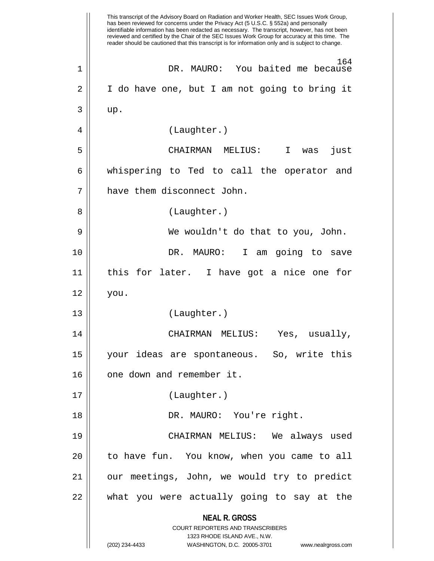**NEAL R. GROSS** COURT REPORTERS AND TRANSCRIBERS 1323 RHODE ISLAND AVE., N.W. (202) 234-4433 WASHINGTON, D.C. 20005-3701 www.nealrgross.com This transcript of the Advisory Board on Radiation and Worker Health, SEC Issues Work Group, has been reviewed for concerns under the Privacy Act (5 U.S.C. § 552a) and personally identifiable information has been redacted as necessary. The transcript, however, has not been reviewed and certified by the Chair of the SEC Issues Work Group for accuracy at this time. The reader should be cautioned that this transcript is for information only and is subject to change. 164 1 DR. MAURO: You baited me because 2 | I do have one, but I am not going to bring it  $3 \parallel \quad \text{up}.$ 4 (Laughter.) 5 CHAIRMAN MELIUS: I was just 6 || whispering to Ted to call the operator and 7 | have them disconnect John. 8 || (Laughter.) 9 We wouldn't do that to you, John. 10 DR. MAURO: I am going to save 11 this for later. I have got a nice one for 12 you. 13 (Laughter.) 14 CHAIRMAN MELIUS: Yes, usually, 15 your ideas are spontaneous. So, write this 16 || one down and remember it. 17 (Laughter.) 18 DR. MAURO: You're right. 19 CHAIRMAN MELIUS: We always used 20 to have fun. You know, when you came to all 21 our meetings, John, we would try to predict  $22$  || what you were actually going to say at the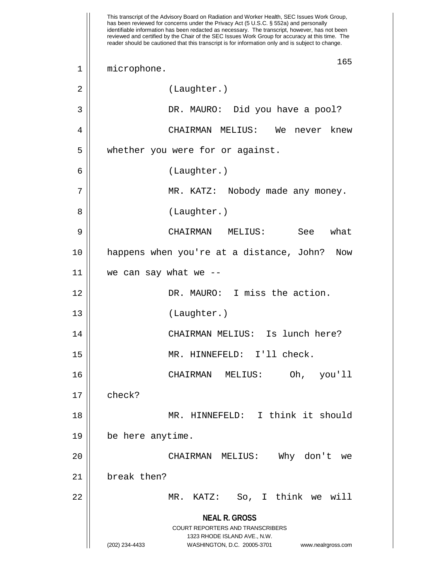**NEAL R. GROSS** COURT REPORTERS AND TRANSCRIBERS 1323 RHODE ISLAND AVE., N.W. (202) 234-4433 WASHINGTON, D.C. 20005-3701 www.nealrgross.com This transcript of the Advisory Board on Radiation and Worker Health, SEC Issues Work Group, has been reviewed for concerns under the Privacy Act (5 U.S.C. § 552a) and personally identifiable information has been redacted as necessary. The transcript, however, has not been reviewed and certified by the Chair of the SEC Issues Work Group for accuracy at this time. The reader should be cautioned that this transcript is for information only and is subject to change. 165 1 || microphone. 2 | (Laughter.) 3 DR. MAURO: Did you have a pool? 4 CHAIRMAN MELIUS: We never knew 5 | whether you were for or against. 6 (Laughter.) 7 MR. KATZ: Nobody made any money. 8 || (Laughter.) 9 CHAIRMAN MELIUS: See what 10 happens when you're at a distance, John? Now  $11$  | we can say what we --12 DR. MAURO: I miss the action. 13 (Laughter.) 14 CHAIRMAN MELIUS: Is lunch here? 15 || MR. HINNEFELD: I'll check. 16 CHAIRMAN MELIUS: Oh, you'll  $17 \parallel$  check? 18 MR. HINNEFELD: I think it should 19 be here anytime. 20 CHAIRMAN MELIUS: Why don't we 21 break then? 22 MR. KATZ: So, I think we will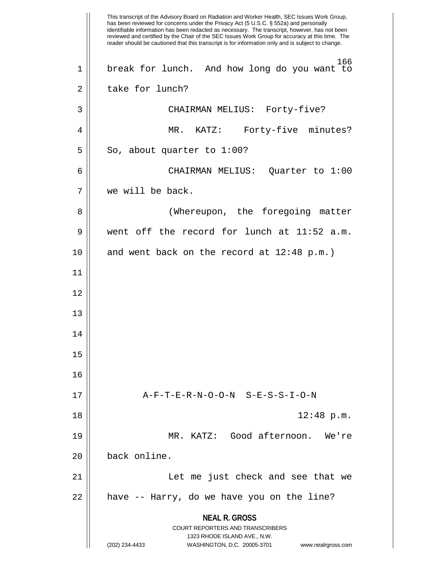**NEAL R. GROSS** COURT REPORTERS AND TRANSCRIBERS 1323 RHODE ISLAND AVE., N.W. (202) 234-4433 WASHINGTON, D.C. 20005-3701 www.nealrgross.com This transcript of the Advisory Board on Radiation and Worker Health, SEC Issues Work Group, has been reviewed for concerns under the Privacy Act (5 U.S.C. § 552a) and personally identifiable information has been redacted as necessary. The transcript, however, has not been reviewed and certified by the Chair of the SEC Issues Work Group for accuracy at this time. The reader should be cautioned that this transcript is for information only and is subject to change. 166 1 break for lunch. And how long do you want to 2 | take for lunch? 3 CHAIRMAN MELIUS: Forty-five? 4 MR. KATZ: Forty-five minutes?  $5 \parallel$  So, about quarter to 1:00? 6 CHAIRMAN MELIUS: Quarter to 1:00 7 we will be back. 8 || (Whereupon, the foregoing matter 9 went off the record for lunch at 11:52 a.m. 10 || and went back on the record at  $12:48 \text{ p.m.}$ ) 11 12 13 14 15 16 17 A-F-T-E-R-N-O-O-N S-E-S-S-I-O-N  $18 \parallel$   $12:48 \text{ p.m.}$ 19 MR. KATZ: Good afternoon. We're 20 back online. 21 Let me just check and see that we  $22$  || have -- Harry, do we have you on the line?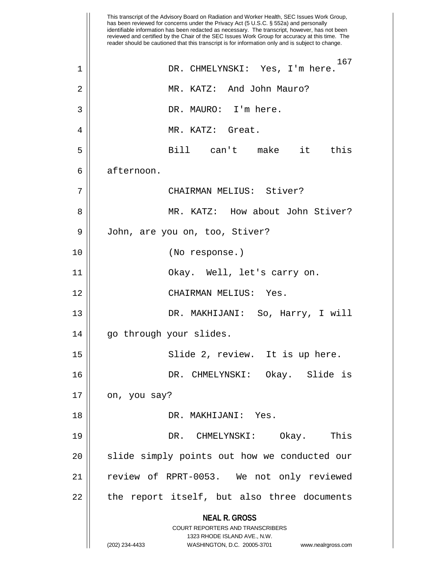**NEAL R. GROSS** COURT REPORTERS AND TRANSCRIBERS 1323 RHODE ISLAND AVE., N.W. (202) 234-4433 WASHINGTON, D.C. 20005-3701 www.nealrgross.com This transcript of the Advisory Board on Radiation and Worker Health, SEC Issues Work Group, has been reviewed for concerns under the Privacy Act (5 U.S.C. § 552a) and personally identifiable information has been redacted as necessary. The transcript, however, has not been reviewed and certified by the Chair of the SEC Issues Work Group for accuracy at this time. The reader should be cautioned that this transcript is for information only and is subject to change. 167 1 DR. CHMELYNSKI: Yes, I'm here. 2 MR. KATZ: And John Mauro? 3 DR. MAURO: I'm here. 4 MR. KATZ: Great. 5 Bill can't make it this 6 | afternoon. 7 CHAIRMAN MELIUS: Stiver? 8 MR. KATZ: How about John Stiver? 9 | John, are you on, too, Stiver? 10 (No response.) 11 Okay. Well, let's carry on. 12 CHAIRMAN MELIUS: Yes. 13 DR. MAKHIJANI: So, Harry, I will 14 || go through your slides. 15 Slide 2, review. It is up here. 16 DR. CHMELYNSKI: Okay. Slide is  $17 \parallel$  on, you say? 18 DR. MAKHIJANI: Yes. 19 DR. CHMELYNSKI: Okay. This 20 || slide simply points out how we conducted our 21 || review of RPRT-0053. We not only reviewed 22 || the report itself, but also three documents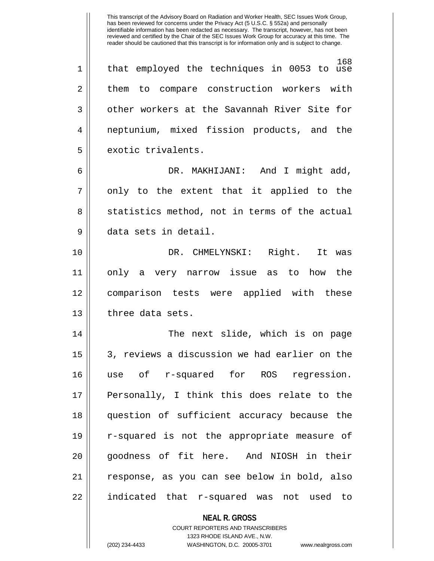168 1 that employed the techniques in 0053 to use 2 || them to compare construction workers with  $3 \parallel$  other workers at the Savannah River Site for 4 neptunium, mixed fission products, and the 5 | exotic trivalents.

6 DR. MAKHIJANI: And I might add,  $7 \parallel$  only to the extent that it applied to the 8 || statistics method, not in terms of the actual 9 data sets in detail.

10 DR. CHMELYNSKI: Right. It was 11 only a very narrow issue as to how the 12 comparison tests were applied with these 13 | three data sets.

14 The next slide, which is on page 15 | 3, reviews a discussion we had earlier on the 16 use of r-squared for ROS regression. 17 || Personally, I think this does relate to the 18 question of sufficient accuracy because the 19 r-squared is not the appropriate measure of 20 || goodness of fit here. And NIOSH in their 21 response, as you can see below in bold, also 22 indicated that r-squared was not used to

### **NEAL R. GROSS** COURT REPORTERS AND TRANSCRIBERS 1323 RHODE ISLAND AVE., N.W.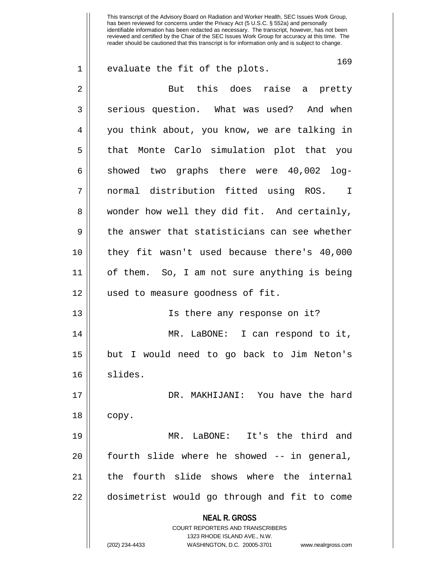**NEAL R. GROSS** COURT REPORTERS AND TRANSCRIBERS 1323 RHODE ISLAND AVE., N.W. 169 1 || evaluate the fit of the plots. 2 But this does raise a pretty 3 Serious question. What was used? And when 4 you think about, you know, we are talking in 5 that Monte Carlo simulation plot that you  $6 \parallel$  showed two graphs there were 40,002 log-7 normal distribution fitted using ROS. I 8 wonder how well they did fit. And certainly,  $9 \parallel$  the answer that statisticians can see whether 10 they fit wasn't used because there's 40,000 11 of them. So, I am not sure anything is being 12 used to measure goodness of fit. 13 Is there any response on it? 14 MR. LaBONE: I can respond to it, 15 but I would need to go back to Jim Neton's 16 slides. 17 DR. MAKHIJANI: You have the hard  $18 \parallel$  copy. 19 MR. LaBONE: It's the third and  $20$  || fourth slide where he showed  $-$  in general, 21 || the fourth slide shows where the internal 22 dosimetrist would go through and fit to come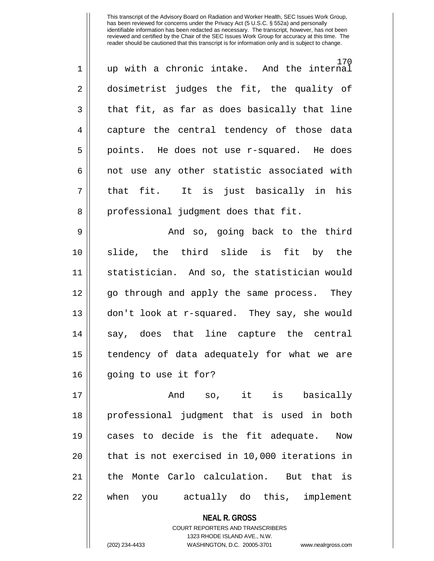| $\mathbf 1$    | 170<br>up with a chronic intake. And the internal |
|----------------|---------------------------------------------------|
| $\overline{a}$ | dosimetrist judges the fit, the quality of        |
| 3              | that fit, as far as does basically that line      |
| $\overline{4}$ | capture the central tendency of those data        |
| 5              | points. He does not use r-squared. He does        |
| 6              | not use any other statistic associated with       |
| $\overline{7}$ | that fit. It is just basically in his             |
| 8              | professional judgment does that fit.              |
| 9              | And so, going back to the third                   |

10 slide, the third slide is fit by the 11 statistician. And so, the statistician would 12 || go through and apply the same process. They 13 don't look at r-squared. They say, she would 14 || say, does that line capture the central 15 | tendency of data adequately for what we are 16 || going to use it for?

17 And so, it is basically 18 professional judgment that is used in both 19 cases to decide is the fit adequate. Now  $20$  || that is not exercised in 10,000 iterations in 21 the Monte Carlo calculation. But that is 22 || when you actually do this, implement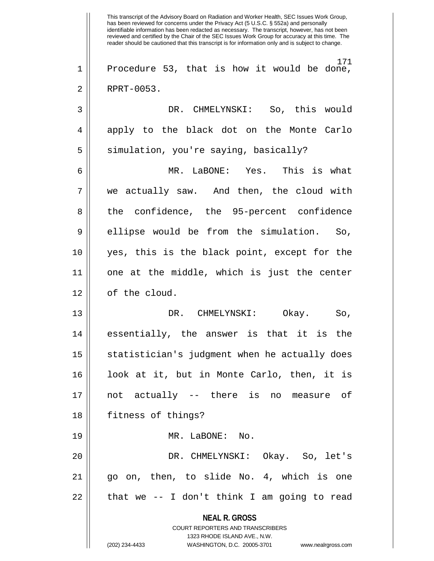**NEAL R. GROSS** COURT REPORTERS AND TRANSCRIBERS 1323 RHODE ISLAND AVE., N.W. (202) 234-4433 WASHINGTON, D.C. 20005-3701 www.nealrgross.com This transcript of the Advisory Board on Radiation and Worker Health, SEC Issues Work Group, has been reviewed for concerns under the Privacy Act (5 U.S.C. § 552a) and personally identifiable information has been redacted as necessary. The transcript, however, has not been reviewed and certified by the Chair of the SEC Issues Work Group for accuracy at this time. The reader should be cautioned that this transcript is for information only and is subject to change. 171 1 || Procedure 53, that is how it would be done, 2 RPRT-0053. 3 DR. CHMELYNSKI: So, this would 4 apply to the black dot on the Monte Carlo  $5 \parallel$  simulation, you're saying, basically? 6 MR. LaBONE: Yes. This is what  $7 \parallel$  we actually saw. And then, the cloud with 8 || the confidence, the 95-percent confidence 9 || ellipse would be from the simulation. So, 10 yes, this is the black point, except for the 11 one at the middle, which is just the center 12 | of the cloud. 13 DR. CHMELYNSKI: Okay. So, 14 essentially, the answer is that it is the 15 | statistician's judgment when he actually does 16 look at it, but in Monte Carlo, then, it is 17 not actually -- there is no measure of 18 fitness of things? 19 MR. LaBONE: No. 20 DR. CHMELYNSKI: Okay. So, let's 21 go on, then, to slide No. 4, which is one  $22$  || that we -- I don't think I am going to read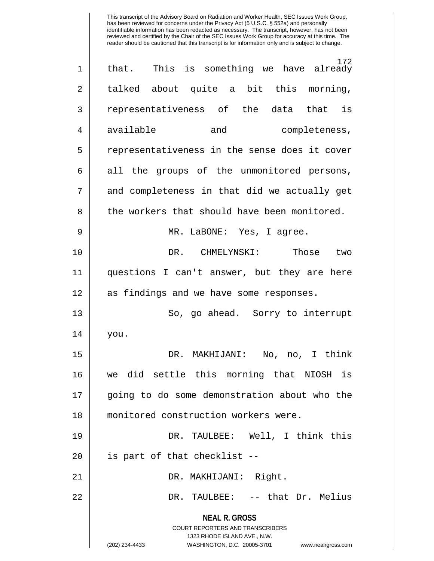| 1  | 172<br>that. This is something we have already                                                                                                                         |
|----|------------------------------------------------------------------------------------------------------------------------------------------------------------------------|
| 2  | talked about quite a bit this morning,                                                                                                                                 |
| 3  | representativeness of the data that is                                                                                                                                 |
| 4  | available<br>and<br>completeness,                                                                                                                                      |
| 5  | representativeness in the sense does it cover                                                                                                                          |
| 6  | all the groups of the unmonitored persons,                                                                                                                             |
| 7  | and completeness in that did we actually get                                                                                                                           |
| 8  | the workers that should have been monitored.                                                                                                                           |
| 9  | MR. LaBONE: Yes, I agree.                                                                                                                                              |
| 10 | DR. CHMELYNSKI:<br>Those<br>two                                                                                                                                        |
| 11 | questions I can't answer, but they are here                                                                                                                            |
| 12 | as findings and we have some responses.                                                                                                                                |
| 13 | So, go ahead. Sorry to interrupt                                                                                                                                       |
| 14 | you.                                                                                                                                                                   |
| 15 | DR. MAKHIJANI: No, no, I think                                                                                                                                         |
| 16 | we did settle this morning that NIOSH is                                                                                                                               |
| 17 | going to do some demonstration about who the                                                                                                                           |
| 18 | monitored construction workers were.                                                                                                                                   |
| 19 | DR. TAULBEE: Well, I think this                                                                                                                                        |
| 20 | is part of that checklist --                                                                                                                                           |
| 21 | DR. MAKHIJANI: Right.                                                                                                                                                  |
| 22 | DR. TAULBEE: -- that Dr. Melius                                                                                                                                        |
|    | <b>NEAL R. GROSS</b><br><b>COURT REPORTERS AND TRANSCRIBERS</b><br>1323 RHODE ISLAND AVE., N.W.<br>(202) 234-4433<br>WASHINGTON, D.C. 20005-3701<br>www.nealrgross.com |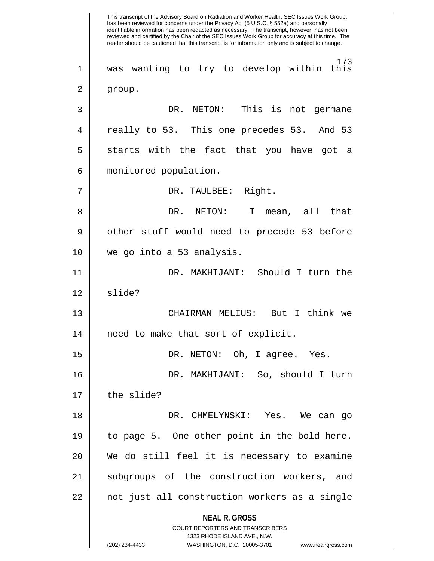**NEAL R. GROSS** COURT REPORTERS AND TRANSCRIBERS 1323 RHODE ISLAND AVE., N.W. (202) 234-4433 WASHINGTON, D.C. 20005-3701 www.nealrgross.com This transcript of the Advisory Board on Radiation and Worker Health, SEC Issues Work Group, has been reviewed for concerns under the Privacy Act (5 U.S.C. § 552a) and personally identifiable information has been redacted as necessary. The transcript, however, has not been reviewed and certified by the Chair of the SEC Issues Work Group for accuracy at this time. The reader should be cautioned that this transcript is for information only and is subject to change. 173 1 was wanting to try to develop within this 2 | group. 3 DR. NETON: This is not germane 4 || really to 53. This one precedes 53. And 53  $5 \parallel$  starts with the fact that you have got a 6 monitored population. 7 || DR. TAULBEE: Right. 8 DR. NETON: I mean, all that 9 || other stuff would need to precede 53 before 10 we go into a 53 analysis. 11 DR. MAKHIJANI: Should I turn the 12 slide? 13 CHAIRMAN MELIUS: But I think we 14 || need to make that sort of explicit. 15 DR. NETON: Oh, I agree. Yes. 16 DR. MAKHIJANI: So, should I turn  $17$   $\parallel$  the slide? 18 DR. CHMELYNSKI: Yes. We can go 19 to page 5. One other point in the bold here. 20 We do still feel it is necessary to examine 21 || subgroups of the construction workers, and 22 || not just all construction workers as a single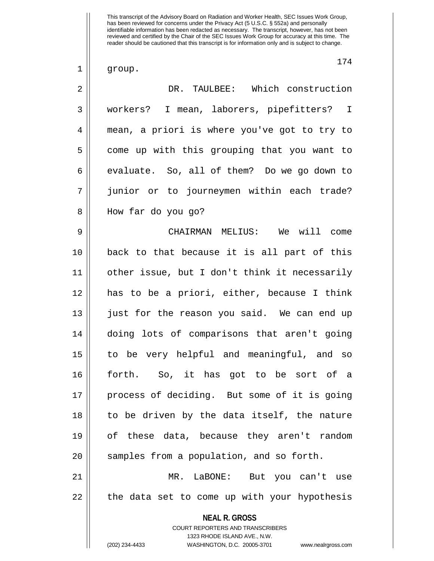$1 \parallel$  group.

174

| $\overline{2}$ | DR. TAULBEE: Which construction                                                                                                                                        |
|----------------|------------------------------------------------------------------------------------------------------------------------------------------------------------------------|
| 3              | workers? I mean, laborers, pipefitters? I                                                                                                                              |
| $\overline{4}$ | mean, a priori is where you've got to try to                                                                                                                           |
| 5              | come up with this grouping that you want to                                                                                                                            |
| 6              | evaluate. So, all of them? Do we go down to                                                                                                                            |
| 7              | junior or to journeymen within each trade?                                                                                                                             |
| 8              | How far do you go?                                                                                                                                                     |
| 9              | CHAIRMAN MELIUS: We will come                                                                                                                                          |
| 10             | back to that because it is all part of this                                                                                                                            |
| 11             | other issue, but I don't think it necessarily                                                                                                                          |
| 12             | has to be a priori, either, because I think                                                                                                                            |
| 13             | just for the reason you said. We can end up                                                                                                                            |
| 14             | doing lots of comparisons that aren't going                                                                                                                            |
| 15             | to be very helpful and meaningful, and so                                                                                                                              |
| 16             | forth. So, it has got to be sort of a                                                                                                                                  |
| 17             | process of deciding. But some of it is going                                                                                                                           |
| 18             | to be driven by the data itself, the nature                                                                                                                            |
| 19             | of these data, because they aren't random                                                                                                                              |
| 20             | samples from a population, and so forth.                                                                                                                               |
| 21             | MR. LaBONE: But you can't use                                                                                                                                          |
| 22             | the data set to come up with your hypothesis                                                                                                                           |
|                | <b>NEAL R. GROSS</b><br><b>COURT REPORTERS AND TRANSCRIBERS</b><br>1323 RHODE ISLAND AVE., N.W.<br>(202) 234-4433<br>WASHINGTON, D.C. 20005-3701<br>www.nealrgross.com |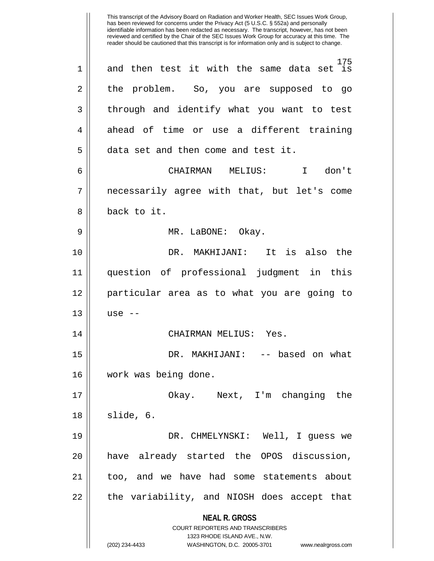**NEAL R. GROSS** COURT REPORTERS AND TRANSCRIBERS 1323 RHODE ISLAND AVE., N.W. (202) 234-4433 WASHINGTON, D.C. 20005-3701 www.nealrgross.com This transcript of the Advisory Board on Radiation and Worker Health, SEC Issues Work Group, has been reviewed for concerns under the Privacy Act (5 U.S.C. § 552a) and personally identifiable information has been redacted as necessary. The transcript, however, has not been reviewed and certified by the Chair of the SEC Issues Work Group for accuracy at this time. The reader should be cautioned that this transcript is for information only and is subject to change. 175 1 and then test it with the same data set is 2 the problem. So, you are supposed to go 3 || through and identify what you want to test 4 ahead of time or use a different training 5 data set and then come and test it. 6 CHAIRMAN MELIUS: I don't 7 necessarily agree with that, but let's come 8 || back to it. 9 MR. LaBONE: Okay. 10 DR. MAKHIJANI: It is also the 11 question of professional judgment in this 12 particular area as to what you are going to  $13 \parallel$  use  $-$ 14 CHAIRMAN MELIUS: Yes. 15 DR. MAKHIJANI: -- based on what 16 work was being done. 17 Okay. Next, I'm changing the  $18 \parallel$  slide, 6. 19 DR. CHMELYNSKI: Well, I guess we 20 || have already started the OPOS discussion, 21 too, and we have had some statements about 22 || the variability, and NIOSH does accept that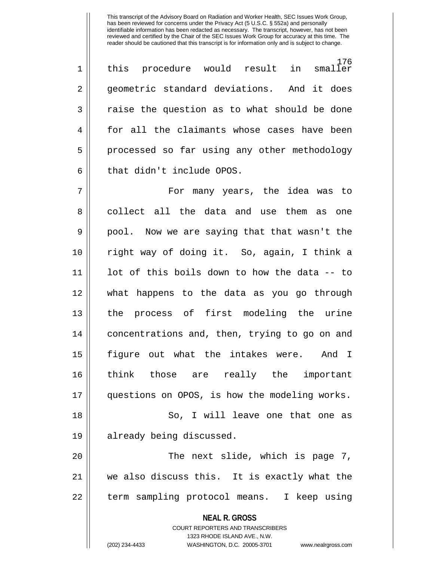**NEAL R. GROSS** COURT REPORTERS AND TRANSCRIBERS 1323 RHODE ISLAND AVE., N.W. 176<br>smaller 1 || this procedure would result in 2 geometric standard deviations. And it does  $3 \parallel$  raise the question as to what should be done 4 for all the claimants whose cases have been 5 | processed so far using any other methodology  $6 \parallel$  that didn't include OPOS. 7 For many years, the idea was to 8 collect all the data and use them as one 9 || pool. Now we are saying that that wasn't the 10 right way of doing it. So, again, I think a 11 lot of this boils down to how the data -- to 12 what happens to the data as you go through 13 the process of first modeling the urine 14 | concentrations and, then, trying to go on and 15 figure out what the intakes were. And I 16 think those are really the important 17 questions on OPOS, is how the modeling works. 18 || So, I will leave one that one as 19 already being discussed. 20 || The next slide, which is page 7, 21 we also discuss this. It is exactly what the 22 || term sampling protocol means. I keep using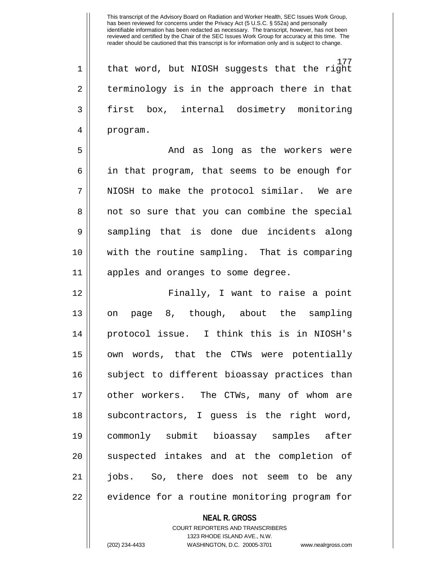177 1 || that word, but NIOSH suggests that the right  $2 \parallel$  terminology is in the approach there in that 3 first box, internal dosimetry monitoring 4 | program.

5 And as long as the workers were 6 in that program, that seems to be enough for  $7$  || NIOSH to make the protocol similar. We are 8 || not so sure that you can combine the special 9 || sampling that is done due incidents along 10 with the routine sampling. That is comparing 11 apples and oranges to some degree.

12 Finally, I want to raise a point 13 || on page 8, though, about the sampling 14 protocol issue. I think this is in NIOSH's 15 own words, that the CTWs were potentially 16 || subject to different bioassay practices than 17 other workers. The CTWs, many of whom are 18 || subcontractors, I guess is the right word, 19 commonly submit bioassay samples after 20 || suspected intakes and at the completion of 21 jobs. So, there does not seem to be any 22 | evidence for a routine monitoring program for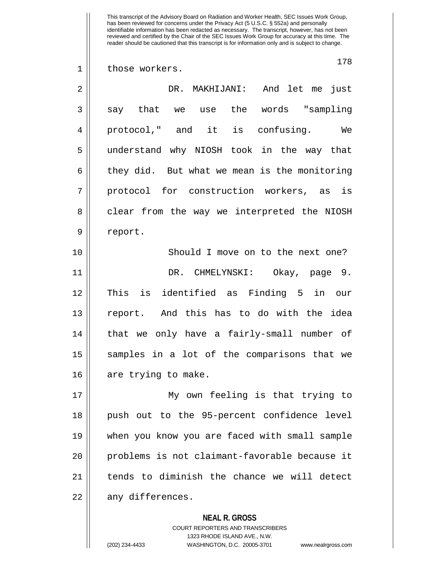1 || those workers.

| $\overline{2}$ | DR. MAKHIJANI: And let me just               |
|----------------|----------------------------------------------|
| 3              | say that we use the words "sampling          |
| 4              | protocol," and it<br>is confusing.<br>We     |
| 5              | understand why NIOSH took in the way that    |
| 6              | they did. But what we mean is the monitoring |
| 7              | protocol for construction workers, as is     |
| 8              | clear from the way we interpreted the NIOSH  |
| 9              | report.                                      |
| 10             | Should I move on to the next one?            |
| 11             | DR. CHMELYNSKI: Okay, page 9.                |
| 12             | is identified as Finding 5 in our<br>This    |
| 13             | report. And this has to do with the idea     |
| 14             | that we only have a fairly-small number of   |
| 15             | samples in a lot of the comparisons that we  |
| 16             | are trying to make.                          |

17 || My own feeling is that trying to 18 || push out to the 95-percent confidence level 19 when you know you are faced with small sample 20 || problems is not claimant-favorable because it 21 | tends to diminish the chance we will detect  $22 \parallel$  any differences.

# **NEAL R. GROSS**

COURT REPORTERS AND TRANSCRIBERS 1323 RHODE ISLAND AVE., N.W. (202) 234-4433 WASHINGTON, D.C. 20005-3701 www.nealrgross.com

178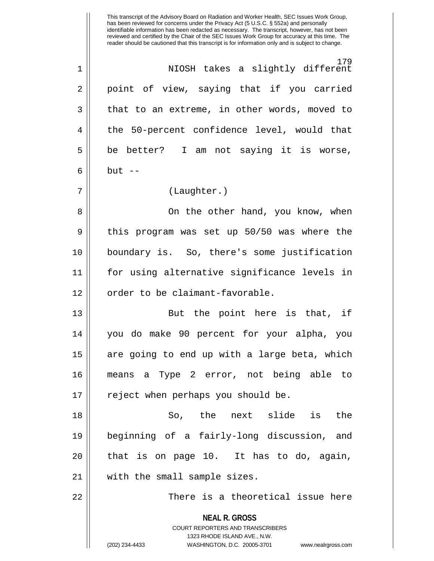**NEAL R. GROSS** COURT REPORTERS AND TRANSCRIBERS 1323 RHODE ISLAND AVE., N.W. (202) 234-4433 WASHINGTON, D.C. 20005-3701 www.nealrgross.com has been reviewed for concerns under the Privacy Act (5 U.S.C. § 552a) and personally identifiable information has been redacted as necessary. The transcript, however, has not been reviewed and certified by the Chair of the SEC Issues Work Group for accuracy at this time. The reader should be cautioned that this transcript is for information only and is subject to change. 179 1 NIOSH takes a slightly different 2 || point of view, saying that if you carried  $3 \parallel$  that to an extreme, in other words, moved to 4 || the 50-percent confidence level, would that  $5 \parallel$  be better? I am not saying it is worse,  $6 \parallel$  but  $-$ 7 (Laughter.) 8 On the other hand, you know, when  $9 \parallel$  this program was set up 50/50 was where the 10 boundary is. So, there's some justification 11 for using alternative significance levels in  $12$   $\parallel$  order to be claimant-favorable. 13 || But the point here is that, if 14 you do make 90 percent for your alpha, you 15 || are going to end up with a large beta, which 16 means a Type 2 error, not being able to 17 || reject when perhaps you should be. 18 So, the next slide is the 19 beginning of a fairly-long discussion, and  $20$  || that is on page 10. It has to do, again, 21 with the small sample sizes. 22 There is a theoretical issue here

This transcript of the Advisory Board on Radiation and Worker Health, SEC Issues Work Group,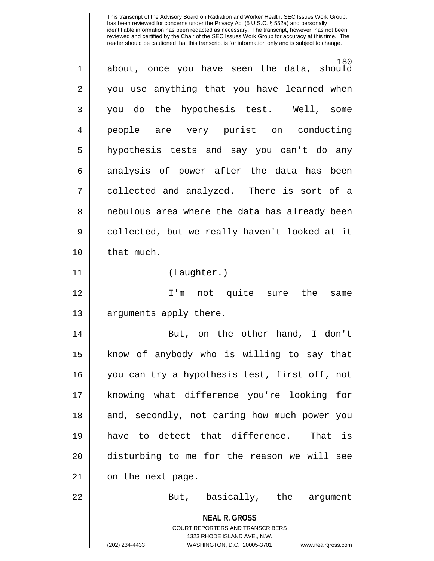| 1              | 180<br>about, once you have seen the data, should                                                                                                                      |
|----------------|------------------------------------------------------------------------------------------------------------------------------------------------------------------------|
| $\overline{2}$ | you use anything that you have learned when                                                                                                                            |
| 3              | you do the hypothesis test. Well,<br>some                                                                                                                              |
| $\overline{4}$ | people are very purist on conducting                                                                                                                                   |
| 5              | hypothesis tests and say you can't do any                                                                                                                              |
| 6              | analysis of power after the data has been                                                                                                                              |
| 7              | collected and analyzed. There is sort of a                                                                                                                             |
| 8              | nebulous area where the data has already been                                                                                                                          |
| 9              | collected, but we really haven't looked at it                                                                                                                          |
| 10             | that much.                                                                                                                                                             |
| 11             | (Laughter.)                                                                                                                                                            |
| 12             | I'm not quite sure the<br>same                                                                                                                                         |
| 13             | arguments apply there.                                                                                                                                                 |
| 14             | But, on the other hand, I don't                                                                                                                                        |
| 15             | know of anybody who is willing to say that                                                                                                                             |
| 16             | you can try a hypothesis test, first off, not                                                                                                                          |
| 17             | knowing what difference you're looking for                                                                                                                             |
| 18             | and, secondly, not caring how much power you                                                                                                                           |
| 19             | have to detect that difference. That is                                                                                                                                |
| 20             | disturbing to me for the reason we will see                                                                                                                            |
| 21             | on the next page.                                                                                                                                                      |
| 22             | But, basically, the argument                                                                                                                                           |
|                | <b>NEAL R. GROSS</b><br><b>COURT REPORTERS AND TRANSCRIBERS</b><br>1323 RHODE ISLAND AVE., N.W.<br>(202) 234-4433<br>WASHINGTON, D.C. 20005-3701<br>www.nealrgross.com |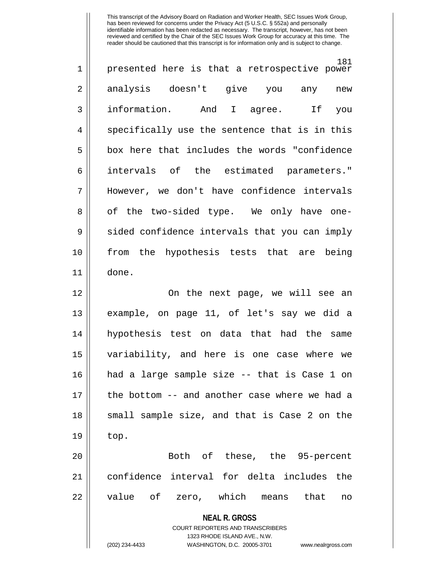| $\mathbf 1$    | 181<br>presented here is that a retrospective power                 |
|----------------|---------------------------------------------------------------------|
| $\overline{2}$ | analysis doesn't give you<br>any<br>new                             |
| 3              | information. And I agree. If<br>you                                 |
| $\overline{4}$ | specifically use the sentence that is in this                       |
| 5              | box here that includes the words "confidence                        |
| 6              | intervals of the estimated parameters."                             |
| 7              | However, we don't have confidence intervals                         |
| 8              | of the two-sided type. We only have one-                            |
| 9              | sided confidence intervals that you can imply                       |
| 10             | from the hypothesis tests that are being                            |
| 11             | done.                                                               |
| 12             | On the next page, we will see an                                    |
| 13             | example, on page 11, of let's say we did a                          |
| 14             | hypothesis test on data that had the same                           |
| 15             | variability, and here is one case where we                          |
| 16             | had a large sample size -- that is Case 1 on                        |
| 17             | the bottom -- and another case where we had a                       |
| 18             | small sample size, and that is Case 2 on the                        |
| 19             | top.                                                                |
| 20             | Both of these, the 95-percent                                       |
| 21             | confidence interval for delta includes the                          |
| 22             | value of<br>zero, which means that<br>no                            |
|                | <b>NEAL R. GROSS</b><br><b>COURT REPORTERS AND TRANSCRIBERS</b>     |
|                | 1323 RHODE ISLAND AVE., N.W.                                        |
|                | (202) 234-4433<br>WASHINGTON, D.C. 20005-3701<br>www.nealrgross.com |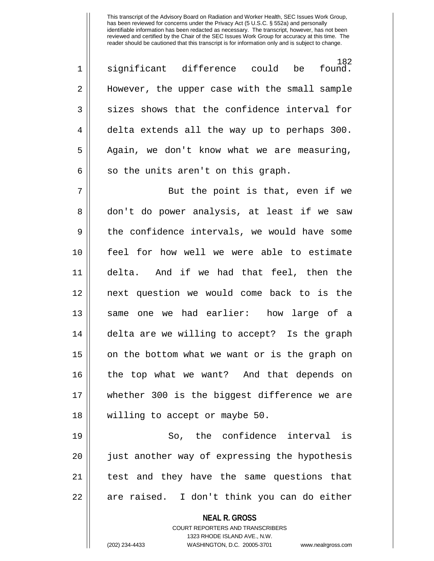182<br>.found 1 || significant difference could be 2 || However, the upper case with the small sample  $3 \parallel$  sizes shows that the confidence interval for 4 delta extends all the way up to perhaps 300.  $5 \parallel$  Again, we don't know what we are measuring,  $6 \parallel$  so the units aren't on this graph. 7 || But the point is that, even if we

8 don't do power analysis, at least if we saw  $9 \parallel$  the confidence intervals, we would have some 10 feel for how well we were able to estimate 11 delta. And if we had that feel, then the 12 next question we would come back to is the 13 same one we had earlier: how large of a 14 || delta are we willing to accept? Is the graph 15 || on the bottom what we want or is the graph on 16 the top what we want? And that depends on 17 whether 300 is the biggest difference we are 18 willing to accept or maybe 50.

19 So, the confidence interval is 20 || just another way of expressing the hypothesis 21 || test and they have the same questions that 22 || are raised. I don't think you can do either

> **NEAL R. GROSS** COURT REPORTERS AND TRANSCRIBERS 1323 RHODE ISLAND AVE., N.W.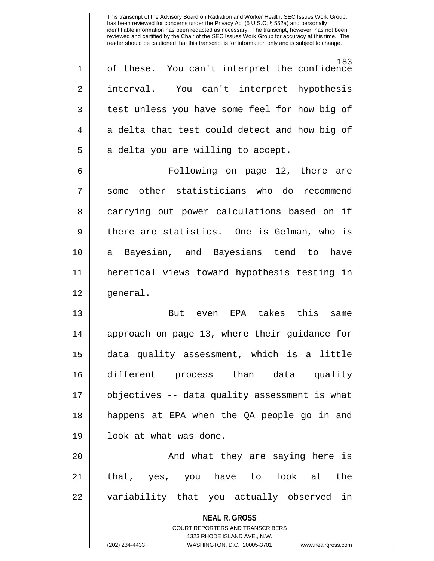183 1 || of these. You can't interpret the confidence 2 interval. You can't interpret hypothesis 3 || test unless you have some feel for how big of  $4 \parallel$  a delta that test could detect and how big of  $5$  | a delta you are willing to accept.

6 Following on page 12, there are 7 Some other statisticians who do recommend 8 carrying out power calculations based on if  $9 \parallel$  there are statistics. One is Gelman, who is 10 a Bayesian, and Bayesians tend to have 11 heretical views toward hypothesis testing in 12 || qeneral.

13 But even EPA takes this same 14 || approach on page 13, where their guidance for 15 data quality assessment, which is a little 16 different process than data quality 17 objectives -- data quality assessment is what 18 happens at EPA when the QA people go in and 19 || look at what was done.

20 || The Mondu what they are saying here is 21 that, yes, you have to look at the 22 || variability that you actually observed in

## **NEAL R. GROSS** COURT REPORTERS AND TRANSCRIBERS 1323 RHODE ISLAND AVE., N.W.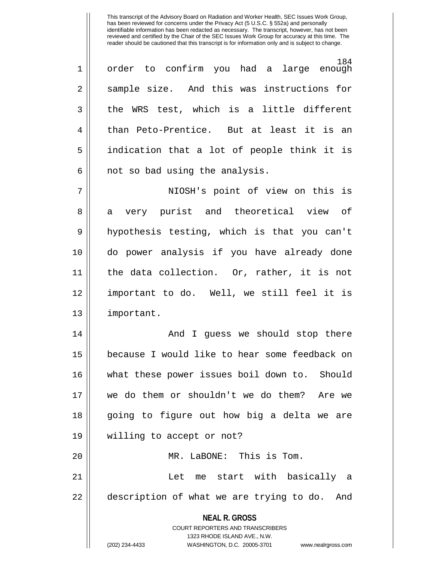184<br>enough 1|| order to confirm you had a large 2 || sample size. And this was instructions for  $3 \parallel$  the WRS test, which is a little different 4 than Peto-Prentice. But at least it is an 5 indication that a lot of people think it is  $6 \parallel$  not so bad using the analysis.

7 NIOSH's point of view on this is 8 a very purist and theoretical view of 9 hypothesis testing, which is that you can't 10 do power analysis if you have already done 11 the data collection. Or, rather, it is not 12 important to do. Well, we still feel it is 13 important.

14 And I guess we should stop there 15 because I would like to hear some feedback on 16 what these power issues boil down to. Should 17 we do them or shouldn't we do them? Are we 18 going to figure out how big a delta we are 19 willing to accept or not? 20 MR. LaBONE: This is Tom.

21 Let me start with basically a  $22$  | description of what we are trying to do. And

**NEAL R. GROSS**

COURT REPORTERS AND TRANSCRIBERS 1323 RHODE ISLAND AVE., N.W. (202) 234-4433 WASHINGTON, D.C. 20005-3701 www.nealrgross.com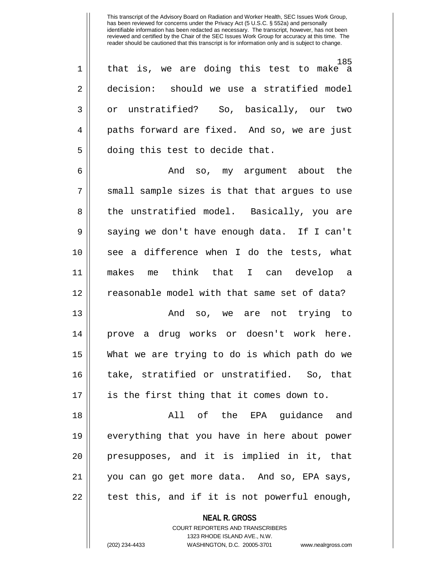185 1 || that is, we are doing this test to make a 2 decision: should we use a stratified model 3 || or unstratified? So, basically, our two 4 || paths forward are fixed. And so, we are just 5 | doing this test to decide that.

6 And so, my argument about the  $7$   $\parallel$  small sample sizes is that that argues to use 8 || the unstratified model. Basically, you are 9 Saying we don't have enough data. If I can't 10 see a difference when I do the tests, what 11 makes me think that I can develop a 12 || reasonable model with that same set of data?

13 And so, we are not trying to 14 prove a drug works or doesn't work here. 15 What we are trying to do is which path do we 16 take, stratified or unstratified. So, that 17 || is the first thing that it comes down to.

18 All of the EPA guidance and 19 everything that you have in here about power 20 presupposes, and it is implied in it, that 21 you can go get more data. And so, EPA says,  $22$  || test this, and if it is not powerful enough,

> **NEAL R. GROSS** COURT REPORTERS AND TRANSCRIBERS 1323 RHODE ISLAND AVE., N.W. (202) 234-4433 WASHINGTON, D.C. 20005-3701 www.nealrgross.com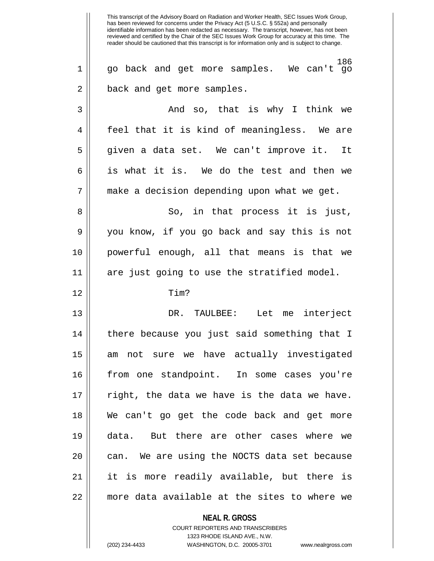**NEAL R. GROSS** COURT REPORTERS AND TRANSCRIBERS This transcript of the Advisory Board on Radiation and Worker Health, SEC Issues Work Group, has been reviewed for concerns under the Privacy Act (5 U.S.C. § 552a) and personally identifiable information has been redacted as necessary. The transcript, however, has not been reviewed and certified by the Chair of the SEC Issues Work Group for accuracy at this time. The reader should be cautioned that this transcript is for information only and is subject to change. 186 1 go back and get more samples. We can't go 2 || back and get more samples. 3 And so, that is why I think we 4 || feel that it is kind of meaningless. We are 5 given a data set. We can't improve it. It 6 is what it is. We do the test and then we 7 || make a decision depending upon what we get. 8 So, in that process it is just, 9 you know, if you go back and say this is not 10 powerful enough, all that means is that we 11 are just going to use the stratified model. 12 Tim? 13 DR. TAULBEE: Let me interject 14 || there because you just said something that I 15 am not sure we have actually investigated 16 from one standpoint. In some cases you're  $17$  || right, the data we have is the data we have. 18 We can't go get the code back and get more 19 data. But there are other cases where we  $20$  || can. We are using the NOCTS data set because 21 it is more readily available, but there is 22 more data available at the sites to where we

1323 RHODE ISLAND AVE., N.W.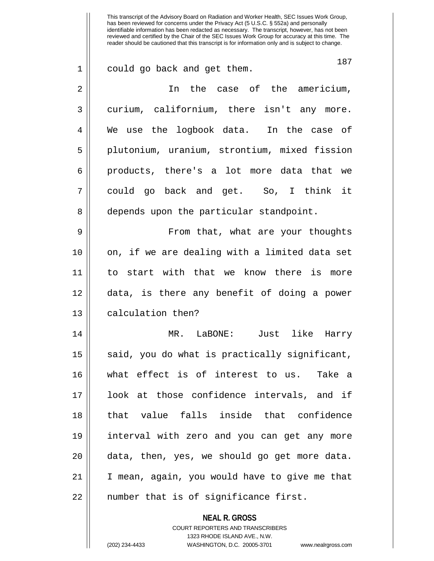**NEAL R. GROSS** 187 1 could go back and get them. 2 In the case of the americium, 3 curium, californium, there isn't any more. 4 We use the logbook data. In the case of 5 plutonium, uranium, strontium, mixed fission 6 || products, there's a lot more data that we 7 could go back and get. So, I think it 8 | depends upon the particular standpoint. 9 From that, what are your thoughts 10 || on, if we are dealing with a limited data set 11 to start with that we know there is more 12 data, is there any benefit of doing a power 13 || calculation then? 14 MR. LaBONE: Just like Harry 15  $\parallel$  said, you do what is practically significant, 16 what effect is of interest to us. Take a 17 look at those confidence intervals, and if 18 that value falls inside that confidence 19 interval with zero and you can get any more  $20$  || data, then, yes, we should go get more data. 21 I mean, again, you would have to give me that  $22$  || number that is of significance first.

> COURT REPORTERS AND TRANSCRIBERS 1323 RHODE ISLAND AVE., N.W.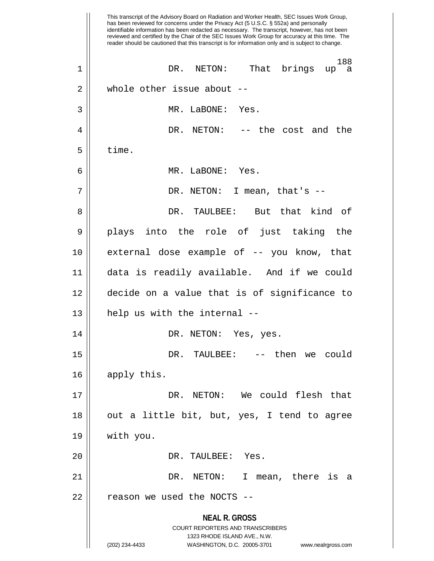**NEAL R. GROSS** COURT REPORTERS AND TRANSCRIBERS 1323 RHODE ISLAND AVE., N.W. (202) 234-4433 WASHINGTON, D.C. 20005-3701 www.nealrgross.com This transcript of the Advisory Board on Radiation and Worker Health, SEC Issues Work Group, has been reviewed for concerns under the Privacy Act (5 U.S.C. § 552a) and personally identifiable information has been redacted as necessary. The transcript, however, has not been reviewed and certified by the Chair of the SEC Issues Work Group for accuracy at this time. The reader should be cautioned that this transcript is for information only and is subject to change. 188<br>up a 1 || DR. NETON: That brings 2 || whole other issue about --3 MR. LaBONE: Yes. 4 DR. NETON: -- the cost and the  $5 \parallel$  time. 6 MR. LaBONE: Yes. 7 || DR. NETON: I mean, that's --8 DR. TAULBEE: But that kind of 9 plays into the role of just taking the 10 external dose example of -- you know, that 11 data is readily available. And if we could 12 decide on a value that is of significance to  $13 \parallel$  help us with the internal --14 DR. NETON: Yes, yes. 15 DR. TAULBEE: -- then we could 16 | apply this. 17 DR. NETON: We could flesh that 18 || out a little bit, but, yes, I tend to agree 19 with you. 20 || DR. TAULBEE: Yes. 21 DR. NETON: I mean, there is a  $22$  || reason we used the NOCTS --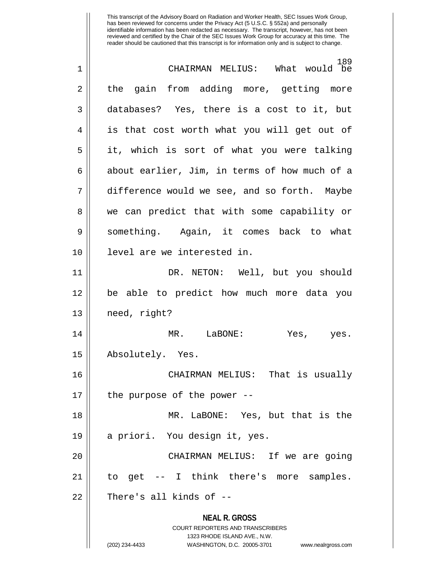**NEAL R. GROSS** COURT REPORTERS AND TRANSCRIBERS 1323 RHODE ISLAND AVE., N.W. (202) 234-4433 WASHINGTON, D.C. 20005-3701 www.nealrgross.com 189<br>What would be 1 CHAIRMAN MELIUS: What would be 2 || the gain from adding more, getting more 3 databases? Yes, there is a cost to it, but 4 || is that cost worth what you will get out of 5 it, which is sort of what you were talking  $6 \parallel$  about earlier, Jim, in terms of how much of a 7 difference would we see, and so forth. Maybe 8 we can predict that with some capability or 9 something. Again, it comes back to what 10 level are we interested in. 11 DR. NETON: Well, but you should 12 be able to predict how much more data you 13 need, right? 14 MR. LaBONE: Yes, yes. 15 Absolutely. Yes. 16 CHAIRMAN MELIUS: That is usually  $17$  || the purpose of the power --18 MR. LaBONE: Yes, but that is the 19 a priori. You design it, yes. 20 CHAIRMAN MELIUS: If we are going 21 to get -- I think there's more samples.  $22$  || There's all kinds of  $-$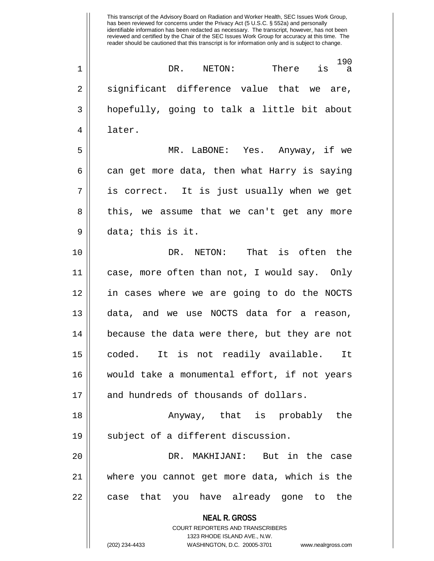**NEAL R. GROSS** COURT REPORTERS AND TRANSCRIBERS 1323 RHODE ISLAND AVE., N.W. (202) 234-4433 WASHINGTON, D.C. 20005-3701 www.nealrgross.com 190 1 DR. NETON: There is a  $2 \parallel$  significant difference value that we are, 3 hopefully, going to talk a little bit about 4 later. 5 MR. LaBONE: Yes. Anyway, if we  $6 \parallel$  can get more data, then what Harry is saying  $7 \parallel$  is correct. It is just usually when we get 8 || this, we assume that we can't get any more 9 data; this is it. 10 DR. NETON: That is often the 11 case, more often than not, I would say. Only 12 in cases where we are going to do the NOCTS 13 data, and we use NOCTS data for a reason, 14 || because the data were there, but they are not 15 coded. It is not readily available. It 16 would take a monumental effort, if not years 17 || and hundreds of thousands of dollars. 18 Anyway, that is probably the 19 || subject of a different discussion. 20 DR. MAKHIJANI: But in the case 21 where you cannot get more data, which is the 22 || case that you have already gone to the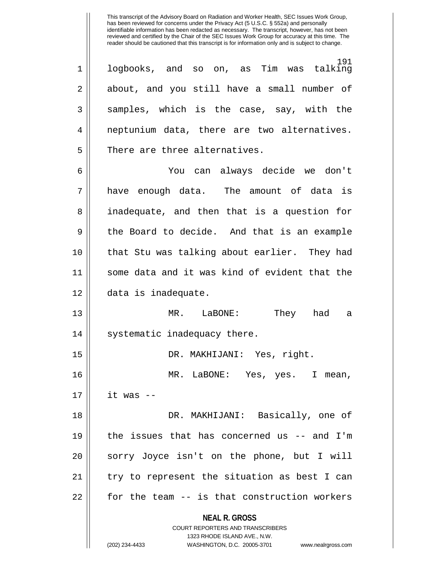191<br>talking  $1 \parallel$  logbooks, and so on, as Tim was 2 about, and you still have a small number of  $3 \parallel$  samples, which is the case, say, with the 4 || neptunium data, there are two alternatives.  $5$   $\parallel$  There are three alternatives.

6 You can always decide we don't 7 have enough data. The amount of data is 8 || inadequate, and then that is a question for 9 the Board to decide. And that is an example 10 that Stu was talking about earlier. They had 11 some data and it was kind of evident that the 12 data is inadequate.

13 MR. LaBONE: They had a 14 || systematic inadequacy there.

15 DR. MAKHIJANI: Yes, right. 16 MR. LaBONE: Yes, yes. I mean,  $17$  | it was  $-$ 18 DR. MAKHIJANI: Basically, one of

19 the issues that has concerned us -- and I'm 20 || sorry Joyce isn't on the phone, but I will 21 try to represent the situation as best I can 22 | for the team -- is that construction workers

**NEAL R. GROSS**

COURT REPORTERS AND TRANSCRIBERS 1323 RHODE ISLAND AVE., N.W. (202) 234-4433 WASHINGTON, D.C. 20005-3701 www.nealrgross.com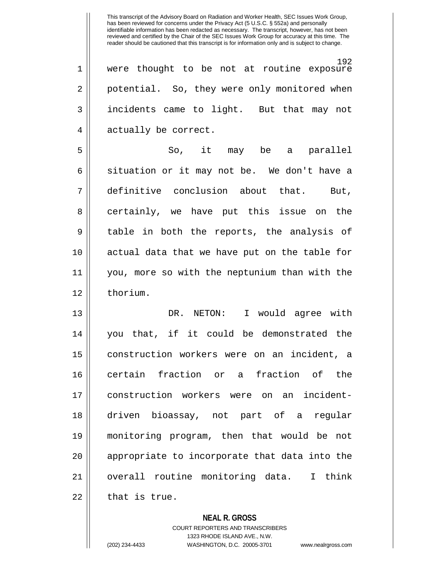192 1 were thought to be not at routine exposure 2 || potential. So, they were only monitored when 3 incidents came to light. But that may not 4 | actually be correct.

5 So, it may be a parallel  $6 \parallel$  situation or it may not be. We don't have a 7 definitive conclusion about that. But, 8 || certainly, we have put this issue on the 9 || table in both the reports, the analysis of 10 actual data that we have put on the table for 11 you, more so with the neptunium than with the 12 ll thorium.

13 DR. NETON: I would agree with 14 you that, if it could be demonstrated the 15 construction workers were on an incident, a 16 || certain fraction or a fraction of the 17 construction workers were on an incident-18 driven bioassay, not part of a regular 19 monitoring program, then that would be not 20 || appropriate to incorporate that data into the 21 overall routine monitoring data. I think  $22$  || that is true.

> **NEAL R. GROSS** COURT REPORTERS AND TRANSCRIBERS 1323 RHODE ISLAND AVE., N.W. (202) 234-4433 WASHINGTON, D.C. 20005-3701 www.nealrgross.com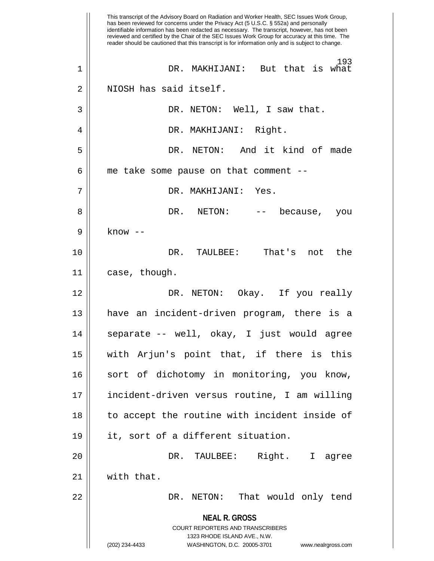**NEAL R. GROSS** COURT REPORTERS AND TRANSCRIBERS 1323 RHODE ISLAND AVE., N.W. (202) 234-4433 WASHINGTON, D.C. 20005-3701 www.nealrgross.com This transcript of the Advisory Board on Radiation and Worker Health, SEC Issues Work Group, has been reviewed for concerns under the Privacy Act (5 U.S.C. § 552a) and personally identifiable information has been redacted as necessary. The transcript, however, has not been reviewed and certified by the Chair of the SEC Issues Work Group for accuracy at this time. The reader should be cautioned that this transcript is for information only and is subject to change. 193 1 DR. MAKHIJANI: But that is what 2 | NIOSH has said itself. 3 DR. NETON: Well, I saw that. 4 || DR. MAKHIJANI: Right. 5 DR. NETON: And it kind of made  $6$  || me take some pause on that comment --7 DR. MAKHIJANI: Yes. 8 DR. NETON: -- because, you 9 || know --10 DR. TAULBEE: That's not the 11 | case, though. 12 DR. NETON: Okay. If you really 13 have an incident-driven program, there is a 14 || separate -- well, okay, I just would agree 15 with Arjun's point that, if there is this 16 || sort of dichotomy in monitoring, you know, 17 incident-driven versus routine, I am willing 18 || to accept the routine with incident inside of 19 it, sort of a different situation. 20 || DR. TAULBEE: Right. I agree 21 with that. 22 DR. NETON: That would only tend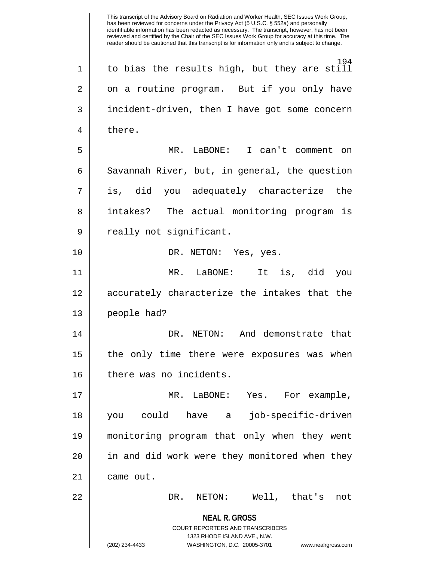**NEAL R. GROSS** COURT REPORTERS AND TRANSCRIBERS 1323 RHODE ISLAND AVE., N.W. (202) 234-4433 WASHINGTON, D.C. 20005-3701 www.nealrgross.com 194  $1 \parallel$  to bias the results high, but they are still 2 || on a routine program. But if you only have 3 || incident-driven, then I have got some concern 4 l there. 5 MR. LaBONE: I can't comment on  $6 \parallel$  Savannah River, but, in general, the question 7 is, did you adequately characterize the 8 intakes? The actual monitoring program is 9 || really not significant. 10 || DR. NETON: Yes, yes. 11 MR. LaBONE: It is, did you 12 accurately characterize the intakes that the 13 people had? 14 DR. NETON: And demonstrate that 15 || the only time there were exposures was when 16 | there was no incidents. 17 MR. LaBONE: Yes. For example, 18 you could have a job-specific-driven 19 monitoring program that only when they went  $20$  || in and did work were they monitored when they 21 | came out. 22 DR. NETON: Well, that's not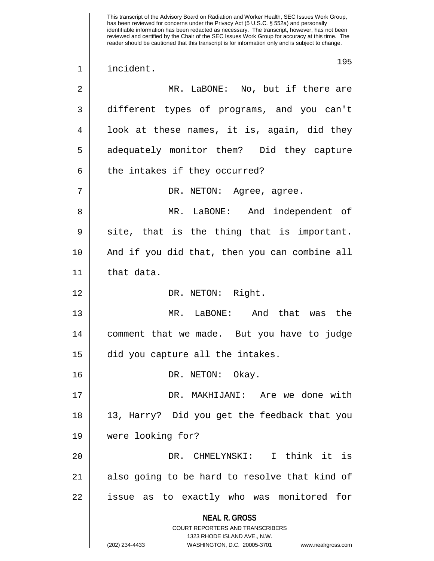**NEAL R. GROSS** COURT REPORTERS AND TRANSCRIBERS 1323 RHODE ISLAND AVE., N.W. This transcript of the Advisory Board on Radiation and Worker Health, SEC Issues Work Group, has been reviewed for concerns under the Privacy Act (5 U.S.C. § 552a) and personally identifiable information has been redacted as necessary. The transcript, however, has not been reviewed and certified by the Chair of the SEC Issues Work Group for accuracy at this time. The reader should be cautioned that this transcript is for information only and is subject to change. 195 1 incident. 2 MR. LaBONE: No, but if there are 3 different types of programs, and you can't  $4 \parallel$  look at these names, it is, again, did they 5 || adequately monitor them? Did they capture  $6 \parallel$  the intakes if they occurred? 7 DR. NETON: Agree, agree. 8 MR. LaBONE: And independent of  $9 \parallel$  site, that is the thing that is important. 10 And if you did that, then you can combine all 11 || that data. 12 || DR. NETON: Right. 13 MR. LaBONE: And that was the 14 comment that we made. But you have to judge 15 | did you capture all the intakes. 16 DR. NETON: Okay. 17 DR. MAKHIJANI: Are we done with 18 13, Harry? Did you get the feedback that you 19 were looking for? 20 DR. CHMELYNSKI: I think it is 21 || also going to be hard to resolve that kind of 22 issue as to exactly who was monitored for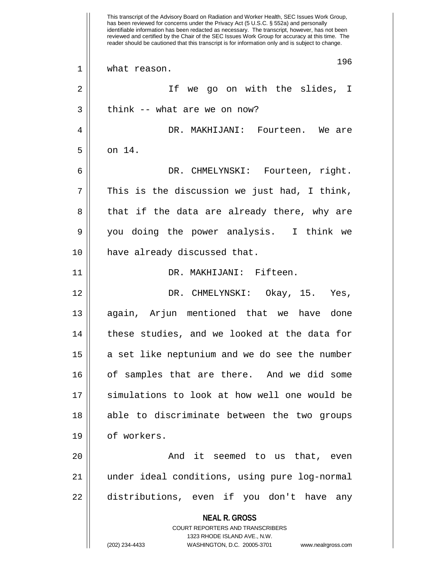**NEAL R. GROSS** COURT REPORTERS AND TRANSCRIBERS 1323 RHODE ISLAND AVE., N.W. (202) 234-4433 WASHINGTON, D.C. 20005-3701 www.nealrgross.com This transcript of the Advisory Board on Radiation and Worker Health, SEC Issues Work Group, has been reviewed for concerns under the Privacy Act (5 U.S.C. § 552a) and personally identifiable information has been redacted as necessary. The transcript, however, has not been reviewed and certified by the Chair of the SEC Issues Work Group for accuracy at this time. The reader should be cautioned that this transcript is for information only and is subject to change. 196 1 | what reason. 2 || If we go on with the slides, I  $3 \parallel$  think -- what are we on now? 4 DR. MAKHIJANI: Fourteen. We are  $5 \parallel \quad$  on 14. 6 DR. CHMELYNSKI: Fourteen, right.  $7$  | This is the discussion we just had, I think, 8 || that if the data are already there, why are 9 you doing the power analysis. I think we 10 | have already discussed that. 11 DR. MAKHIJANI: Fifteen. 12 DR. CHMELYNSKI: Okay, 15. Yes, 13 || again, Arjun mentioned that we have done 14 || these studies, and we looked at the data for  $15$  a set like neptunium and we do see the number 16 || of samples that are there. And we did some 17 || simulations to look at how well one would be 18 || able to discriminate between the two groups 19 | of workers. 20 || The South Common Shadest Seemed to us that, even 21 under ideal conditions, using pure log-normal 22 || distributions, even if you don't have any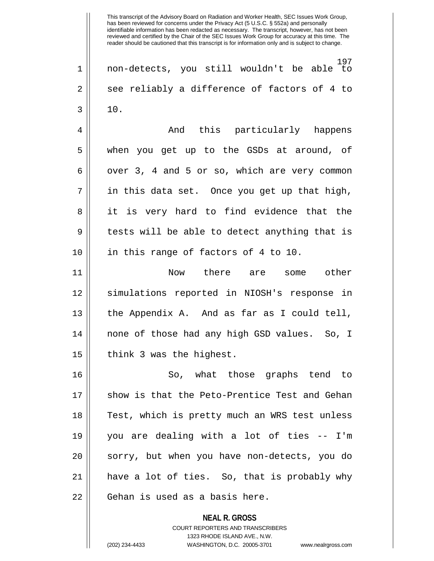197 1 non-detects, you still wouldn't be able to  $2 \parallel$  see reliably a difference of factors of 4 to  $3 \parallel 10.$ 

4 And this particularly happens 5 when you get up to the GSDs at around, of  $6 \parallel$  over 3, 4 and 5 or so, which are very common  $7 \parallel$  in this data set. Once you get up that high, 8 || it is very hard to find evidence that the 9 || tests will be able to detect anything that is 10 || in this range of factors of 4 to 10.

11 Now there are some other 12 simulations reported in NIOSH's response in 13 the Appendix A. And as far as I could tell, 14 none of those had any high GSD values. So, I  $15$  | think 3 was the highest.

16 || So, what those graphs tend to 17 || show is that the Peto-Prentice Test and Gehan 18 || Test, which is pretty much an WRS test unless 19 you are dealing with a lot of ties -- I'm 20 || sorry, but when you have non-detects, you do 21 have a lot of ties. So, that is probably why 22 | Gehan is used as a basis here.

> **NEAL R. GROSS** COURT REPORTERS AND TRANSCRIBERS 1323 RHODE ISLAND AVE., N.W. (202) 234-4433 WASHINGTON, D.C. 20005-3701 www.nealrgross.com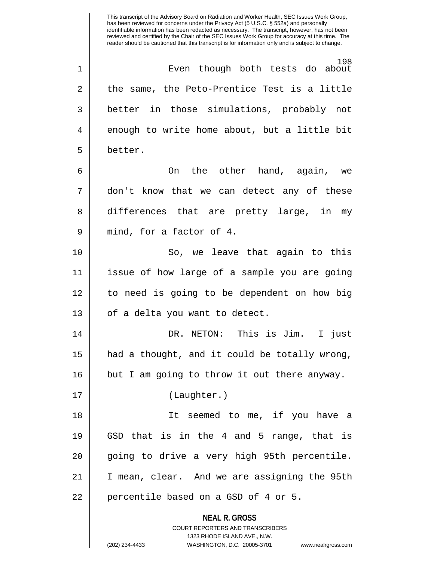**NEAL R. GROSS** This transcript of the Advisory Board on Radiation and Worker Health, SEC Issues Work Group, has been reviewed for concerns under the Privacy Act (5 U.S.C. § 552a) and personally identifiable information has been redacted as necessary. The transcript, however, has not been reviewed and certified by the Chair of the SEC Issues Work Group for accuracy at this time. The reader should be cautioned that this transcript is for information only and is subject to change. 198 1 Even though both tests do about  $2 \parallel$  the same, the Peto-Prentice Test is a little 3 better in those simulations, probably not  $4 \parallel$  enough to write home about, but a little bit 5 better. 6 On the other hand, again, we 7 don't know that we can detect any of these 8 differences that are pretty large, in my 9 || mind, for a factor of 4. 10 || So, we leave that again to this 11 issue of how large of a sample you are going 12 to need is going to be dependent on how big 13 || of a delta you want to detect. 14 DR. NETON: This is Jim. I just 15 had a thought, and it could be totally wrong, 16 || but I am going to throw it out there anyway. 17 (Laughter.) 18 It seemed to me, if you have a 19  $\parallel$  GSD that is in the 4 and 5 range, that is 20 || going to drive a very high 95th percentile. 21 I mean, clear. And we are assigning the 95th  $22$  || percentile based on a GSD of 4 or 5.

> COURT REPORTERS AND TRANSCRIBERS 1323 RHODE ISLAND AVE., N.W.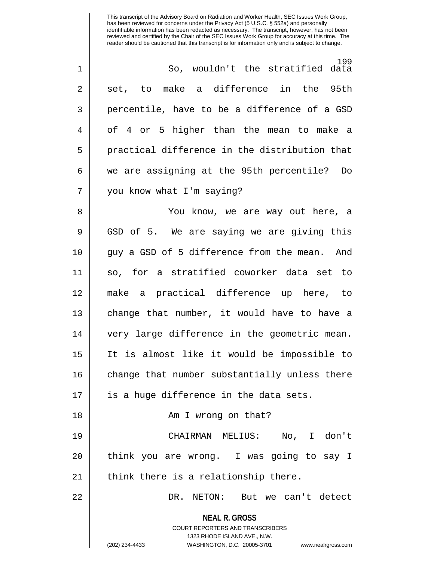| $\mathbf 1$ | 199<br>So, wouldn't the stratified data                                                                                                                             |
|-------------|---------------------------------------------------------------------------------------------------------------------------------------------------------------------|
| 2           | to make a difference in the<br>95th<br>set,                                                                                                                         |
| 3           | percentile, have to be a difference of a GSD                                                                                                                        |
| 4           | of 4 or 5 higher than the mean to make a                                                                                                                            |
| 5           | practical difference in the distribution that                                                                                                                       |
| 6           | we are assigning at the 95th percentile? Do                                                                                                                         |
| 7           | you know what I'm saying?                                                                                                                                           |
| 8           | You know, we are way out here, a                                                                                                                                    |
| 9           | GSD of 5. We are saying we are giving this                                                                                                                          |
| 10          | guy a GSD of 5 difference from the mean. And                                                                                                                        |
| 11          | so, for a stratified coworker data set to                                                                                                                           |
| 12          | make a practical difference up here, to                                                                                                                             |
| 13          | change that number, it would have to have a                                                                                                                         |
| 14          | very large difference in the geometric mean.                                                                                                                        |
| 15          | It is almost like it would be impossible to                                                                                                                         |
| 16          | change that number substantially unless there                                                                                                                       |
| 17          | is a huge difference in the data sets.                                                                                                                              |
| 18          | Am I wrong on that?                                                                                                                                                 |
| 19          | CHAIRMAN MELIUS: No, I don't                                                                                                                                        |
| 20          | think you are wrong. I was going to say I                                                                                                                           |
| 21          | think there is a relationship there.                                                                                                                                |
| 22          | DR. NETON: But we can't detect                                                                                                                                      |
|             | <b>NEAL R. GROSS</b><br><b>COURT REPORTERS AND TRANSCRIBERS</b><br>1323 RHODE ISLAND AVE., N.W.<br>(202) 234-4433<br>WASHINGTON, D.C. 20005-3701 www.nealrgross.com |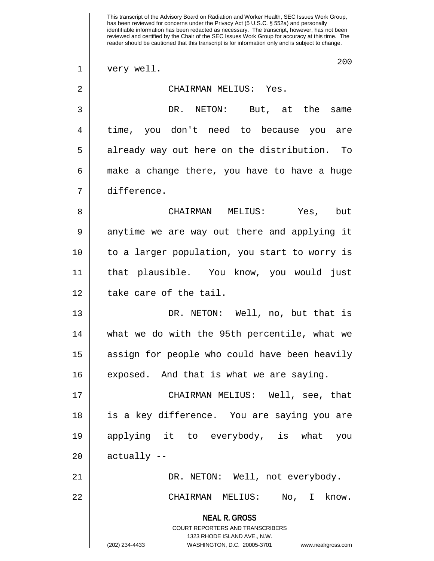**NEAL R. GROSS** COURT REPORTERS AND TRANSCRIBERS 1323 RHODE ISLAND AVE., N.W. (202) 234-4433 WASHINGTON, D.C. 20005-3701 www.nealrgross.com This transcript of the Advisory Board on Radiation and Worker Health, SEC Issues Work Group, has been reviewed for concerns under the Privacy Act (5 U.S.C. § 552a) and personally identifiable information has been redacted as necessary. The transcript, however, has not been reviewed and certified by the Chair of the SEC Issues Work Group for accuracy at this time. The reader should be cautioned that this transcript is for information only and is subject to change. 200 1 || very well. 2 CHAIRMAN MELIUS: Yes. 3 DR. NETON: But, at the same 4 || time, you don't need to because you are 5 || already way out here on the distribution. To  $6 \parallel$  make a change there, you have to have a huge 7 difference. 8 CHAIRMAN MELIUS: Yes, but 9 anytime we are way out there and applying it 10 || to a larger population, you start to worry is 11 that plausible. You know, you would just 12 l take care of the tail. 13 DR. NETON: Well, no, but that is 14 what we do with the 95th percentile, what we 15 || assign for people who could have been heavily 16 | exposed. And that is what we are saying. 17 CHAIRMAN MELIUS: Well, see, that 18 is a key difference. You are saying you are 19 applying it to everybody, is what you  $20$  || actually --21 DR. NETON: Well, not everybody. 22 CHAIRMAN MELIUS: No, I know.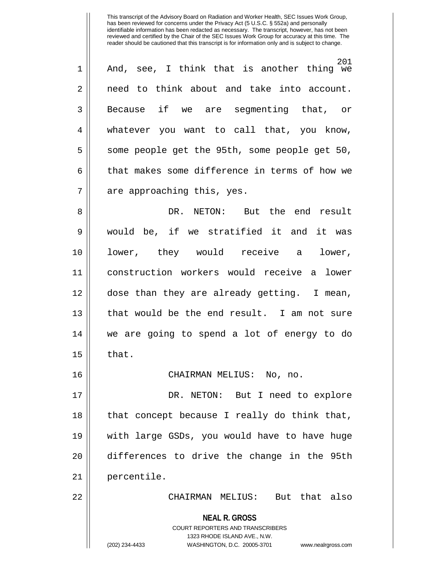| $\overline{1}$ | 201<br>And, see, I think that is another thing we |
|----------------|---------------------------------------------------|
| 2              | need to think about and take into account.        |
| 3              | Because if we are segmenting that, or             |
| 4              | whatever you want to call that, you know,         |
| 5              | some people get the 95th, some people get 50,     |
| 6              | that makes some difference in terms of how we     |
| 7              | are approaching this, yes.                        |

8 DR. NETON: But the end result 9 would be, if we stratified it and it was 10 lower, they would receive a lower, 11 construction workers would receive a lower 12 dose than they are already getting. I mean, 13 || that would be the end result. I am not sure 14 we are going to spend a lot of energy to do  $15$  | that.

16 CHAIRMAN MELIUS: No, no.

17 DR. NETON: But I need to explore  $18$  || that concept because I really do think that, 19 with large GSDs, you would have to have huge 20 differences to drive the change in the 95th 21 percentile.

22 CHAIRMAN MELIUS: But that also

**NEAL R. GROSS** COURT REPORTERS AND TRANSCRIBERS

1323 RHODE ISLAND AVE., N.W.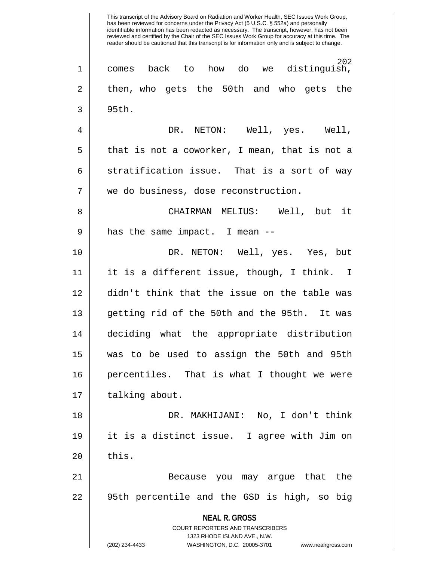**NEAL R. GROSS** COURT REPORTERS AND TRANSCRIBERS 1323 RHODE ISLAND AVE., N.W. (202) 234-4433 WASHINGTON, D.C. 20005-3701 www.nealrgross.com 202 1 comes back to how do we distinguish, 2 then, who gets the 50th and who gets the  $3 \parallel 95$ th. 4 DR. NETON: Well, yes. Well,  $5 \parallel$  that is not a coworker, I mean, that is not a  $6$  stratification issue. That is a sort of way 7 We do business, dose reconstruction. 8 CHAIRMAN MELIUS: Well, but it  $9 \parallel$  has the same impact. I mean  $-$ 10 DR. NETON: Well, yes. Yes, but 11 it is a different issue, though, I think. I 12 didn't think that the issue on the table was 13 getting rid of the 50th and the 95th. It was 14 deciding what the appropriate distribution 15 was to be used to assign the 50th and 95th 16 percentiles. That is what I thought we were 17 | talking about. 18 DR. MAKHIJANI: No, I don't think 19 it is a distinct issue. I agree with Jim on  $20$   $\parallel$  this. 21 Because you may argue that the 22 95th percentile and the GSD is high, so big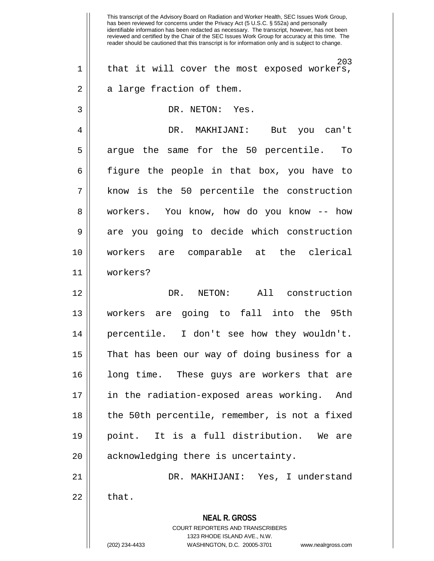**NEAL R. GROSS** COURT REPORTERS AND TRANSCRIBERS 1323 RHODE ISLAND AVE., N.W. (202) 234-4433 WASHINGTON, D.C. 20005-3701 www.nealrgross.com This transcript of the Advisory Board on Radiation and Worker Health, SEC Issues Work Group, has been reviewed for concerns under the Privacy Act (5 U.S.C. § 552a) and personally identifiable information has been redacted as necessary. The transcript, however, has not been reviewed and certified by the Chair of the SEC Issues Work Group for accuracy at this time. The reader should be cautioned that this transcript is for information only and is subject to change. 203 1 || that it will cover the most exposed workers,  $2 \parallel$  a large fraction of them. 3 || DR. NETON: Yes. 4 DR. MAKHIJANI: But you can't 5 arque the same for the 50 percentile. To 6 figure the people in that box, you have to 7 know is the 50 percentile the construction 8 || workers. You know, how do you know -- how 9 are you going to decide which construction 10 workers are comparable at the clerical 11 workers? 12 DR. NETON: All construction 13 workers are going to fall into the 95th 14 percentile. I don't see how they wouldn't. 15 || That has been our way of doing business for a 16 long time. These guys are workers that are 17 in the radiation-exposed areas working. And 18 || the 50th percentile, remember, is not a fixed 19 point. It is a full distribution. We are 20 || acknowledging there is uncertainty. 21 DR. MAKHIJANI: Yes, I understand  $22 \parallel$  that.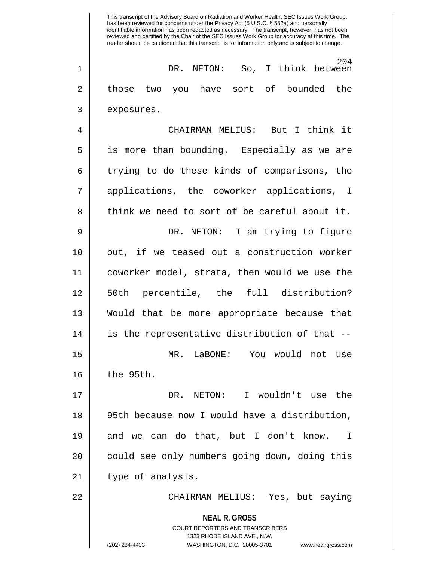This transcript of the Advisory Board on Radiation and Worker Health, SEC Issues Work Group, has been reviewed for concerns under the Privacy Act (5 U.S.C. § 552a) and personally identifiable information has been redacted as necessary. The transcript, however, has not been reviewed and certified by the Chair of the SEC Issues Work Group for accuracy at this time. The reader should be cautioned that this transcript is for information only and is subject to change. 204 1 || DR. NETON: So, I think between 2 || those two you have sort of bounded the 3 | exposures. 4 CHAIRMAN MELIUS: But I think it 5 is more than bounding. Especially as we are  $6 \parallel$  trying to do these kinds of comparisons, the 7 applications, the coworker applications, I

 $8 \parallel$  think we need to sort of be careful about it. 9 DR. NETON: I am trying to figure 10 || out, if we teased out a construction worker 11 coworker model, strata, then would we use the 12 50th percentile, the full distribution? 13 Would that be more appropriate because that 14 || is the representative distribution of that --15 MR. LaBONE: You would not use

 $16$  the 95th.

17 DR. NETON: I wouldn't use the 18 95th because now I would have a distribution, 19 and we can do that, but I don't know. I 20 || could see only numbers going down, doing this 21 || type of analysis.

22 CHAIRMAN MELIUS: Yes, but saying

**NEAL R. GROSS** COURT REPORTERS AND TRANSCRIBERS 1323 RHODE ISLAND AVE., N.W. (202) 234-4433 WASHINGTON, D.C. 20005-3701 www.nealrgross.com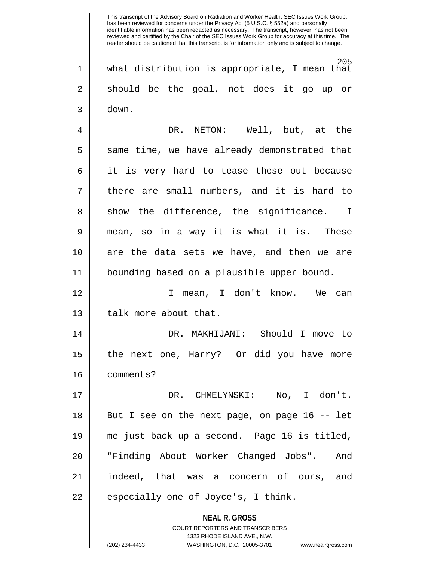**NEAL R. GROSS** COURT REPORTERS AND TRANSCRIBERS This transcript of the Advisory Board on Radiation and Worker Health, SEC Issues Work Group, has been reviewed for concerns under the Privacy Act (5 U.S.C. § 552a) and personally identifiable information has been redacted as necessary. The transcript, however, has not been reviewed and certified by the Chair of the SEC Issues Work Group for accuracy at this time. The reader should be cautioned that this transcript is for information only and is subject to change. 205 1 what distribution is appropriate, I mean that  $2 \parallel$  should be the goal, not does it go up or  $3 \parallel$  down. 4 DR. NETON: Well, but, at the  $5 \parallel$  same time, we have already demonstrated that 6 || it is very hard to tease these out because 7 || there are small numbers, and it is hard to  $8 \parallel$  show the difference, the significance. I 9 mean, so in a way it is what it is. These 10 are the data sets we have, and then we are 11 bounding based on a plausible upper bound. 12 I mean, I don't know. We can 13 | talk more about that. 14 DR. MAKHIJANI: Should I move to 15 the next one, Harry? Or did you have more 16 comments? 17 DR. CHMELYNSKI: No, I don't. 18 || But I see on the next page, on page 16 -- let 19 me just back up a second. Page 16 is titled, 20 || "Finding About Worker Changed Jobs". And 21 indeed, that was a concern of ours, and  $22$  || especially one of Joyce's, I think.

1323 RHODE ISLAND AVE., N.W.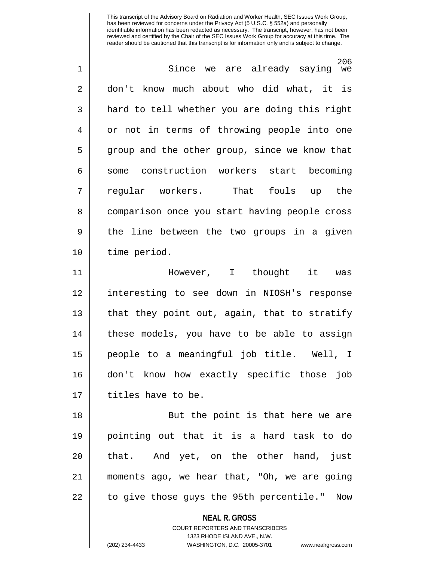206 1 Since we are already saying we 2 don't know much about who did what, it is 3 || hard to tell whether you are doing this right 4 || or not in terms of throwing people into one  $5 \parallel$  group and the other group, since we know that 6 || some construction workers start becoming 7 regular workers. That fouls up the 8 || comparison once you start having people cross 9 || the line between the two groups in a given 10 time period. 11 However, I thought it was 12 interesting to see down in NIOSH's response 13 || that they point out, again, that to stratify 14 these models, you have to be able to assign 15 people to a meaningful job title. Well, I 16 don't know how exactly specific those job 17 || titles have to be. 18 || But the point is that here we are 19 pointing out that it is a hard task to do  $20$  || that. And yet, on the other hand, just 21 moments ago, we hear that, "Oh, we are going 22 | to give those guys the 95th percentile." Now

**NEAL R. GROSS**

COURT REPORTERS AND TRANSCRIBERS 1323 RHODE ISLAND AVE., N.W. (202) 234-4433 WASHINGTON, D.C. 20005-3701 www.nealrgross.com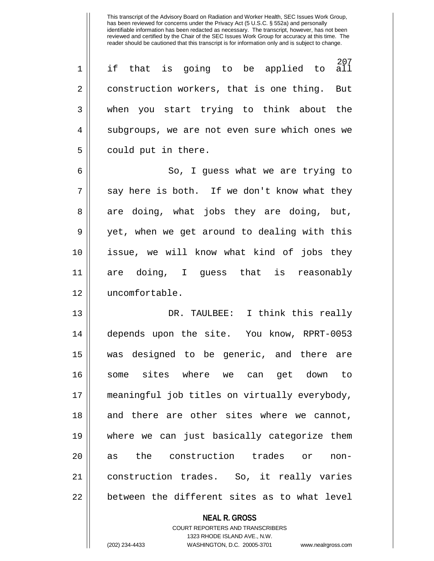207<br>all  $1 \parallel$  if that is going to be applied to 2 construction workers, that is one thing. But 3 when you start trying to think about the 4 || subgroups, we are not even sure which ones we  $5 \parallel$  could put in there.

6 So, I guess what we are trying to  $7 \parallel$  say here is both. If we don't know what they  $8 \parallel$  are doing, what jobs they are doing, but, 9 || yet, when we get around to dealing with this 10 issue, we will know what kind of jobs they 11 are doing, I guess that is reasonably 12 uncomfortable.

13 DR. TAULBEE: I think this really 14 depends upon the site. You know, RPRT-0053 15 was designed to be generic, and there are 16 some sites where we can get down to 17 meaningful job titles on virtually everybody, 18 and there are other sites where we cannot, 19 where we can just basically categorize them 20 as the construction trades or non-21 construction trades. So, it really varies  $22$   $\vert$  between the different sites as to what level

> **NEAL R. GROSS** COURT REPORTERS AND TRANSCRIBERS 1323 RHODE ISLAND AVE., N.W. (202) 234-4433 WASHINGTON, D.C. 20005-3701 www.nealrgross.com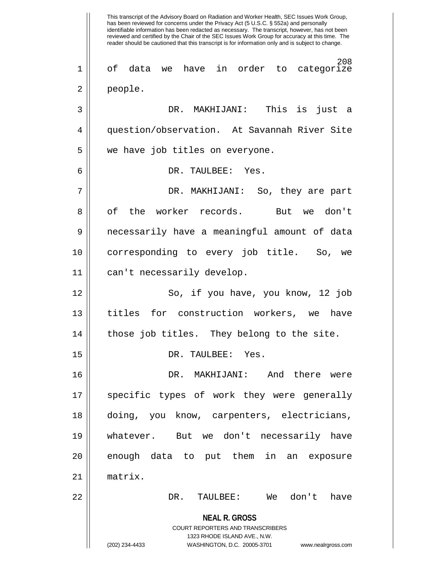**NEAL R. GROSS** COURT REPORTERS AND TRANSCRIBERS 1323 RHODE ISLAND AVE., N.W. (202) 234-4433 WASHINGTON, D.C. 20005-3701 www.nealrgross.com This transcript of the Advisory Board on Radiation and Worker Health, SEC Issues Work Group, has been reviewed for concerns under the Privacy Act (5 U.S.C. § 552a) and personally identifiable information has been redacted as necessary. The transcript, however, has not been reviewed and certified by the Chair of the SEC Issues Work Group for accuracy at this time. The reader should be cautioned that this transcript is for information only and is subject to change. 208 1 of data we have in order to categorize 2 people. 3 DR. MAKHIJANI: This is just a 4 | question/observation. At Savannah River Site 5 | we have job titles on everyone. 6 DR. TAULBEE: Yes. 7 DR. MAKHIJANI: So, they are part 8 || of the worker records. But we don't 9 necessarily have a meaningful amount of data 10 corresponding to every job title. So, we 11 can't necessarily develop. 12 || So, if you have, you know, 12 job 13 titles for construction workers, we have 14 || those job titles. They belong to the site. 15 DR. TAULBEE: Yes. 16 DR. MAKHIJANI: And there were 17 || specific types of work they were generally 18 doing, you know, carpenters, electricians, 19 whatever. But we don't necessarily have  $20$  || enough data to put them in an exposure 21 matrix. 22 DR. TAULBEE: We don't have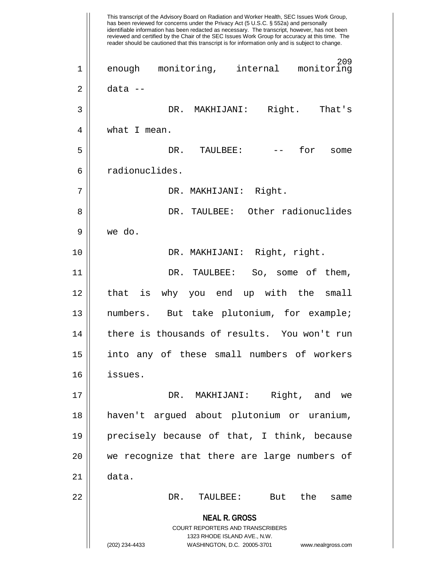**NEAL R. GROSS** COURT REPORTERS AND TRANSCRIBERS 1323 RHODE ISLAND AVE., N.W. (202) 234-4433 WASHINGTON, D.C. 20005-3701 www.nealrgross.com This transcript of the Advisory Board on Radiation and Worker Health, SEC Issues Work Group, has been reviewed for concerns under the Privacy Act (5 U.S.C. § 552a) and personally identifiable information has been redacted as necessary. The transcript, however, has not been reviewed and certified by the Chair of the SEC Issues Work Group for accuracy at this time. The reader should be cautioned that this transcript is for information only and is subject to change. 209 1 enough monitoring, internal monitoring 2 data -- 3 DR. MAKHIJANI: Right. That's 4 | what I mean. 5 DR. TAULBEE: -- for some 6 || radionuclides. 7 | DR. MAKHIJANI: Right. 8 DR. TAULBEE: Other radionuclides 9 we do. 10 DR. MAKHIJANI: Right, right. 11 DR. TAULBEE: So, some of them, 12 || that is why you end up with the small 13 numbers. But take plutonium, for example; 14 || there is thousands of results. You won't run 15 into any of these small numbers of workers 16 issues. 17 DR. MAKHIJANI: Right, and we 18 haven't argued about plutonium or uranium, 19 precisely because of that, I think, because 20 || we recognize that there are large numbers of 21 data. 22 DR. TAULBEE: But the same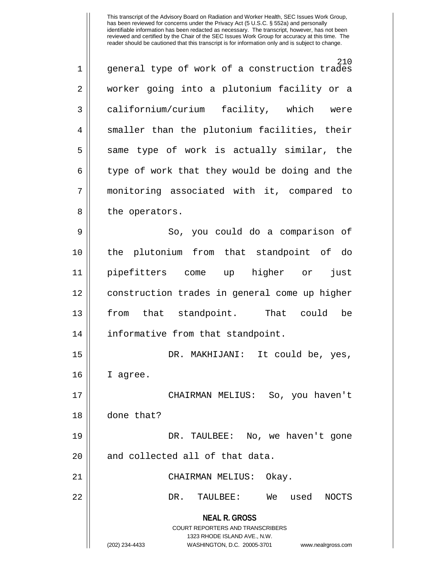| $\mathbf 1$ | 210<br>general type of work of a construction trades                                                                                                                   |
|-------------|------------------------------------------------------------------------------------------------------------------------------------------------------------------------|
| 2           | worker going into a plutonium facility or a                                                                                                                            |
| 3           | californium/curium facility, which were                                                                                                                                |
| 4           | smaller than the plutonium facilities, their                                                                                                                           |
| 5           | same type of work is actually similar, the                                                                                                                             |
| 6           | type of work that they would be doing and the                                                                                                                          |
| 7           | monitoring associated with it, compared to                                                                                                                             |
| 8           | the operators.                                                                                                                                                         |
| 9           | So, you could do a comparison of                                                                                                                                       |
| 10          | the plutonium from that standpoint of do                                                                                                                               |
| 11          | pipefitters come up higher or<br>just                                                                                                                                  |
| 12          | construction trades in general come up higher                                                                                                                          |
| 13          | from that standpoint. That could<br>be                                                                                                                                 |
| 14          | informative from that standpoint.                                                                                                                                      |
| 15          | DR. MAKHIJANI: It could be, yes,                                                                                                                                       |
| 16          | I agree.                                                                                                                                                               |
| 17          | CHAIRMAN MELIUS: So, you haven't                                                                                                                                       |
| 18          | done that?                                                                                                                                                             |
| 19          | DR. TAULBEE: No, we haven't gone                                                                                                                                       |
| 20          | and collected all of that data.                                                                                                                                        |
| 21          | CHAIRMAN MELIUS:<br>Okay.                                                                                                                                              |
| 22          | DR.<br>TAULBEE:<br>We<br>used<br><b>NOCTS</b>                                                                                                                          |
|             | <b>NEAL R. GROSS</b><br><b>COURT REPORTERS AND TRANSCRIBERS</b><br>1323 RHODE ISLAND AVE., N.W.<br>(202) 234-4433<br>WASHINGTON, D.C. 20005-3701<br>www.nealrgross.com |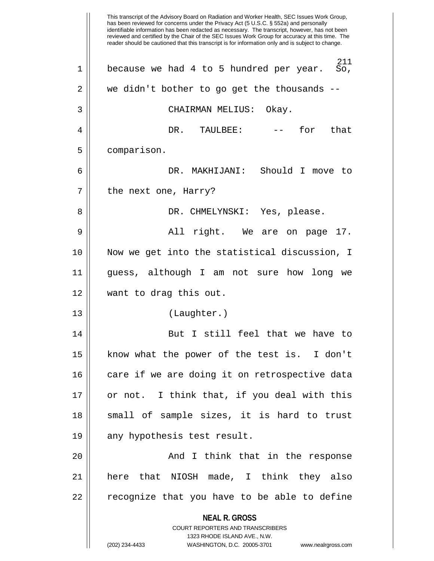**NEAL R. GROSS** COURT REPORTERS AND TRANSCRIBERS 1323 RHODE ISLAND AVE., N.W. (202) 234-4433 WASHINGTON, D.C. 20005-3701 www.nealrgross.com This transcript of the Advisory Board on Radiation and Worker Health, SEC Issues Work Group, has been reviewed for concerns under the Privacy Act (5 U.S.C. § 552a) and personally identifiable information has been redacted as necessary. The transcript, however, has not been reviewed and certified by the Chair of the SEC Issues Work Group for accuracy at this time. The reader should be cautioned that this transcript is for information only and is subject to change.  $^{211}_{\text{SO}}$  $1 \parallel$  because we had 4 to 5 hundred per year. 2 || we didn't bother to go get the thousands --3 CHAIRMAN MELIUS: Okay. 4 DR. TAULBEE: -- for that 5 comparison. 6 DR. MAKHIJANI: Should I move to  $7 \parallel$  the next one, Harry? 8 DR. CHMELYNSKI: Yes, please. 9 All right. We are on page 17. 10 Now we get into the statistical discussion, I 11 guess, although I am not sure how long we 12 want to drag this out. 13 (Laughter.) 14 || But I still feel that we have to 15 know what the power of the test is. I don't 16 || care if we are doing it on retrospective data  $17$  | or not. I think that, if you deal with this 18 || small of sample sizes, it is hard to trust 19 || any hypothesis test result. 20 || Think that in the response 21 here that NIOSH made, I think they also 22 || recognize that you have to be able to define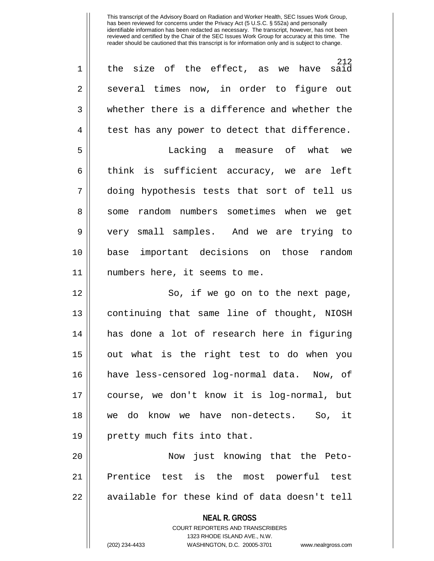| $\mathbf 1$    | 212<br>the size of the effect, as we have said                                                      |
|----------------|-----------------------------------------------------------------------------------------------------|
| $\overline{2}$ | several times now, in order to figure out                                                           |
| 3              | whether there is a difference and whether the                                                       |
| 4              | test has any power to detect that difference.                                                       |
| 5              | Lacking a measure of what we                                                                        |
| 6              | think is sufficient accuracy, we are left                                                           |
| 7              | doing hypothesis tests that sort of tell us                                                         |
| 8              | some random numbers sometimes when we get                                                           |
| 9              | very small samples. And we are trying to                                                            |
| 10             | base important decisions on those random                                                            |
| 11             | numbers here, it seems to me.                                                                       |
| 12             | So, if we go on to the next page,                                                                   |
| 13             | continuing that same line of thought, NIOSH                                                         |
| 14             | has done a lot of research here in figuring                                                         |
| 15             | out what is the right test to do when you                                                           |
| 16             | have less-censored log-normal data. Now, of                                                         |
| 17             | course, we don't know it is log-normal, but                                                         |
| 18             | we do know we have non-detects. So, it                                                              |
| 19             | pretty much fits into that.                                                                         |
| 20             | Now just knowing that the Peto-                                                                     |
| 21             | Prentice test is the most powerful test                                                             |
| 22             | available for these kind of data doesn't tell                                                       |
|                | <b>NEAL R. GROSS</b>                                                                                |
|                | <b>COURT REPORTERS AND TRANSCRIBERS</b>                                                             |
|                | 1323 RHODE ISLAND AVE., N.W.<br>(202) 234-4433<br>WASHINGTON, D.C. 20005-3701<br>www.nealrgross.com |
|                |                                                                                                     |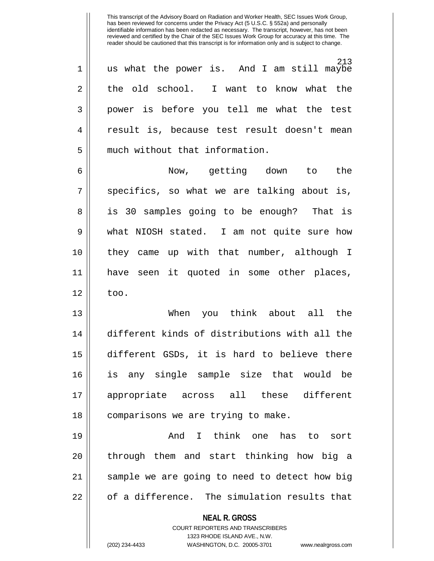213 1 us what the power is. And I am still maybe  $2 \parallel$  the old school. I want to know what the 3 || power is before you tell me what the test 4 result is, because test result doesn't mean 5 | much without that information.

6 Now, getting down to the  $7 \parallel$  specifics, so what we are talking about is, 8 is 30 samples going to be enough? That is 9 what NIOSH stated. I am not quite sure how 10 they came up with that number, although I 11 have seen it quoted in some other places,  $12 \parallel$  too.

13 When you think about all the 14 different kinds of distributions with all the 15 different GSDs, it is hard to believe there 16 is any single sample size that would be 17 appropriate across all these different 18 | comparisons we are trying to make.

19 || Think one has to sort 20 || through them and start thinking how big a 21 || sample we are going to need to detect how big 22 | cf a difference. The simulation results that

**NEAL R. GROSS**

COURT REPORTERS AND TRANSCRIBERS 1323 RHODE ISLAND AVE., N.W. (202) 234-4433 WASHINGTON, D.C. 20005-3701 www.nealrgross.com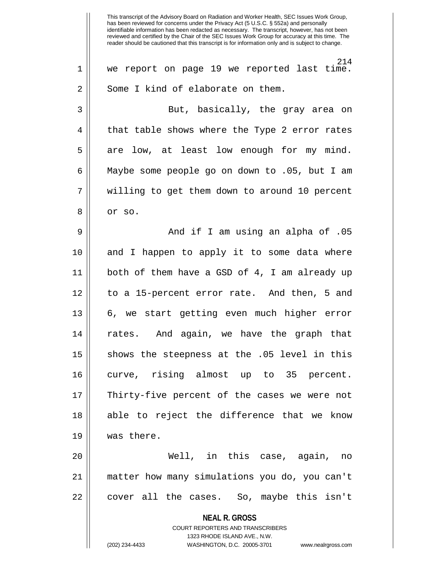**NEAL R. GROSS** COURT REPORTERS AND TRANSCRIBERS 1323 RHODE ISLAND AVE., N.W. This transcript of the Advisory Board on Radiation and Worker Health, SEC Issues Work Group, has been reviewed for concerns under the Privacy Act (5 U.S.C. § 552a) and personally identifiable information has been redacted as necessary. The transcript, however, has not been reviewed and certified by the Chair of the SEC Issues Work Group for accuracy at this time. The reader should be cautioned that this transcript is for information only and is subject to change. 214 1 we report on page 19 we reported last time.  $2 \parallel$  Some I kind of elaborate on them. 3 But, basically, the gray area on 4 || that table shows where the Type 2 error rates  $5 \parallel$  are low, at least low enough for my mind. 6 Maybe some people go on down to .05, but I am 7 || willing to get them down to around 10 percent  $8 \parallel$  or so. 9 And if I am using an alpha of .05 10 || and I happen to apply it to some data where 11 both of them have a GSD of 4, I am already up 12 to a 15-percent error rate. And then, 5 and 13 6, we start getting even much higher error 14 rates. And again, we have the graph that 15 || shows the steepness at the .05 level in this 16 curve, rising almost up to 35 percent. 17 || Thirty-five percent of the cases we were not 18 || able to reject the difference that we know 19 was there. 20 Well, in this case, again, no 21 matter how many simulations you do, you can't 22 || cover all the cases. So, maybe this isn't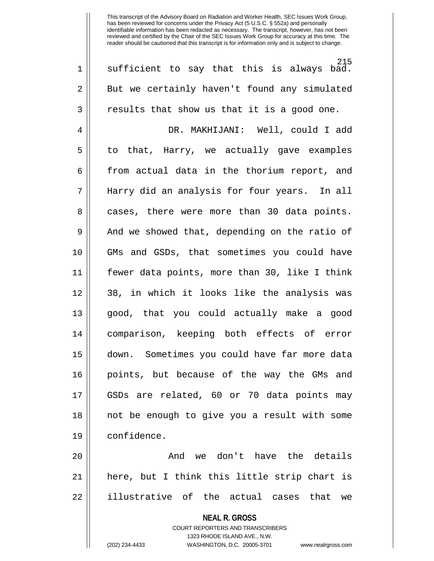**NEAL R. GROSS** COURT REPORTERS AND TRANSCRIBERS 1323 RHODE ISLAND AVE., N.W. 215 1 || sufficient to say that this is always bad. 2 | But we certainly haven't found any simulated  $3 \parallel$  results that show us that it is a good one. 4 DR. MAKHIJANI: Well, could I add  $5 \parallel$  to that, Harry, we actually gave examples 6 | from actual data in the thorium report, and 7 Harry did an analysis for four years. In all 8 || cases, there were more than 30 data points.  $9 \parallel$  And we showed that, depending on the ratio of 10 GMs and GSDs, that sometimes you could have 11 fewer data points, more than 30, like I think 12 38, in which it looks like the analysis was 13 good, that you could actually make a good 14 comparison, keeping both effects of error 15 down. Sometimes you could have far more data 16 points, but because of the way the GMs and 17 GSDs are related, 60 or 70 data points may 18 not be enough to give you a result with some 19 confidence. 20 || The Contracture Contracture the details 21 here, but I think this little strip chart is 22 || illustrative of the actual cases that we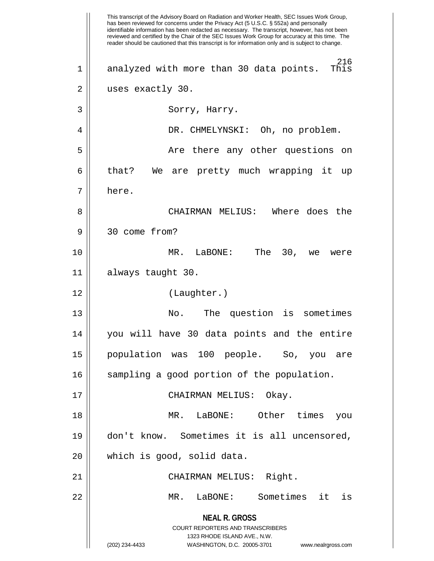**NEAL R. GROSS** COURT REPORTERS AND TRANSCRIBERS 1323 RHODE ISLAND AVE., N.W. (202) 234-4433 WASHINGTON, D.C. 20005-3701 www.nealrgross.com This transcript of the Advisory Board on Radiation and Worker Health, SEC Issues Work Group, has been reviewed for concerns under the Privacy Act (5 U.S.C. § 552a) and personally identifiable information has been redacted as necessary. The transcript, however, has not been reviewed and certified by the Chair of the SEC Issues Work Group for accuracy at this time. The reader should be cautioned that this transcript is for information only and is subject to change.  $216 \nThis$ 1 || analyzed with more than 30 data points. 2 || uses exactly 30. 3 Sorry, Harry. 4 DR. CHMELYNSKI: Oh, no problem. 5 Are there any other questions on 6 || that? We are pretty much wrapping it up 7 here. 8 CHAIRMAN MELIUS: Where does the 9 30 come from? 10 MR. LaBONE: The 30, we were 11 always taught 30. 12 (Laughter.) 13 No. The question is sometimes 14 you will have 30 data points and the entire 15 population was 100 people. So, you are 16 || sampling a good portion of the population. 17 CHAIRMAN MELIUS: Okay. 18 MR. LaBONE: Other times you 19 don't know. Sometimes it is all uncensored, 20 || which is good, solid data. 21 CHAIRMAN MELIUS: Right. 22 MR. LaBONE: Sometimes it is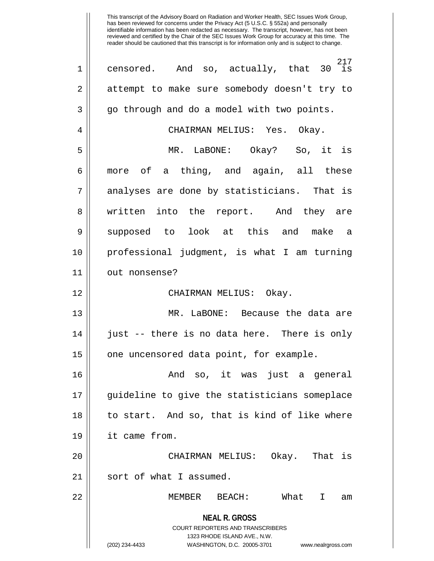**NEAL R. GROSS** COURT REPORTERS AND TRANSCRIBERS 1323 RHODE ISLAND AVE., N.W. (202) 234-4433 WASHINGTON, D.C. 20005-3701 www.nealrgross.com  $30\quad \frac{217}{15}$  $1 \parallel$  censored. And so, actually, that 2 | attempt to make sure somebody doesn't try to 3 || go through and do a model with two points. 4 CHAIRMAN MELIUS: Yes. Okay. 5 MR. LaBONE: Okay? So, it is 6 more of a thing, and again, all these 7 || analyses are done by statisticians. That is 8 || written into the report. And they are 9 Supposed to look at this and make a 10 professional judgment, is what I am turning 11 | out nonsense? 12 CHAIRMAN MELIUS: Okay. 13 || MR. LaBONE: Because the data are 14 || just -- there is no data here. There is only 15 | one uncensored data point, for example. 16 And so, it was just a general 17 guideline to give the statisticians someplace 18 to start. And so, that is kind of like where 19 it came from. 20 CHAIRMAN MELIUS: Okay. That is 21 || sort of what I assumed. 22 MEMBER BEACH: What I am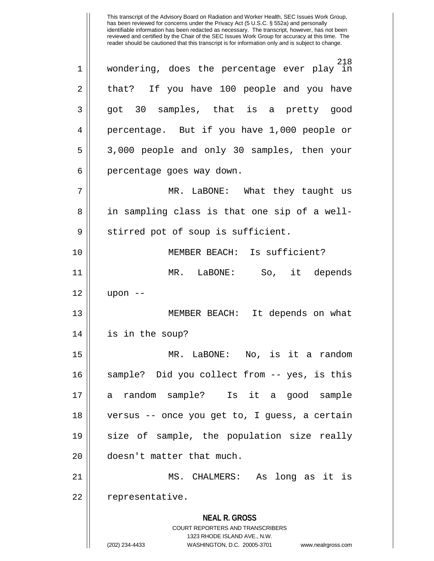**NEAL R. GROSS** COURT REPORTERS AND TRANSCRIBERS 1323 RHODE ISLAND AVE., N.W. (202) 234-4433 WASHINGTON, D.C. 20005-3701 www.nealrgross.com This transcript of the Advisory Board on Radiation and Worker Health, SEC Issues Work Group, has been reviewed for concerns under the Privacy Act (5 U.S.C. § 552a) and personally identifiable information has been redacted as necessary. The transcript, however, has not been reviewed and certified by the Chair of the SEC Issues Work Group for accuracy at this time. The reader should be cautioned that this transcript is for information only and is subject to change. 218 1 wondering, does the percentage ever play in 2 that? If you have 100 people and you have 3 || got 30 samples, that is a pretty good 4 || percentage. But if you have 1,000 people or 5 3,000 people and only 30 samples, then your 6 | percentage goes way down. 7 MR. LaBONE: What they taught us 8 || in sampling class is that one sip of a well- $9 \parallel$  stirred pot of soup is sufficient. 10 MEMBER BEACH: Is sufficient? 11 MR. LaBONE: So, it depends 12 upon -- 13 MEMBER BEACH: It depends on what 14 is in the soup? 15 MR. LaBONE: No, is it a random 16 sample? Did you collect from -- yes, is this 17 a random sample? Is it a good sample 18 versus -- once you get to, I guess, a certain 19 || size of sample, the population size really 20 || doesn't matter that much. 21 MS. CHALMERS: As long as it is 22 | representative.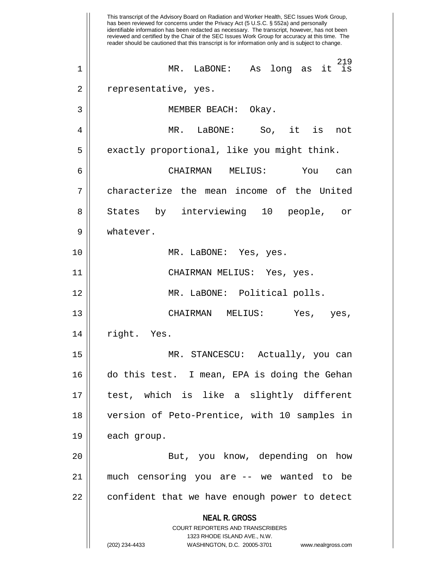**NEAL R. GROSS** COURT REPORTERS AND TRANSCRIBERS 1323 RHODE ISLAND AVE., N.W. (202) 234-4433 WASHINGTON, D.C. 20005-3701 www.nealrgross.com This transcript of the Advisory Board on Radiation and Worker Health, SEC Issues Work Group, has been reviewed for concerns under the Privacy Act (5 U.S.C. § 552a) and personally identifiable information has been redacted as necessary. The transcript, however, has not been reviewed and certified by the Chair of the SEC Issues Work Group for accuracy at this time. The reader should be cautioned that this transcript is for information only and is subject to change.  $11<sup>219</sup>$ <br> $15<sup>219</sup>$ 1 MR. LaBONE: As long as it is 2 | representative, yes. 3 MEMBER BEACH: Okay. 4 MR. LaBONE: So, it is not  $5 \parallel$  exactly proportional, like you might think. 6 CHAIRMAN MELIUS: You can 7 characterize the mean income of the United 8 States by interviewing 10 people, or 9 || whatever. 10 || MR. LaBONE: Yes, yes. 11 CHAIRMAN MELIUS: Yes, yes. 12 MR. LaBONE: Political polls. 13 CHAIRMAN MELIUS: Yes, yes, 14 || right. Yes. 15 MR. STANCESCU: Actually, you can 16 do this test. I mean, EPA is doing the Gehan 17 test, which is like a slightly different 18 version of Peto-Prentice, with 10 samples in 19 | each group. 20 || But, you know, depending on how 21 much censoring you are -- we wanted to be 22 | confident that we have enough power to detect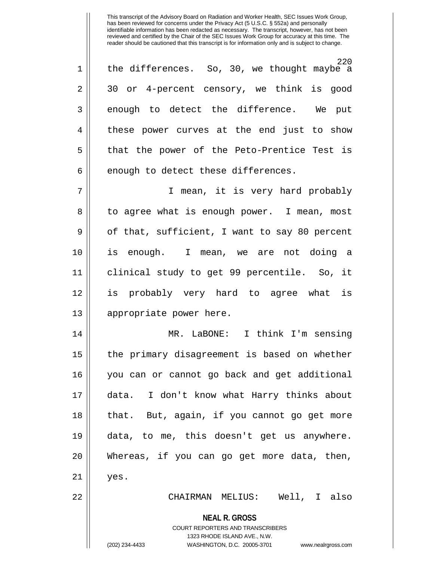220 1 || the differences. So, 30, we thought maybe a 2 30 or 4-percent censory, we think is good  $3 \parallel$  enough to detect the difference. We put 4 || these power curves at the end just to show 5 || that the power of the Peto-Prentice Test is  $6 \parallel$  enough to detect these differences.

7 || I mean, it is very hard probably 8 || to agree what is enough power. I mean, most  $9 \parallel$  of that, sufficient, I want to say 80 percent 10 is enough. I mean, we are not doing a 11 clinical study to get 99 percentile. So, it 12 is probably very hard to agree what is 13 || appropriate power here.

14 MR. LaBONE: I think I'm sensing 15 the primary disagreement is based on whether 16 you can or cannot go back and get additional 17 data. I don't know what Harry thinks about 18 || that. But, again, if you cannot go get more 19 data, to me, this doesn't get us anywhere. 20 Whereas, if you can go get more data, then,  $21 \parallel$  yes. 22 CHAIRMAN MELIUS: Well, I also

> **NEAL R. GROSS** COURT REPORTERS AND TRANSCRIBERS 1323 RHODE ISLAND AVE., N.W. (202) 234-4433 WASHINGTON, D.C. 20005-3701 www.nealrgross.com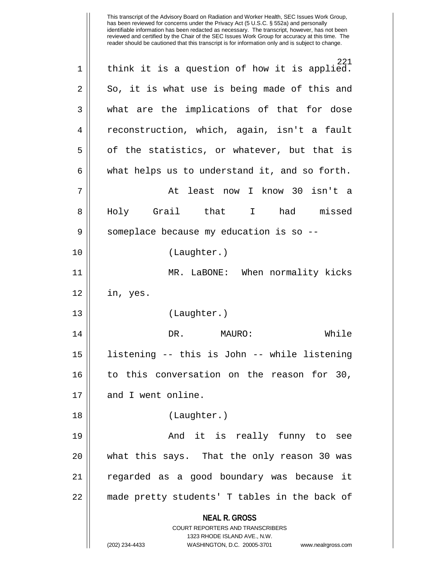**NEAL R. GROSS** COURT REPORTERS AND TRANSCRIBERS 1323 RHODE ISLAND AVE., N.W. (202) 234-4433 WASHINGTON, D.C. 20005-3701 www.nealrgross.com 221 1 || think it is a question of how it is applied.  $2 \parallel$  So, it is what use is being made of this and 3 || what are the implications of that for dose 4 reconstruction, which, again, isn't a fault  $5 \parallel$  of the statistics, or whatever, but that is  $6 \parallel$  what helps us to understand it, and so forth. 7 At least now I know 30 isn't a 8|| Holy Grail that I had missed  $9 \parallel$  someplace because my education is so --10 (Laughter.) 11 MR. LaBONE: When normality kicks 12 in, yes. 13 (Laughter.) 14 DR. MAURO: While 15 listening -- this is John -- while listening 16 to this conversation on the reason for 30, 17 and I went online. 18 (Laughter.) 19 And it is really funny to see 20 || what this says. That the only reason 30 was 21 regarded as a good boundary was because it 22 || made pretty students' T tables in the back of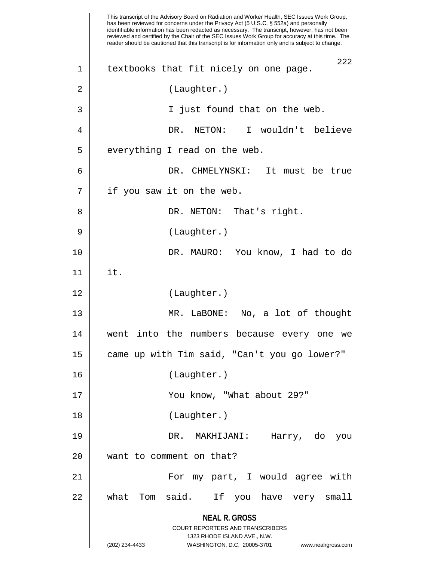|    | This transcript of the Advisory Board on Radiation and Worker Health, SEC Issues Work Group,<br>has been reviewed for concerns under the Privacy Act (5 U.S.C. § 552a) and personally<br>identifiable information has been redacted as necessary. The transcript, however, has not been<br>reviewed and certified by the Chair of the SEC Issues Work Group for accuracy at this time. The<br>reader should be cautioned that this transcript is for information only and is subject to change. |
|----|-------------------------------------------------------------------------------------------------------------------------------------------------------------------------------------------------------------------------------------------------------------------------------------------------------------------------------------------------------------------------------------------------------------------------------------------------------------------------------------------------|
| 1  | 222<br>textbooks that fit nicely on one page.                                                                                                                                                                                                                                                                                                                                                                                                                                                   |
| 2  | (Laughter.)                                                                                                                                                                                                                                                                                                                                                                                                                                                                                     |
| 3  | I just found that on the web.                                                                                                                                                                                                                                                                                                                                                                                                                                                                   |
| 4  | I wouldn't believe<br>DR.<br>NETON:                                                                                                                                                                                                                                                                                                                                                                                                                                                             |
| 5  | everything I read on the web.                                                                                                                                                                                                                                                                                                                                                                                                                                                                   |
| 6  | DR. CHMELYNSKI:<br>It must be true                                                                                                                                                                                                                                                                                                                                                                                                                                                              |
| 7  | if you saw it on the web.                                                                                                                                                                                                                                                                                                                                                                                                                                                                       |
| 8  | DR. NETON: That's right.                                                                                                                                                                                                                                                                                                                                                                                                                                                                        |
| 9  | (Laughter.)                                                                                                                                                                                                                                                                                                                                                                                                                                                                                     |
| 10 | DR. MAURO: You know, I had to do                                                                                                                                                                                                                                                                                                                                                                                                                                                                |
| 11 | it.                                                                                                                                                                                                                                                                                                                                                                                                                                                                                             |
| 12 | (Laughter.)                                                                                                                                                                                                                                                                                                                                                                                                                                                                                     |
| 13 | MR. LaBONE: No, a lot of thought                                                                                                                                                                                                                                                                                                                                                                                                                                                                |
| 14 | went into the numbers because every one we                                                                                                                                                                                                                                                                                                                                                                                                                                                      |
| 15 | came up with Tim said, "Can't you go lower?"                                                                                                                                                                                                                                                                                                                                                                                                                                                    |
| 16 | (Laughter.)                                                                                                                                                                                                                                                                                                                                                                                                                                                                                     |
| 17 | You know, "What about 29?"                                                                                                                                                                                                                                                                                                                                                                                                                                                                      |
| 18 | (Laughter.)                                                                                                                                                                                                                                                                                                                                                                                                                                                                                     |
| 19 | DR. MAKHIJANI:<br>Harry, do you                                                                                                                                                                                                                                                                                                                                                                                                                                                                 |
| 20 | want to comment on that?                                                                                                                                                                                                                                                                                                                                                                                                                                                                        |
| 21 | For my part, I would agree with                                                                                                                                                                                                                                                                                                                                                                                                                                                                 |
| 22 | said. If you have very small<br>what<br>Tom                                                                                                                                                                                                                                                                                                                                                                                                                                                     |
|    | <b>NEAL R. GROSS</b><br>COURT REPORTERS AND TRANSCRIBERS<br>1323 RHODE ISLAND AVE., N.W.<br>(202) 234-4433<br>WASHINGTON, D.C. 20005-3701<br>www.nealrgross.com                                                                                                                                                                                                                                                                                                                                 |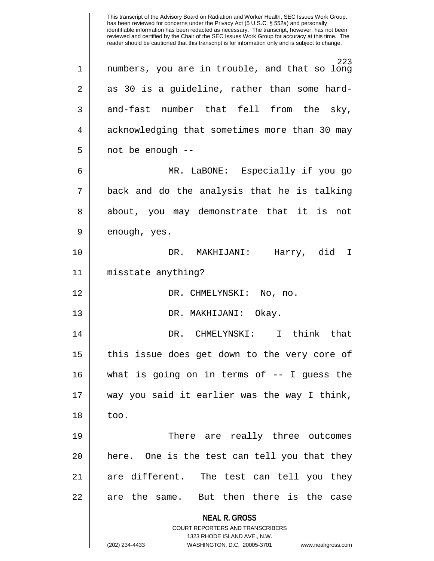**NEAL R. GROSS** COURT REPORTERS AND TRANSCRIBERS 1323 RHODE ISLAND AVE., N.W. (202) 234-4433 WASHINGTON, D.C. 20005-3701 www.nealrgross.com This transcript of the Advisory Board on Radiation and Worker Health, SEC Issues Work Group, has been reviewed for concerns under the Privacy Act (5 U.S.C. § 552a) and personally identifiable information has been redacted as necessary. The transcript, however, has not been reviewed and certified by the Chair of the SEC Issues Work Group for accuracy at this time. The reader should be cautioned that this transcript is for information only and is subject to change. 223 1 numbers, you are in trouble, and that so long  $2 \parallel$  as 30 is a guideline, rather than some hard- $3 \parallel$  and-fast number that fell from the sky, 4 | acknowledging that sometimes more than 30 may  $5 \parallel$  not be enough --6 MR. LaBONE: Especially if you go  $7 \parallel$  back and do the analysis that he is talking 8 || about, you may demonstrate that it is not 9 || enough, yes. 10 DR. MAKHIJANI: Harry, did I 11 misstate anything? 12 DR. CHMELYNSKI: No, no. 13 DR. MAKHIJANI: Okay. 14 DR. CHMELYNSKI: I think that 15 || this issue does get down to the very core of 16 what is going on in terms of -- I guess the 17 way you said it earlier was the way I think,  $18 \parallel$  too. 19 There are really three outcomes  $20$  || here. One is the test can tell you that they 21 are different. The test can tell you they 22 || are the same. But then there is the case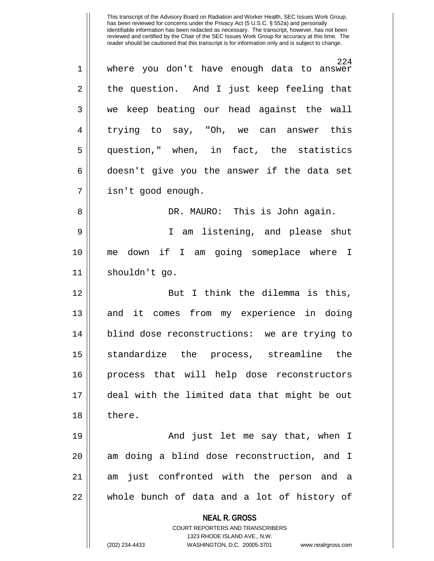This transcript of the Advisory Board on Radiation and Worker Health, SEC Issues Work Group, has been reviewed for concerns under the Privacy Act (5 U.S.C. § 552a) and personally identifiable information has been redacted as necessary. The transcript, however, has not been reviewed and certified by the Chair of the SEC Issues Work Group for accuracy at this time. The reader should be cautioned that this transcript is for information only and is subject to change. 224 1 where you don't have enough data to answer 2 the question. And I just keep feeling that 3 we keep beating our head against the wall 4 trying to say, "Oh, we can answer this 5 question," when, in fact, the statistics  $6 \parallel$  doesn't give you the answer if the data set 7 | isn't good enough. 8 DR. MAURO: This is John again. 9 || I am listening, and please shut 10 me down if I am going someplace where I 11 shouldn't go. 12 || But I think the dilemma is this, 13 || and it comes from my experience in doing 14 || blind dose reconstructions: we are trying to 15 standardize the process, streamline the 16 process that will help dose reconstructors 17 deal with the limited data that might be out 18 || there. 19 And just let me say that, when I  $20$  || am doing a blind dose reconstruction, and I 21 am just confronted with the person and a 22 whole bunch of data and a lot of history of

> **NEAL R. GROSS** COURT REPORTERS AND TRANSCRIBERS

> > 1323 RHODE ISLAND AVE., N.W.

(202) 234-4433 WASHINGTON, D.C. 20005-3701 www.nealrgross.com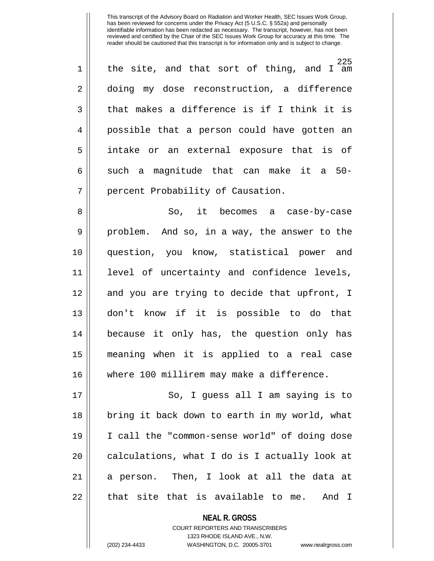225 1 || the site, and that sort of thing, and I am 2 doing my dose reconstruction, a difference  $3 \parallel$  that makes a difference is if I think it is 4 possible that a person could have gotten an 5 intake or an external exposure that is of  $6 \parallel$  such a magnitude that can make it a 50-7 | percent Probability of Causation.

8 So, it becomes a case-by-case 9 || problem. And so, in a way, the answer to the 10 question, you know, statistical power and 11 level of uncertainty and confidence levels, 12 || and you are trying to decide that upfront, I 13 don't know if it is possible to do that 14 because it only has, the question only has 15 meaning when it is applied to a real case 16 where 100 millirem may make a difference.

17 || So, I guess all I am saying is to 18 || bring it back down to earth in my world, what 19 I call the "common-sense world" of doing dose  $20$  || calculations, what I do is I actually look at 21 a person. Then, I look at all the data at  $22$  || that site that is available to me. And I

> **NEAL R. GROSS** COURT REPORTERS AND TRANSCRIBERS

> > 1323 RHODE ISLAND AVE., N.W.

(202) 234-4433 WASHINGTON, D.C. 20005-3701 www.nealrgross.com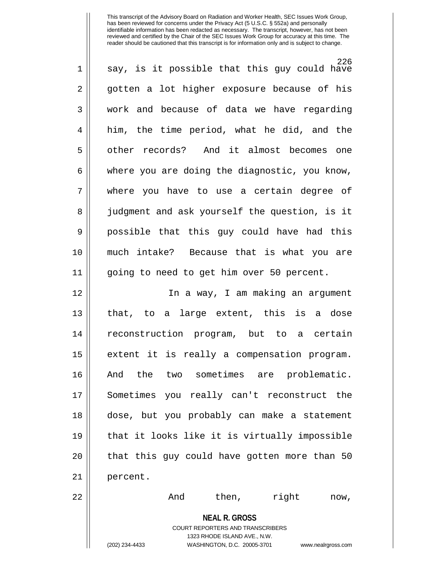| 1  | 226<br>say, is it possible that this guy could have                     |
|----|-------------------------------------------------------------------------|
| 2  | gotten a lot higher exposure because of his                             |
| 3  | work and because of data we have regarding                              |
| 4  | him, the time period, what he did, and the                              |
| 5  | other records? And it almost becomes one                                |
| 6  | where you are doing the diagnostic, you know,                           |
| 7  | where you have to use a certain degree of                               |
| 8  | judgment and ask yourself the question, is it                           |
| 9  | possible that this guy could have had this                              |
| 10 | much intake? Because that is what you are                               |
| 11 | going to need to get him over 50 percent.                               |
| 12 | In a way, I am making an argument                                       |
| 13 | that, to a large extent, this is a dose                                 |
| 14 | reconstruction program, but to a certain                                |
| 15 | extent it is really a compensation program.                             |
| 16 | And the two sometimes are problematic.                                  |
| 17 | Sometimes you really can't reconstruct the                              |
| 18 | dose, but you probably can make a statement                             |
| 19 | that it looks like it is virtually impossible                           |
| 20 | that this guy could have gotten more than 50                            |
| 21 | percent.                                                                |
| 22 | And<br>right<br>then,<br>now,                                           |
|    | <b>NEAL R. GROSS</b>                                                    |
|    | <b>COURT REPORTERS AND TRANSCRIBERS</b><br>1323 RHODE ISLAND AVE., N.W. |
|    | (202) 234-4433<br>WASHINGTON, D.C. 20005-3701<br>www.nealrgross.com     |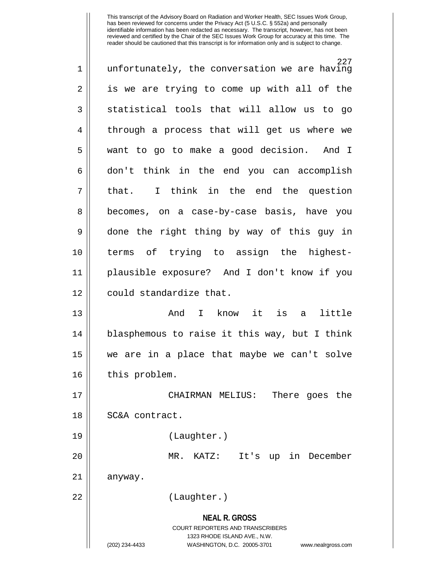| $\mathbf 1$ | 227<br>unfortunately, the conversation we are having                                                                                                                   |
|-------------|------------------------------------------------------------------------------------------------------------------------------------------------------------------------|
| 2           | is we are trying to come up with all of the                                                                                                                            |
| 3           | statistical tools that will allow us to go                                                                                                                             |
| 4           | through a process that will get us where we                                                                                                                            |
| 5           | want to go to make a good decision. And I                                                                                                                              |
| 6           | don't think in the end you can accomplish                                                                                                                              |
| 7           | I think in the end the question<br>that.                                                                                                                               |
| 8           | becomes, on a case-by-case basis, have you                                                                                                                             |
| 9           | done the right thing by way of this guy in                                                                                                                             |
| 10          | terms of trying to assign the highest-                                                                                                                                 |
| 11          | plausible exposure? And I don't know if you                                                                                                                            |
| 12          | could standardize that.                                                                                                                                                |
| 13          | I know it is<br>little<br>And<br>a a                                                                                                                                   |
| 14          | blasphemous to raise it this way, but I think                                                                                                                          |
| 15          | we are in a place that maybe we can't solve                                                                                                                            |
| 16          | this problem.                                                                                                                                                          |
| 17          | CHAIRMAN MELIUS:<br>There goes the                                                                                                                                     |
| 18          | SC&A contract.                                                                                                                                                         |
| 19          | (Laughter.)                                                                                                                                                            |
| 20          | KATZ:<br>It's up in December<br>MR.                                                                                                                                    |
| 21          | anyway.                                                                                                                                                                |
| 22          | (Laughter.)                                                                                                                                                            |
|             | <b>NEAL R. GROSS</b><br><b>COURT REPORTERS AND TRANSCRIBERS</b><br>1323 RHODE ISLAND AVE., N.W.<br>(202) 234-4433<br>WASHINGTON, D.C. 20005-3701<br>www.nealrgross.com |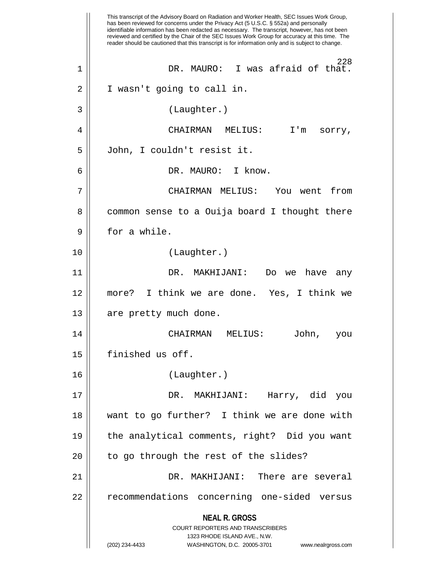**NEAL R. GROSS** COURT REPORTERS AND TRANSCRIBERS 1323 RHODE ISLAND AVE., N.W. (202) 234-4433 WASHINGTON, D.C. 20005-3701 www.nealrgross.com This transcript of the Advisory Board on Radiation and Worker Health, SEC Issues Work Group, has been reviewed for concerns under the Privacy Act (5 U.S.C. § 552a) and personally identifiable information has been redacted as necessary. The transcript, however, has not been reviewed and certified by the Chair of the SEC Issues Work Group for accuracy at this time. The reader should be cautioned that this transcript is for information only and is subject to change. 228 1 DR. MAURO: I was afraid of that. 2 || I wasn't going to call in. 3 (Laughter.) 4 CHAIRMAN MELIUS: I'm sorry, 5 John, I couldn't resist it. 6 DR. MAURO: I know. 7 CHAIRMAN MELIUS: You went from 8 || common sense to a Ouija board I thought there 9 H for a while. 10 (Laughter.) 11 DR. MAKHIJANI: Do we have any 12 more? I think we are done. Yes, I think we 13 || are pretty much done. 14 CHAIRMAN MELIUS: John, you 15 | finished us off. 16 (Laughter.) 17 DR. MAKHIJANI: Harry, did you 18 want to go further? I think we are done with 19 the analytical comments, right? Did you want  $20$  || to go through the rest of the slides? 21 DR. MAKHIJANI: There are several 22 || recommendations concerning one-sided versus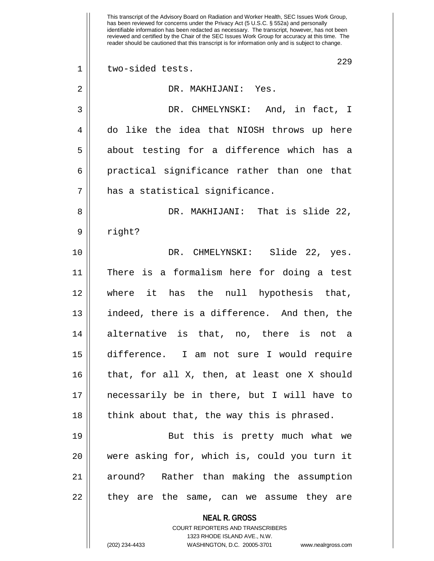**NEAL R. GROSS** COURT REPORTERS AND TRANSCRIBERS 1323 RHODE ISLAND AVE., N.W. (202) 234-4433 WASHINGTON, D.C. 20005-3701 www.nealrgross.com This transcript of the Advisory Board on Radiation and Worker Health, SEC Issues Work Group, has been reviewed for concerns under the Privacy Act (5 U.S.C. § 552a) and personally identifiable information has been redacted as necessary. The transcript, however, has not been reviewed and certified by the Chair of the SEC Issues Work Group for accuracy at this time. The reader should be cautioned that this transcript is for information only and is subject to change. 229 1 || two-sided tests. 2 DR. MAKHIJANI: Yes. 3 DR. CHMELYNSKI: And, in fact, I 4 do like the idea that NIOSH throws up here 5 || about testing for a difference which has a 6 || practical significance rather than one that 7 has a statistical significance. 8 DR. MAKHIJANI: That is slide 22, 9 | right? 10 DR. CHMELYNSKI: Slide 22, yes. 11 There is a formalism here for doing a test 12 where it has the null hypothesis that, 13 || indeed, there is a difference. And then, the 14 alternative is that, no, there is not a 15 difference. I am not sure I would require 16 that, for all X, then, at least one X should 17 necessarily be in there, but I will have to  $18$  || think about that, the way this is phrased. 19 || But this is pretty much what we 20 were asking for, which is, could you turn it 21 around? Rather than making the assumption 22 || they are the same, can we assume they are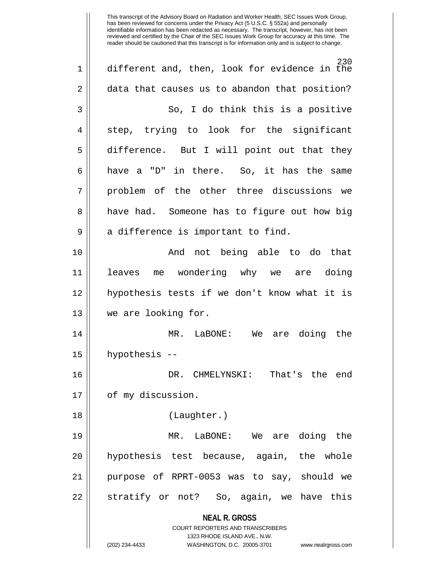**NEAL R. GROSS** COURT REPORTERS AND TRANSCRIBERS 1323 RHODE ISLAND AVE., N.W. (202) 234-4433 WASHINGTON, D.C. 20005-3701 www.nealrgross.com 230 1 different and, then, look for evidence in the 2 data that causes us to abandon that position? 3 So, I do think this is a positive 4 || step, trying to look for the significant 5 difference. But I will point out that they  $6 \parallel$  have a "D" in there. So, it has the same 7 || problem of the other three discussions we 8 || have had. Someone has to figure out how big  $9 \parallel$  a difference is important to find. 10 || The Contract Charlot being able to do that 11 leaves me wondering why we are doing 12 hypothesis tests if we don't know what it is 13 we are looking for. 14 MR. LaBONE: We are doing the 15 hypothesis -- 16 DR. CHMELYNSKI: That's the end 17 | of my discussion. 18 (Laughter.) 19 MR. LaBONE: We are doing the 20 || hypothesis test because, again, the whole 21 purpose of RPRT-0053 was to say, should we 22 || stratify or not? So, again, we have this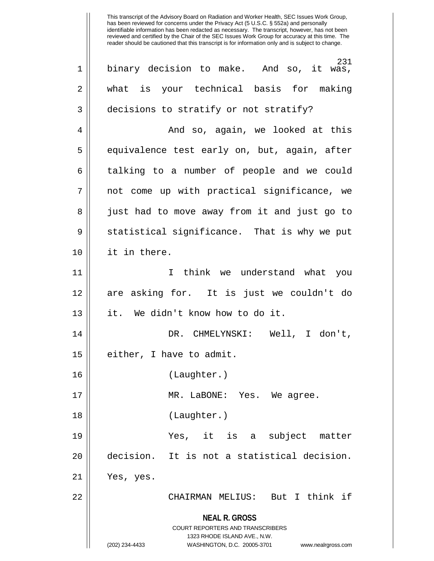**NEAL R. GROSS** COURT REPORTERS AND TRANSCRIBERS 1323 RHODE ISLAND AVE., N.W. (202) 234-4433 WASHINGTON, D.C. 20005-3701 www.nealrgross.com 231 1 || binary decision to make. And so, it was, 2 || what is your technical basis for making 3 decisions to stratify or not stratify? 4 And so, again, we looked at this  $5 \parallel$  equivalence test early on, but, again, after 6 | talking to a number of people and we could 7 || not come up with practical significance, we 8 || just had to move away from it and just go to 9 Statistical significance. That is why we put 10 it in there. 11 I think we understand what you 12 are asking for. It is just we couldn't do 13 it. We didn't know how to do it. 14 DR. CHMELYNSKI: Well, I don't,  $15$  | either, I have to admit. 16 (Laughter.) 17 MR. LaBONE: Yes. We agree. 18 || (Laughter.) 19 Yes, it is a subject matter 20 decision. It is not a statistical decision. 21 Yes, yes. 22 CHAIRMAN MELIUS: But I think if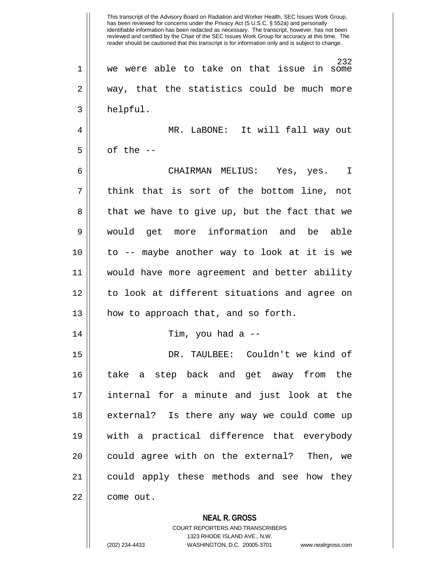**NEAL R. GROSS** This transcript of the Advisory Board on Radiation and Worker Health, SEC Issues Work Group, has been reviewed for concerns under the Privacy Act (5 U.S.C. § 552a) and personally identifiable information has been redacted as necessary. The transcript, however, has not been reviewed and certified by the Chair of the SEC Issues Work Group for accuracy at this time. The reader should be cautioned that this transcript is for information only and is subject to change. 232 1 we were able to take on that issue in some  $2 \parallel$  way, that the statistics could be much more 3 | helpful. 4 MR. LaBONE: It will fall way out  $5 \parallel$  of the  $-$ 6 CHAIRMAN MELIUS: Yes, yes. I  $7 \parallel$  think that is sort of the bottom line, not 8 || that we have to give up, but the fact that we 9 would get more information and be able 10 to -- maybe another way to look at it is we 11 would have more agreement and better ability 12 to look at different situations and agree on 13 || how to approach that, and so forth. 14 Tim, you had a -- 15 DR. TAULBEE: Couldn't we kind of 16 take a step back and get away from the 17 internal for a minute and just look at the 18 || external? Is there any way we could come up 19 with a practical difference that everybody 20 || could agree with on the external? Then, we 21 could apply these methods and see how they 22 | come out.

> COURT REPORTERS AND TRANSCRIBERS 1323 RHODE ISLAND AVE., N.W. (202) 234-4433 WASHINGTON, D.C. 20005-3701 www.nealrgross.com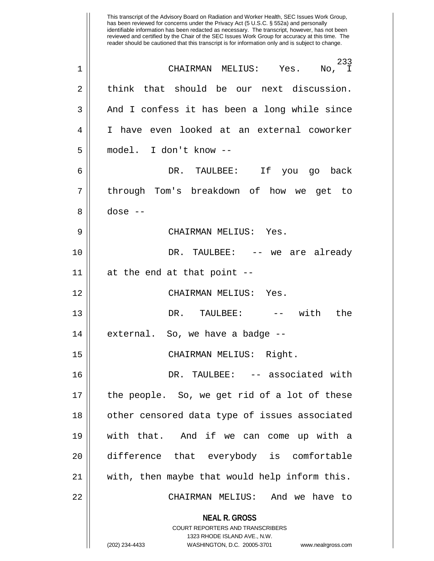|                | This transcript of the Advisory Board on Radiation and Worker Health, SEC Issues Work Group,<br>has been reviewed for concerns under the Privacy Act (5 U.S.C. § 552a) and personally<br>identifiable information has been redacted as necessary. The transcript, however, has not been<br>reviewed and certified by the Chair of the SEC Issues Work Group for accuracy at this time. The<br>reader should be cautioned that this transcript is for information only and is subject to change. |
|----------------|-------------------------------------------------------------------------------------------------------------------------------------------------------------------------------------------------------------------------------------------------------------------------------------------------------------------------------------------------------------------------------------------------------------------------------------------------------------------------------------------------|
| 1              | 233<br>CHAIRMAN MELIUS:<br>Yes.<br>No, I                                                                                                                                                                                                                                                                                                                                                                                                                                                        |
| $\overline{2}$ | think that should be our next discussion.                                                                                                                                                                                                                                                                                                                                                                                                                                                       |
| 3              | And I confess it has been a long while since                                                                                                                                                                                                                                                                                                                                                                                                                                                    |
| 4              | have even looked at an external coworker<br>I.                                                                                                                                                                                                                                                                                                                                                                                                                                                  |
| 5              | model. I don't know --                                                                                                                                                                                                                                                                                                                                                                                                                                                                          |
| 6              | Ιf<br>DR. TAULBEE:<br>back<br>you<br>go                                                                                                                                                                                                                                                                                                                                                                                                                                                         |
| 7              | through Tom's breakdown of how we<br>get<br>- to                                                                                                                                                                                                                                                                                                                                                                                                                                                |
| 8              | dose $--$                                                                                                                                                                                                                                                                                                                                                                                                                                                                                       |
| 9              | CHAIRMAN MELIUS: Yes.                                                                                                                                                                                                                                                                                                                                                                                                                                                                           |
| 10             | DR.<br>TAULBEE:<br>already<br>-- we are                                                                                                                                                                                                                                                                                                                                                                                                                                                         |
| 11             | at the end at that point --                                                                                                                                                                                                                                                                                                                                                                                                                                                                     |
| 12             | CHAIRMAN MELIUS:<br>Yes.                                                                                                                                                                                                                                                                                                                                                                                                                                                                        |
| 13             | the<br>with<br>DR.<br>TAULBEE:<br>$ -$                                                                                                                                                                                                                                                                                                                                                                                                                                                          |
| 14             | external. So, we have a badge --                                                                                                                                                                                                                                                                                                                                                                                                                                                                |
| 15             | CHAIRMAN MELIUS: Right.                                                                                                                                                                                                                                                                                                                                                                                                                                                                         |
| 16             | DR. TAULBEE: -- associated with                                                                                                                                                                                                                                                                                                                                                                                                                                                                 |
| 17             | the people. So, we get rid of a lot of these                                                                                                                                                                                                                                                                                                                                                                                                                                                    |
| 18             | other censored data type of issues associated                                                                                                                                                                                                                                                                                                                                                                                                                                                   |
| 19             | with that. And if we can come up with a                                                                                                                                                                                                                                                                                                                                                                                                                                                         |
| 20             | difference that everybody is comfortable                                                                                                                                                                                                                                                                                                                                                                                                                                                        |
| 21             | with, then maybe that would help inform this.                                                                                                                                                                                                                                                                                                                                                                                                                                                   |
| 22             | CHAIRMAN MELIUS: And we have to                                                                                                                                                                                                                                                                                                                                                                                                                                                                 |
|                | <b>NEAL R. GROSS</b>                                                                                                                                                                                                                                                                                                                                                                                                                                                                            |
|                | <b>COURT REPORTERS AND TRANSCRIBERS</b><br>1323 RHODE ISLAND AVE., N.W.                                                                                                                                                                                                                                                                                                                                                                                                                         |
|                | (202) 234-4433<br>WASHINGTON, D.C. 20005-3701<br>www.nealrgross.com                                                                                                                                                                                                                                                                                                                                                                                                                             |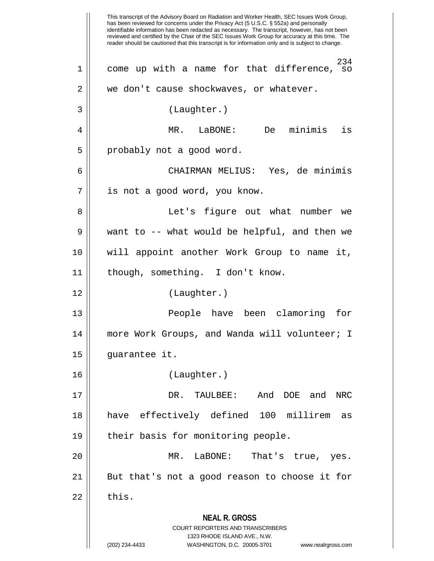**NEAL R. GROSS** COURT REPORTERS AND TRANSCRIBERS 1323 RHODE ISLAND AVE., N.W. (202) 234-4433 WASHINGTON, D.C. 20005-3701 www.nealrgross.com This transcript of the Advisory Board on Radiation and Worker Health, SEC Issues Work Group, has been reviewed for concerns under the Privacy Act (5 U.S.C. § 552a) and personally identifiable information has been redacted as necessary. The transcript, however, has not been reviewed and certified by the Chair of the SEC Issues Work Group for accuracy at this time. The reader should be cautioned that this transcript is for information only and is subject to change. 234 1 || come up with a name for that difference, so  $2 \parallel$  we don't cause shockwaves, or whatever. 3 (Laughter.) 4 MR. LaBONE: De minimis is 5 | probably not a good word. 6 CHAIRMAN MELIUS: Yes, de minimis 7 || is not a good word, you know. 8 || Let's figure out what number we 9 || want to -- what would be helpful, and then we 10 will appoint another Work Group to name it, 11 || though, something. I don't know. 12 (Laughter.) 13 People have been clamoring for 14 || more Work Groups, and Wanda will volunteer; I 15 guarantee it. 16 (Laughter.) 17 DR. TAULBEE: And DOE and NRC 18 have effectively defined 100 millirem as 19 || their basis for monitoring people. 20 MR. LaBONE: That's true, yes. 21 || But that's not a good reason to choose it for  $22 \parallel$  this.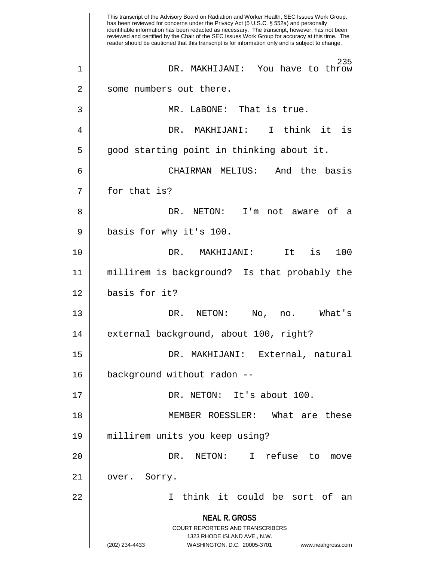**NEAL R. GROSS** COURT REPORTERS AND TRANSCRIBERS 1323 RHODE ISLAND AVE., N.W. (202) 234-4433 WASHINGTON, D.C. 20005-3701 www.nealrgross.com This transcript of the Advisory Board on Radiation and Worker Health, SEC Issues Work Group, has been reviewed for concerns under the Privacy Act (5 U.S.C. § 552a) and personally identifiable information has been redacted as necessary. The transcript, however, has not been reviewed and certified by the Chair of the SEC Issues Work Group for accuracy at this time. The reader should be cautioned that this transcript is for information only and is subject to change. 235 1 DR. MAKHIJANI: You have to throw 2 || some numbers out there. 3 MR. LaBONE: That is true. 4 DR. MAKHIJANI: I think it is 5 | good starting point in thinking about it. 6 CHAIRMAN MELIUS: And the basis 7 || for that is? 8 DR. NETON: I'm not aware of a 9 || basis for why it's 100. 10 DR. MAKHIJANI: It is 100 11 millirem is background? Is that probably the 12 basis for it? 13 DR. NETON: No, no. What's 14 | external background, about 100, right? 15 DR. MAKHIJANI: External, natural 16 background without radon -- 17 || DR. NETON: It's about 100. 18 MEMBER ROESSLER: What are these 19 millirem units you keep using? 20 || The Soleman DR. NETON: I refuse to move 21 | over. Sorry. 22 I think it could be sort of an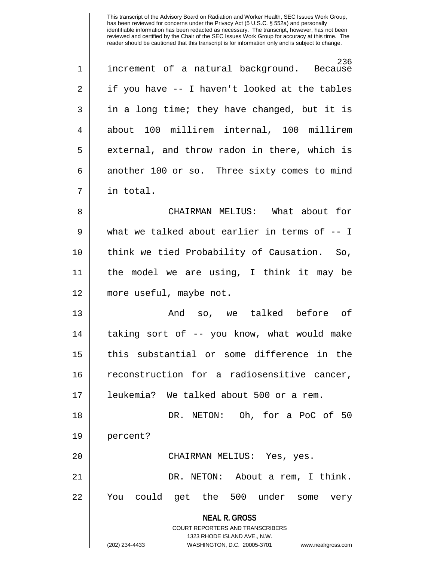| $\mathbf 1$    | 236<br>increment of a natural background. Because |
|----------------|---------------------------------------------------|
| 2              | if you have -- I haven't looked at the tables     |
| 3              | in a long time; they have changed, but it is      |
| $\overline{4}$ | about 100 millirem internal, 100 millirem         |
| 5              | external, and throw radon in there, which is      |
| 6              | another 100 or so. Three sixty comes to mind      |
| 7              | in total.                                         |

8 CHAIRMAN MELIUS: What about for 9 What we talked about earlier in terms of -- I 10 think we tied Probability of Causation. So, 11 the model we are using, I think it may be 12 more useful, maybe not.

13 And so, we talked before of 14 || taking sort of -- you know, what would make 15 || this substantial or some difference in the 16 || reconstruction for a radiosensitive cancer, 17 leukemia? We talked about 500 or a rem.

18 DR. NETON: Oh, for a PoC of 50 19 percent? 20 CHAIRMAN MELIUS: Yes, yes. 21 DR. NETON: About a rem, I think.

22 You could get the 500 under some very

**NEAL R. GROSS**

COURT REPORTERS AND TRANSCRIBERS 1323 RHODE ISLAND AVE., N.W. (202) 234-4433 WASHINGTON, D.C. 20005-3701 www.nealrgross.com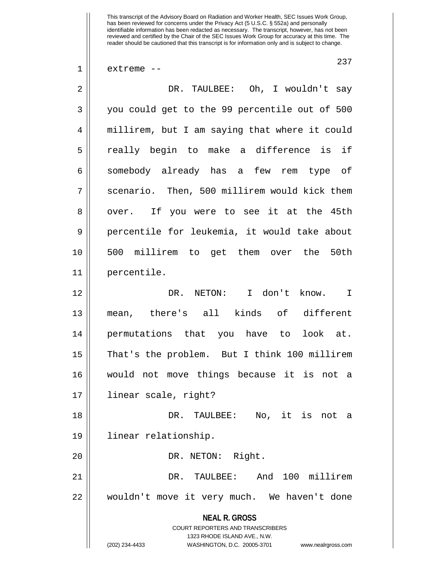$1 \parallel$  extreme --

237

| $\overline{a}$ | DR. TAULBEE: Oh, I wouldn't say                                                                                                                                        |
|----------------|------------------------------------------------------------------------------------------------------------------------------------------------------------------------|
| 3              | you could get to the 99 percentile out of 500                                                                                                                          |
| $\overline{4}$ | millirem, but I am saying that where it could                                                                                                                          |
| 5              | really begin to make a difference is if                                                                                                                                |
| 6              | somebody already has a few rem type of                                                                                                                                 |
| 7              | scenario. Then, 500 millirem would kick them                                                                                                                           |
| 8              | over. If you were to see it at the 45th                                                                                                                                |
| 9              | percentile for leukemia, it would take about                                                                                                                           |
| 10             | 500 millirem to get them over the 50th                                                                                                                                 |
| 11             | percentile.                                                                                                                                                            |
| 12             | NETON: I don't know. I<br>DR.                                                                                                                                          |
| 13             | mean, there's all kinds of different                                                                                                                                   |
| 14             | permutations that you have to look at.                                                                                                                                 |
| 15             | That's the problem. But I think 100 millirem                                                                                                                           |
| 16             | would not move things because it is not a                                                                                                                              |
| $17$           | linear scale, right?                                                                                                                                                   |
| 18             | DR. TAULBEE: No, it is not<br>а                                                                                                                                        |
| 19             | linear relationship.                                                                                                                                                   |
| 20             | DR. NETON: Right.                                                                                                                                                      |
| 21             | And 100 millirem<br>TAULBEE:<br>DR.                                                                                                                                    |
| 22             | wouldn't move it very much. We haven't done                                                                                                                            |
|                | <b>NEAL R. GROSS</b><br><b>COURT REPORTERS AND TRANSCRIBERS</b><br>1323 RHODE ISLAND AVE., N.W.<br>(202) 234-4433<br>WASHINGTON, D.C. 20005-3701<br>www.nealrgross.com |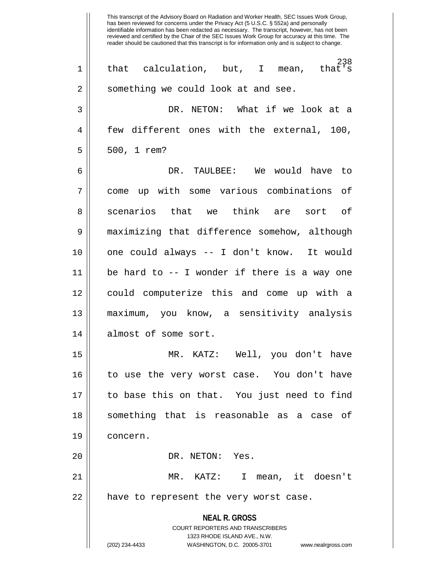**NEAL R. GROSS** COURT REPORTERS AND TRANSCRIBERS 1323 RHODE ISLAND AVE., N.W. (202) 234-4433 WASHINGTON, D.C. 20005-3701 www.nealrgross.com This transcript of the Advisory Board on Radiation and Worker Health, SEC Issues Work Group, has been reviewed for concerns under the Privacy Act (5 U.S.C. § 552a) and personally identifiable information has been redacted as necessary. The transcript, however, has not been reviewed and certified by the Chair of the SEC Issues Work Group for accuracy at this time. The reader should be cautioned that this transcript is for information only and is subject to change. 238<br>that's  $1 ||$  that calculation, but, I mean, 2 || something we could look at and see. 3 DR. NETON: What if we look at a 4 few different ones with the external, 100, 5 500, 1 rem? 6 DR. TAULBEE: We would have to 7 come up with some various combinations of 8 || scenarios that we think are sort of 9 maximizing that difference somehow, although 10 one could always -- I don't know. It would 11 be hard to -- I wonder if there is a way one 12 could computerize this and come up with a 13 maximum, you know, a sensitivity analysis 14 || almost of some sort. 15 MR. KATZ: Well, you don't have 16 to use the very worst case. You don't have 17 to base this on that. You just need to find 18 || something that is reasonable as a case of 19 concern. 20 || DR. NETON: Yes. 21 MR. KATZ: I mean, it doesn't  $22$  || have to represent the very worst case.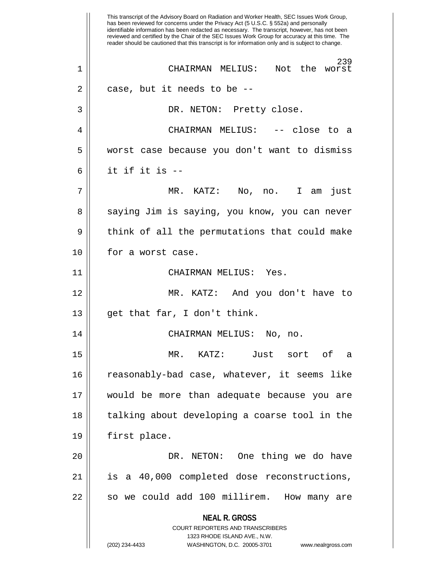**NEAL R. GROSS** COURT REPORTERS AND TRANSCRIBERS 1323 RHODE ISLAND AVE., N.W. (202) 234-4433 WASHINGTON, D.C. 20005-3701 www.nealrgross.com This transcript of the Advisory Board on Radiation and Worker Health, SEC Issues Work Group, has been reviewed for concerns under the Privacy Act (5 U.S.C. § 552a) and personally identifiable information has been redacted as necessary. The transcript, however, has not been reviewed and certified by the Chair of the SEC Issues Work Group for accuracy at this time. The reader should be cautioned that this transcript is for information only and is subject to change. 239<br>Not the worst 1 || CHAIRMAN MELIUS:  $2 \parallel$  case, but it needs to be  $-$ 3 || DR. NETON: Pretty close. 4 CHAIRMAN MELIUS: -- close to a 5 worst case because you don't want to dismiss  $6 \parallel$  it if it is --7 MR. KATZ: No, no. I am just 8 || saying Jim is saying, you know, you can never 9 || think of all the permutations that could make 10 || for a worst case. 11 CHAIRMAN MELIUS: Yes. 12 MR. KATZ: And you don't have to 13 get that far, I don't think. 14 CHAIRMAN MELIUS: No, no. 15 MR. KATZ: Just sort of a 16 reasonably-bad case, whatever, it seems like 17 would be more than adequate because you are 18 || talking about developing a coarse tool in the 19 first place. 20 || DR. NETON: One thing we do have 21 is a 40,000 completed dose reconstructions, 22 || so we could add 100 millirem. How many are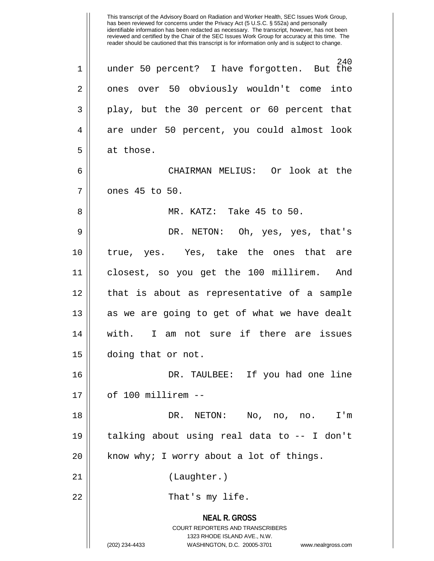**NEAL R. GROSS** COURT REPORTERS AND TRANSCRIBERS 1323 RHODE ISLAND AVE., N.W. (202) 234-4433 WASHINGTON, D.C. 20005-3701 www.nealrgross.com This transcript of the Advisory Board on Radiation and Worker Health, SEC Issues Work Group, has been reviewed for concerns under the Privacy Act (5 U.S.C. § 552a) and personally identifiable information has been redacted as necessary. The transcript, however, has not been reviewed and certified by the Chair of the SEC Issues Work Group for accuracy at this time. The reader should be cautioned that this transcript is for information only and is subject to change. 240<br>But the  $1 ||$  under 50 percent? I have forgotten. 2 || ones over 50 obviously wouldn't come into 3 play, but the 30 percent or 60 percent that 4 are under 50 percent, you could almost look 5 at those. 6 CHAIRMAN MELIUS: Or look at the 7 || ones 45 to 50. 8 || MR. KATZ: Take 45 to 50. 9 DR. NETON: Oh, yes, yes, that's 10 true, yes. Yes, take the ones that are 11 closest, so you get the 100 millirem. And 12 that is about as representative of a sample 13 || as we are going to get of what we have dealt 14 with. I am not sure if there are issues 15 doing that or not. 16 DR. TAULBEE: If you had one line 17 of 100 millirem -- 18 DR. NETON: No, no, no. I'm 19 talking about using real data to -- I don't  $20$  || know why; I worry about a lot of things. 21 || (Laughter.) 22 || That's my life.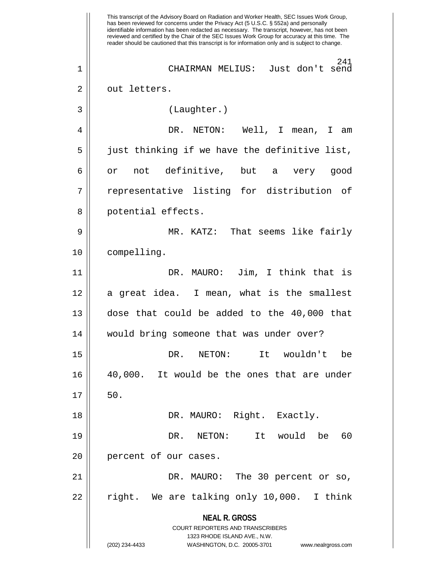**NEAL R. GROSS** COURT REPORTERS AND TRANSCRIBERS 1323 RHODE ISLAND AVE., N.W. (202) 234-4433 WASHINGTON, D.C. 20005-3701 www.nealrgross.com This transcript of the Advisory Board on Radiation and Worker Health, SEC Issues Work Group, has been reviewed for concerns under the Privacy Act (5 U.S.C. § 552a) and personally identifiable information has been redacted as necessary. The transcript, however, has not been reviewed and certified by the Chair of the SEC Issues Work Group for accuracy at this time. The reader should be cautioned that this transcript is for information only and is subject to change. 241 1 CHAIRMAN MELIUS: Just don't send 2 || out letters. 3 (Laughter.) 4 DR. NETON: Well, I mean, I am  $5 \parallel$  just thinking if we have the definitive list, 6 || or not definitive, but a very good 7 || representative listing for distribution of 8 || potential effects. 9 MR. KATZ: That seems like fairly 10 compelling. 11 DR. MAURO: Jim, I think that is 12 || a great idea. I mean, what is the smallest 13 dose that could be added to the 40,000 that 14 would bring someone that was under over? 15 || The Soleman DR. NETON: It wouldn't be 16 40,000. It would be the ones that are under  $17 \parallel 50.$ 18 DR. MAURO: Right. Exactly. 19 DR. NETON: It would be 60 20 || percent of our cases. 21 DR. MAURO: The 30 percent or so,  $22$  || right. We are talking only 10,000. I think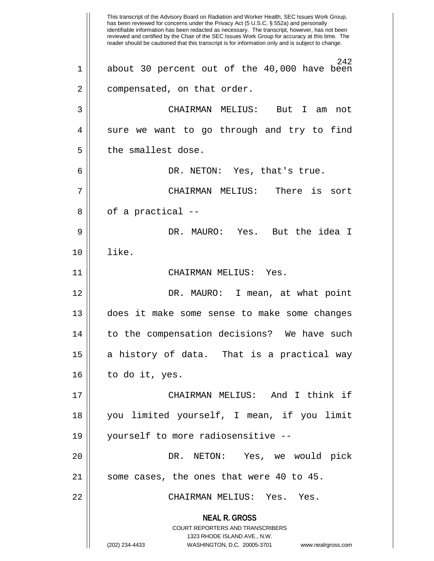**NEAL R. GROSS** COURT REPORTERS AND TRANSCRIBERS 1323 RHODE ISLAND AVE., N.W. (202) 234-4433 WASHINGTON, D.C. 20005-3701 www.nealrgross.com This transcript of the Advisory Board on Radiation and Worker Health, SEC Issues Work Group, has been reviewed for concerns under the Privacy Act (5 U.S.C. § 552a) and personally identifiable information has been redacted as necessary. The transcript, however, has not been reviewed and certified by the Chair of the SEC Issues Work Group for accuracy at this time. The reader should be cautioned that this transcript is for information only and is subject to change. 242 1 about 30 percent out of the 40,000 have been 2 | compensated, on that order. 3 CHAIRMAN MELIUS: But I am not  $4 \parallel$  sure we want to go through and try to find  $5$  || the smallest dose. 6 DR. NETON: Yes, that's true. 7 CHAIRMAN MELIUS: There is sort  $8 \parallel$  of a practical  $-$ 9 DR. MAURO: Yes. But the idea I 10 like. 11 CHAIRMAN MELIUS: Yes. 12 DR. MAURO: I mean, at what point 13 does it make some sense to make some changes 14 || to the compensation decisions? We have such 15 || a history of data. That is a practical way  $16 \parallel$  to do it, yes. 17 CHAIRMAN MELIUS: And I think if 18 you limited yourself, I mean, if you limit 19 yourself to more radiosensitive -- 20 | R. NETON: Yes, we would pick 21 || some cases, the ones that were 40 to 45. 22 CHAIRMAN MELIUS: Yes. Yes.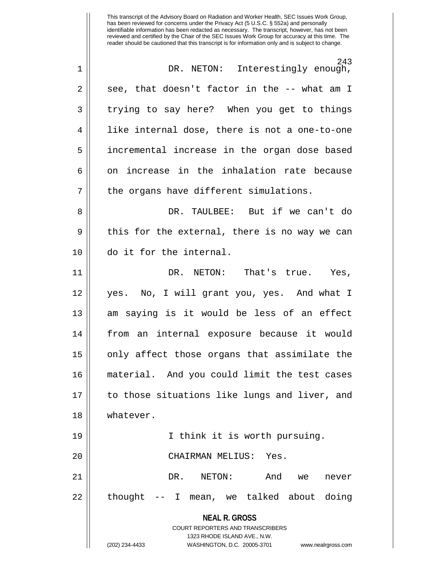| $\mathbf 1$    | 243<br>DR. NETON: Interestingly enough,                                 |
|----------------|-------------------------------------------------------------------------|
| $\overline{2}$ | see, that doesn't factor in the -- what am I                            |
| 3              | trying to say here? When you get to things                              |
| 4              | like internal dose, there is not a one-to-one                           |
| 5              | incremental increase in the organ dose based                            |
| 6              | on increase in the inhalation rate because                              |
| 7              | the organs have different simulations.                                  |
| 8              | DR. TAULBEE: But if we can't do                                         |
| 9              | this for the external, there is no way we can                           |
| 10             | do it for the internal.                                                 |
| 11             | DR. NETON: That's true.<br>Yes,                                         |
| 12             | yes. No, I will grant you, yes. And what I                              |
| 13             | am saying is it would be less of an effect                              |
| 14             | from an internal exposure because it would                              |
| 15             | only affect those organs that assimilate the                            |
| 16             | material. And you could limit the test cases                            |
| 17             | to those situations like lungs and liver, and                           |
| 18             | whatever.                                                               |
| 19             | I think it is worth pursuing.                                           |
| 20             | CHAIRMAN MELIUS: Yes.                                                   |
| 21             | DR.<br>NETON:<br>And<br>we<br>never                                     |
| 22             | thought -- I mean, we talked about doing                                |
|                | <b>NEAL R. GROSS</b>                                                    |
|                | <b>COURT REPORTERS AND TRANSCRIBERS</b><br>1323 RHODE ISLAND AVE., N.W. |
|                | (202) 234-4433<br>WASHINGTON, D.C. 20005-3701<br>www.nealrgross.com     |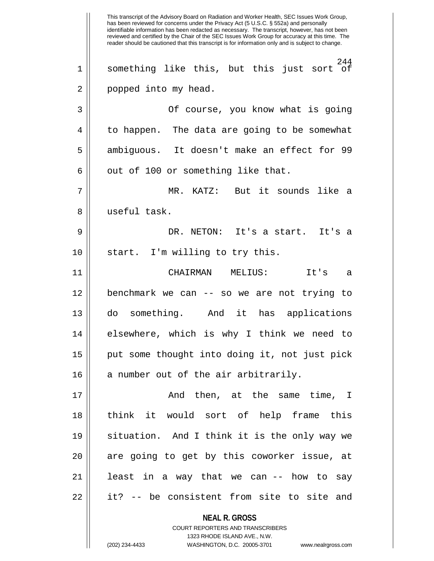**NEAL R. GROSS** COURT REPORTERS AND TRANSCRIBERS 1323 RHODE ISLAND AVE., N.W. This transcript of the Advisory Board on Radiation and Worker Health, SEC Issues Work Group, has been reviewed for concerns under the Privacy Act (5 U.S.C. § 552a) and personally identifiable information has been redacted as necessary. The transcript, however, has not been reviewed and certified by the Chair of the SEC Issues Work Group for accuracy at this time. The reader should be cautioned that this transcript is for information only and is subject to change. 244 1 something like this, but this just sort of 2 || popped into my head. 3 Of course, you know what is going 4 | to happen. The data are going to be somewhat 5 || ambiguous. It doesn't make an effect for 99  $6 \parallel$  out of 100 or something like that. 7 MR. KATZ: But it sounds like a 8 useful task. 9 DR. NETON: It's a start. It's a  $10$  | start. I'm willing to try this. 11 CHAIRMAN MELIUS: It's a 12 benchmark we can -- so we are not trying to 13 do something. And it has applications 14 || elsewhere, which is why I think we need to 15 put some thought into doing it, not just pick  $16$  || a number out of the air arbitrarily. 17 And then, at the same time, I 18 think it would sort of help frame this 19 situation. And I think it is the only way we  $20$  || are going to get by this coworker issue, at 21 || least in a way that we can -- how to say 22 || it? -- be consistent from site to site and

(202) 234-4433 WASHINGTON, D.C. 20005-3701 www.nealrgross.com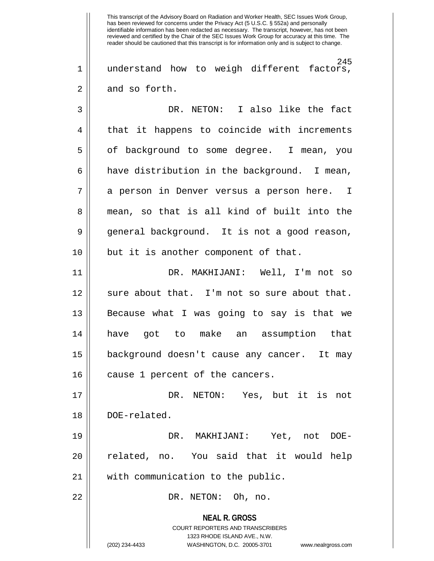245 1 understand how to weigh different factors,  $2 \parallel$  and so forth.

3 DR. NETON: I also like the fact 4 || that it happens to coincide with increments 5 | of background to some degree. I mean, you  $6 \parallel$  have distribution in the background. I mean, 7 || a person in Denver versus a person here. I 8 || mean, so that is all kind of built into the 9 general background. It is not a good reason, 10 || but it is another component of that.

11 DR. MAKHIJANI: Well, I'm not so 12 || sure about that. I'm not so sure about that. 13 Because what I was going to say is that we 14 have got to make an assumption that 15 background doesn't cause any cancer. It may 16 || cause 1 percent of the cancers.

17 DR. NETON: Yes, but it is not 18 | DOE-related. 19 DR. MAKHIJANI: Yet, not DOE-

20 || related, no. You said that it would help 21 || with communication to the public.

22 DR. NETON: Oh, no.

**NEAL R. GROSS** COURT REPORTERS AND TRANSCRIBERS 1323 RHODE ISLAND AVE., N.W. (202) 234-4433 WASHINGTON, D.C. 20005-3701 www.nealrgross.com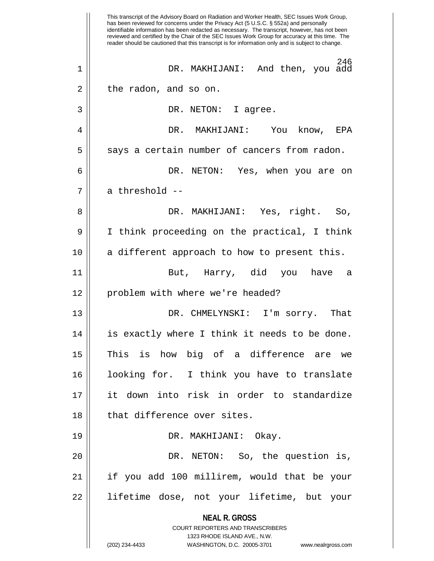**NEAL R. GROSS** COURT REPORTERS AND TRANSCRIBERS 1323 RHODE ISLAND AVE., N.W. (202) 234-4433 WASHINGTON, D.C. 20005-3701 www.nealrgross.com This transcript of the Advisory Board on Radiation and Worker Health, SEC Issues Work Group, has been reviewed for concerns under the Privacy Act (5 U.S.C. § 552a) and personally identifiable information has been redacted as necessary. The transcript, however, has not been reviewed and certified by the Chair of the SEC Issues Work Group for accuracy at this time. The reader should be cautioned that this transcript is for information only and is subject to change. 246 1 DR. MAKHIJANI: And then, you add  $2 \parallel$  the radon, and so on. 3 || DR. NETON: I agree. 4 DR. MAKHIJANI: You know, EPA  $5 \parallel$  says a certain number of cancers from radon. 6 DR. NETON: Yes, when you are on 7 || a threshold --8 DR. MAKHIJANI: Yes, right. So, 9 I think proceeding on the practical, I think  $10$  || a different approach to how to present this. 11 But, Harry, did you have a 12 || problem with where we're headed? 13 DR. CHMELYNSKI: I'm sorry. That 14 is exactly where I think it needs to be done. 15 This is how big of a difference are we 16 looking for. I think you have to translate 17 it down into risk in order to standardize 18 || that difference over sites. 19 DR. MAKHIJANI: Okay. 20 || DR. NETON: So, the question is, 21 if you add 100 millirem, would that be your 22 lifetime dose, not your lifetime, but your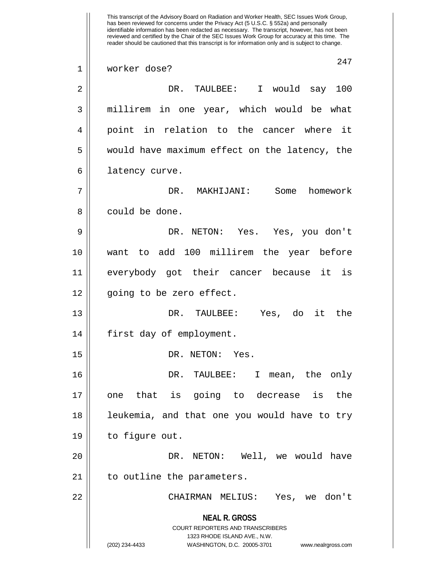**NEAL R. GROSS** COURT REPORTERS AND TRANSCRIBERS 1323 RHODE ISLAND AVE., N.W. (202) 234-4433 WASHINGTON, D.C. 20005-3701 www.nealrgross.com This transcript of the Advisory Board on Radiation and Worker Health, SEC Issues Work Group, has been reviewed for concerns under the Privacy Act (5 U.S.C. § 552a) and personally identifiable information has been redacted as necessary. The transcript, however, has not been reviewed and certified by the Chair of the SEC Issues Work Group for accuracy at this time. The reader should be cautioned that this transcript is for information only and is subject to change. 247 1 worker dose? 2 DR. TAULBEE: I would say 100 3 || millirem in one year, which would be what 4 point in relation to the cancer where it 5 || would have maximum effect on the latency, the 6 | latency curve. 7 DR. MAKHIJANI: Some homework 8 || could be done. 9 DR. NETON: Yes. Yes, you don't 10 want to add 100 millirem the year before 11 everybody got their cancer because it is 12 || going to be zero effect. 13 DR. TAULBEE: Yes, do it the 14 || first day of employment. 15 || DR. NETON: Yes. 16 DR. TAULBEE: I mean, the only 17 one that is going to decrease is the 18 || leukemia, and that one you would have to try 19 to figure out. 20 DR. NETON: Well, we would have 21 | to outline the parameters. 22 CHAIRMAN MELIUS: Yes, we don't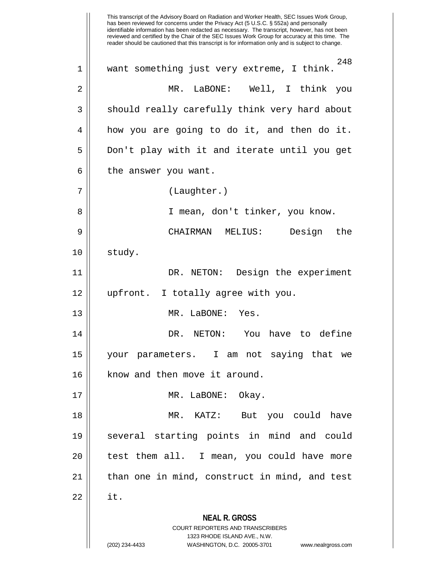**NEAL R. GROSS** COURT REPORTERS AND TRANSCRIBERS 1323 RHODE ISLAND AVE., N.W. (202) 234-4433 WASHINGTON, D.C. 20005-3701 www.nealrgross.com This transcript of the Advisory Board on Radiation and Worker Health, SEC Issues Work Group, has been reviewed for concerns under the Privacy Act (5 U.S.C. § 552a) and personally identifiable information has been redacted as necessary. The transcript, however, has not been reviewed and certified by the Chair of the SEC Issues Work Group for accuracy at this time. The reader should be cautioned that this transcript is for information only and is subject to change. 248 1 want something just very extreme, I think. 2 MR. LaBONE: Well, I think you 3 || should really carefully think very hard about 4 how you are going to do it, and then do it. 5 Don't play with it and iterate until you get  $6 \parallel$  the answer you want. 7 (Laughter.) 8 || I mean, don't tinker, you know. 9 CHAIRMAN MELIUS: Design the  $10 \parallel$  study. 11 || DR. NETON: Design the experiment 12 upfront. I totally agree with you. 13 MR. LaBONE: Yes. 14 DR. NETON: You have to define 15 your parameters. I am not saying that we 16 || know and then move it around. 17 || MR. LaBONE: Okay. 18 MR. KATZ: But you could have 19 several starting points in mind and could 20 || test them all. I mean, you could have more 21 || than one in mind, construct in mind, and test  $22 \parallel$  it.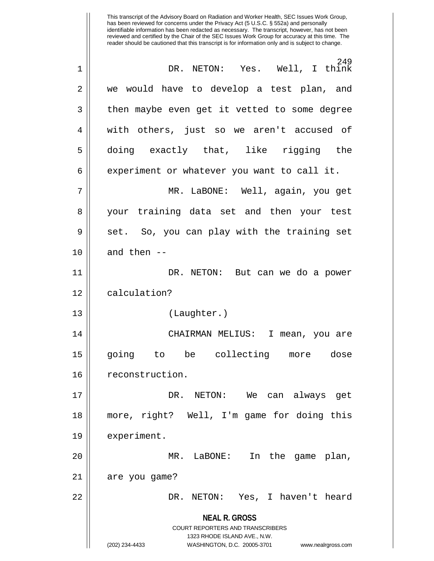**NEAL R. GROSS** COURT REPORTERS AND TRANSCRIBERS 1323 RHODE ISLAND AVE., N.W. (202) 234-4433 WASHINGTON, D.C. 20005-3701 www.nealrgross.com has been reviewed for concerns under the Privacy Act (5 U.S.C. § 552a) and personally identifiable information has been redacted as necessary. The transcript, however, has not been reviewed and certified by the Chair of the SEC Issues Work Group for accuracy at this time. The reader should be cautioned that this transcript is for information only and is subject to change. 249 1 DR. NETON: Yes. Well, I think 2 we would have to develop a test plan, and 3 || then maybe even get it vetted to some degree 4 || with others, just so we aren't accused of 5 doing exactly that, like rigging the  $6 \parallel$  experiment or whatever you want to call it. 7 MR. LaBONE: Well, again, you get 8 your training data set and then your test  $9 \parallel$  set. So, you can play with the training set  $10$  || and then --11 DR. NETON: But can we do a power 12 | calculation? 13 (Laughter.) 14 CHAIRMAN MELIUS: I mean, you are 15 going to be collecting more dose 16 | reconstruction. 17 DR. NETON: We can always get 18 more, right? Well, I'm game for doing this 19 | experiment. 20 || MR. LaBONE: In the game plan, 21 | are you game? 22 DR. NETON: Yes, I haven't heard

This transcript of the Advisory Board on Radiation and Worker Health, SEC Issues Work Group,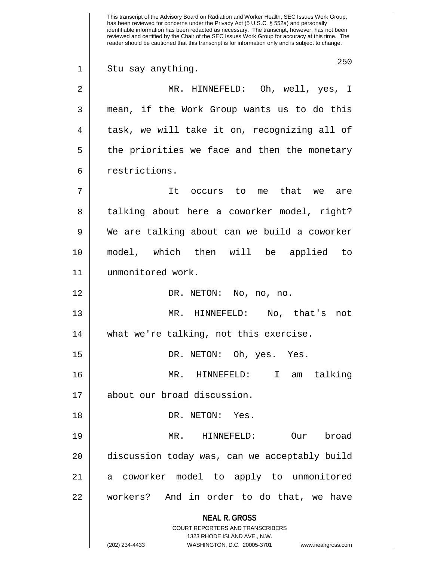**NEAL R. GROSS** COURT REPORTERS AND TRANSCRIBERS 1323 RHODE ISLAND AVE., N.W. (202) 234-4433 WASHINGTON, D.C. 20005-3701 www.nealrgross.com This transcript of the Advisory Board on Radiation and Worker Health, SEC Issues Work Group, has been reviewed for concerns under the Privacy Act (5 U.S.C. § 552a) and personally identifiable information has been redacted as necessary. The transcript, however, has not been reviewed and certified by the Chair of the SEC Issues Work Group for accuracy at this time. The reader should be cautioned that this transcript is for information only and is subject to change. 250 1 || Stu say anything. 2 MR. HINNEFELD: Oh, well, yes, I 3 mean, if the Work Group wants us to do this 4 || task, we will take it on, recognizing all of  $5 \parallel$  the priorities we face and then the monetary 6 | restrictions. 7 It occurs to me that we are 8 || talking about here a coworker model, right? 9 We are talking about can we build a coworker 10 model, which then will be applied to 11 unmonitored work. 12 DR. NETON: No, no, no. 13 MR. HINNEFELD: No, that's not 14 || what we're talking, not this exercise. 15 DR. NETON: Oh, yes. Yes. 16 MR. HINNEFELD: I am talking 17 about our broad discussion. 18 || DR. NETON: Yes. 19 MR. HINNEFELD: Our broad 20 | discussion today was, can we acceptably build 21 a coworker model to apply to unmonitored 22 workers? And in order to do that, we have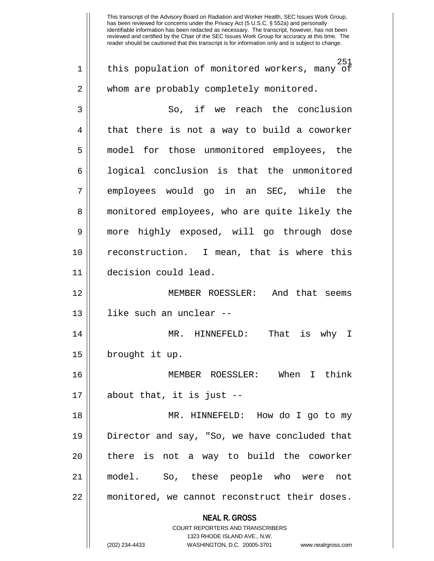**NEAL R. GROSS** COURT REPORTERS AND TRANSCRIBERS 1323 RHODE ISLAND AVE., N.W. (202) 234-4433 WASHINGTON, D.C. 20005-3701 www.nealrgross.com 251 1 || this population of monitored workers, many of 2 | whom are probably completely monitored. 3 So, if we reach the conclusion  $4 \parallel$  that there is not a way to build a coworker 5 || model for those unmonitored employees, the  $6 \parallel$  logical conclusion is that the unmonitored 7 || employees would go in an SEC, while the 8 || monitored employees, who are quite likely the 9 more highly exposed, will go through dose 10 reconstruction. I mean, that is where this 11 decision could lead. 12 MEMBER ROESSLER: And that seems 13 like such an unclear -- 14 MR. HINNEFELD: That is why I 15 | brought it up. 16 MEMBER ROESSLER: When I think  $17 \parallel$  about that, it is just --18 MR. HINNEFELD: How do I go to my 19 Director and say, "So, we have concluded that 20 || there is not a way to build the coworker 21 model. So, these people who were not 22 monitored, we cannot reconstruct their doses.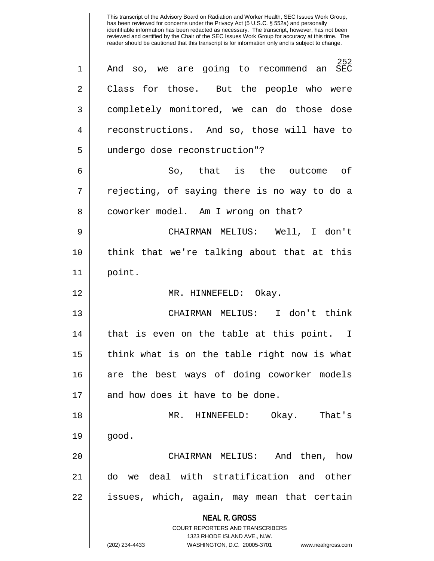**NEAL R. GROSS** COURT REPORTERS AND TRANSCRIBERS 1323 RHODE ISLAND AVE., N.W. (202) 234-4433 WASHINGTON, D.C. 20005-3701 www.nealrgross.com 252 1 And so, we are going to recommend an SEC 2 Class for those. But the people who were 3 completely monitored, we can do those dose 4 || reconstructions. And so, those will have to 5 undergo dose reconstruction"? 6 || So, that is the outcome of  $7 \parallel$  rejecting, of saying there is no way to do a 8 | coworker model. Am I wrong on that? 9 CHAIRMAN MELIUS: Well, I don't 10 think that we're talking about that at this 11 point. 12 MR. HINNEFELD: Okay. 13 CHAIRMAN MELIUS: I don't think 14 || that is even on the table at this point. I 15 || think what is on the table right now is what 16 are the best ways of doing coworker models  $17$  | and how does it have to be done. 18 MR. HINNEFELD: Okay. That's  $19 \parallel$  good. 20 CHAIRMAN MELIUS: And then, how 21 do we deal with stratification and other 22 issues, which, again, may mean that certain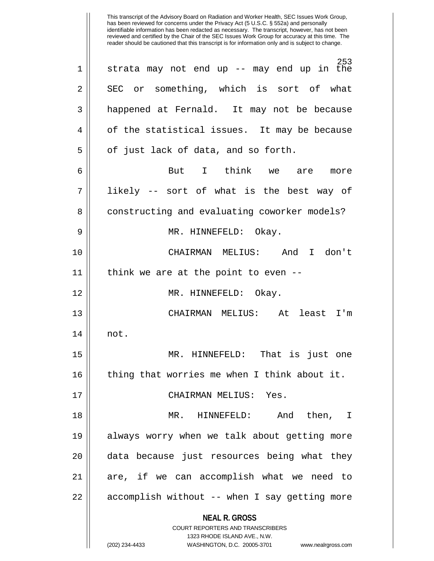**NEAL R. GROSS** COURT REPORTERS AND TRANSCRIBERS 1323 RHODE ISLAND AVE., N.W. (202) 234-4433 WASHINGTON, D.C. 20005-3701 www.nealrgross.com This transcript of the Advisory Board on Radiation and Worker Health, SEC Issues Work Group, has been reviewed for concerns under the Privacy Act (5 U.S.C. § 552a) and personally identifiable information has been redacted as necessary. The transcript, however, has not been reviewed and certified by the Chair of the SEC Issues Work Group for accuracy at this time. The reader should be cautioned that this transcript is for information only and is subject to change. 253 1 || strata may not end up -- may end up in the  $2 \parallel$  SEC or something, which is sort of what 3 || happened at Fernald. It may not be because  $4 \parallel$  of the statistical issues. It may be because  $5 \parallel$  of just lack of data, and so forth. 6 But I think we are more 7 likely -- sort of what is the best way of 8 | constructing and evaluating coworker models? 9 MR. HINNEFELD: Okay. 10 CHAIRMAN MELIUS: And I don't  $11$  || think we are at the point to even --12 MR. HINNEFELD: Okay. 13 CHAIRMAN MELIUS: At least I'm 14 not. 15 MR. HINNEFELD: That is just one 16 || thing that worries me when I think about it. 17 CHAIRMAN MELIUS: Yes. 18 MR. HINNEFELD: And then, I 19 always worry when we talk about getting more 20 || data because just resources being what they 21 are, if we can accomplish what we need to 22 || accomplish without -- when I say getting more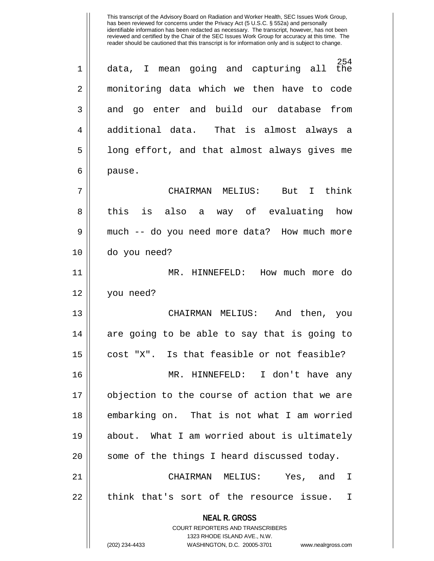**NEAL R. GROSS** COURT REPORTERS AND TRANSCRIBERS 1323 RHODE ISLAND AVE., N.W.  $254$ <br>the 1 || data, I mean going and capturing all 2 monitoring data which we then have to code 3 and go enter and build our database from 4 additional data. That is almost always a  $5 \parallel$  long effort, and that almost always gives me 6 pause. 7 CHAIRMAN MELIUS: But I think 8 || this is also a way of evaluating how 9 || much -- do you need more data? How much more 10 do you need? 11 MR. HINNEFELD: How much more do 12 you need? 13 CHAIRMAN MELIUS: And then, you 14 are going to be able to say that is going to  $15$  cost "X". Is that feasible or not feasible? 16 MR. HINNEFELD: I don't have any 17 objection to the course of action that we are 18 embarking on. That is not what I am worried 19 about. What I am worried about is ultimately 20 || some of the things I heard discussed today. 21 CHAIRMAN MELIUS: Yes, and I  $22$  || think that's sort of the resource issue. I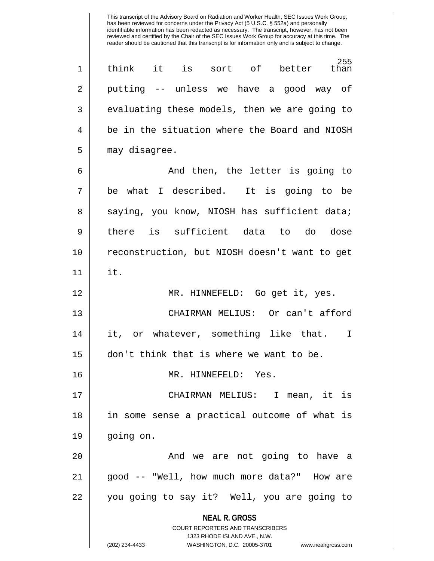255<br>than 1 think it is sort of better than 2 putting -- unless we have a good way of  $3 \parallel$  evaluating these models, then we are going to 4 || be in the situation where the Board and NIOSH 5 | may disagree.

6 And then, the letter is going to 7 be what I described. It is going to be 8 || saying, you know, NIOSH has sufficient data; 9 there is sufficient data to do dose 10 reconstruction, but NIOSH doesn't want to get  $11$   $\parallel$  it. 12 || MR. HINNEFELD: Go get it, yes. 13 CHAIRMAN MELIUS: Or can't afford 14 it, or whatever, something like that. I

15 don't think that is where we want to be.

16 MR. HINNEFELD: Yes.

17 CHAIRMAN MELIUS: I mean, it is 18 in some sense a practical outcome of what is 19 going on.

20 || The Movie are not going to have a 21 good -- "Well, how much more data?" How are 22 || you going to say it? Well, you are going to

> **NEAL R. GROSS** COURT REPORTERS AND TRANSCRIBERS

> > 1323 RHODE ISLAND AVE., N.W.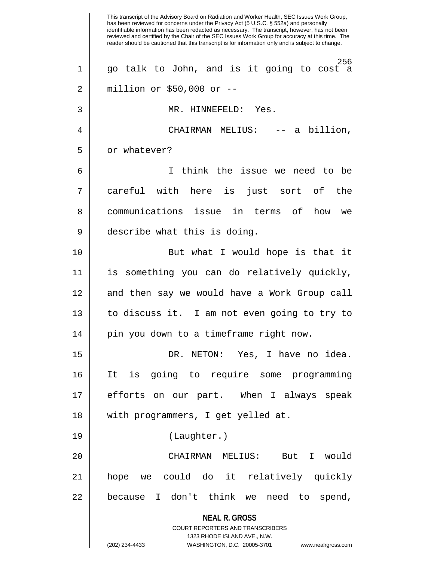**NEAL R. GROSS** COURT REPORTERS AND TRANSCRIBERS 1323 RHODE ISLAND AVE., N.W. (202) 234-4433 WASHINGTON, D.C. 20005-3701 www.nealrgross.com This transcript of the Advisory Board on Radiation and Worker Health, SEC Issues Work Group, has been reviewed for concerns under the Privacy Act (5 U.S.C. § 552a) and personally identifiable information has been redacted as necessary. The transcript, however, has not been reviewed and certified by the Chair of the SEC Issues Work Group for accuracy at this time. The reader should be cautioned that this transcript is for information only and is subject to change. 256 1 go talk to John, and is it going to cost a 2 million or \$50,000 or -- 3 MR. HINNEFELD: Yes. 4 CHAIRMAN MELIUS: -- a billion, 5 | or whatever? 6 I think the issue we need to be 7 careful with here is just sort of the 8 communications issue in terms of how we 9 describe what this is doing. 10 || But what I would hope is that it 11 is something you can do relatively quickly, 12 || and then say we would have a Work Group call 13 to discuss it. I am not even going to try to 14 || pin you down to a timeframe right now. 15 DR. NETON: Yes, I have no idea. 16 It is going to require some programming 17 efforts on our part. When I always speak 18 with programmers, I get yelled at. 19 (Laughter.) 20 CHAIRMAN MELIUS: But I would 21 hope we could do it relatively quickly 22 || because I don't think we need to spend,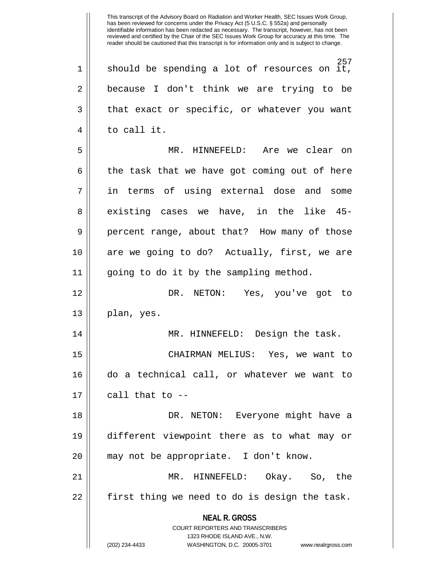**NEAL R. GROSS** COURT REPORTERS AND TRANSCRIBERS 1323 RHODE ISLAND AVE., N.W. 257  $1 \parallel$  should be spending a lot of resources on it, 2 || because I don't think we are trying to be  $3 \parallel$  that exact or specific, or whatever you want 4 to call it. 5 || MR. HINNEFELD: Are we clear on  $6 \parallel$  the task that we have got coming out of here 7 in terms of using external dose and some 8 existing cases we have, in the like 45-9 || percent range, about that? How many of those 10 || are we going to do? Actually, first, we are 11 going to do it by the sampling method. 12 DR. NETON: Yes, you've got to  $13 \parallel$  plan, yes. 14 MR. HINNEFELD: Design the task. 15 CHAIRMAN MELIUS: Yes, we want to 16 do a technical call, or whatever we want to  $17$  || call that to  $-$ 18 DR. NETON: Everyone might have a 19 different viewpoint there as to what may or 20 || may not be appropriate. I don't know. 21 MR. HINNEFELD: Okay. So, the  $22$  || first thing we need to do is design the task.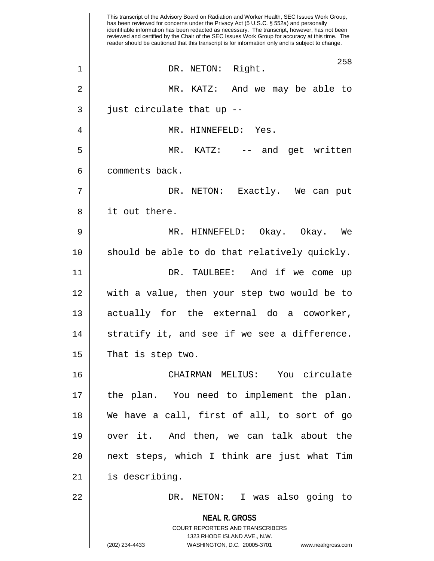**NEAL R. GROSS** COURT REPORTERS AND TRANSCRIBERS 1323 RHODE ISLAND AVE., N.W. (202) 234-4433 WASHINGTON, D.C. 20005-3701 www.nealrgross.com This transcript of the Advisory Board on Radiation and Worker Health, SEC Issues Work Group, has been reviewed for concerns under the Privacy Act (5 U.S.C. § 552a) and personally identifiable information has been redacted as necessary. The transcript, however, has not been reviewed and certified by the Chair of the SEC Issues Work Group for accuracy at this time. The reader should be cautioned that this transcript is for information only and is subject to change. 258 1 || DR. NETON: Right. 2 MR. KATZ: And we may be able to  $3 \parallel$  just circulate that up --4 MR. HINNEFELD: Yes. 5 MR. KATZ: -- and get written 6 | comments back. 7 DR. NETON: Exactly. We can put 8 || it out there. 9 MR. HINNEFELD: Okay. Okay. We  $10$  || should be able to do that relatively quickly. 11 DR. TAULBEE: And if we come up 12 with a value, then your step two would be to 13 || actually for the external do a coworker, 14 || stratify it, and see if we see a difference.  $15$  | That is step two. 16 CHAIRMAN MELIUS: You circulate 17 the plan. You need to implement the plan. 18 We have a call, first of all, to sort of go 19 over it. And then, we can talk about the  $20$  || next steps, which I think are just what Tim 21 is describing. 22 DR. NETON: I was also going to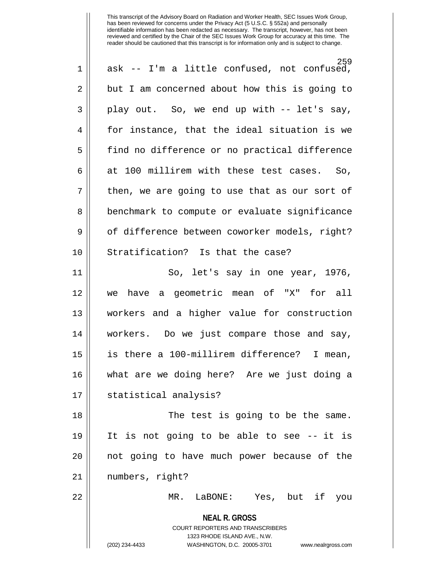| $\mathbf 1$ | 259<br>ask -- I'm a little confused, not confused,                                                                                                              |
|-------------|-----------------------------------------------------------------------------------------------------------------------------------------------------------------|
| 2           | but I am concerned about how this is going to                                                                                                                   |
| 3           | play out. So, we end up with -- let's say,                                                                                                                      |
| 4           | for instance, that the ideal situation is we                                                                                                                    |
| 5           | find no difference or no practical difference                                                                                                                   |
| 6           | at 100 millirem with these test cases. So,                                                                                                                      |
| 7           | then, we are going to use that as our sort of                                                                                                                   |
| 8           | benchmark to compute or evaluate significance                                                                                                                   |
| 9           | of difference between coworker models, right?                                                                                                                   |
| 10          | Stratification? Is that the case?                                                                                                                               |
| 11          | So, let's say in one year, 1976,                                                                                                                                |
| 12          | we have a geometric mean of "X" for all                                                                                                                         |
| 13          | workers and a higher value for construction                                                                                                                     |
| 14          | workers. Do we just compare those and say,                                                                                                                      |
| 15          | is there a 100-millirem difference? I mean,                                                                                                                     |
| 16          | what are we doing here? Are we just doing a                                                                                                                     |
| 17          | statistical analysis?                                                                                                                                           |
| 18          | The test is going to be the same.                                                                                                                               |
| 19          | It is not going to be able to see -- it is                                                                                                                      |
| 20          | not going to have much power because of the                                                                                                                     |
| 21          | numbers, right?                                                                                                                                                 |
| 22          | LaBONE: Yes, but if<br>MR.<br>you                                                                                                                               |
|             | <b>NEAL R. GROSS</b><br>COURT REPORTERS AND TRANSCRIBERS<br>1323 RHODE ISLAND AVE., N.W.<br>(202) 234-4433<br>WASHINGTON, D.C. 20005-3701<br>www.nealrgross.com |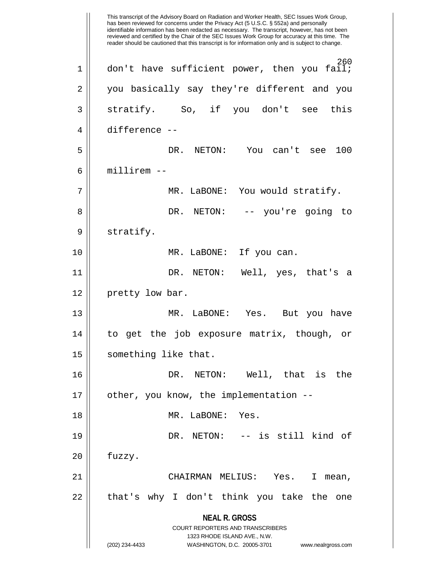**NEAL R. GROSS** COURT REPORTERS AND TRANSCRIBERS 1323 RHODE ISLAND AVE., N.W. (202) 234-4433 WASHINGTON, D.C. 20005-3701 www.nealrgross.com This transcript of the Advisory Board on Radiation and Worker Health, SEC Issues Work Group, has been reviewed for concerns under the Privacy Act (5 U.S.C. § 552a) and personally identifiable information has been redacted as necessary. The transcript, however, has not been reviewed and certified by the Chair of the SEC Issues Work Group for accuracy at this time. The reader should be cautioned that this transcript is for information only and is subject to change. 260 1 || don't have sufficient power, then you fail; 2 || you basically say they're different and you  $3 \parallel$  stratify. So, if you don't see this 4 difference -- 5 DR. NETON: You can't see 100  $6 \parallel$  millirem  $-$ 7 || MR. LaBONE: You would stratify. 8 DR. NETON: -- you're going to 9 || stratify. 10 || MR. LaBONE: If you can. 11 DR. NETON: Well, yes, that's a 12 || pretty low bar. 13 MR. LaBONE: Yes. But you have 14 to get the job exposure matrix, though, or 15 | something like that. 16 DR. NETON: Well, that is the 17 || other, you know, the implementation --18 MR. LaBONE: Yes. 19 DR. NETON: -- is still kind of  $20$  | fuzzy. 21 CHAIRMAN MELIUS: Yes. I mean, 22 || that's why I don't think you take the one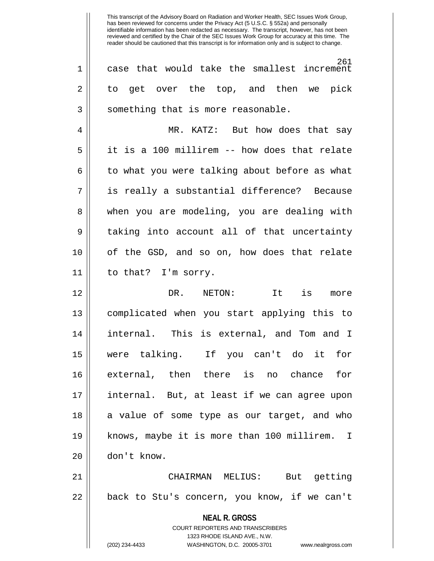This transcript of the Advisory Board on Radiation and Worker Health, SEC Issues Work Group, has been reviewed for concerns under the Privacy Act (5 U.S.C. § 552a) and personally identifiable information has been redacted as necessary. The transcript, however, has not been reviewed and certified by the Chair of the SEC Issues Work Group for accuracy at this time. The reader should be cautioned that this transcript is for information only and is subject to change. 261 1 case that would take the smallest increment 2 to get over the top, and then we pick 3 || something that is more reasonable. 4 MR. KATZ: But how does that say 5 it is a 100 millirem -- how does that relate  $6 \parallel$  to what you were talking about before as what 7 is really a substantial difference? Because

8 when you are modeling, you are dealing with 9 || taking into account all of that uncertainty 10 of the GSD, and so on, how does that relate 11 to that? I'm sorry.

12 DR. NETON: It is more 13 complicated when you start applying this to 14 internal. This is external, and Tom and I 15 were talking. If you can't do it for 16 external, then there is no chance for 17 internal. But, at least if we can agree upon 18 || a value of some type as our target, and who 19 knows, maybe it is more than 100 millirem. I 20 don't know.

21 CHAIRMAN MELIUS: But getting 22 || back to Stu's concern, you know, if we can't

> **NEAL R. GROSS** COURT REPORTERS AND TRANSCRIBERS 1323 RHODE ISLAND AVE., N.W. (202) 234-4433 WASHINGTON, D.C. 20005-3701 www.nealrgross.com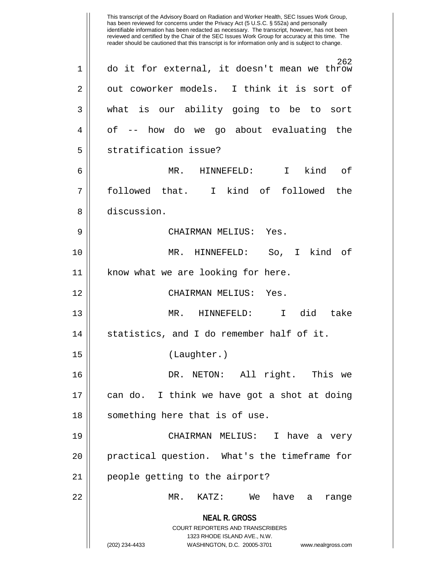**NEAL R. GROSS** COURT REPORTERS AND TRANSCRIBERS 1323 RHODE ISLAND AVE., N.W. (202) 234-4433 WASHINGTON, D.C. 20005-3701 www.nealrgross.com This transcript of the Advisory Board on Radiation and Worker Health, SEC Issues Work Group, has been reviewed for concerns under the Privacy Act (5 U.S.C. § 552a) and personally identifiable information has been redacted as necessary. The transcript, however, has not been reviewed and certified by the Chair of the SEC Issues Work Group for accuracy at this time. The reader should be cautioned that this transcript is for information only and is subject to change. 262 1 do it for external, it doesn't mean we throw  $2 \parallel$  out coworker models. I think it is sort of 3 what is our ability going to be to sort 4 | of -- how do we go about evaluating the 5 || stratification issue? 6 MR. HINNEFELD: I kind of 7 followed that. I kind of followed the 8 discussion. 9 CHAIRMAN MELIUS: Yes. 10 MR. HINNEFELD: So, I kind of 11 || know what we are looking for here. 12 CHAIRMAN MELIUS: Yes. 13 MR. HINNEFELD: I did take  $14$  || statistics, and I do remember half of it. 15 (Laughter.) 16 DR. NETON: All right. This we 17 can do. I think we have got a shot at doing 18 || something here that is of use. 19 CHAIRMAN MELIUS: I have a very 20 || practical question. What's the timeframe for 21 || people getting to the airport? 22 MR. KATZ: We have a range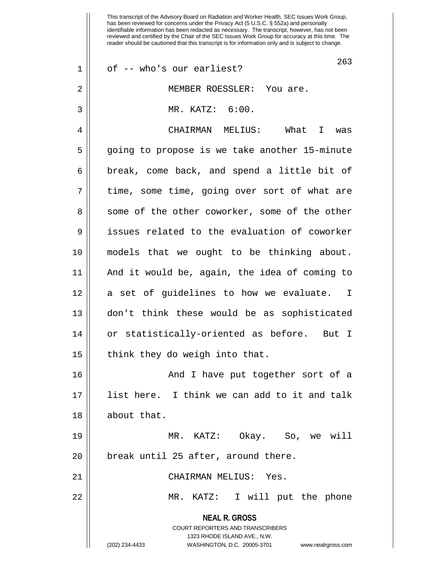**NEAL R. GROSS** COURT REPORTERS AND TRANSCRIBERS 1323 RHODE ISLAND AVE., N.W. (202) 234-4433 WASHINGTON, D.C. 20005-3701 www.nealrgross.com 263  $1 \parallel$  of -- who's our earliest? 2 || MEMBER ROESSLER: You are. 3 MR. KATZ: 6:00. 4 CHAIRMAN MELIUS: What I was 5 || going to propose is we take another 15-minute 6 || break, come back, and spend a little bit of  $7 \parallel$  time, some time, going over sort of what are 8 || some of the other coworker, some of the other 9 issues related to the evaluation of coworker 10 models that we ought to be thinking about. 11 And it would be, again, the idea of coming to 12 || a set of guidelines to how we evaluate. I 13 don't think these would be as sophisticated 14 or statistically-oriented as before. But I  $15$  || think they do weigh into that. 16 And I have put together sort of a 17 list here. I think we can add to it and talk 18 || about that. 19 MR. KATZ: Okay. So, we will 20 || break until 25 after, around there. 21 CHAIRMAN MELIUS: Yes. 22 MR. KATZ: I will put the phone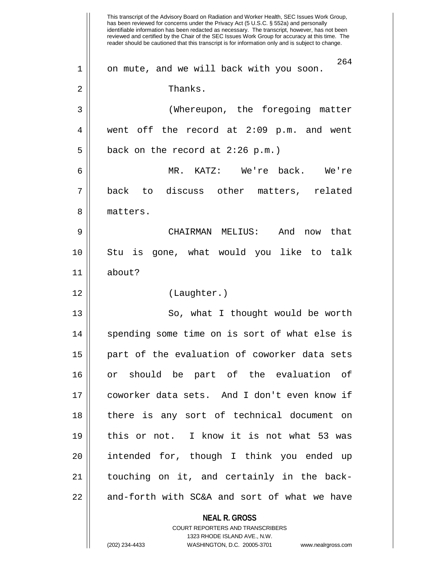|    | This transcript of the Advisory Board on Radiation and Worker Health, SEC Issues Work Group,<br>has been reviewed for concerns under the Privacy Act (5 U.S.C. § 552a) and personally<br>identifiable information has been redacted as necessary. The transcript, however, has not been<br>reviewed and certified by the Chair of the SEC Issues Work Group for accuracy at this time. The<br>reader should be cautioned that this transcript is for information only and is subject to change. |
|----|-------------------------------------------------------------------------------------------------------------------------------------------------------------------------------------------------------------------------------------------------------------------------------------------------------------------------------------------------------------------------------------------------------------------------------------------------------------------------------------------------|
| 1  | 264<br>on mute, and we will back with you soon.                                                                                                                                                                                                                                                                                                                                                                                                                                                 |
| 2  | Thanks.                                                                                                                                                                                                                                                                                                                                                                                                                                                                                         |
| 3  | (Whereupon, the foregoing matter                                                                                                                                                                                                                                                                                                                                                                                                                                                                |
| 4  | went off the record at 2:09 p.m. and went                                                                                                                                                                                                                                                                                                                                                                                                                                                       |
| 5  | back on the record at 2:26 p.m.)                                                                                                                                                                                                                                                                                                                                                                                                                                                                |
| 6  | MR. KATZ: We're back. We're                                                                                                                                                                                                                                                                                                                                                                                                                                                                     |
| 7  | back<br>discuss other matters, related<br>to                                                                                                                                                                                                                                                                                                                                                                                                                                                    |
| 8  | matters.                                                                                                                                                                                                                                                                                                                                                                                                                                                                                        |
| 9  | CHAIRMAN MELIUS:<br>And<br>now that                                                                                                                                                                                                                                                                                                                                                                                                                                                             |
| 10 | gone, what would you like to talk<br>Stu<br>is                                                                                                                                                                                                                                                                                                                                                                                                                                                  |
| 11 | about?                                                                                                                                                                                                                                                                                                                                                                                                                                                                                          |
| 12 | (Laughter.)                                                                                                                                                                                                                                                                                                                                                                                                                                                                                     |
| 13 | So, what I thought would be worth                                                                                                                                                                                                                                                                                                                                                                                                                                                               |
| 14 | spending some time on is sort of what else is                                                                                                                                                                                                                                                                                                                                                                                                                                                   |
| 15 | part of the evaluation of coworker data sets                                                                                                                                                                                                                                                                                                                                                                                                                                                    |
| 16 | should be part of the evaluation<br>of.<br>or                                                                                                                                                                                                                                                                                                                                                                                                                                                   |
| 17 | coworker data sets. And I don't even know if                                                                                                                                                                                                                                                                                                                                                                                                                                                    |
| 18 | there is any sort of technical document on                                                                                                                                                                                                                                                                                                                                                                                                                                                      |
| 19 | this or not. I know it is not what 53 was                                                                                                                                                                                                                                                                                                                                                                                                                                                       |
| 20 | intended for, though I think you ended up                                                                                                                                                                                                                                                                                                                                                                                                                                                       |
| 21 | touching on it, and certainly in the back-                                                                                                                                                                                                                                                                                                                                                                                                                                                      |
|    |                                                                                                                                                                                                                                                                                                                                                                                                                                                                                                 |
| 22 | and-forth with SC&A and sort of what we have                                                                                                                                                                                                                                                                                                                                                                                                                                                    |
|    | <b>NEAL R. GROSS</b>                                                                                                                                                                                                                                                                                                                                                                                                                                                                            |
|    | <b>COURT REPORTERS AND TRANSCRIBERS</b><br>1323 RHODE ISLAND AVE., N.W.                                                                                                                                                                                                                                                                                                                                                                                                                         |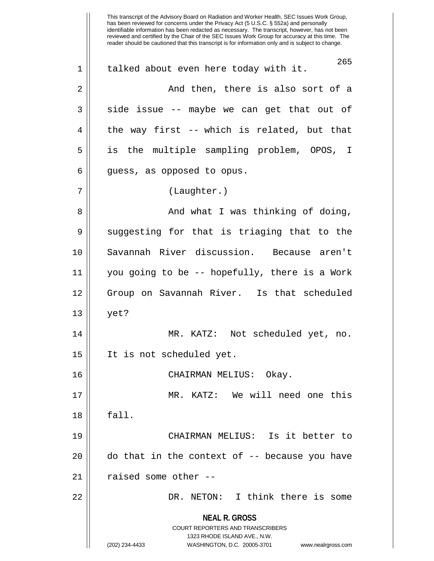**NEAL R. GROSS** COURT REPORTERS AND TRANSCRIBERS 1323 RHODE ISLAND AVE., N.W. (202) 234-4433 WASHINGTON, D.C. 20005-3701 www.nealrgross.com This transcript of the Advisory Board on Radiation and Worker Health, SEC Issues Work Group, has been reviewed for concerns under the Privacy Act (5 U.S.C. § 552a) and personally identifiable information has been redacted as necessary. The transcript, however, has not been reviewed and certified by the Chair of the SEC Issues Work Group for accuracy at this time. The reader should be cautioned that this transcript is for information only and is subject to change. 265 1 || talked about even here today with it. 2 And then, there is also sort of a  $3 \parallel$  side issue -- maybe we can get that out of  $4 \parallel$  the way first -- which is related, but that 5 is the multiple sampling problem, OPOS, I  $6 \parallel$  guess, as opposed to opus. 7 | (Laughter.) 8 And what I was thinking of doing,  $9 \parallel$  suggesting for that is triaging that to the 10 Savannah River discussion. Because aren't 11 you going to be -- hopefully, there is a Work 12 Group on Savannah River. Is that scheduled 13 yet? 14 MR. KATZ: Not scheduled yet, no. 15 It is not scheduled yet. 16 CHAIRMAN MELIUS: Okay. 17 MR. KATZ: We will need one this  $18 \parallel$  fall. 19 CHAIRMAN MELIUS: Is it better to  $20$  || do that in the context of  $-$ - because you have  $21$  | raised some other --22 DR. NETON: I think there is some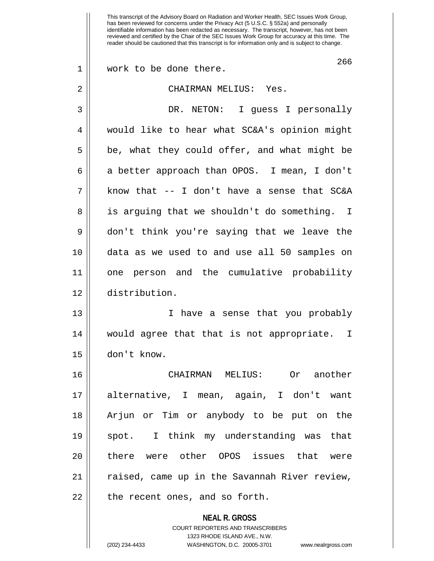**NEAL R. GROSS** COURT REPORTERS AND TRANSCRIBERS 1323 RHODE ISLAND AVE., N.W. This transcript of the Advisory Board on Radiation and Worker Health, SEC Issues Work Group, has been reviewed for concerns under the Privacy Act (5 U.S.C. § 552a) and personally identifiable information has been redacted as necessary. The transcript, however, has not been reviewed and certified by the Chair of the SEC Issues Work Group for accuracy at this time. The reader should be cautioned that this transcript is for information only and is subject to change. 266 1 || work to be done there. 2 CHAIRMAN MELIUS: Yes. 3 DR. NETON: I guess I personally 4 || would like to hear what SC&A's opinion might  $5 \parallel$  be, what they could offer, and what might be 6 || a better approach than OPOS. I mean, I don't  $7 \parallel$  know that -- I don't have a sense that SC&A 8 || is arguing that we shouldn't do something. I 9 don't think you're saying that we leave the 10 data as we used to and use all 50 samples on 11 one person and the cumulative probability 12 distribution. 13 I have a sense that you probably 14 would agree that that is not appropriate. I 15 don't know. 16 CHAIRMAN MELIUS: Or another 17 alternative, I mean, again, I don't want 18 Arjun or Tim or anybody to be put on the 19 spot. I think my understanding was that 20 || there were other OPOS issues that were 21 || raised, came up in the Savannah River review,  $22$  | the recent ones, and so forth.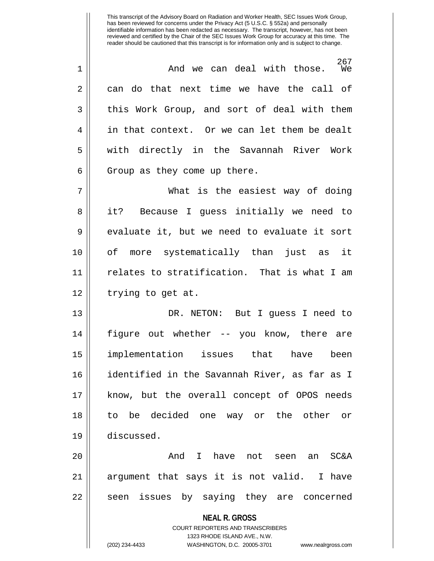267<br>We  $1 \parallel$  and we can deal with those.  $2 \parallel$  can do that next time we have the call of 3 || this Work Group, and sort of deal with them 4 || in that context. Or we can let them be dealt 5 || with directly in the Savannah River Work  $6 \parallel$  Group as they come up there.

7 What is the easiest way of doing 8 || it? Because I guess initially we need to  $9 \parallel$  evaluate it, but we need to evaluate it sort 10 of more systematically than just as it 11 relates to stratification. That is what I am  $12 \parallel$  trying to get at.

13 DR. NETON: But I guess I need to 14 figure out whether -- you know, there are 15 implementation issues that have been 16 identified in the Savannah River, as far as I 17 know, but the overall concept of OPOS needs 18 to be decided one way or the other or 19 discussed.

20 And I have not seen an SC&A 21 argument that says it is not valid. I have 22 || seen issues by saying they are concerned

**NEAL R. GROSS**

COURT REPORTERS AND TRANSCRIBERS 1323 RHODE ISLAND AVE., N.W. (202) 234-4433 WASHINGTON, D.C. 20005-3701 www.nealrgross.com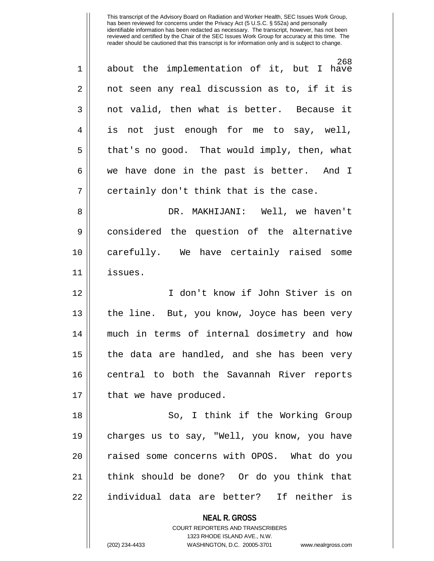268 1 about the implementation of it, but I have  $2 \parallel$  not seen any real discussion as to, if it is 3 not valid, then what is better. Because it 4 is not just enough for me to say, well,  $5 \parallel$  that's no good. That would imply, then, what 6 we have done in the past is better. And I  $7$  | certainly don't think that is the case. 8 DR. MAKHIJANI: Well, we haven't 9 considered the question of the alternative 10 carefully. We have certainly raised some 11 issues. 12 I don't know if John Stiver is on 13 || the line. But, you know, Joyce has been very 14 much in terms of internal dosimetry and how 15  $\parallel$  the data are handled, and she has been very 16 central to both the Savannah River reports 17 | that we have produced. 18 So, I think if the Working Group 19 charges us to say, "Well, you know, you have 20 || raised some concerns with OPOS. What do you 21 think should be done? Or do you think that 22 || individual data are better? If neither is

> **NEAL R. GROSS** COURT REPORTERS AND TRANSCRIBERS 1323 RHODE ISLAND AVE., N.W.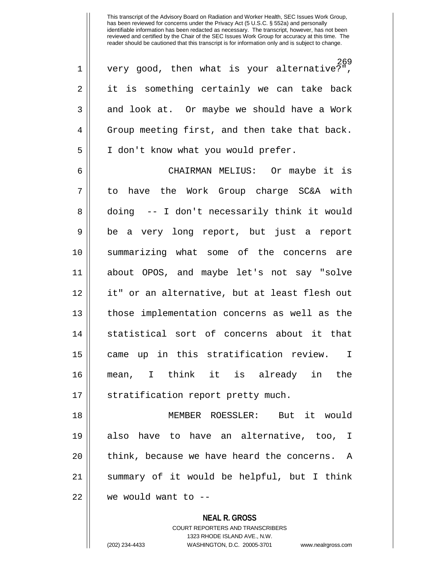269 1 very good, then what is your alternative?", 2 || it is something certainly we can take back 3 || and look at. Or maybe we should have a Work 4 Group meeting first, and then take that back. 5 | I don't know what you would prefer.

6 CHAIRMAN MELIUS: Or maybe it is 7 to have the Work Group charge SC&A with 8 || doing -- I don't necessarily think it would 9 be a very long report, but just a report 10 summarizing what some of the concerns are 11 about OPOS, and maybe let's not say "solve 12 it" or an alternative, but at least flesh out 13 || those implementation concerns as well as the 14 || statistical sort of concerns about it that 15 || came up in this stratification review. I 16 mean, I think it is already in the 17 || stratification report pretty much.

18 MEMBER ROESSLER: But it would 19 also have to have an alternative, too, I  $20$  || think, because we have heard the concerns. A 21 summary of it would be helpful, but I think  $22$  | we would want to  $-$ 

> **NEAL R. GROSS** COURT REPORTERS AND TRANSCRIBERS 1323 RHODE ISLAND AVE., N.W. (202) 234-4433 WASHINGTON, D.C. 20005-3701 www.nealrgross.com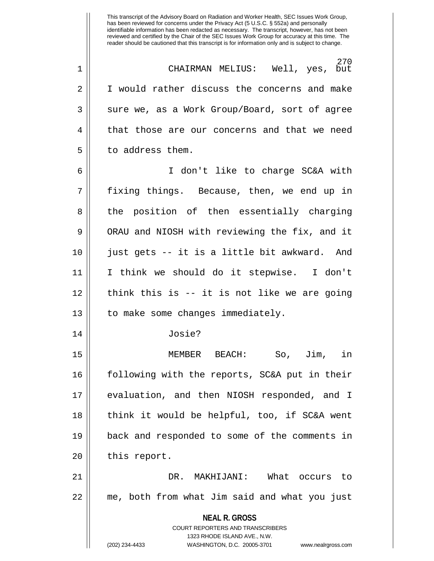270<br>Well, yes, but 1 || CHAIRMAN MELIUS: 2 | I would rather discuss the concerns and make  $3 \parallel$  sure we, as a Work Group/Board, sort of agree 4 || that those are our concerns and that we need 5 | to address them. 6 I don't like to charge SC&A with 7 fixing things. Because, then, we end up in 8 || the position of then essentially charging 9 | ORAU and NIOSH with reviewing the fix, and it 10 just gets -- it is a little bit awkward. And 11 I think we should do it stepwise. I don't  $12$  | think this is -- it is not like we are going 13 || to make some changes immediately. 14 Josie? 15 MEMBER BEACH: So, Jim, in 16 following with the reports, SC&A put in their 17 evaluation, and then NIOSH responded, and I 18 || think it would be helpful, too, if SC&A went 19 back and responded to some of the comments in 20 | this report. 21 DR. MAKHIJANI: What occurs to 22 me, both from what Jim said and what you just

**NEAL R. GROSS**

COURT REPORTERS AND TRANSCRIBERS 1323 RHODE ISLAND AVE., N.W. (202) 234-4433 WASHINGTON, D.C. 20005-3701 www.nealrgross.com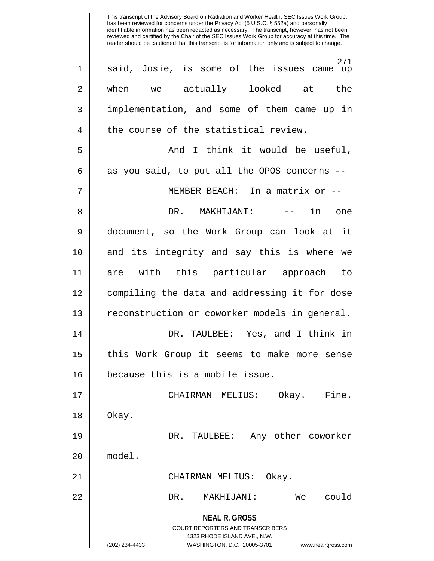**NEAL R. GROSS** COURT REPORTERS AND TRANSCRIBERS 1323 RHODE ISLAND AVE., N.W. (202) 234-4433 WASHINGTON, D.C. 20005-3701 www.nealrgross.com 271 1 || said, Josie, is some of the issues came up 2 || when we actually looked at the 3 implementation, and some of them came up in  $4 \parallel$  the course of the statistical review. 5 And I think it would be useful,  $6 \parallel$  as you said, to put all the OPOS concerns --7 || MEMBER BEACH: In a matrix or --8 DR. MAKHIJANI: -- in one 9 document, so the Work Group can look at it 10 and its integrity and say this is where we 11 are with this particular approach to 12 compiling the data and addressing it for dose 13 || reconstruction or coworker models in general. 14 DR. TAULBEE: Yes, and I think in 15 || this Work Group it seems to make more sense 16 because this is a mobile issue. 17 CHAIRMAN MELIUS: Okay. Fine.  $18 \parallel$  Okay. 19 DR. TAULBEE: Any other coworker 20 model. 21 CHAIRMAN MELIUS: Okay. 22 DR. MAKHIJANI: We could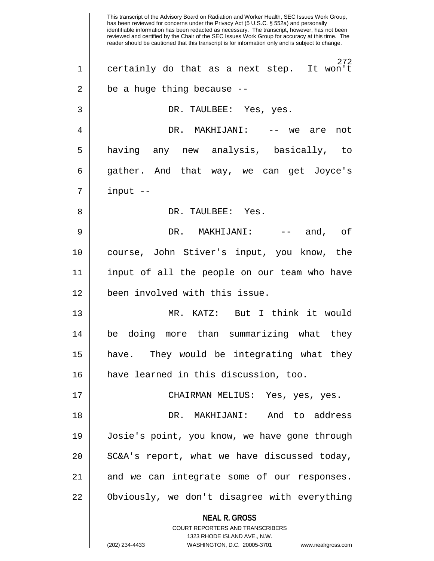**NEAL R. GROSS** COURT REPORTERS AND TRANSCRIBERS 1323 RHODE ISLAND AVE., N.W. This transcript of the Advisory Board on Radiation and Worker Health, SEC Issues Work Group, has been reviewed for concerns under the Privacy Act (5 U.S.C. § 552a) and personally identifiable information has been redacted as necessary. The transcript, however, has not been reviewed and certified by the Chair of the SEC Issues Work Group for accuracy at this time. The reader should be cautioned that this transcript is for information only and is subject to change. 272<br>It won't  $1 \parallel$  certainly do that as a next step.  $2 \parallel$  be a huge thing because --3 DR. TAULBEE: Yes, yes. 4 DR. MAKHIJANI: -- we are not 5 || having any new analysis, basically, to 6 gather. And that way, we can get Joyce's  $7$  | input  $-$ 8 DR. TAULBEE: Yes. 9 DR. MAKHIJANI: -- and, of 10 course, John Stiver's input, you know, the 11 input of all the people on our team who have 12 been involved with this issue. 13 MR. KATZ: But I think it would 14 be doing more than summarizing what they 15 have. They would be integrating what they 16 have learned in this discussion, too. 17 CHAIRMAN MELIUS: Yes, yes, yes. 18 DR. MAKHIJANI: And to address 19 Josie's point, you know, we have gone through  $20$  | SC&A's report, what we have discussed today, 21 || and we can integrate some of our responses. 22 Obviously, we don't disagree with everything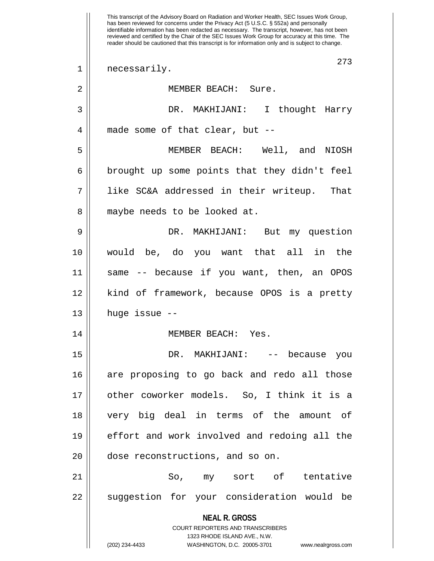**NEAL R. GROSS** COURT REPORTERS AND TRANSCRIBERS 1323 RHODE ISLAND AVE., N.W. (202) 234-4433 WASHINGTON, D.C. 20005-3701 www.nealrgross.com This transcript of the Advisory Board on Radiation and Worker Health, SEC Issues Work Group, has been reviewed for concerns under the Privacy Act (5 U.S.C. § 552a) and personally identifiable information has been redacted as necessary. The transcript, however, has not been reviewed and certified by the Chair of the SEC Issues Work Group for accuracy at this time. The reader should be cautioned that this transcript is for information only and is subject to change. 273 1 || necessarily. 2 MEMBER BEACH: Sure. 3 DR. MAKHIJANI: I thought Harry 4 || made some of that clear, but --5 MEMBER BEACH: Well, and NIOSH  $6 \parallel$  brought up some points that they didn't feel 7 like SC&A addressed in their writeup. That 8 || maybe needs to be looked at. 9 DR. MAKHIJANI: But my question 10 would be, do you want that all in the 11 same -- because if you want, then, an OPOS 12 kind of framework, because OPOS is a pretty  $13$  || huge issue --14 MEMBER BEACH: Yes. 15 DR. MAKHIJANI: -- because you 16 are proposing to go back and redo all those 17 other coworker models. So, I think it is a 18 very big deal in terms of the amount of 19 || effort and work involved and redoing all the 20  $\parallel$  dose reconstructions, and so on. 21 So, my sort of tentative 22 || suggestion for your consideration would be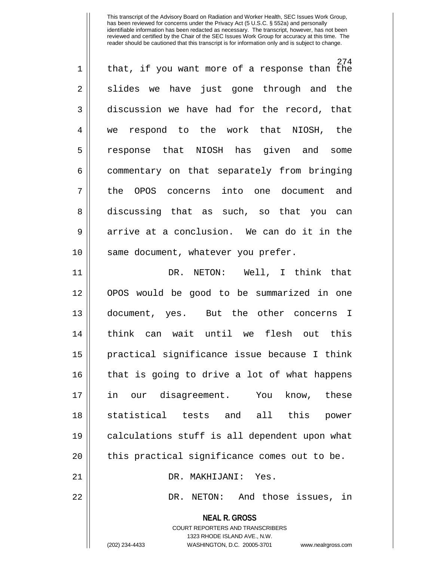| $\mathbf 1$ | 274<br>that, if you want more of a response than the |
|-------------|------------------------------------------------------|
| 2           | slides we have just gone through and the             |
| 3           | discussion we have had for the record, that          |
| 4           | we respond to the work that NIOSH, the               |
| 5           | response that NIOSH has given and<br>some            |
| 6           | commentary on that separately from bringing          |
| 7           | the OPOS concerns into one document and              |
| 8           | discussing that as such, so that you can             |
| 9           | arrive at a conclusion. We can do it in the          |
| 10          | same document, whatever you prefer.                  |
| 11          | DR. NETON: Well, I think that                        |
| 12          | OPOS would be good to be summarized in one           |
| 13          | document, yes. But the other concerns I              |
| 14          | think can wait until we flesh out this               |
| 15          | practical significance issue because I think         |
| 16          | that is going to drive a lot of what happens         |
| 17          | in<br>our disagreement.<br>You<br>know,<br>these     |
| 18          | statistical tests and<br>all this<br>power           |
| 19          | calculations stuff is all dependent upon what        |
| 20          | this practical significance comes out to be.         |
| 21          | DR. MAKHIJANI:<br>Yes.                               |

22 | DR. NETON: And those issues, in

**NEAL R. GROSS**

COURT REPORTERS AND TRANSCRIBERS 1323 RHODE ISLAND AVE., N.W. (202) 234-4433 WASHINGTON, D.C. 20005-3701 www.nealrgross.com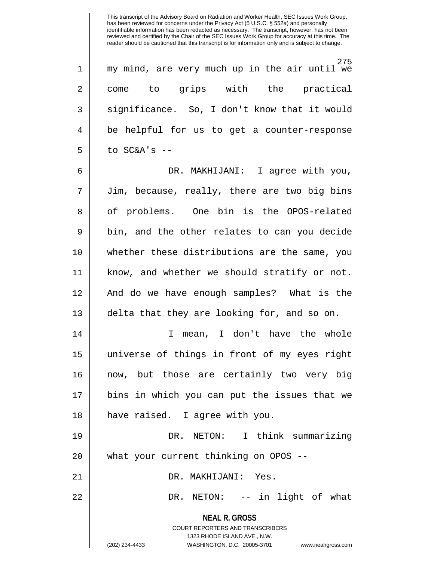275 1 my mind, are very much up in the air until we 2 || come to grips with the practical  $3 \parallel$  significance. So, I don't know that it would 4 || be helpful for us to get a counter-response  $5$  | to SC&A's --

6 DR. MAKHIJANI: I agree with you, 7 || Jim, because, really, there are two big bins 8 || of problems. One bin is the OPOS-related  $9 \parallel$  bin, and the other relates to can you decide 10 whether these distributions are the same, you 11 know, and whether we should stratify or not. 12 And do we have enough samples? What is the 13 || delta that they are looking for, and so on. 14 I mean, I don't have the whole 15 universe of things in front of my eyes right 16 now, but those are certainly two very big 17 bins in which you can put the issues that we 18 have raised. I agree with you.

19 DR. NETON: I think summarizing 20 || what your current thinking on OPOS --

21 DR. MAKHIJANI: Yes.

22 DR. NETON: -- in light of what

**NEAL R. GROSS**

COURT REPORTERS AND TRANSCRIBERS 1323 RHODE ISLAND AVE., N.W. (202) 234-4433 WASHINGTON, D.C. 20005-3701 www.nealrgross.com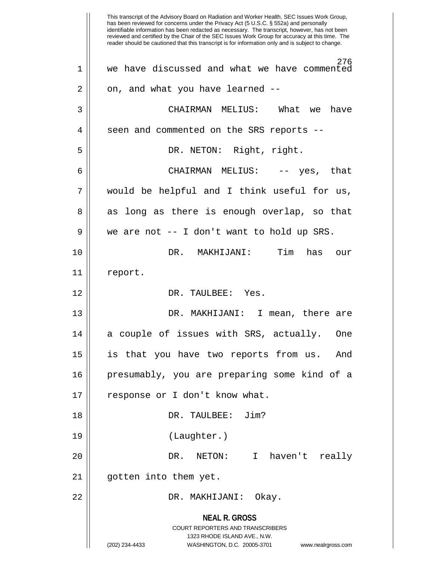**NEAL R. GROSS** COURT REPORTERS AND TRANSCRIBERS 1323 RHODE ISLAND AVE., N.W. (202) 234-4433 WASHINGTON, D.C. 20005-3701 www.nealrgross.com This transcript of the Advisory Board on Radiation and Worker Health, SEC Issues Work Group, has been reviewed for concerns under the Privacy Act (5 U.S.C. § 552a) and personally identifiable information has been redacted as necessary. The transcript, however, has not been reviewed and certified by the Chair of the SEC Issues Work Group for accuracy at this time. The reader should be cautioned that this transcript is for information only and is subject to change. 276 1 we have discussed and what we have commented 2 || on, and what you have learned --3 CHAIRMAN MELIUS: What we have 4 || seen and commented on the SRS reports --5 || DR. NETON: Right, right. 6 CHAIRMAN MELIUS: -- yes, that  $7 \parallel$  would be helpful and I think useful for us, 8 || as long as there is enough overlap, so that  $9 \parallel$  we are not -- I don't want to hold up SRS. 10 DR. MAKHIJANI: Tim has our 11 report. 12 DR. TAULBEE: Yes. 13 DR. MAKHIJANI: I mean, there are 14 || a couple of issues with SRS, actually. One 15 is that you have two reports from us. And 16 presumably, you are preparing some kind of a 17 || response or I don't know what. 18 DR. TAULBEE: Jim? 19 (Laughter.) 20 DR. NETON: I haven't really 21 gotten into them yet. 22 DR. MAKHIJANI: Okay.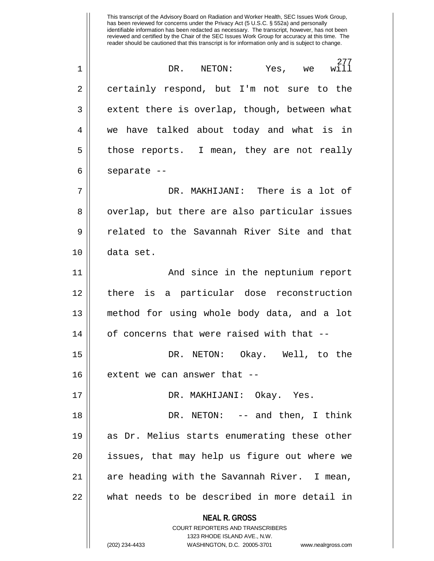**NEAL R. GROSS** COURT REPORTERS AND TRANSCRIBERS 1323 RHODE ISLAND AVE., N.W. 277<br>will 1 DR. NETON: Yes, we will 2 certainly respond, but I'm not sure to the 3 extent there is overlap, though, between what 4 we have talked about today and what is in 5 | those reports. I mean, they are not really  $6 \parallel$  separate --7 DR. MAKHIJANI: There is a lot of 8 || overlap, but there are also particular issues 9 Telated to the Savannah River Site and that 10 data set. 11 || And since in the neptunium report 12 there is a particular dose reconstruction 13 method for using whole body data, and a lot  $14$  || of concerns that were raised with that  $-$ -15 DR. NETON: Okay. Well, to the  $16$  || extent we can answer that  $-$ 17 DR. MAKHIJANI: Okay. Yes. 18 DR. NETON: -- and then, I think 19 as Dr. Melius starts enumerating these other  $20$  || issues, that may help us figure out where we 21 || are heading with the Savannah River. I mean, 22 what needs to be described in more detail in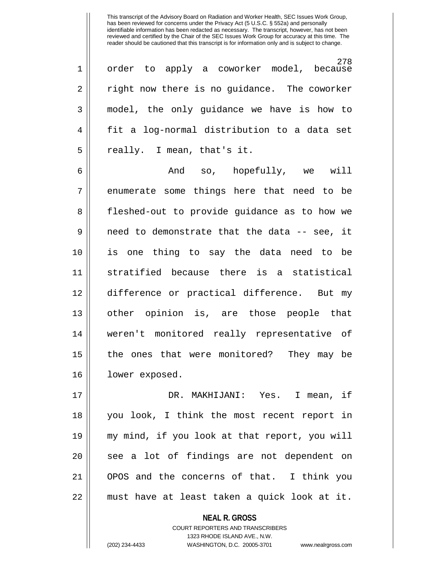278 1 || order to apply a coworker model, because  $2 \parallel$  right now there is no guidance. The coworker 3 model, the only guidance we have is how to 4 || fit a log-normal distribution to a data set  $5 \parallel$  really. I mean, that's it.

6 And so, hopefully, we will  $7 \parallel$  enumerate some things here that need to be 8 || fleshed-out to provide guidance as to how we 9 need to demonstrate that the data -- see, it 10 is one thing to say the data need to be 11 stratified because there is a statistical 12 difference or practical difference. But my 13 other opinion is, are those people that 14 weren't monitored really representative of 15 the ones that were monitored? They may be 16 | lower exposed.

17 DR. MAKHIJANI: Yes. I mean, if 18 you look, I think the most recent report in 19 my mind, if you look at that report, you will 20 || see a lot of findings are not dependent on 21 OPOS and the concerns of that. I think you 22 must have at least taken a quick look at it.

> **NEAL R. GROSS** COURT REPORTERS AND TRANSCRIBERS 1323 RHODE ISLAND AVE., N.W. (202) 234-4433 WASHINGTON, D.C. 20005-3701 www.nealrgross.com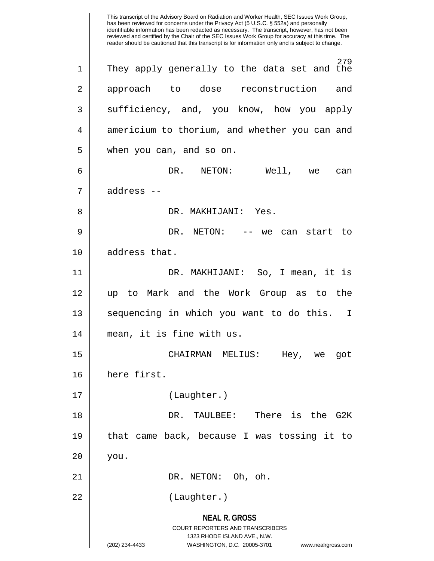**NEAL R. GROSS** COURT REPORTERS AND TRANSCRIBERS 1323 RHODE ISLAND AVE., N.W. (202) 234-4433 WASHINGTON, D.C. 20005-3701 www.nealrgross.com This transcript of the Advisory Board on Radiation and Worker Health, SEC Issues Work Group, has been reviewed for concerns under the Privacy Act (5 U.S.C. § 552a) and personally identifiable information has been redacted as necessary. The transcript, however, has not been reviewed and certified by the Chair of the SEC Issues Work Group for accuracy at this time. The reader should be cautioned that this transcript is for information only and is subject to change. 279 1 They apply generally to the data set and the 2 approach to dose reconstruction and  $3 \parallel$  sufficiency, and, you know, how you apply 4 || americium to thorium, and whether you can and 5 | when you can, and so on. 6 DR. NETON: Well, we can 7 address -- 8 DR. MAKHIJANI: Yes. 9 DR. NETON: -- we can start to 10 || address that. 11 DR. MAKHIJANI: So, I mean, it is 12 up to Mark and the Work Group as to the 13 || sequencing in which you want to do this. I 14 mean, it is fine with us. 15 CHAIRMAN MELIUS: Hey, we got 16 here first. 17 (Laughter.) 18 DR. TAULBEE: There is the G2K 19 that came back, because I was tossing it to  $20$  | you. 21 || DR. NETON: Oh, oh. 22 || (Laughter.)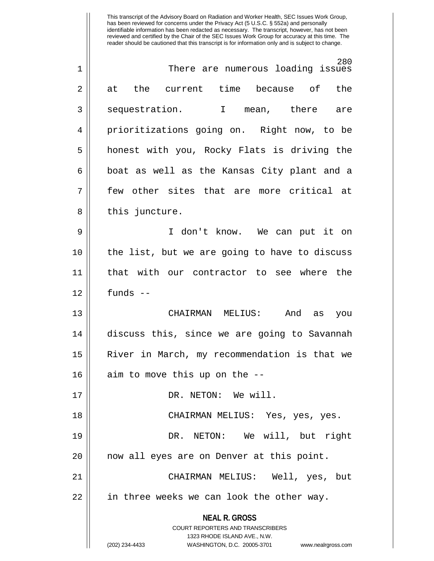| 1              | 280<br>There are numerous loading issues                            |
|----------------|---------------------------------------------------------------------|
| $\overline{2}$ | the current time because of<br>the<br>at                            |
| 3              | sequestration. I mean, there are                                    |
| 4              | prioritizations going on. Right now, to be                          |
| 5              | honest with you, Rocky Flats is driving the                         |
| 6              | boat as well as the Kansas City plant and a                         |
| 7              | few other sites that are more critical at                           |
| 8              | this juncture.                                                      |
| 9              | I don't know. We can put it on                                      |
| 10             | the list, but we are going to have to discuss                       |
| 11             | that with our contractor to see where the                           |
| 12             | funds --                                                            |
| 13             | CHAIRMAN MELIUS: And as<br>you                                      |
| 14             | discuss this, since we are going to Savannah                        |
| 15             | River in March, my recommendation is that we                        |
| 16             | aim to move this up on the --                                       |
| 17             | DR. NETON: We will.                                                 |
| 18             | CHAIRMAN MELIUS: Yes, yes, yes.                                     |
| 19             | DR. NETON: We will, but right                                       |
| 20             | now all eyes are on Denver at this point.                           |
| 21             | CHAIRMAN MELIUS: Well, yes, but                                     |
| 22             | in three weeks we can look the other way.                           |
|                | <b>NEAL R. GROSS</b>                                                |
|                | <b>COURT REPORTERS AND TRANSCRIBERS</b>                             |
|                | 1323 RHODE ISLAND AVE., N.W.                                        |
|                | (202) 234-4433<br>WASHINGTON, D.C. 20005-3701<br>www.nealrgross.com |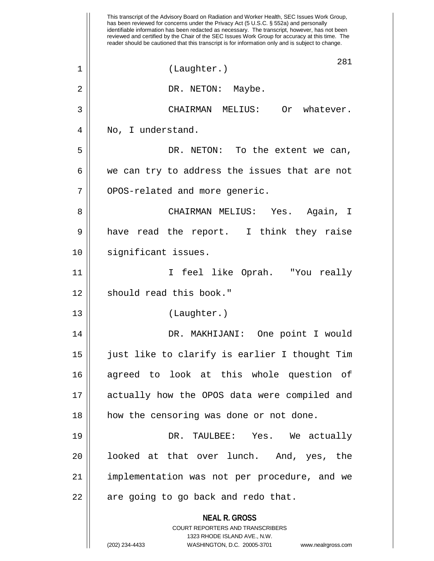**NEAL R. GROSS** COURT REPORTERS AND TRANSCRIBERS 1323 RHODE ISLAND AVE., N.W. (202) 234-4433 WASHINGTON, D.C. 20005-3701 www.nealrgross.com This transcript of the Advisory Board on Radiation and Worker Health, SEC Issues Work Group, has been reviewed for concerns under the Privacy Act (5 U.S.C. § 552a) and personally identifiable information has been redacted as necessary. The transcript, however, has not been reviewed and certified by the Chair of the SEC Issues Work Group for accuracy at this time. The reader should be cautioned that this transcript is for information only and is subject to change. 281 1 || (Laughter.) 2 || DR. NETON: Maybe. 3 CHAIRMAN MELIUS: Or whatever. 4 || No, I understand. 5 DR. NETON: To the extent we can,  $6 \parallel$  we can try to address the issues that are not 7 | OPOS-related and more generic. 8 CHAIRMAN MELIUS: Yes. Again, I 9 || have read the report. I think they raise 10 || significant issues. 11 I feel like Oprah. "You really 12 || should read this book." 13 (Laughter.) 14 DR. MAKHIJANI: One point I would 15 just like to clarify is earlier I thought Tim 16 agreed to look at this whole question of 17 actually how the OPOS data were compiled and 18 || how the censoring was done or not done. 19 DR. TAULBEE: Yes. We actually 20 || looked at that over lunch. And, yes, the 21 implementation was not per procedure, and we  $22$  || are going to go back and redo that.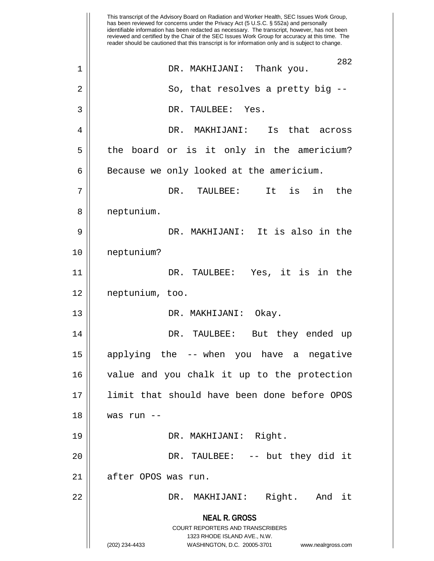**NEAL R. GROSS** COURT REPORTERS AND TRANSCRIBERS 1323 RHODE ISLAND AVE., N.W. (202) 234-4433 WASHINGTON, D.C. 20005-3701 www.nealrgross.com This transcript of the Advisory Board on Radiation and Worker Health, SEC Issues Work Group, has been reviewed for concerns under the Privacy Act (5 U.S.C. § 552a) and personally identifiable information has been redacted as necessary. The transcript, however, has not been reviewed and certified by the Chair of the SEC Issues Work Group for accuracy at this time. The reader should be cautioned that this transcript is for information only and is subject to change. 282 1 DR. MAKHIJANI: Thank you.  $2 \parallel$  So, that resolves a pretty big  $-$ 3 DR. TAULBEE: Yes. 4 DR. MAKHIJANI: Is that across 5 | the board or is it only in the americium?  $6 \parallel$  Because we only looked at the americium. 7 DR. TAULBEE: It is in the 8 | neptunium. 9 DR. MAKHIJANI: It is also in the 10 neptunium? 11 DR. TAULBEE: Yes, it is in the 12 neptunium, too. 13 DR. MAKHIJANI: Okay. 14 DR. TAULBEE: But they ended up 15 applying the -- when you have a negative 16 value and you chalk it up to the protection 17 limit that should have been done before OPOS 18 was run -- 19 DR. MAKHIJANI: Right. 20 DR. TAULBEE: -- but they did it 21 || after OPOS was run. 22 DR. MAKHIJANI: Right. And it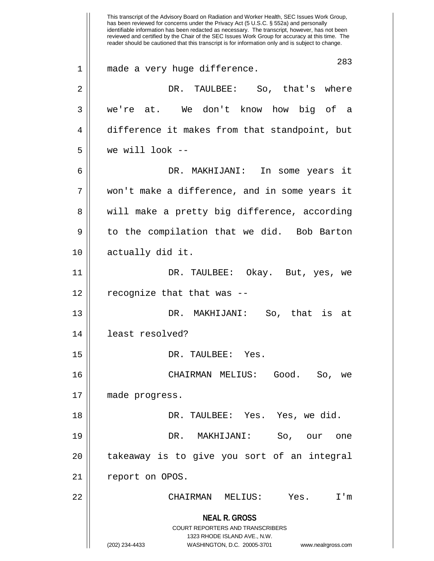**NEAL R. GROSS** COURT REPORTERS AND TRANSCRIBERS 1323 RHODE ISLAND AVE., N.W. (202) 234-4433 WASHINGTON, D.C. 20005-3701 www.nealrgross.com This transcript of the Advisory Board on Radiation and Worker Health, SEC Issues Work Group, has been reviewed for concerns under the Privacy Act (5 U.S.C. § 552a) and personally identifiable information has been redacted as necessary. The transcript, however, has not been reviewed and certified by the Chair of the SEC Issues Work Group for accuracy at this time. The reader should be cautioned that this transcript is for information only and is subject to change. 283 1 made a very huge difference. 2 DR. TAULBEE: So, that's where 3 we're at. We don't know how big of a 4 difference it makes from that standpoint, but  $5 \parallel$  we will look --6 DR. MAKHIJANI: In some years it 7 won't make a difference, and in some years it 8 || will make a pretty big difference, according 9 || to the compilation that we did. Bob Barton 10 || actually did it. 11 DR. TAULBEE: Okay. But, yes, we  $12$  | recognize that that was  $-$ 13 DR. MAKHIJANI: So, that is at 14 least resolved? 15 DR. TAULBEE: Yes. 16 CHAIRMAN MELIUS: Good. So, we 17 made progress. 18 DR. TAULBEE: Yes. Yes, we did. 19 DR. MAKHIJANI: So, our one 20 || takeaway is to give you sort of an integral 21 || report on OPOS. 22 CHAIRMAN MELIUS: Yes. I'm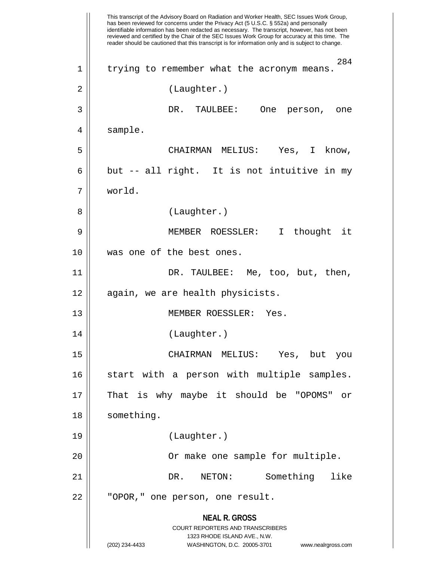**NEAL R. GROSS** COURT REPORTERS AND TRANSCRIBERS 1323 RHODE ISLAND AVE., N.W. (202) 234-4433 WASHINGTON, D.C. 20005-3701 www.nealrgross.com This transcript of the Advisory Board on Radiation and Worker Health, SEC Issues Work Group, has been reviewed for concerns under the Privacy Act (5 U.S.C. § 552a) and personally identifiable information has been redacted as necessary. The transcript, however, has not been reviewed and certified by the Chair of the SEC Issues Work Group for accuracy at this time. The reader should be cautioned that this transcript is for information only and is subject to change. 284 1 || trying to remember what the acronym means. 2 || (Laughter.) 3 DR. TAULBEE: One person, one 4 | sample. 5 CHAIRMAN MELIUS: Yes, I know,  $6 \parallel$  but -- all right. It is not intuitive in my 7 world. 8 || (Laughter.) 9 MEMBER ROESSLER: I thought it 10 was one of the best ones. 11 DR. TAULBEE: Me, too, but, then, 12 || again, we are health physicists. 13 MEMBER ROESSLER: Yes. 14 || (Laughter.) 15 CHAIRMAN MELIUS: Yes, but you 16 || start with a person with multiple samples. 17 That is why maybe it should be "OPOMS" or 18 | something. 19 (Laughter.) 20 || Commake one sample for multiple. 21 DR. NETON: Something like 22 || "OPOR," one person, one result.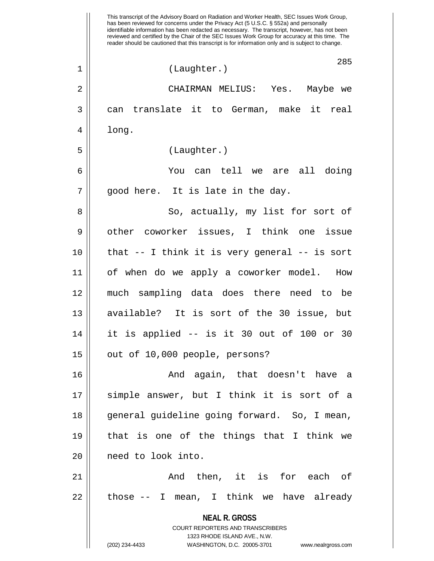**NEAL R. GROSS** COURT REPORTERS AND TRANSCRIBERS 1323 RHODE ISLAND AVE., N.W. (202) 234-4433 WASHINGTON, D.C. 20005-3701 www.nealrgross.com This transcript of the Advisory Board on Radiation and Worker Health, SEC Issues Work Group, has been reviewed for concerns under the Privacy Act (5 U.S.C. § 552a) and personally identifiable information has been redacted as necessary. The transcript, however, has not been reviewed and certified by the Chair of the SEC Issues Work Group for accuracy at this time. The reader should be cautioned that this transcript is for information only and is subject to change. 285 1 || (Laughter.) 2 CHAIRMAN MELIUS: Yes. Maybe we 3 can translate it to German, make it real  $4 \parallel$  long. 5 (Laughter.) 6 You can tell we are all doing  $7 \parallel$  good here. It is late in the day. 8 || So, actually, my list for sort of 9 || other coworker issues, I think one issue 10 that -- I think it is very general -- is sort 11 of when do we apply a coworker model. How 12 much sampling data does there need to be 13 available? It is sort of the 30 issue, but 14 it is applied -- is it 30 out of 100 or 30  $15$  | out of 10,000 people, persons? 16 And again, that doesn't have a 17 || simple answer, but I think it is sort of a 18 general guideline going forward. So, I mean, 19  $\parallel$  that is one of the things that I think we 20 || need to look into. 21 And then, it is for each of  $22$  || those  $-$  I mean, I think we have already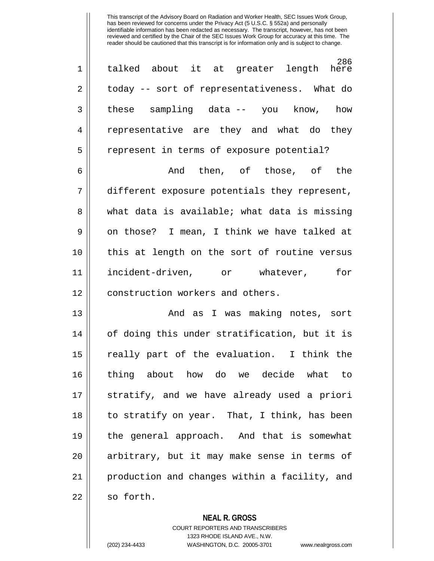286<br>here 1 talked about it at greater length here 2 | today -- sort of representativeness. What do  $3 \parallel$  these sampling data  $-$  you know, how 4 || representative are they and what do they 5 | represent in terms of exposure potential?

6 And then, of those, of the  $7$  | different exposure potentials they represent, 8 what data is available; what data is missing  $9 \parallel$  on those? I mean, I think we have talked at 10 || this at length on the sort of routine versus 11 incident-driven, or whatever, for 12 || construction workers and others.

13 And as I was making notes, sort 14 of doing this under stratification, but it is 15 || really part of the evaluation. I think the 16 thing about how do we decide what to 17 || stratify, and we have already used a priori  $18 \parallel$  to stratify on year. That, I think, has been 19 the general approach. And that is somewhat 20 || arbitrary, but it may make sense in terms of 21 production and changes within a facility, and  $22 \parallel$  so forth.

**NEAL R. GROSS**

COURT REPORTERS AND TRANSCRIBERS 1323 RHODE ISLAND AVE., N.W. (202) 234-4433 WASHINGTON, D.C. 20005-3701 www.nealrgross.com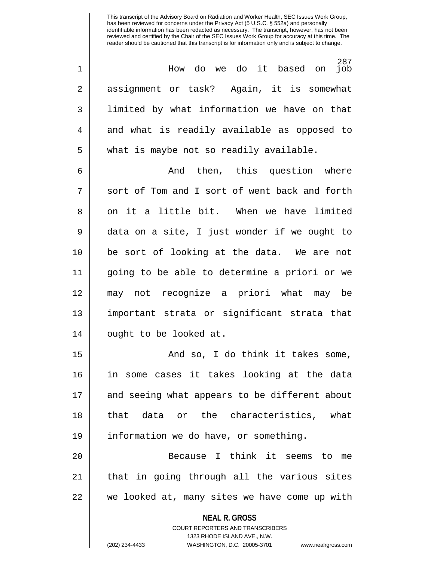287<br>job 1 How do we do it based on job 2 assignment or task? Again, it is somewhat 3 || Iimited by what information we have on that  $4 \parallel$  and what is readily available as opposed to  $5 \parallel$  what is maybe not so readily available.

6 And then, this question where  $7 \parallel$  sort of Tom and I sort of went back and forth 8 || on it a little bit. When we have limited 9 data on a site, I just wonder if we ought to 10 be sort of looking at the data. We are not 11 going to be able to determine a priori or we 12 may not recognize a priori what may be 13 important strata or significant strata that 14 || ought to be looked at.

15 And so, I do think it takes some, 16 in some cases it takes looking at the data 17 || and seeing what appears to be different about 18 that data or the characteristics, what 19 information we do have, or something.

20 Because I think it seems to me 21 || that in going through all the various sites 22 we looked at, many sites we have come up with

> **NEAL R. GROSS** COURT REPORTERS AND TRANSCRIBERS

> > 1323 RHODE ISLAND AVE., N.W.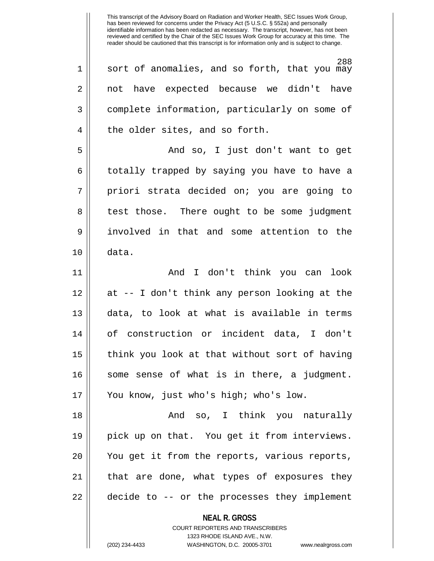**NEAL R. GROSS** COURT REPORTERS AND TRANSCRIBERS 288 1 || sort of anomalies, and so forth, that you may 2 || not have expected because we didn't have 3 complete information, particularly on some of 4 || the older sites, and so forth. 5 And so, I just don't want to get 6 || totally trapped by saying you have to have a 7 || priori strata decided on; you are going to 8 || test those. There ought to be some judgment 9 involved in that and some attention to the 10 data. 11 And I don't think you can look 12 at -- I don't think any person looking at the 13 || data, to look at what is available in terms 14 of construction or incident data, I don't 15 || think you look at that without sort of having 16 || some sense of what is in there, a judgment. 17 You know, just who's high; who's low. 18 And so, I think you naturally 19 pick up on that. You get it from interviews. 20 || You get it from the reports, various reports, 21 || that are done, what types of exposures they 22 || decide to -- or the processes they implement

1323 RHODE ISLAND AVE., N.W.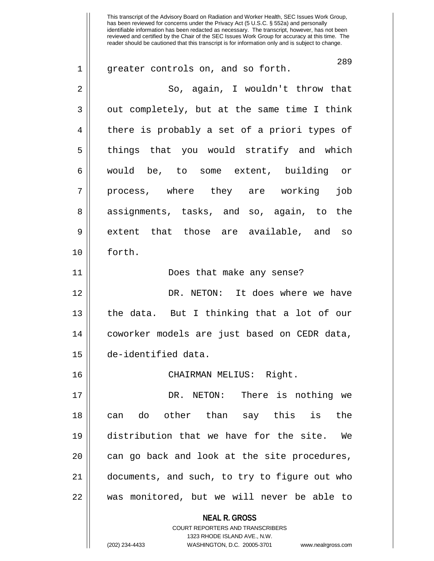**NEAL R. GROSS** COURT REPORTERS AND TRANSCRIBERS 1323 RHODE ISLAND AVE., N.W. This transcript of the Advisory Board on Radiation and Worker Health, SEC Issues Work Group, has been reviewed for concerns under the Privacy Act (5 U.S.C. § 552a) and personally identifiable information has been redacted as necessary. The transcript, however, has not been reviewed and certified by the Chair of the SEC Issues Work Group for accuracy at this time. The reader should be cautioned that this transcript is for information only and is subject to change. 289 1 || greater controls on, and so forth. 2 So, again, I wouldn't throw that 3 || out completely, but at the same time I think 4 there is probably a set of a priori types of 5 | things that you would stratify and which 6 would be, to some extent, building or 7 || process, where they are working job 8 assignments, tasks, and so, again, to the 9 extent that those are available, and so 10 forth. 11 Does that make any sense? 12 DR. NETON: It does where we have 13 || the data. But I thinking that a lot of our 14 coworker models are just based on CEDR data, 15 de-identified data. 16 CHAIRMAN MELIUS: Right. 17 DR. NETON: There is nothing we 18 can do other than say this is the 19 distribution that we have for the site. We  $20$  || can go back and look at the site procedures, 21 documents, and such, to try to figure out who 22 || was monitored, but we will never be able to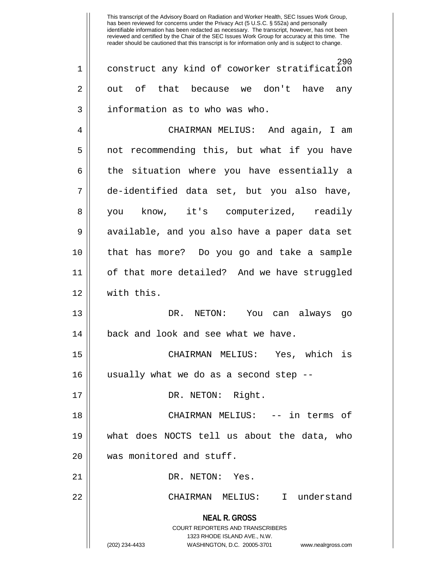This transcript of the Advisory Board on Radiation and Worker Health, SEC Issues Work Group, has been reviewed for concerns under the Privacy Act (5 U.S.C. § 552a) and personally identifiable information has been redacted as necessary. The transcript, however, has not been reviewed and certified by the Chair of the SEC Issues Work Group for accuracy at this time. The reader should be cautioned that this transcript is for information only and is subject to change. 290 1 construct any kind of coworker stratification  $2 \parallel$  out of that because we don't have any 3 information as to who was who. 4 CHAIRMAN MELIUS: And again, I am 5 || not recommending this, but what if you have 6 || the situation where you have essentially a 7 de-identified data set, but you also have, 8 || you know, it's computerized, readily 9 || available, and you also have a paper data set 10 that has more? Do you go and take a sample 11 of that more detailed? And we have struggled 12 with this. 13 DR. NETON: You can always go 14 || back and look and see what we have. 15 CHAIRMAN MELIUS: Yes, which is 16 usually what we do as a second step -- 17 || DR. NETON: Right. 18 CHAIRMAN MELIUS: -- in terms of 19 what does NOCTS tell us about the data, who 20 || was monitored and stuff.

21 || DR. NETON: Yes.

22 CHAIRMAN MELIUS: I understand

**NEAL R. GROSS**

COURT REPORTERS AND TRANSCRIBERS 1323 RHODE ISLAND AVE., N.W. (202) 234-4433 WASHINGTON, D.C. 20005-3701 www.nealrgross.com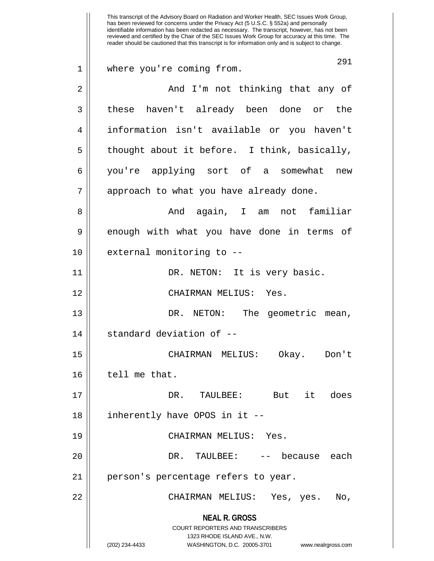**NEAL R. GROSS** COURT REPORTERS AND TRANSCRIBERS 1323 RHODE ISLAND AVE., N.W. (202) 234-4433 WASHINGTON, D.C. 20005-3701 www.nealrgross.com This transcript of the Advisory Board on Radiation and Worker Health, SEC Issues Work Group, has been reviewed for concerns under the Privacy Act (5 U.S.C. § 552a) and personally identifiable information has been redacted as necessary. The transcript, however, has not been reviewed and certified by the Chair of the SEC Issues Work Group for accuracy at this time. The reader should be cautioned that this transcript is for information only and is subject to change. 291 1 where you're coming from. 2 And I'm not thinking that any of 3 these haven't already been done or the 4 information isn't available or you haven't  $5 \parallel$  thought about it before. I think, basically, 6 you're applying sort of a somewhat new 7 || approach to what you have already done. 8 And again, I am not familiar 9 enough with what you have done in terms of  $10$  || external monitoring to  $-$ 11 DR. NETON: It is very basic. 12 CHAIRMAN MELIUS: Yes. 13 DR. NETON: The geometric mean,  $14$  || standard deviation of  $-$ 15 CHAIRMAN MELIUS: Okay. Don't 16 | tell me that. 17 DR. TAULBEE: But it does 18 || inherently have OPOS in it --19 CHAIRMAN MELIUS: Yes. 20 DR. TAULBEE: -- because each 21 || person's percentage refers to year. 22 CHAIRMAN MELIUS: Yes, yes. No,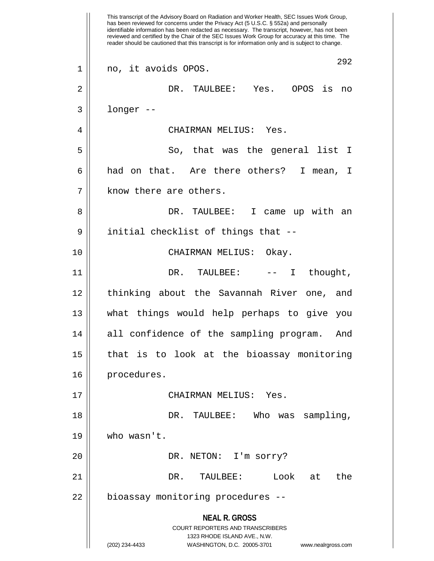**NEAL R. GROSS** COURT REPORTERS AND TRANSCRIBERS 1323 RHODE ISLAND AVE., N.W. (202) 234-4433 WASHINGTON, D.C. 20005-3701 www.nealrgross.com This transcript of the Advisory Board on Radiation and Worker Health, SEC Issues Work Group, has been reviewed for concerns under the Privacy Act (5 U.S.C. § 552a) and personally identifiable information has been redacted as necessary. The transcript, however, has not been reviewed and certified by the Chair of the SEC Issues Work Group for accuracy at this time. The reader should be cautioned that this transcript is for information only and is subject to change. 292 1 no, it avoids OPOS. 2 DR. TAULBEE: Yes. OPOS is no  $3 \parallel$  longer --4 CHAIRMAN MELIUS: Yes. 5 || So, that was the general list I 6 || had on that. Are there others? I mean, I  $7$  | know there are others. 8 DR. TAULBEE: I came up with an 9 || initial checklist of things that --10 || CHAIRMAN MELIUS: Okay. 11 DR. TAULBEE: -- I thought, 12 || thinking about the Savannah River one, and 13 what things would help perhaps to give you 14 all confidence of the sampling program. And 15 || that is to look at the bioassay monitoring 16 | procedures. 17 CHAIRMAN MELIUS: Yes. 18 DR. TAULBEE: Who was sampling, 19 who wasn't. 20 || DR. NETON: I'm sorry? 21 DR. TAULBEE: Look at the 22 | bioassay monitoring procedures --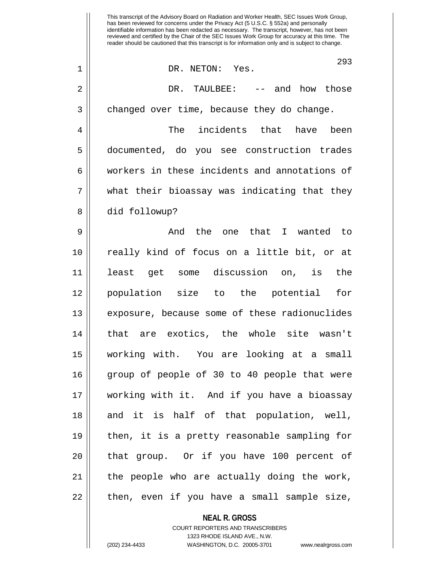This transcript of the Advisory Board on Radiation and Worker Health, SEC Issues Work Group, has been reviewed for concerns under the Privacy Act (5 U.S.C. § 552a) and personally identifiable information has been redacted as necessary. The transcript, however, has not been reviewed and certified by the Chair of the SEC Issues Work Group for accuracy at this time. The reader should be cautioned that this transcript is for information only and is subject to change. 293 1 DR. NETON: Yes. 2 DR. TAULBEE: -- and how those  $3 \parallel$  changed over time, because they do change. 4 The incidents that have been 5 documented, do you see construction trades 6 | workers in these incidents and annotations of  $7 \parallel$  what their bioassay was indicating that they 8 || did followup? 9 And the one that I wanted to 10 really kind of focus on a little bit, or at 11 least get some discussion on, is the 12 population size to the potential for 13 || exposure, because some of these radionuclides 14 that are exotics, the whole site wasn't 15 working with. You are looking at a small 16 group of people of 30 to 40 people that were 17 working with it. And if you have a bioassay 18 || and it is half of that population, well, 19 then, it is a pretty reasonable sampling for 20 || that group. Or if you have 100 percent of 21 || the people who are actually doing the work,  $22$  || then, even if you have a small sample size,

> **NEAL R. GROSS** COURT REPORTERS AND TRANSCRIBERS 1323 RHODE ISLAND AVE., N.W.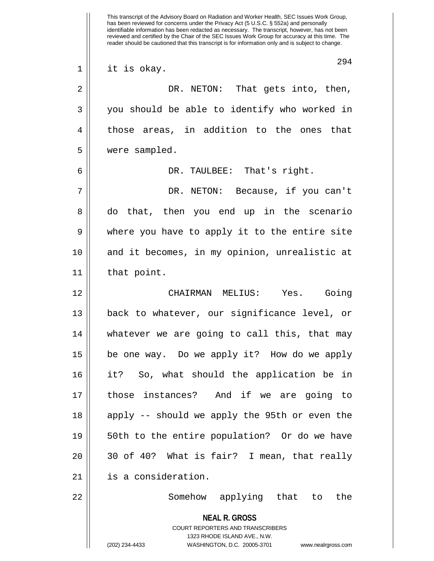**NEAL R. GROSS** COURT REPORTERS AND TRANSCRIBERS 1323 RHODE ISLAND AVE., N.W. (202) 234-4433 WASHINGTON, D.C. 20005-3701 www.nealrgross.com This transcript of the Advisory Board on Radiation and Worker Health, SEC Issues Work Group, has been reviewed for concerns under the Privacy Act (5 U.S.C. § 552a) and personally identifiable information has been redacted as necessary. The transcript, however, has not been reviewed and certified by the Chair of the SEC Issues Work Group for accuracy at this time. The reader should be cautioned that this transcript is for information only and is subject to change. 294 1 || it is okay. 2 DR. NETON: That gets into, then, 3 || you should be able to identify who worked in 4 || those areas, in addition to the ones that 5 were sampled. 6 DR. TAULBEE: That's right. 7 DR. NETON: Because, if you can't 8 do that, then you end up in the scenario 9 where you have to apply it to the entire site 10 and it becomes, in my opinion, unrealistic at 11 that point. 12 CHAIRMAN MELIUS: Yes. Going 13 back to whatever, our significance level, or 14 whatever we are going to call this, that may 15 be one way. Do we apply it? How do we apply 16 it? So, what should the application be in 17 those instances? And if we are going to 18 || apply -- should we apply the 95th or even the 19 50th to the entire population? Or do we have  $20$  ||  $30$  of 40? What is fair? I mean, that really 21 is a consideration. 22 Somehow applying that to the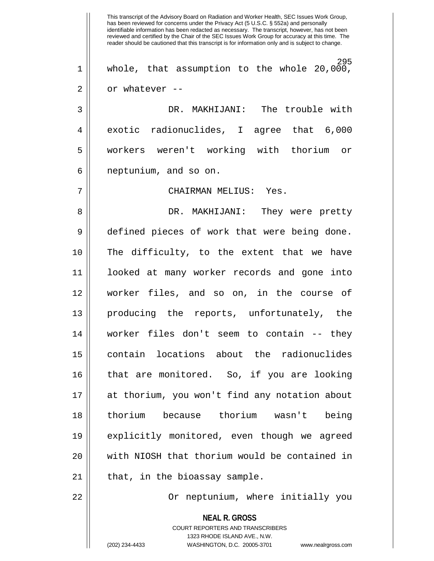**NEAL R. GROSS** This transcript of the Advisory Board on Radiation and Worker Health, SEC Issues Work Group, has been reviewed for concerns under the Privacy Act (5 U.S.C. § 552a) and personally identifiable information has been redacted as necessary. The transcript, however, has not been reviewed and certified by the Chair of the SEC Issues Work Group for accuracy at this time. The reader should be cautioned that this transcript is for information only and is subject to change. 295 1 || whole, that assumption to the whole  $20,000$ ,  $2 \parallel$  or whatever --3 DR. MAKHIJANI: The trouble with 4 exotic radionuclides, I agree that 6,000 5 workers weren't working with thorium or  $6 \parallel$  neptunium, and so on. 7 CHAIRMAN MELIUS: Yes. 8 DR. MAKHIJANI: They were pretty 9 defined pieces of work that were being done. 10 The difficulty, to the extent that we have 11 looked at many worker records and gone into 12 worker files, and so on, in the course of 13 producing the reports, unfortunately, the 14 worker files don't seem to contain -- they 15 contain locations about the radionuclides 16 that are monitored. So, if you are looking 17 at thorium, you won't find any notation about 18 thorium because thorium wasn't being 19 explicitly monitored, even though we agreed 20 with NIOSH that thorium would be contained in  $21$  || that, in the bioassay sample. 22 | Cr neptunium, where initially you

> COURT REPORTERS AND TRANSCRIBERS 1323 RHODE ISLAND AVE., N.W.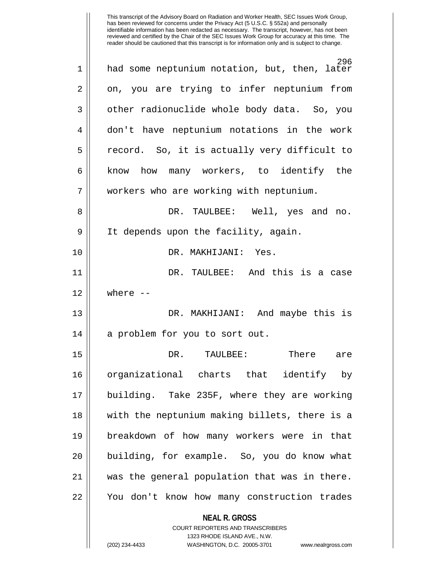| 1              | 296<br>had some neptunium notation, but, then, later |
|----------------|------------------------------------------------------|
| $\overline{2}$ | on, you are trying to infer neptunium from           |
| 3              | other radionuclide whole body data. So, you          |
| 4              | don't have neptunium notations in the work           |
| 5              | record. So, it is actually very difficult to         |
| 6              | know how many workers, to identify the               |
| 7              | workers who are working with neptunium.              |
| 8              | DR. TAULBEE: Well, yes and no.                       |
| 9              | It depends upon the facility, again.                 |
| 10             | DR. MAKHIJANI: Yes.                                  |
| 11             | DR. TAULBEE: And this is a case                      |
| 12             | where $--$                                           |
| 13             | DR. MAKHIJANI: And maybe this is                     |
| 14             | a problem for you to sort out.                       |
| 15             | DR.<br>TAULBEE:<br>There<br>are                      |
| 16             | organizational charts that identify by               |
| 17             | building. Take 235F, where they are working          |
| 18             | with the neptunium making billets, there is a        |
| 19             | breakdown of how many workers were in that           |
| 20             | building, for example. So, you do know what          |
| 21             | was the general population that was in there.        |
| 22             |                                                      |
|                | You don't know how many construction trades          |

1323 RHODE ISLAND AVE., N.W.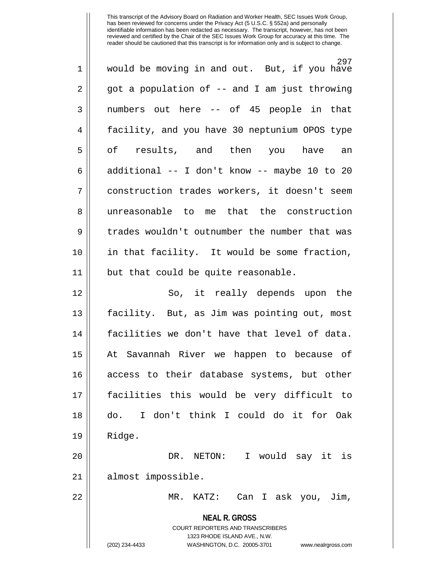| $\mathbf 1$    | 297<br>would be moving in and out. But, if you have                                                                                                             |
|----------------|-----------------------------------------------------------------------------------------------------------------------------------------------------------------|
| $\overline{2}$ | got a population of -- and I am just throwing                                                                                                                   |
| 3              | numbers out here -- of 45 people in that                                                                                                                        |
| 4              | facility, and you have 30 neptunium OPOS type                                                                                                                   |
| 5              | of results, and then you have an                                                                                                                                |
| 6              | additional -- I don't know -- maybe 10 to 20                                                                                                                    |
| 7              | construction trades workers, it doesn't seem                                                                                                                    |
| 8              | unreasonable to me that the construction                                                                                                                        |
| 9              | trades wouldn't outnumber the number that was                                                                                                                   |
| 10             | in that facility. It would be some fraction,                                                                                                                    |
| 11             | but that could be quite reasonable.                                                                                                                             |
| 12             | So, it really depends upon the                                                                                                                                  |
| 13             | facility. But, as Jim was pointing out, most                                                                                                                    |
| 14             | facilities we don't have that level of data.                                                                                                                    |
| 15             | At Savannah River we happen to because of                                                                                                                       |
| 16             | access to their database systems, but other                                                                                                                     |
| 17             | facilities this would be very difficult to                                                                                                                      |
| 18             | I don't think I could do it for Oak<br>do.                                                                                                                      |
| 19             | Ridge.                                                                                                                                                          |
| 20             | DR. NETON:<br>I would say it is                                                                                                                                 |
| 21             | almost impossible.                                                                                                                                              |
| 22             | Can I ask you,<br>MR.<br>KATZ:<br>Jim,                                                                                                                          |
|                | <b>NEAL R. GROSS</b><br>COURT REPORTERS AND TRANSCRIBERS<br>1323 RHODE ISLAND AVE., N.W.<br>(202) 234-4433<br>WASHINGTON, D.C. 20005-3701<br>www.nealrgross.com |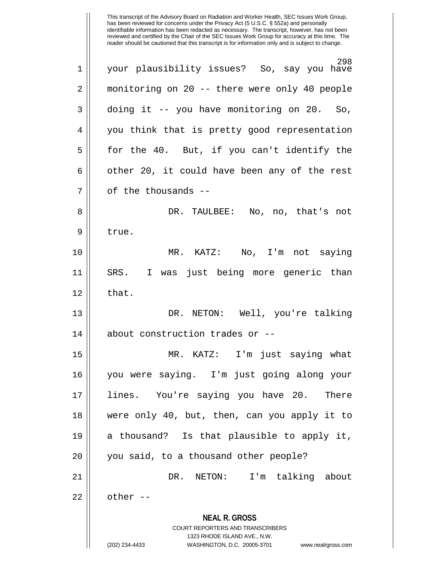**NEAL R. GROSS** COURT REPORTERS AND TRANSCRIBERS 1323 RHODE ISLAND AVE., N.W. (202) 234-4433 WASHINGTON, D.C. 20005-3701 www.nealrgross.com 298 1 your plausibility issues? So, say you have 2 monitoring on 20 -- there were only 40 people  $3 \parallel$  doing it -- you have monitoring on 20. So, 4 || you think that is pretty good representation  $5 \parallel$  for the 40. But, if you can't identify the  $6 \parallel$  other 20, it could have been any of the rest  $7 \parallel$  of the thousands --8 DR. TAULBEE: No, no, that's not 9 | true. 10 MR. KATZ: No, I'm not saying 11 SRS. I was just being more generic than  $12$  | that. 13 DR. NETON: Well, you're talking  $14$  | about construction trades or  $-$ 15 MR. KATZ: I'm just saying what 16 you were saying. I'm just going along your 17 lines. You're saying you have 20. There 18 were only 40, but, then, can you apply it to 19 a thousand? Is that plausible to apply it, 20 || you said, to a thousand other people? 21 DR. NETON: I'm talking about  $22 \parallel$  other --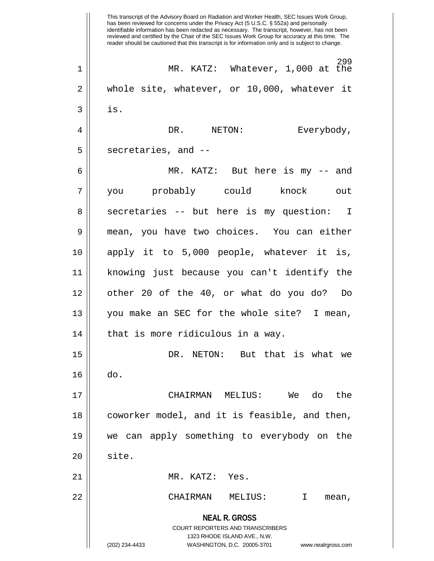**NEAL R. GROSS** COURT REPORTERS AND TRANSCRIBERS 1323 RHODE ISLAND AVE., N.W. (202) 234-4433 WASHINGTON, D.C. 20005-3701 www.nealrgross.com This transcript of the Advisory Board on Radiation and Worker Health, SEC Issues Work Group, has been reviewed for concerns under the Privacy Act (5 U.S.C. § 552a) and personally identifiable information has been redacted as necessary. The transcript, however, has not been reviewed and certified by the Chair of the SEC Issues Work Group for accuracy at this time. The reader should be cautioned that this transcript is for information only and is subject to change. 299 1 || MR. KATZ: Whatever, 1,000 at the  $2 \parallel$  whole site, whatever, or 10,000, whatever it  $3 \parallel$  is. 4 DR. NETON: Everybody,  $5 \parallel$  secretaries, and  $-$ 6 MR. KATZ: But here is my -- and 7 you probably could knock out 8 || secretaries -- but here is my question: I 9 || mean, you have two choices. You can either 10 apply it to 5,000 people, whatever it is, 11 knowing just because you can't identify the 12 other 20 of the 40, or what do you do? Do 13 you make an SEC for the whole site? I mean,  $14$  | that is more ridiculous in a way. 15 DR. NETON: But that is what we 16 do. 17 CHAIRMAN MELIUS: We do the 18 || coworker model, and it is feasible, and then, 19 we can apply something to everybody on the  $20$   $\parallel$  site. 21 MR. KATZ: Yes. 22 CHAIRMAN MELIUS: I mean,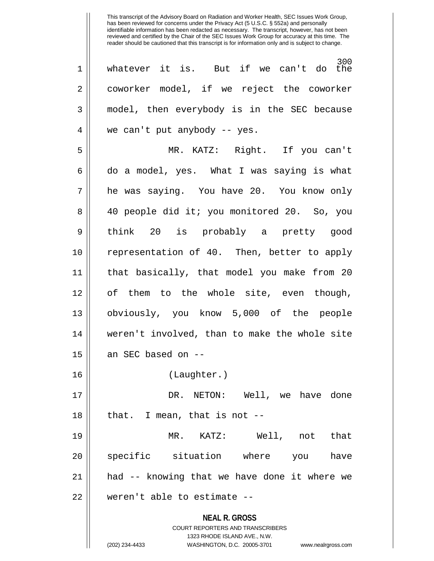**NEAL R. GROSS** COURT REPORTERS AND TRANSCRIBERS 1323 RHODE ISLAND AVE., N.W. (202) 234-4433 WASHINGTON, D.C. 20005-3701 www.nealrgross.com 300 1 whatever it is. But if we can't do the 2 | coworker model, if we reject the coworker 3 model, then everybody is in the SEC because 4 || we can't put anybody -- yes. 5 MR. KATZ: Right. If you can't  $6 \parallel$  do a model, yes. What I was saying is what 7 he was saying. You have 20. You know only 8 40 people did it; you monitored 20. So, you 9 think 20 is probably a pretty good 10 representation of 40. Then, better to apply 11 that basically, that model you make from 20 12 || of them to the whole site, even though, 13 obviously, you know 5,000 of the people 14 weren't involved, than to make the whole site  $15$  || an SEC based on --16 (Laughter.) 17 DR. NETON: Well, we have done  $18$  || that. I mean, that is not  $-$ -19 MR. KATZ: Well, not that 20 || specific situation where you have 21 had -- knowing that we have done it where we 22 || weren't able to estimate --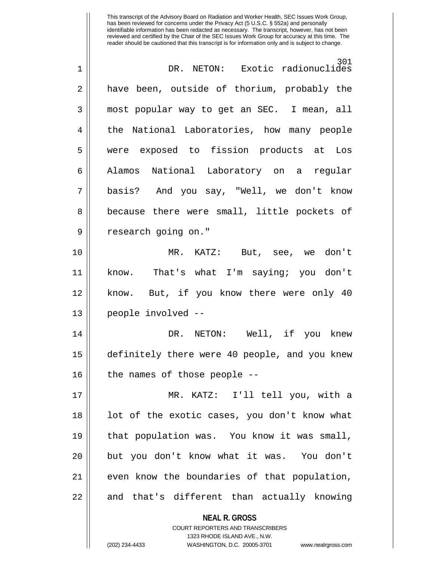| $\mathbf 1$ | 301<br>DR. NETON: Exotic radionuclides                              |
|-------------|---------------------------------------------------------------------|
| 2           | have been, outside of thorium, probably the                         |
| 3           | most popular way to get an SEC. I mean, all                         |
| 4           | the National Laboratories, how many people                          |
| 5           | were exposed to fission products at Los                             |
| 6           | Alamos National Laboratory on a regular                             |
| 7           | basis? And you say, "Well, we don't know                            |
| 8           | because there were small, little pockets of                         |
| 9           | research going on."                                                 |
| 10          | MR. KATZ: But, see, we don't                                        |
| 11          | know. That's what I'm saying; you don't                             |
| 12          | know. But, if you know there were only 40                           |
| 13          | people involved --                                                  |
| 14          | DR. NETON: Well, if you knew                                        |
| 15          | definitely there were 40 people, and you knew                       |
| 16          | the names of those people --                                        |
| 17          | MR. KATZ: I'll tell you, with a                                     |
| 18          | lot of the exotic cases, you don't know what                        |
| 19          | that population was. You know it was small,                         |
| 20          | but you don't know what it was. You don't                           |
| 21          | even know the boundaries of that population,                        |
| 22          | and that's different than actually knowing                          |
|             | <b>NEAL R. GROSS</b><br><b>COURT REPORTERS AND TRANSCRIBERS</b>     |
|             | 1323 RHODE ISLAND AVE., N.W.                                        |
|             | (202) 234-4433<br>WASHINGTON, D.C. 20005-3701<br>www.nealrgross.com |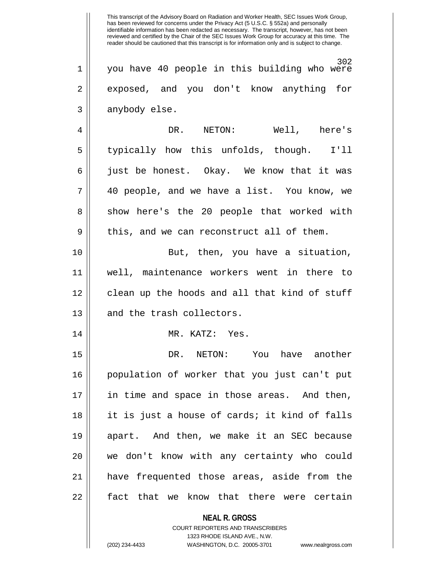This transcript of the Advisory Board on Radiation and Worker Health, SEC Issues Work Group, has been reviewed for concerns under the Privacy Act (5 U.S.C. § 552a) and personally identifiable information has been redacted as necessary. The transcript, however, has not been reviewed and certified by the Chair of the SEC Issues Work Group for accuracy at this time. The reader should be cautioned that this transcript is for information only and is subject to change. 302 1 you have 40 people in this building who were 2 exposed, and you don't know anything for  $3 \parallel$  anybody else. 4 DR. NETON: Well, here's 5 | typically how this unfolds, though. I'll  $6 \parallel$  just be honest. Okay. We know that it was 7 40 people, and we have a list. You know, we 8 || show here's the 20 people that worked with  $9 \parallel$  this, and we can reconstruct all of them. 10 || But, then, you have a situation, 11 well, maintenance workers went in there to 12 || clean up the hoods and all that kind of stuff 13 || and the trash collectors. 14 || MR. KATZ: Yes. 15 DR. NETON: You have another 16 population of worker that you just can't put 17 in time and space in those areas. And then, 18 it is just a house of cards; it kind of falls 19 apart. And then, we make it an SEC because 20 || we don't know with any certainty who could 21 have frequented those areas, aside from the 22 || fact that we know that there were certain

> **NEAL R. GROSS** COURT REPORTERS AND TRANSCRIBERS

> > 1323 RHODE ISLAND AVE., N.W.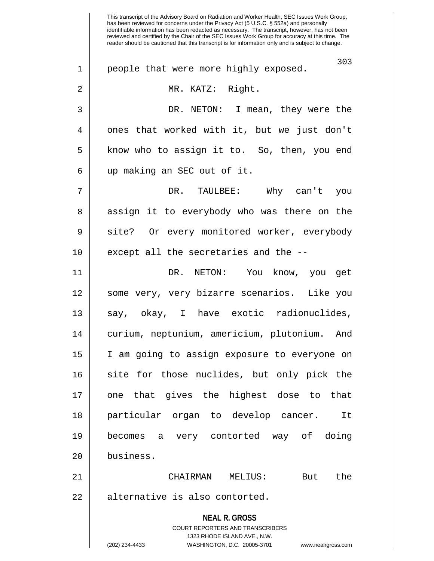**NEAL R. GROSS** COURT REPORTERS AND TRANSCRIBERS 1323 RHODE ISLAND AVE., N.W. (202) 234-4433 WASHINGTON, D.C. 20005-3701 www.nealrgross.com This transcript of the Advisory Board on Radiation and Worker Health, SEC Issues Work Group, has been reviewed for concerns under the Privacy Act (5 U.S.C. § 552a) and personally identifiable information has been redacted as necessary. The transcript, however, has not been reviewed and certified by the Chair of the SEC Issues Work Group for accuracy at this time. The reader should be cautioned that this transcript is for information only and is subject to change. 303 1 || people that were more highly exposed. 2 MR. KATZ: Right. 3 DR. NETON: I mean, they were the 4 || ones that worked with it, but we just don't  $5 \parallel$  know who to assign it to. So, then, you end 6 up making an SEC out of it. 7 DR. TAULBEE: Why can't you 8 || assign it to everybody who was there on the 9 || site? Or every monitored worker, everybody  $10$  || except all the secretaries and the  $-$ -11 DR. NETON: You know, you get 12 some very, very bizarre scenarios. Like you 13 || say, okay, I have exotic radionuclides, 14 curium, neptunium, americium, plutonium. And 15 I am going to assign exposure to everyone on 16 || site for those nuclides, but only pick the 17 one that gives the highest dose to that 18 particular organ to develop cancer. It 19 becomes a very contorted way of doing 20 business. 21 CHAIRMAN MELIUS: But the 22 | alternative is also contorted.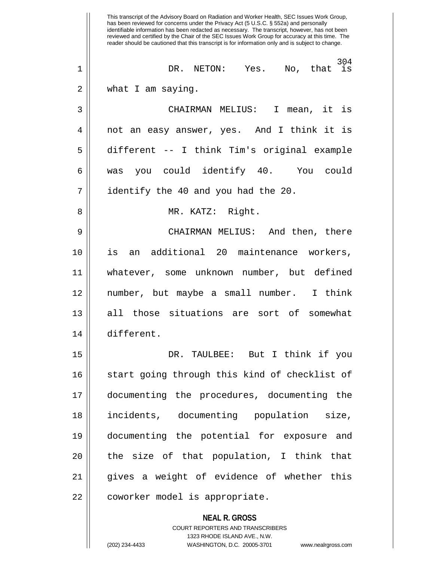**NEAL R. GROSS** COURT REPORTERS AND TRANSCRIBERS This transcript of the Advisory Board on Radiation and Worker Health, SEC Issues Work Group, has been reviewed for concerns under the Privacy Act (5 U.S.C. § 552a) and personally identifiable information has been redacted as necessary. The transcript, however, has not been reviewed and certified by the Chair of the SEC Issues Work Group for accuracy at this time. The reader should be cautioned that this transcript is for information only and is subject to change. 304 1 DR. NETON: Yes. No, that is 2 | what I am saying. 3 CHAIRMAN MELIUS: I mean, it is 4 || not an easy answer, yes. And I think it is 5 different -- I think Tim's original example 6 was you could identify 40. You could  $7 \parallel$  identify the 40 and you had the 20. 8 MR. KATZ: Right. 9 CHAIRMAN MELIUS: And then, there 10 is an additional 20 maintenance workers, 11 whatever, some unknown number, but defined 12 number, but maybe a small number. I think 13 all those situations are sort of somewhat 14 different. 15 DR. TAULBEE: But I think if you 16 || start going through this kind of checklist of 17 documenting the procedures, documenting the 18 incidents, documenting population size, 19 documenting the potential for exposure and  $20$  || the size of that population, I think that 21 gives a weight of evidence of whether this 22 | coworker model is appropriate.

1323 RHODE ISLAND AVE., N.W.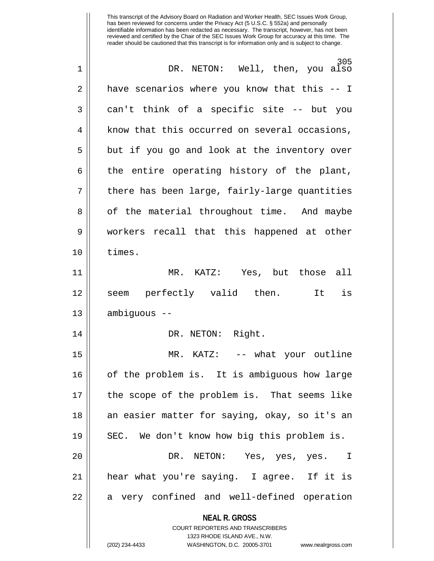**NEAL R. GROSS** COURT REPORTERS AND TRANSCRIBERS 1323 RHODE ISLAND AVE., N.W. 305 1 DR. NETON: Well, then, you also 2 **h** have scenarios where you know that this -- I 3 can't think of a specific site -- but you  $4 \parallel$  know that this occurred on several occasions,  $5 \parallel$  but if you go and look at the inventory over  $6 \parallel$  the entire operating history of the plant,  $7 \parallel$  there has been large, fairly-large quantities 8 || of the material throughout time. And maybe 9 workers recall that this happened at other 10 times. 11 MR. KATZ: Yes, but those all 12 || seem perfectly valid then. It is 13 ambiguous -- 14 || DR. NETON: Right. 15 MR. KATZ: -- what your outline 16 of the problem is. It is ambiguous how large 17 the scope of the problem is. That seems like 18 || an easier matter for saying, okay, so it's an 19 || SEC. We don't know how big this problem is. 20 DR. NETON: Yes, yes, yes. I 21 hear what you're saying. I agree. If it is 22 || a very confined and well-defined operation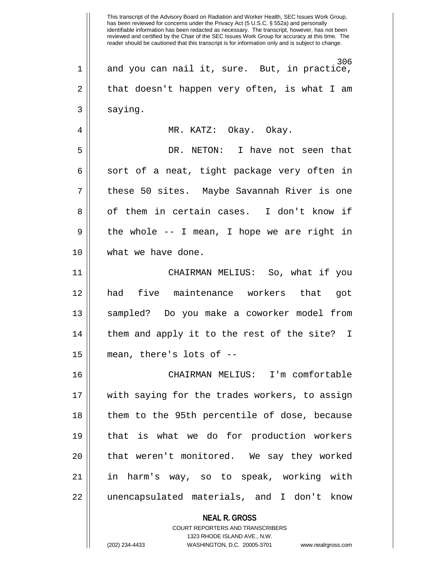**NEAL R. GROSS** COURT REPORTERS AND TRANSCRIBERS 1323 RHODE ISLAND AVE., N.W. This transcript of the Advisory Board on Radiation and Worker Health, SEC Issues Work Group, has been reviewed for concerns under the Privacy Act (5 U.S.C. § 552a) and personally identifiable information has been redacted as necessary. The transcript, however, has not been reviewed and certified by the Chair of the SEC Issues Work Group for accuracy at this time. The reader should be cautioned that this transcript is for information only and is subject to change. 306 1 and you can nail it, sure. But, in practice,  $2 \parallel$  that doesn't happen very often, is what I am 3 | saying. 4 MR. KATZ: Okay. Okay. 5 DR. NETON: I have not seen that  $6 \parallel$  sort of a neat, tight package very often in 7 these 50 sites. Maybe Savannah River is one 8 || of them in certain cases. I don't know if  $9 \parallel$  the whole -- I mean, I hope we are right in 10 || what we have done. 11 CHAIRMAN MELIUS: So, what if you 12 had five maintenance workers that got 13 sampled? Do you make a coworker model from 14 || them and apply it to the rest of the site? I 15 mean, there's lots of -- 16 CHAIRMAN MELIUS: I'm comfortable 17 with saying for the trades workers, to assign 18 || them to the 95th percentile of dose, because 19 that is what we do for production workers 20 || that weren't monitored. We say they worked 21 in harm's way, so to speak, working with 22 unencapsulated materials, and I don't know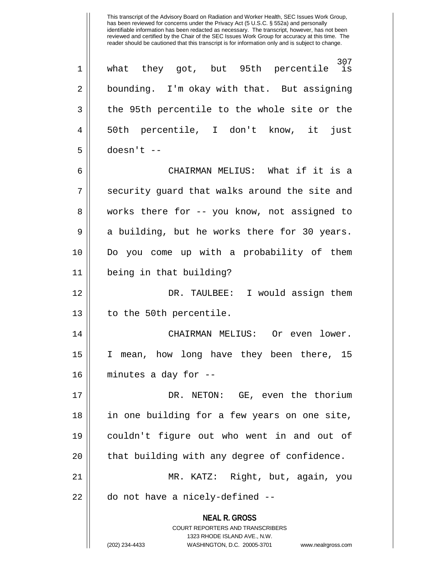307<br>31S 1 || what they got, but 95th percentile 2 | bounding. I'm okay with that. But assigning 3 || the 95th percentile to the whole site or the 4 50th percentile, I don't know, it just  $5$  || doesn't --6 CHAIRMAN MELIUS: What if it is a

7 || security guard that walks around the site and 8 || works there for -- you know, not assigned to  $9 \parallel$  a building, but he works there for 30 years. 10 Do you come up with a probability of them 11 being in that building?

12 DR. TAULBEE: I would assign them 13 || to the 50th percentile.

14 CHAIRMAN MELIUS: Or even lower. 15 I mean, how long have they been there, 15 16 minutes a day for --

17 DR. NETON: GE, even the thorium 18 in one building for a few years on one site, 19 couldn't figure out who went in and out of  $20$  || that building with any degree of confidence. 21 MR. KATZ: Right, but, again, you  $22$  || do not have a nicely-defined  $-$ 

> **NEAL R. GROSS** COURT REPORTERS AND TRANSCRIBERS 1323 RHODE ISLAND AVE., N.W. (202) 234-4433 WASHINGTON, D.C. 20005-3701 www.nealrgross.com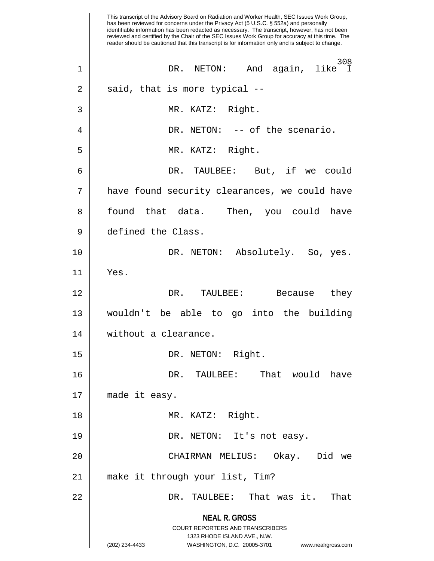**NEAL R. GROSS** COURT REPORTERS AND TRANSCRIBERS 1323 RHODE ISLAND AVE., N.W. (202) 234-4433 WASHINGTON, D.C. 20005-3701 www.nealrgross.com This transcript of the Advisory Board on Radiation and Worker Health, SEC Issues Work Group, has been reviewed for concerns under the Privacy Act (5 U.S.C. § 552a) and personally identifiable information has been redacted as necessary. The transcript, however, has not been reviewed and certified by the Chair of the SEC Issues Work Group for accuracy at this time. The reader should be cautioned that this transcript is for information only and is subject to change. 308<br>1 1ike 1 || DR. NETON: And again,  $2 \parallel$  said, that is more typical --3 MR. KATZ: Right. 4 DR. NETON: -- of the scenario. 5 || MR. KATZ: Right. 6 DR. TAULBEE: But, if we could 7 | have found security clearances, we could have 8 || found that data. Then, you could have 9 defined the Class. 10 DR. NETON: Absolutely. So, yes. 11 Yes. 12 DR. TAULBEE: Because they 13 wouldn't be able to go into the building 14 | without a clearance. 15 || DR. NETON: Right. 16 DR. TAULBEE: That would have 17 made it easy. 18 || MR. KATZ: Right. 19 DR. NETON: It's not easy. 20 CHAIRMAN MELIUS: Okay. Did we 21 make it through your list, Tim? 22 DR. TAULBEE: That was it. That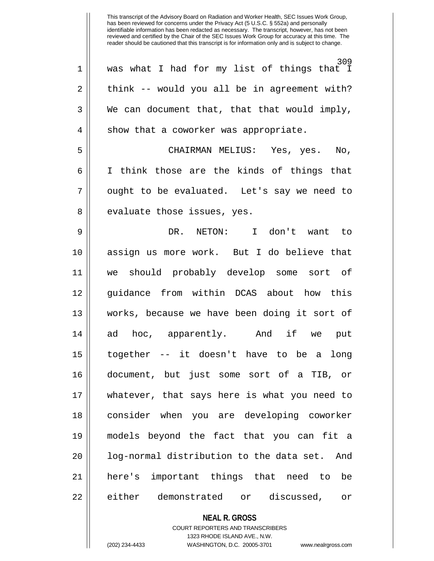309 1 was what I had for my list of things that I  $2 \parallel$  think -- would you all be in agreement with?  $3 \parallel$  We can document that, that that would imply,  $4 \parallel$  show that a coworker was appropriate. 5 CHAIRMAN MELIUS: Yes, yes. No, 6 || I think those are the kinds of things that  $7 \parallel$  ought to be evaluated. Let's say we need to 8 || evaluate those issues, yes. 9 DR. NETON: I don't want to 10 assign us more work. But I do believe that 11 we should probably develop some sort of 12 || quidance from within DCAS about how this 13 works, because we have been doing it sort of 14 ad hoc, apparently. And if we put 15 together -- it doesn't have to be a long 16 document, but just some sort of a TIB, or 17 whatever, that says here is what you need to 18 consider when you are developing coworker 19 models beyond the fact that you can fit a 20 || log-normal distribution to the data set. And 21 here's important things that need to be 22 either demonstrated or discussed, or

> **NEAL R. GROSS** COURT REPORTERS AND TRANSCRIBERS

> > 1323 RHODE ISLAND AVE., N.W.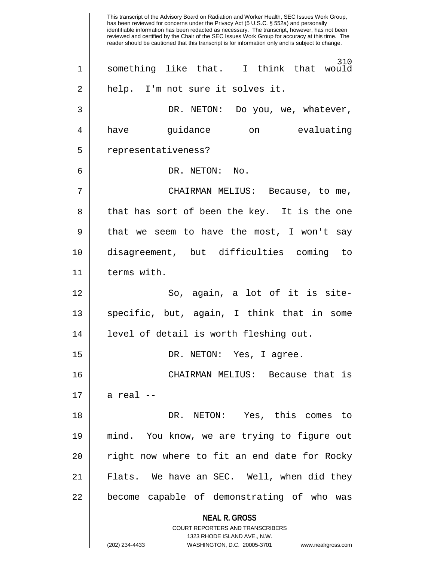**NEAL R. GROSS** COURT REPORTERS AND TRANSCRIBERS 1323 RHODE ISLAND AVE., N.W. (202) 234-4433 WASHINGTON, D.C. 20005-3701 www.nealrgross.com This transcript of the Advisory Board on Radiation and Worker Health, SEC Issues Work Group, has been reviewed for concerns under the Privacy Act (5 U.S.C. § 552a) and personally identifiable information has been redacted as necessary. The transcript, however, has not been reviewed and certified by the Chair of the SEC Issues Work Group for accuracy at this time. The reader should be cautioned that this transcript is for information only and is subject to change. 310<br>I think that would  $1 ||$  something like that. 2 || help. I'm not sure it solves it. 3 DR. NETON: Do you, we, whatever, 4 have guidance on evaluating 5 | representativeness? 6 DR. NETON: No. 7 CHAIRMAN MELIUS: Because, to me, 8 || that has sort of been the key. It is the one  $9 \parallel$  that we seem to have the most, I won't say 10 disagreement, but difficulties coming to 11 terms with. 12 || So, again, a lot of it is site-13 || specific, but, again, I think that in some 14 level of detail is worth fleshing out. 15 || DR. NETON: Yes, I agree. 16 CHAIRMAN MELIUS: Because that is  $17 \parallel$  a real  $-$ 18 DR. NETON: Yes, this comes to 19 mind. You know, we are trying to figure out 20 || right now where to fit an end date for Rocky 21 Flats. We have an SEC. Well, when did they 22 || become capable of demonstrating of who was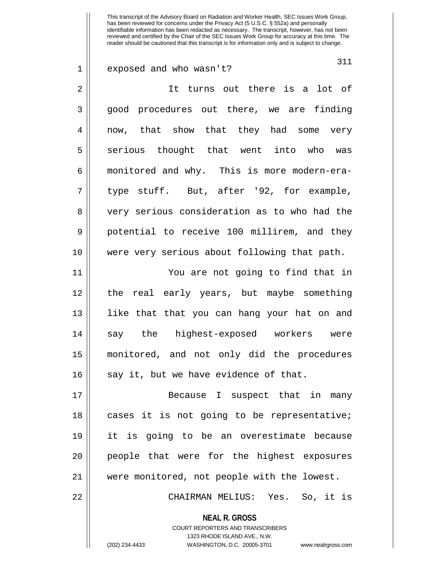311 1 exposed and who wasn't? 2 || It turns out there is a lot of 3 || good procedures out there, we are finding 4 now, that show that they had some very 5 serious thought that went into who was 6 monitored and why. This is more modern-era- $7 \parallel$  type stuff. But, after '92, for example, 8 || very serious consideration as to who had the 9 || potential to receive 100 millirem, and they 10 were very serious about following that path. 11 You are not going to find that in 12 the real early years, but maybe something 13 like that that you can hang your hat on and 14 say the highest-exposed workers were 15 monitored, and not only did the procedures  $16$  || say it, but we have evidence of that. 17 || Because I suspect that in many

18 || cases it is not going to be representative; 19 it is going to be an overestimate because 20 || people that were for the highest exposures 21 were monitored, not people with the lowest.

22 CHAIRMAN MELIUS: Yes. So, it is

**NEAL R. GROSS** COURT REPORTERS AND TRANSCRIBERS

1323 RHODE ISLAND AVE., N.W. (202) 234-4433 WASHINGTON, D.C. 20005-3701 www.nealrgross.com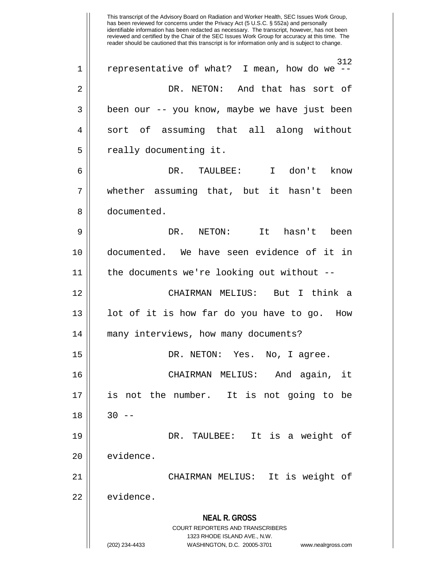**NEAL R. GROSS** COURT REPORTERS AND TRANSCRIBERS 1323 RHODE ISLAND AVE., N.W. (202) 234-4433 WASHINGTON, D.C. 20005-3701 www.nealrgross.com This transcript of the Advisory Board on Radiation and Worker Health, SEC Issues Work Group, has been reviewed for concerns under the Privacy Act (5 U.S.C. § 552a) and personally identifiable information has been redacted as necessary. The transcript, however, has not been reviewed and certified by the Chair of the SEC Issues Work Group for accuracy at this time. The reader should be cautioned that this transcript is for information only and is subject to change. 312<br>-- I mean, how do we  $1 ||$  representative of what? 2 DR. NETON: And that has sort of 3 || been our -- you know, maybe we have just been 4 sort of assuming that all along without 5 | really documenting it. 6 DR. TAULBEE: I don't know 7 whether assuming that, but it hasn't been 8 documented. 9 DR. NETON: It hasn't been 10 documented. We have seen evidence of it in 11 the documents we're looking out without -- 12 CHAIRMAN MELIUS: But I think a 13 || lot of it is how far do you have to go. How 14 many interviews, how many documents? 15 DR. NETON: Yes. No, I agree. 16 CHAIRMAN MELIUS: And again, it 17 is not the number. It is not going to be  $18 \parallel 30 --$ 19 DR. TAULBEE: It is a weight of 20 | evidence. 21 CHAIRMAN MELIUS: It is weight of 22 evidence.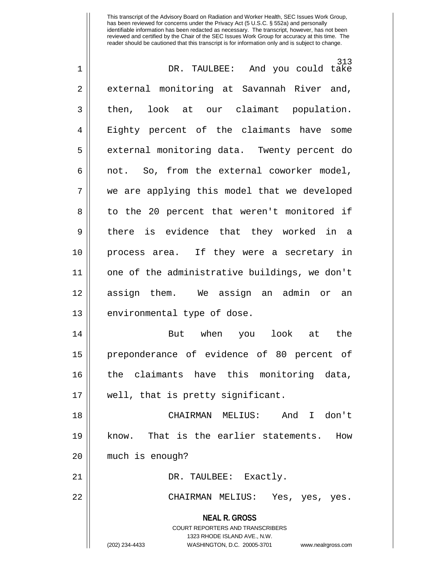| $\mathbf 1$    | 313<br>DR. TAULBEE: And you could take                              |
|----------------|---------------------------------------------------------------------|
| $\overline{2}$ | external monitoring at Savannah River and,                          |
| 3              | look at our claimant population.<br>then,                           |
| 4              | Eighty percent of the claimants have some                           |
| 5              | external monitoring data. Twenty percent do                         |
| 6              | not. So, from the external coworker model,                          |
| 7              | we are applying this model that we developed                        |
| 8              | to the 20 percent that weren't monitored if                         |
| 9              | there is evidence that they worked in a                             |
| 10             | process area. If they were a secretary in                           |
| 11             | one of the administrative buildings, we don't                       |
| 12             | assign them. We assign an admin or an                               |
| 13             | environmental type of dose.                                         |
| 14             | But when you<br>look<br>at the                                      |
| 15             | preponderance of evidence of 80 percent of                          |
| 16             | the claimants have this monitoring data,                            |
| 17             | well, that is pretty significant.                                   |
| 18             | CHAIRMAN MELIUS: And I don't                                        |
| 19             | know. That is the earlier statements. How                           |
| 20             | much is enough?                                                     |
| 21             | DR. TAULBEE: Exactly.                                               |
| 22             | CHAIRMAN MELIUS: Yes, yes, yes.                                     |
|                | <b>NEAL R. GROSS</b><br><b>COURT REPORTERS AND TRANSCRIBERS</b>     |
|                | 1323 RHODE ISLAND AVE., N.W.                                        |
|                | WASHINGTON, D.C. 20005-3701<br>(202) 234-4433<br>www.nealrgross.com |
|                |                                                                     |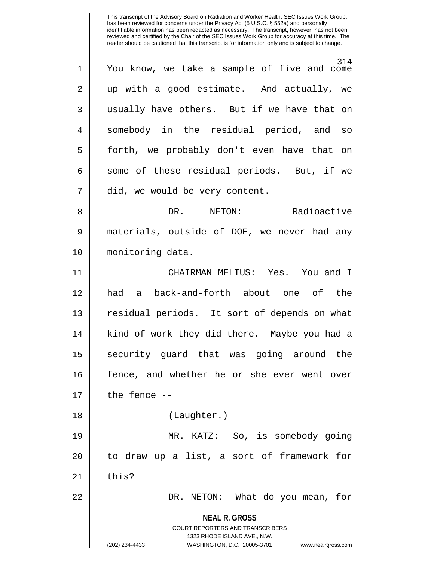314 1 You know, we take a sample of five and come 2 || up with a good estimate. And actually, we 3 || usually have others. But if we have that on 4 somebody in the residual period, and so 5 forth, we probably don't even have that on  $6 \parallel$  some of these residual periods. But, if we 7 | did, we would be very content. 8 DR. NETON: Radioactive 9 materials, outside of DOE, we never had any 10 monitoring data.

11 CHAIRMAN MELIUS: Yes. You and I 12 had a back-and-forth about one of the 13 || residual periods. It sort of depends on what 14 || kind of work they did there. Maybe you had a 15 || security quard that was going around the 16 fence, and whether he or she ever went over  $17$   $\parallel$  the fence --18 || (Laughter.)

19 MR. KATZ: So, is somebody going 20 || to draw up a list, a sort of framework for  $21$  | this?

22 DR. NETON: What do you mean, for

**NEAL R. GROSS** COURT REPORTERS AND TRANSCRIBERS

1323 RHODE ISLAND AVE., N.W.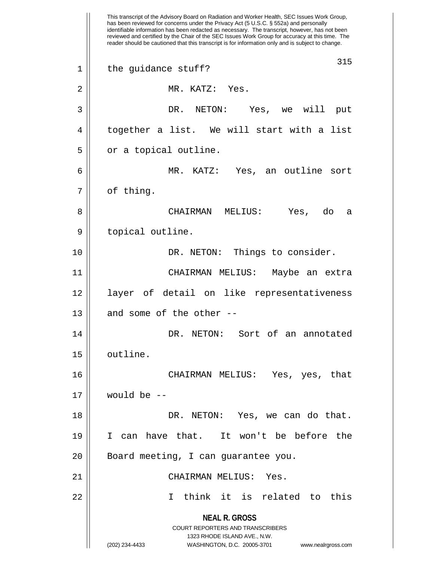**NEAL R. GROSS** COURT REPORTERS AND TRANSCRIBERS 1323 RHODE ISLAND AVE., N.W. (202) 234-4433 WASHINGTON, D.C. 20005-3701 www.nealrgross.com This transcript of the Advisory Board on Radiation and Worker Health, SEC Issues Work Group, has been reviewed for concerns under the Privacy Act (5 U.S.C. § 552a) and personally identifiable information has been redacted as necessary. The transcript, however, has not been reviewed and certified by the Chair of the SEC Issues Work Group for accuracy at this time. The reader should be cautioned that this transcript is for information only and is subject to change. 315 1 || the guidance stuff? 2 || MR. KATZ: Yes. 3 DR. NETON: Yes, we will put 4 || together a list. We will start with a list 5 | or a topical outline. 6 MR. KATZ: Yes, an outline sort  $7 \parallel$  of thing. 8 CHAIRMAN MELIUS: Yes, do a 9 || topical outline. 10 || DR. NETON: Things to consider. 11 CHAIRMAN MELIUS: Maybe an extra 12 layer of detail on like representativeness  $13$  || and some of the other --14 DR. NETON: Sort of an annotated 15 | outline. 16 CHAIRMAN MELIUS: Yes, yes, that  $17$  | would be  $-$ 18 DR. NETON: Yes, we can do that. 19 I can have that. It won't be before the 20 || Board meeting, I can guarantee you. 21 CHAIRMAN MELIUS: Yes. 22 I think it is related to this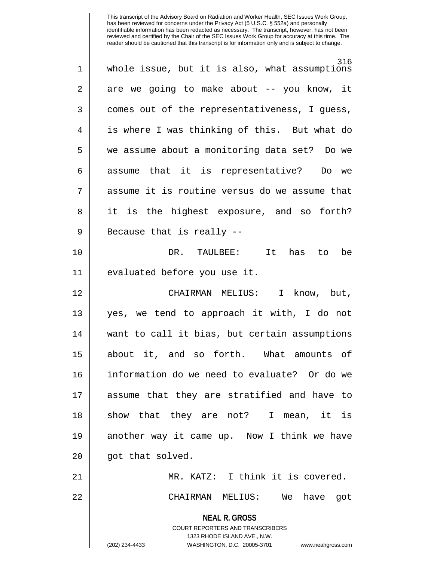| 1           | 316<br>whole issue, but it is also, what assumptions                                                                                                                   |
|-------------|------------------------------------------------------------------------------------------------------------------------------------------------------------------------|
| 2           | are we going to make about -- you know, it                                                                                                                             |
| 3           | comes out of the representativeness, I guess,                                                                                                                          |
| 4           | is where I was thinking of this. But what do                                                                                                                           |
| 5           | we assume about a monitoring data set? Do we                                                                                                                           |
| 6           | assume that it is representative? Do we                                                                                                                                |
| 7           | assume it is routine versus do we assume that                                                                                                                          |
| 8           | it is the highest exposure, and so forth?                                                                                                                              |
| $\mathsf 9$ | Because that is really --                                                                                                                                              |
| 10          | DR. TAULBEE: It<br>has to be                                                                                                                                           |
| 11          | evaluated before you use it.                                                                                                                                           |
| 12          | CHAIRMAN MELIUS: I know, but,                                                                                                                                          |
| 13          | yes, we tend to approach it with, I do not                                                                                                                             |
| 14          | want to call it bias, but certain assumptions                                                                                                                          |
| 15          | about it, and so forth. What amounts of                                                                                                                                |
| 16          | information do we need to evaluate? Or do we                                                                                                                           |
| 17          | assume that they are stratified and have to                                                                                                                            |
| 18          | show that they are not? I mean, it is                                                                                                                                  |
| 19          | another way it came up. Now I think we have                                                                                                                            |
| 20          | got that solved.                                                                                                                                                       |
| 21          | MR. KATZ: I think it is covered.                                                                                                                                       |
| 22          | CHAIRMAN MELIUS: We<br>have<br>got                                                                                                                                     |
|             | <b>NEAL R. GROSS</b><br><b>COURT REPORTERS AND TRANSCRIBERS</b><br>1323 RHODE ISLAND AVE., N.W.<br>(202) 234-4433<br>WASHINGTON, D.C. 20005-3701<br>www.nealrgross.com |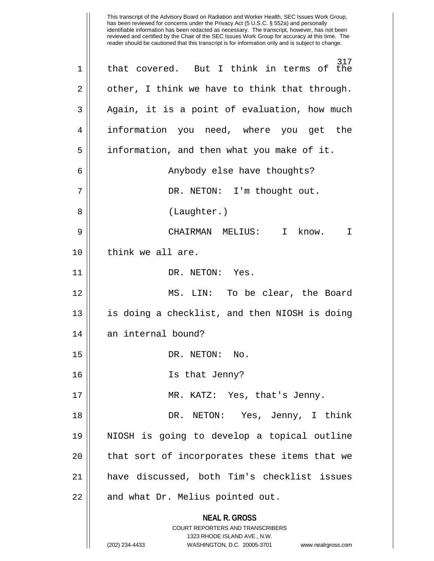**NEAL R. GROSS** COURT REPORTERS AND TRANSCRIBERS 1323 RHODE ISLAND AVE., N.W. (202) 234-4433 WASHINGTON, D.C. 20005-3701 www.nealrgross.com This transcript of the Advisory Board on Radiation and Worker Health, SEC Issues Work Group, has been reviewed for concerns under the Privacy Act (5 U.S.C. § 552a) and personally identifiable information has been redacted as necessary. The transcript, however, has not been reviewed and certified by the Chair of the SEC Issues Work Group for accuracy at this time. The reader should be cautioned that this transcript is for information only and is subject to change. 317 1 || that covered. But I think in terms of the  $2 \parallel$  other, I think we have to think that through. 3 || Again, it is a point of evaluation, how much 4 information you need, where you get the 5 | information, and then what you make of it. 6 || Anybody else have thoughts? 7 || DR. NETON: I'm thought out. 8 || (Laughter.) 9 CHAIRMAN MELIUS: I know. I 10 ll think we all are. 11 || DR. NETON: Yes. 12 MS. LIN: To be clear, the Board 13 is doing a checklist, and then NIOSH is doing 14 || an internal bound? 15 || DR. NETON: No. 16 Is that Jenny? 17 MR. KATZ: Yes, that's Jenny. 18 DR. NETON: Yes, Jenny, I think 19 NIOSH is going to develop a topical outline 20 || that sort of incorporates these items that we 21 have discussed, both Tim's checklist issues  $22$  | and what Dr. Melius pointed out.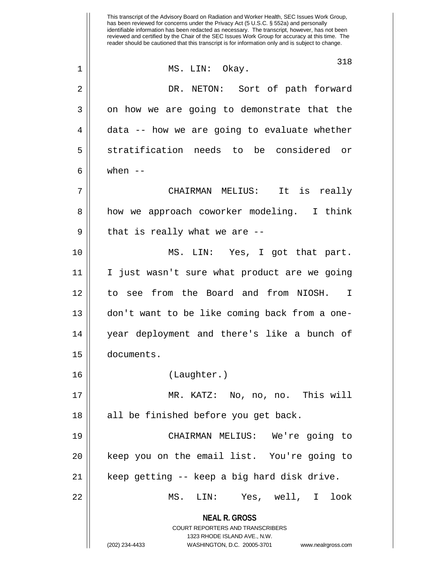**NEAL R. GROSS** COURT REPORTERS AND TRANSCRIBERS 1323 RHODE ISLAND AVE., N.W. (202) 234-4433 WASHINGTON, D.C. 20005-3701 www.nealrgross.com This transcript of the Advisory Board on Radiation and Worker Health, SEC Issues Work Group, has been reviewed for concerns under the Privacy Act (5 U.S.C. § 552a) and personally identifiable information has been redacted as necessary. The transcript, however, has not been reviewed and certified by the Chair of the SEC Issues Work Group for accuracy at this time. The reader should be cautioned that this transcript is for information only and is subject to change. 318 1 || MS. LIN: Okay. 2 DR. NETON: Sort of path forward  $3 \parallel$  on how we are going to demonstrate that the  $4 \parallel$  data -- how we are going to evaluate whether 5 || stratification needs to be considered or  $6 \parallel$  when  $--$ 7 CHAIRMAN MELIUS: It is really 8 || how we approach coworker modeling. I think  $9 \parallel$  that is really what we are  $-$ 10 MS. LIN: Yes, I got that part. 11 I just wasn't sure what product are we going 12 to see from the Board and from NIOSH. I 13 don't want to be like coming back from a one-14 year deployment and there's like a bunch of 15 documents. 16 (Laughter.) 17 MR. KATZ: No, no, no. This will 18 || all be finished before you get back. 19 CHAIRMAN MELIUS: We're going to 20 || keep you on the email list. You're going to 21 keep getting -- keep a big hard disk drive. 22 MS. LIN: Yes, well, I look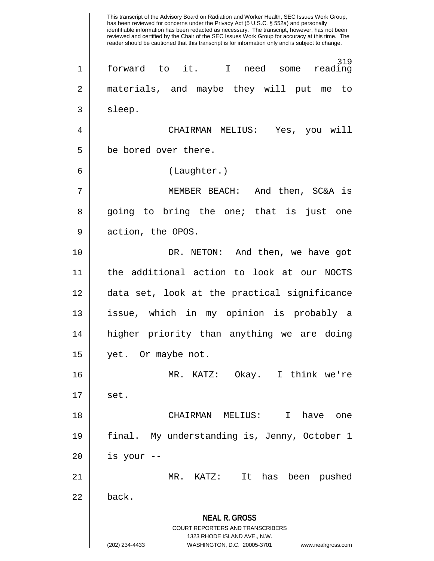**NEAL R. GROSS** COURT REPORTERS AND TRANSCRIBERS 1323 RHODE ISLAND AVE., N.W. (202) 234-4433 WASHINGTON, D.C. 20005-3701 www.nealrgross.com This transcript of the Advisory Board on Radiation and Worker Health, SEC Issues Work Group, has been reviewed for concerns under the Privacy Act (5 U.S.C. § 552a) and personally identifiable information has been redacted as necessary. The transcript, however, has not been reviewed and certified by the Chair of the SEC Issues Work Group for accuracy at this time. The reader should be cautioned that this transcript is for information only and is subject to change. 319<br>reading 1 forward to it. I need some reading 2 materials, and maybe they will put me to 3 | sleep. 4 CHAIRMAN MELIUS: Yes, you will 5 | be bored over there. 6 (Laughter.) 7 MEMBER BEACH: And then, SC&A is 8 || going to bring the one; that is just one 9 | action, the OPOS. 10 || DR. NETON: And then, we have got 11 the additional action to look at our NOCTS 12 data set, look at the practical significance 13 issue, which in my opinion is probably a 14 higher priority than anything we are doing 15 | yet. Or maybe not. 16 MR. KATZ: Okay. I think we're  $17 \parallel$  set. 18 CHAIRMAN MELIUS: I have one 19 final. My understanding is, Jenny, October 1  $20$  || is your --21 MR. KATZ: It has been pushed  $22 \parallel$  back.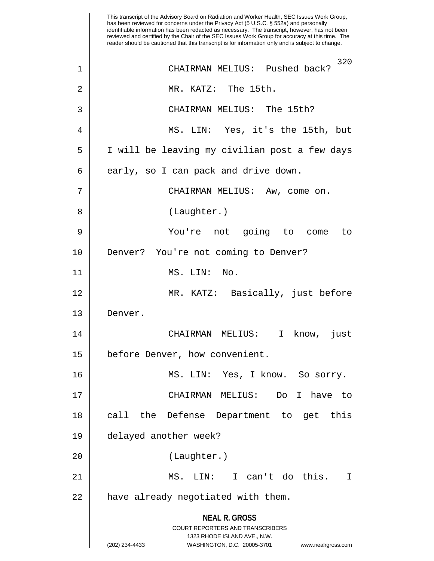**NEAL R. GROSS** COURT REPORTERS AND TRANSCRIBERS 1323 RHODE ISLAND AVE., N.W. (202) 234-4433 WASHINGTON, D.C. 20005-3701 www.nealrgross.com This transcript of the Advisory Board on Radiation and Worker Health, SEC Issues Work Group, has been reviewed for concerns under the Privacy Act (5 U.S.C. § 552a) and personally identifiable information has been redacted as necessary. The transcript, however, has not been reviewed and certified by the Chair of the SEC Issues Work Group for accuracy at this time. The reader should be cautioned that this transcript is for information only and is subject to change. 320 1 CHAIRMAN MELIUS: Pushed back? 2 MR. KATZ: The 15th. 3 CHAIRMAN MELIUS: The 15th? 4 MS. LIN: Yes, it's the 15th, but 5 I will be leaving my civilian post a few days  $6 \parallel$  early, so I can pack and drive down. 7 | CHAIRMAN MELIUS: Aw, come on. 8 || (Laughter.) 9 You're not going to come to 10 || Denver? You're not coming to Denver? 11 || MS. LIN: No. 12 MR. KATZ: Basically, just before 13 Denver. 14 CHAIRMAN MELIUS: I know, just 15 | before Denver, how convenient. 16 MS. LIN: Yes, I know. So sorry. 17 CHAIRMAN MELIUS: Do I have to 18 || call the Defense Department to get this 19 delayed another week? 20 (Laughter.) 21 MS. LIN: I can't do this. I  $22$  | have already negotiated with them.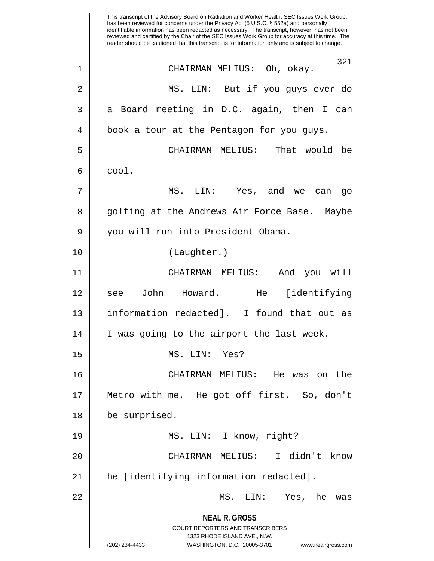**NEAL R. GROSS** COURT REPORTERS AND TRANSCRIBERS 1323 RHODE ISLAND AVE., N.W. (202) 234-4433 WASHINGTON, D.C. 20005-3701 www.nealrgross.com This transcript of the Advisory Board on Radiation and Worker Health, SEC Issues Work Group, has been reviewed for concerns under the Privacy Act (5 U.S.C. § 552a) and personally identifiable information has been redacted as necessary. The transcript, however, has not been reviewed and certified by the Chair of the SEC Issues Work Group for accuracy at this time. The reader should be cautioned that this transcript is for information only and is subject to change. 321 1 CHAIRMAN MELIUS: Oh, okay. 2 MS. LIN: But if you guys ever do  $3 \parallel$  a Board meeting in D.C. again, then I can 4 || book a tour at the Pentagon for you guys. 5 CHAIRMAN MELIUS: That would be  $6 \parallel \quad \text{cool.}$ 7 MS. LIN: Yes, and we can go 8 || golfing at the Andrews Air Force Base. Maybe 9 | you will run into President Obama. 10 (Laughter.) 11 CHAIRMAN MELIUS: And you will 12 see John Howard. He [identifying 13 information redacted]. I found that out as 14 || I was going to the airport the last week. 15 MS. LIN: Yes? 16 CHAIRMAN MELIUS: He was on the 17 Metro with me. He got off first. So, don't 18 be surprised. 19 || MS. LIN: I know, right? 20 CHAIRMAN MELIUS: I didn't know 21 he [identifying information redacted]. 22 MS. LIN: Yes, he was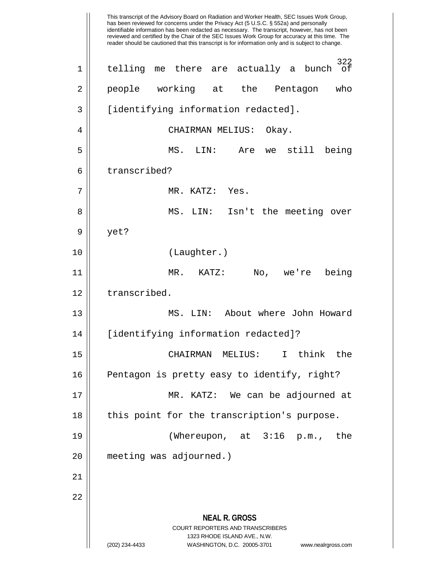**NEAL R. GROSS** COURT REPORTERS AND TRANSCRIBERS 1323 RHODE ISLAND AVE., N.W. (202) 234-4433 WASHINGTON, D.C. 20005-3701 www.nealrgross.com This transcript of the Advisory Board on Radiation and Worker Health, SEC Issues Work Group, has been reviewed for concerns under the Privacy Act (5 U.S.C. § 552a) and personally identifiable information has been redacted as necessary. The transcript, however, has not been reviewed and certified by the Chair of the SEC Issues Work Group for accuracy at this time. The reader should be cautioned that this transcript is for information only and is subject to change. 322 1 || telling me there are actually a bunch of 2 || people working at the Pentagon who 3 [identifying information redacted]. 4 | CHAIRMAN MELIUS: Okay. 5 MS. LIN: Are we still being 6 | transcribed? 7 MR. KATZ: Yes. 8 MS. LIN: Isn't the meeting over  $9 \parallel$  yet? 10 (Laughter.) 11 MR. KATZ: No, we're being 12 | transcribed. 13 MS. LIN: About where John Howard 14 [identifying information redacted]? 15 CHAIRMAN MELIUS: I think the 16 || Pentagon is pretty easy to identify, right? 17 MR. KATZ: We can be adjourned at 18 || this point for the transcription's purpose. 19 (Whereupon, at 3:16 p.m., the 20 meeting was adjourned.) 21 22